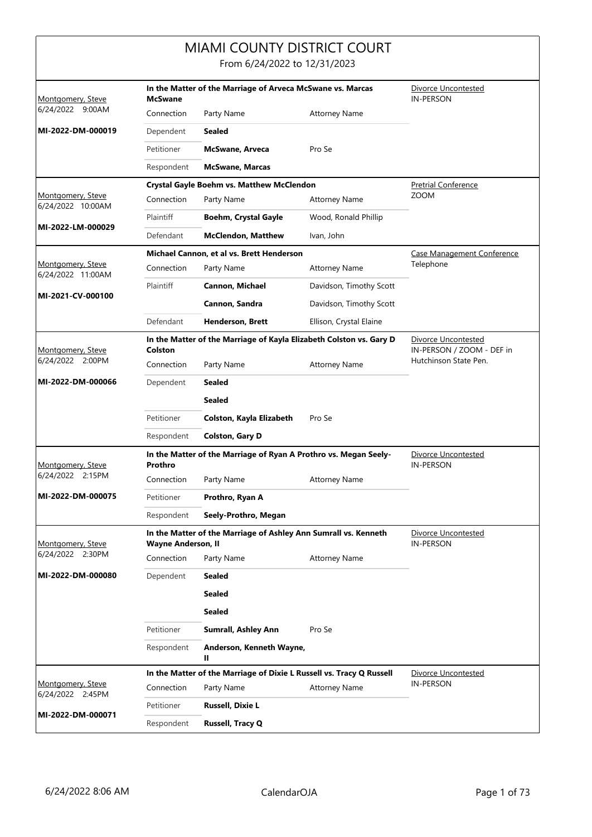|                                        |                                                                              | <b>MIAMI COUNTY DISTRICT COURT</b><br>From 6/24/2022 to 12/31/2023   |                                                  |                                         |  |
|----------------------------------------|------------------------------------------------------------------------------|----------------------------------------------------------------------|--------------------------------------------------|-----------------------------------------|--|
| Montgomery, Steve                      | In the Matter of the Marriage of Arveca McSwane vs. Marcas<br><b>McSwane</b> |                                                                      |                                                  |                                         |  |
| 6/24/2022 9:00AM                       | Connection                                                                   | Party Name                                                           | <b>Attorney Name</b>                             |                                         |  |
| MI-2022-DM-000019                      | Dependent                                                                    | <b>Sealed</b>                                                        |                                                  |                                         |  |
|                                        | Petitioner                                                                   | <b>McSwane, Arveca</b>                                               | Pro Se                                           |                                         |  |
|                                        | Respondent                                                                   | <b>McSwane, Marcas</b>                                               |                                                  |                                         |  |
|                                        |                                                                              | Crystal Gayle Boehm vs. Matthew McClendon                            |                                                  | <b>Pretrial Conference</b>              |  |
| Montgomery, Steve<br>6/24/2022 10:00AM | Connection                                                                   | Party Name                                                           | <b>Attorney Name</b>                             | <b>ZOOM</b>                             |  |
| MI-2022-LM-000029                      | Plaintiff                                                                    | <b>Boehm, Crystal Gayle</b>                                          | Wood, Ronald Phillip                             |                                         |  |
|                                        | Defendant                                                                    | <b>McClendon, Matthew</b>                                            | Ivan, John                                       |                                         |  |
|                                        |                                                                              | Michael Cannon, et al vs. Brett Henderson                            |                                                  | Case Management Conference              |  |
| Montgomery, Steve<br>6/24/2022 11:00AM | Connection                                                                   | Party Name                                                           | <b>Attorney Name</b>                             | Telephone                               |  |
| MI-2021-CV-000100                      | Plaintiff                                                                    | Cannon, Michael                                                      | Davidson, Timothy Scott                          |                                         |  |
|                                        |                                                                              | Cannon, Sandra                                                       | Davidson, Timothy Scott                          |                                         |  |
|                                        | Defendant                                                                    | <b>Henderson, Brett</b>                                              | Ellison, Crystal Elaine                          |                                         |  |
| Montgomery, Steve                      | Colston                                                                      | In the Matter of the Marriage of Kayla Elizabeth Colston vs. Gary D  | Divorce Uncontested<br>IN-PERSON / ZOOM - DEF in |                                         |  |
| 6/24/2022 2:00PM                       | Connection                                                                   | Party Name                                                           | <b>Attorney Name</b>                             | Hutchinson State Pen.                   |  |
| MI-2022-DM-000066                      | Dependent                                                                    | Sealed                                                               |                                                  |                                         |  |
|                                        |                                                                              | <b>Sealed</b>                                                        |                                                  |                                         |  |
|                                        | Petitioner                                                                   | Colston, Kayla Elizabeth                                             | Pro Se                                           |                                         |  |
|                                        | Respondent                                                                   | <b>Colston, Gary D</b>                                               |                                                  |                                         |  |
| Montgomery, Steve                      | Prothro                                                                      | In the Matter of the Marriage of Ryan A Prothro vs. Megan Seely-     |                                                  | Divorce Uncontested<br><b>IN-PERSON</b> |  |
| 6/24/2022 2:15PM                       | Connection                                                                   | Party Name                                                           | Attorney Name                                    |                                         |  |
| MI-2022-DM-000075                      | Petitioner                                                                   | Prothro, Ryan A                                                      |                                                  |                                         |  |
|                                        | Respondent                                                                   | Seely-Prothro, Megan                                                 |                                                  |                                         |  |
| Montgomery, Steve                      | <b>Wayne Anderson, II</b>                                                    | In the Matter of the Marriage of Ashley Ann Sumrall vs. Kenneth      |                                                  | Divorce Uncontested<br>IN-PERSON        |  |
| 6/24/2022 2:30PM                       | Connection                                                                   | Party Name                                                           | <b>Attorney Name</b>                             |                                         |  |
| MI-2022-DM-000080                      | Dependent                                                                    | <b>Sealed</b>                                                        |                                                  |                                         |  |
|                                        |                                                                              | <b>Sealed</b>                                                        |                                                  |                                         |  |
|                                        |                                                                              | <b>Sealed</b>                                                        |                                                  |                                         |  |
|                                        | Petitioner                                                                   | <b>Sumrall, Ashley Ann</b>                                           | Pro Se                                           |                                         |  |
|                                        | Respondent                                                                   | Anderson, Kenneth Wayne,<br>Ш                                        |                                                  |                                         |  |
|                                        |                                                                              | In the Matter of the Marriage of Dixie L Russell vs. Tracy Q Russell |                                                  | Divorce Uncontested                     |  |
| Montgomery, Steve<br>6/24/2022 2:45PM  | Connection                                                                   | Party Name                                                           | <b>Attorney Name</b>                             | <b>IN-PERSON</b>                        |  |
|                                        | Petitioner                                                                   | <b>Russell, Dixie L</b>                                              |                                                  |                                         |  |
| MI-2022-DM-000071                      | Respondent                                                                   | <b>Russell, Tracy Q</b>                                              |                                                  |                                         |  |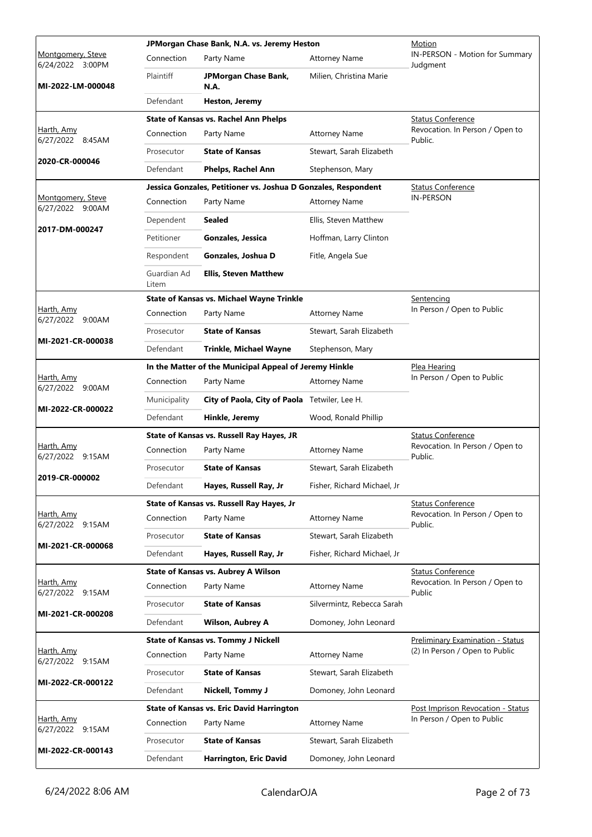|                                       |                      | JPMorgan Chase Bank, N.A. vs. Jeremy Heston                    | Motion                      |                                            |  |
|---------------------------------------|----------------------|----------------------------------------------------------------|-----------------------------|--------------------------------------------|--|
| Montgomery, Steve<br>6/24/2022 3:00PM | Connection           | Party Name                                                     | <b>Attorney Name</b>        | IN-PERSON - Motion for Summary<br>Judgment |  |
| MI-2022-LM-000048                     | Plaintiff            | JPMorgan Chase Bank,<br><b>N.A.</b>                            | Milien, Christina Marie     |                                            |  |
|                                       | Defendant            | <b>Heston, Jeremy</b>                                          |                             |                                            |  |
|                                       |                      | <b>State of Kansas vs. Rachel Ann Phelps</b>                   |                             | <b>Status Conference</b>                   |  |
| Harth, Amy<br>6/27/2022 8:45AM        | Connection           | Party Name                                                     | <b>Attorney Name</b>        | Revocation. In Person / Open to<br>Public. |  |
|                                       | Prosecutor           | <b>State of Kansas</b>                                         | Stewart, Sarah Elizabeth    |                                            |  |
| 2020-CR-000046                        | Defendant            | Phelps, Rachel Ann                                             | Stephenson, Mary            |                                            |  |
|                                       |                      | Jessica Gonzales, Petitioner vs. Joshua D Gonzales, Respondent |                             | <b>Status Conference</b>                   |  |
| Montgomery, Steve<br>6/27/2022 9:00AM | Connection           | Party Name                                                     | <b>Attorney Name</b>        | <b>IN-PERSON</b>                           |  |
|                                       | Dependent            | Sealed                                                         | Ellis, Steven Matthew       |                                            |  |
| 2017-DM-000247                        | Petitioner           | Gonzales, Jessica                                              | Hoffman, Larry Clinton      |                                            |  |
|                                       | Respondent           | Gonzales, Joshua D                                             | Fitle, Angela Sue           |                                            |  |
|                                       | Guardian Ad<br>Litem | <b>Ellis, Steven Matthew</b>                                   |                             |                                            |  |
|                                       |                      | <b>State of Kansas vs. Michael Wayne Trinkle</b>               |                             | Sentencing                                 |  |
| Harth, Amy<br>6/27/2022 9:00AM        | Connection           | Party Name                                                     | <b>Attorney Name</b>        | In Person / Open to Public                 |  |
|                                       | Prosecutor           | <b>State of Kansas</b>                                         | Stewart, Sarah Elizabeth    |                                            |  |
| MI-2021-CR-000038                     | Defendant            | <b>Trinkle, Michael Wayne</b>                                  | Stephenson, Mary            |                                            |  |
|                                       |                      | In the Matter of the Municipal Appeal of Jeremy Hinkle         |                             | <u>Plea Hearing</u>                        |  |
| Harth, Amy<br>6/27/2022 9:00AM        | Connection           | Party Name                                                     | <b>Attorney Name</b>        | In Person / Open to Public                 |  |
| MI-2022-CR-000022                     | Municipality         | City of Paola, City of Paola Tetwiler, Lee H.                  |                             |                                            |  |
|                                       | Defendant            | Hinkle, Jeremy                                                 | Wood, Ronald Phillip        |                                            |  |
|                                       |                      | State of Kansas vs. Russell Ray Hayes, JR                      |                             | <b>Status Conference</b>                   |  |
| Harth, Amy<br>6/27/2022 9:15AM        | Connection           | Party Name                                                     | <b>Attorney Name</b>        | Revocation. In Person / Open to<br>Public. |  |
| 2019-CR-000002                        | Prosecutor           | <b>State of Kansas</b>                                         | Stewart, Sarah Elizabeth    |                                            |  |
|                                       | Defendant            | Hayes, Russell Ray, Jr                                         | Fisher, Richard Michael, Jr |                                            |  |
|                                       |                      | State of Kansas vs. Russell Ray Hayes, Jr                      |                             | <b>Status Conference</b>                   |  |
| Harth, Amy<br>6/27/2022 9:15AM        | Connection           | Party Name                                                     | <b>Attorney Name</b>        | Revocation. In Person / Open to<br>Public. |  |
| MI-2021-CR-000068                     | Prosecutor           | <b>State of Kansas</b>                                         | Stewart, Sarah Elizabeth    |                                            |  |
|                                       | Defendant            | Hayes, Russell Ray, Jr                                         | Fisher, Richard Michael, Jr |                                            |  |
|                                       |                      | <b>State of Kansas vs. Aubrey A Wilson</b>                     |                             | <b>Status Conference</b>                   |  |
| Harth, Amy<br>6/27/2022 9:15AM        | Connection           | Party Name                                                     | <b>Attorney Name</b>        | Revocation. In Person / Open to<br>Public  |  |
| MI-2021-CR-000208                     | Prosecutor           | <b>State of Kansas</b>                                         | Silvermintz, Rebecca Sarah  |                                            |  |
|                                       | Defendant            | <b>Wilson, Aubrey A</b>                                        | Domoney, John Leonard       |                                            |  |
|                                       |                      | <b>State of Kansas vs. Tommy J Nickell</b>                     |                             | <b>Preliminary Examination - Status</b>    |  |
| <u>Harth, Amy</u><br>6/27/2022 9:15AM | Connection           | Party Name                                                     | <b>Attorney Name</b>        | (2) In Person / Open to Public             |  |
| MI-2022-CR-000122                     | Prosecutor           | <b>State of Kansas</b>                                         | Stewart, Sarah Elizabeth    |                                            |  |
|                                       | Defendant            | Nickell, Tommy J                                               | Domoney, John Leonard       |                                            |  |
|                                       |                      | <b>State of Kansas vs. Eric David Harrington</b>               |                             | Post Imprison Revocation - Status          |  |
| Harth, Amy<br>6/27/2022 9:15AM        | Connection           | Party Name                                                     | <b>Attorney Name</b>        | In Person / Open to Public                 |  |
| MI-2022-CR-000143                     | Prosecutor           | <b>State of Kansas</b>                                         | Stewart, Sarah Elizabeth    |                                            |  |
|                                       | Defendant            | Harrington, Eric David                                         | Domoney, John Leonard       |                                            |  |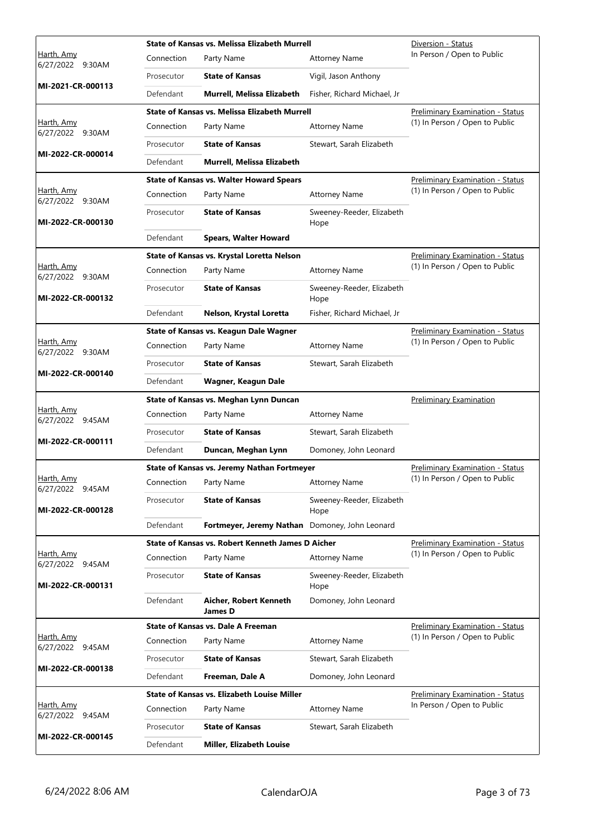|                                       |            | State of Kansas vs. Melissa Elizabeth Murrell      | Diversion - Status                |                                         |
|---------------------------------------|------------|----------------------------------------------------|-----------------------------------|-----------------------------------------|
| <u>Harth, Amy</u><br>6/27/2022 9:30AM | Connection | Party Name                                         | <b>Attorney Name</b>              | In Person / Open to Public              |
| MI-2021-CR-000113                     | Prosecutor | <b>State of Kansas</b>                             | Vigil, Jason Anthony              |                                         |
|                                       | Defendant  | Murrell, Melissa Elizabeth                         | Fisher, Richard Michael, Jr       |                                         |
|                                       |            | State of Kansas vs. Melissa Elizabeth Murrell      |                                   | <b>Preliminary Examination - Status</b> |
| <u>Harth, Amy</u><br>6/27/2022 9:30AM | Connection | Party Name                                         | <b>Attorney Name</b>              | (1) In Person / Open to Public          |
| MI-2022-CR-000014                     | Prosecutor | <b>State of Kansas</b>                             | Stewart, Sarah Elizabeth          |                                         |
|                                       | Defendant  | Murrell, Melissa Elizabeth                         |                                   |                                         |
|                                       |            | <b>State of Kansas vs. Walter Howard Spears</b>    |                                   | <b>Preliminary Examination - Status</b> |
| Harth, Amy<br>6/27/2022 9:30AM        | Connection | Party Name                                         | <b>Attorney Name</b>              | (1) In Person / Open to Public          |
| MI-2022-CR-000130                     | Prosecutor | <b>State of Kansas</b>                             | Sweeney-Reeder, Elizabeth<br>Hope |                                         |
|                                       | Defendant  | <b>Spears, Walter Howard</b>                       |                                   |                                         |
|                                       |            | State of Kansas vs. Krystal Loretta Nelson         |                                   | Preliminary Examination - Status        |
| Harth, Amy<br>6/27/2022 9:30AM        | Connection | Party Name                                         | <b>Attorney Name</b>              | (1) In Person / Open to Public          |
| MI-2022-CR-000132                     | Prosecutor | <b>State of Kansas</b>                             | Sweeney-Reeder, Elizabeth<br>Hope |                                         |
|                                       | Defendant  | Nelson, Krystal Loretta                            | Fisher, Richard Michael, Jr       |                                         |
|                                       |            | State of Kansas vs. Keagun Dale Wagner             |                                   | <b>Preliminary Examination - Status</b> |
| <u>Harth, Amy</u><br>6/27/2022 9:30AM | Connection | Party Name                                         | <b>Attorney Name</b>              | (1) In Person / Open to Public          |
| MI-2022-CR-000140                     | Prosecutor | <b>State of Kansas</b>                             | Stewart, Sarah Elizabeth          |                                         |
|                                       | Defendant  | Wagner, Keagun Dale                                |                                   |                                         |
|                                       |            | State of Kansas vs. Meghan Lynn Duncan             |                                   | Preliminary Examination                 |
| Harth, Amy<br>6/27/2022 9:45AM        | Connection | Party Name                                         | <b>Attorney Name</b>              |                                         |
| MI-2022-CR-000111                     | Prosecutor | <b>State of Kansas</b>                             | Stewart, Sarah Elizabeth          |                                         |
|                                       | Defendant  | Duncan, Meghan Lynn                                | Domoney, John Leonard             |                                         |
|                                       |            | State of Kansas vs. Jeremy Nathan Fortmeyer        |                                   | Preliminary Examination - Status        |
| <u>Harth, Amy</u><br>6/27/2022 9:45AM |            | Connection Party Name                              | <b>Attorney Name</b>              | (1) In Person / Open to Public          |
| MI-2022-CR-000128                     | Prosecutor | <b>State of Kansas</b>                             | Sweeney-Reeder, Elizabeth<br>Hope |                                         |
|                                       | Defendant  | Fortmeyer, Jeremy Nathan Domoney, John Leonard     |                                   |                                         |
|                                       |            | State of Kansas vs. Robert Kenneth James D Aicher  |                                   | <b>Preliminary Examination - Status</b> |
| Harth, Amy<br>6/27/2022 9:45AM        | Connection | Party Name                                         | <b>Attorney Name</b>              | (1) In Person / Open to Public          |
| MI-2022-CR-000131                     | Prosecutor | <b>State of Kansas</b>                             | Sweeney-Reeder, Elizabeth<br>Hope |                                         |
|                                       | Defendant  | Aicher, Robert Kenneth<br>James D                  | Domoney, John Leonard             |                                         |
|                                       |            | <b>State of Kansas vs. Dale A Freeman</b>          |                                   | <b>Preliminary Examination - Status</b> |
| <u>Harth, Amy</u><br>6/27/2022 9:45AM | Connection | Party Name                                         | <b>Attorney Name</b>              | (1) In Person / Open to Public          |
| MI-2022-CR-000138                     | Prosecutor | <b>State of Kansas</b>                             | Stewart, Sarah Elizabeth          |                                         |
|                                       | Defendant  | Freeman, Dale A                                    | Domoney, John Leonard             |                                         |
|                                       |            | <b>State of Kansas vs. Elizabeth Louise Miller</b> |                                   | <b>Preliminary Examination - Status</b> |
| Harth, Amy<br>6/27/2022 9:45AM        | Connection | Party Name                                         | <b>Attorney Name</b>              | In Person / Open to Public              |
|                                       | Prosecutor | <b>State of Kansas</b>                             | Stewart, Sarah Elizabeth          |                                         |
| MI-2022-CR-000145                     | Defendant  | Miller, Elizabeth Louise                           |                                   |                                         |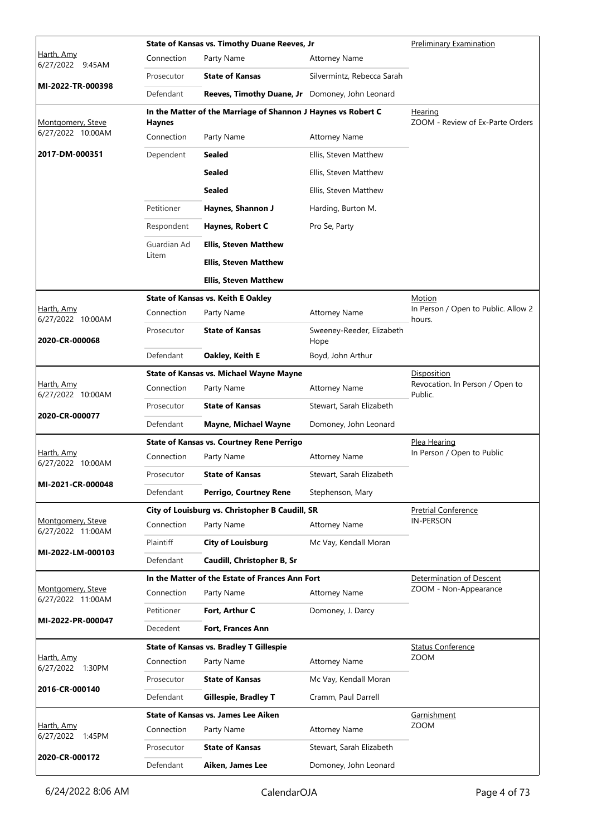|                                                   |               | State of Kansas vs. Timothy Duane Reeves, Jr                  | <b>Preliminary Examination</b>                 |                                                   |
|---------------------------------------------------|---------------|---------------------------------------------------------------|------------------------------------------------|---------------------------------------------------|
| Harth, Amy<br>6/27/2022 9:45AM                    | Connection    | Party Name                                                    | <b>Attorney Name</b>                           |                                                   |
|                                                   | Prosecutor    | <b>State of Kansas</b>                                        | Silvermintz, Rebecca Sarah                     |                                                   |
| MI-2022-TR-000398                                 | Defendant     | Reeves, Timothy Duane, Jr Domoney, John Leonard               |                                                |                                                   |
| Montgomery, Steve                                 | <b>Haynes</b> | In the Matter of the Marriage of Shannon J Haynes vs Robert C |                                                | Hearing<br>ZOOM - Review of Ex-Parte Orders       |
| 6/27/2022 10:00AM                                 | Connection    | Party Name                                                    | <b>Attorney Name</b>                           |                                                   |
| 2017-DM-000351                                    | Dependent     | Sealed                                                        | Ellis, Steven Matthew                          |                                                   |
|                                                   |               | <b>Sealed</b>                                                 | Ellis, Steven Matthew                          |                                                   |
|                                                   |               | <b>Sealed</b>                                                 | Ellis, Steven Matthew                          |                                                   |
|                                                   | Petitioner    | Haynes, Shannon J                                             | Harding, Burton M.                             |                                                   |
|                                                   | Respondent    | Haynes, Robert C                                              | Pro Se, Party                                  |                                                   |
|                                                   | Guardian Ad   | <b>Ellis, Steven Matthew</b>                                  |                                                |                                                   |
|                                                   | Litem         | <b>Ellis, Steven Matthew</b>                                  |                                                |                                                   |
|                                                   |               | <b>Ellis, Steven Matthew</b>                                  |                                                |                                                   |
|                                                   |               | <b>State of Kansas vs. Keith E Oakley</b>                     |                                                | Motion                                            |
| Harth, Amy<br>6/27/2022 10:00AM                   | Connection    | Party Name                                                    | <b>Attorney Name</b>                           | In Person / Open to Public. Allow 2<br>hours.     |
| 2020-CR-000068                                    | Prosecutor    | <b>State of Kansas</b>                                        | Sweeney-Reeder, Elizabeth<br>Hope              |                                                   |
|                                                   | Defendant     | Oakley, Keith E                                               | Boyd, John Arthur                              |                                                   |
|                                                   |               | <b>State of Kansas vs. Michael Wayne Mayne</b>                |                                                | Disposition                                       |
| Harth, Amy<br>6/27/2022 10:00AM<br>2020-CR-000077 | Connection    | Party Name                                                    | <b>Attorney Name</b>                           | Revocation. In Person / Open to<br>Public.        |
|                                                   | Prosecutor    | <b>State of Kansas</b>                                        | Stewart, Sarah Elizabeth                       |                                                   |
|                                                   | Defendant     | <b>Mayne, Michael Wayne</b>                                   | Domoney, John Leonard                          |                                                   |
| Harth, Amy                                        |               | <b>State of Kansas vs. Courtney Rene Perrigo</b>              | Plea Hearing<br>In Person / Open to Public     |                                                   |
| 6/27/2022 10:00AM                                 | Connection    | Party Name                                                    | <b>Attorney Name</b>                           |                                                   |
| MI-2021-CR-000048                                 | Prosecutor    | <b>State of Kansas</b>                                        | Stewart, Sarah Elizabeth                       |                                                   |
|                                                   | Defendant     | Perrigo, Courtney Rene                                        | Stephenson, Mary                               |                                                   |
| Montgomery, Steve                                 |               | City of Louisburg vs. Christopher B Caudill, SR               | <b>Pretrial Conference</b><br><b>IN-PERSON</b> |                                                   |
| 6/27/2022 11:00AM                                 | Connection    | Party Name                                                    | <b>Attorney Name</b>                           |                                                   |
| MI-2022-LM-000103                                 | Plaintiff     | <b>City of Louisburg</b>                                      | Mc Vay, Kendall Moran                          |                                                   |
|                                                   | Defendant     | Caudill, Christopher B, Sr                                    |                                                |                                                   |
| Montgomery, Steve                                 |               | In the Matter of the Estate of Frances Ann Fort               |                                                | Determination of Descent<br>ZOOM - Non-Appearance |
| 6/27/2022 11:00AM                                 | Connection    | Party Name                                                    | <b>Attorney Name</b>                           |                                                   |
| MI-2022-PR-000047                                 | Petitioner    | Fort, Arthur C                                                | Domoney, J. Darcy                              |                                                   |
|                                                   | Decedent      | Fort, Frances Ann                                             |                                                |                                                   |
| Harth, Amy                                        | Connection    | <b>State of Kansas vs. Bradley T Gillespie</b><br>Party Name  | <b>Attorney Name</b>                           | <b>Status Conference</b><br><b>ZOOM</b>           |
| 6/27/2022 1:30PM                                  | Prosecutor    | <b>State of Kansas</b>                                        |                                                |                                                   |
| 2016-CR-000140                                    |               |                                                               | Mc Vay, Kendall Moran                          |                                                   |
|                                                   | Defendant     | <b>Gillespie, Bradley T</b>                                   | Cramm, Paul Darrell                            |                                                   |
| Harth, Amy                                        | Connection    | <b>State of Kansas vs. James Lee Aiken</b><br>Party Name      | <b>Attorney Name</b>                           | Garnishment<br><b>ZOOM</b>                        |
| 6/27/2022 1:45PM                                  | Prosecutor    | <b>State of Kansas</b>                                        | Stewart, Sarah Elizabeth                       |                                                   |
| 2020-CR-000172                                    |               |                                                               |                                                |                                                   |
|                                                   | Defendant     | Aiken, James Lee                                              | Domoney, John Leonard                          |                                                   |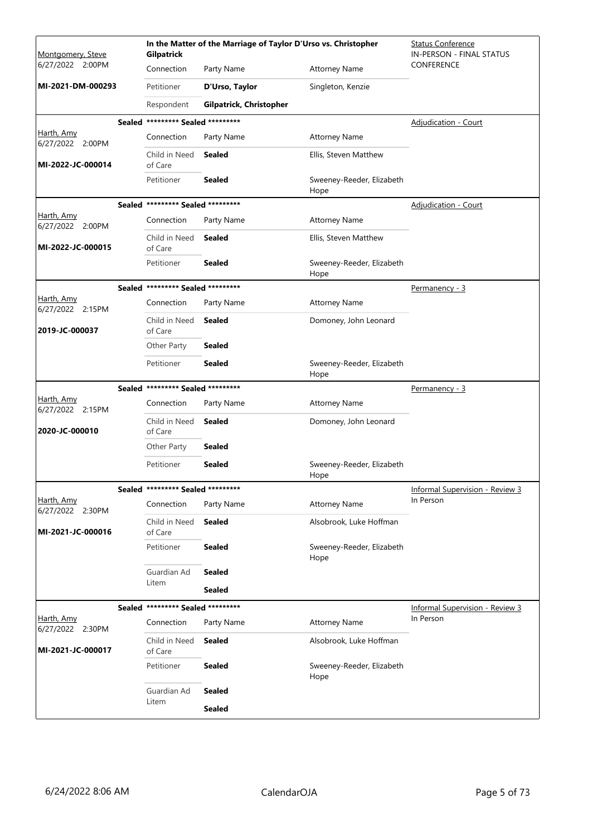| Montgomery, Steve              | Gilpatrick                        | In the Matter of the Marriage of Taylor D'Urso vs. Christopher | <b>Status Conference</b><br>IN-PERSON - FINAL STATUS |                                        |
|--------------------------------|-----------------------------------|----------------------------------------------------------------|------------------------------------------------------|----------------------------------------|
| 6/27/2022 2:00PM               | Connection                        | Party Name                                                     | <b>Attorney Name</b>                                 | <b>CONFERENCE</b>                      |
| MI-2021-DM-000293              | Petitioner                        | D'Urso, Taylor                                                 | Singleton, Kenzie                                    |                                        |
|                                | Respondent                        | Gilpatrick, Christopher                                        |                                                      |                                        |
|                                | Sealed ********* Sealed ********* |                                                                |                                                      | <b>Adjudication - Court</b>            |
| Harth, Amy<br>6/27/2022 2:00PM | Connection                        | Party Name                                                     | <b>Attorney Name</b>                                 |                                        |
| MI-2022-JC-000014              | Child in Need<br>of Care          | <b>Sealed</b>                                                  | Ellis, Steven Matthew                                |                                        |
|                                | Petitioner                        | <b>Sealed</b>                                                  | Sweeney-Reeder, Elizabeth<br>Hope                    |                                        |
|                                | Sealed ********* Sealed ********* |                                                                |                                                      | Adjudication - Court                   |
| Harth, Amy<br>6/27/2022 2:00PM | Connection                        | Party Name                                                     | <b>Attorney Name</b>                                 |                                        |
| MI-2022-JC-000015              | Child in Need<br>of Care          | Sealed                                                         | Ellis, Steven Matthew                                |                                        |
|                                | Petitioner                        | <b>Sealed</b>                                                  | Sweeney-Reeder, Elizabeth<br>Hope                    |                                        |
|                                | Sealed ********* Sealed ********* |                                                                |                                                      | Permanency - 3                         |
| Harth, Amy<br>6/27/2022 2:15PM | Connection                        | Party Name                                                     | <b>Attorney Name</b>                                 |                                        |
| 2019-JC-000037                 | Child in Need<br>of Care          | <b>Sealed</b>                                                  | Domoney, John Leonard                                |                                        |
|                                | Other Party                       | <b>Sealed</b>                                                  |                                                      |                                        |
|                                | Petitioner                        | <b>Sealed</b>                                                  | Sweeney-Reeder, Elizabeth<br>Hope                    |                                        |
|                                | Sealed ********* Sealed ********* |                                                                |                                                      | Permanency - 3                         |
| Harth, Amy<br>6/27/2022 2:15PM | Connection                        | Party Name                                                     | <b>Attorney Name</b>                                 |                                        |
| 2020-JC-000010                 | Child in Need<br>of Care          | <b>Sealed</b>                                                  | Domoney, John Leonard                                |                                        |
|                                | Other Party                       | <b>Sealed</b>                                                  |                                                      |                                        |
|                                | Petitioner                        | <b>Sealed</b>                                                  | Sweeney-Reeder, Elizabeth<br>Hope                    |                                        |
|                                | Sealed ********* Sealed ********* |                                                                |                                                      | <b>Informal Supervision - Review 3</b> |
| Harth, Amy<br>6/27/2022 2:30PM | Connection                        | Party Name                                                     | <b>Attorney Name</b>                                 | In Person                              |
| MI-2021-JC-000016              | Child in Need<br>of Care          | Sealed                                                         | Alsobrook, Luke Hoffman                              |                                        |
|                                | Petitioner                        | <b>Sealed</b>                                                  | Sweeney-Reeder, Elizabeth<br>Hope                    |                                        |
|                                | Guardian Ad                       | <b>Sealed</b>                                                  |                                                      |                                        |
|                                | Litem                             | <b>Sealed</b>                                                  |                                                      |                                        |
|                                | Sealed ********* Sealed ********* |                                                                |                                                      | <b>Informal Supervision - Review 3</b> |
| Harth, Amy<br>6/27/2022 2:30PM | Connection                        | Party Name                                                     | <b>Attorney Name</b>                                 | In Person                              |
| MI-2021-JC-000017              | Child in Need<br>of Care          | <b>Sealed</b>                                                  | Alsobrook, Luke Hoffman                              |                                        |
|                                | Petitioner                        | <b>Sealed</b>                                                  | Sweeney-Reeder, Elizabeth<br>Hope                    |                                        |
|                                | Guardian Ad                       | <b>Sealed</b>                                                  |                                                      |                                        |
|                                | Litem                             | <b>Sealed</b>                                                  |                                                      |                                        |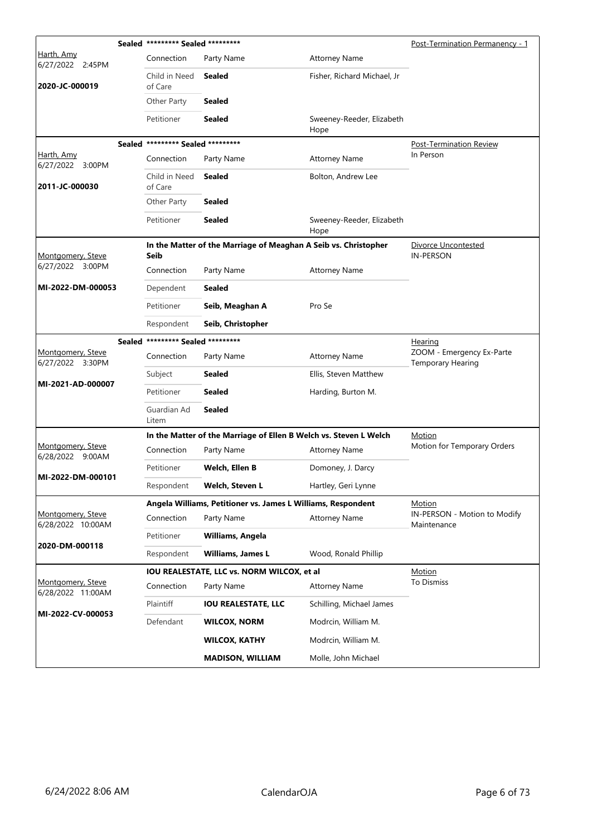|                                        | Sealed ********* Sealed *********    |                                                                   |                                   | Post-Termination Permanency - 1                       |
|----------------------------------------|--------------------------------------|-------------------------------------------------------------------|-----------------------------------|-------------------------------------------------------|
| Harth, Amy<br>6/27/2022 2:45PM         | Connection                           | Party Name                                                        | <b>Attorney Name</b>              |                                                       |
| 2020-JC-000019                         | Child in Need<br>of Care             | Sealed                                                            | Fisher, Richard Michael, Jr       |                                                       |
|                                        | Other Party                          | <b>Sealed</b>                                                     |                                   |                                                       |
|                                        | Petitioner                           | Sealed                                                            | Sweeney-Reeder, Elizabeth<br>Hope |                                                       |
|                                        | Sealed ********* Sealed *********    |                                                                   |                                   | Post-Termination Review                               |
| Harth, Amy<br>6/27/2022 3:00PM         | Connection                           | Party Name                                                        | <b>Attorney Name</b>              | In Person                                             |
| 2011-JC-000030                         | Child in Need<br>of Care             | Sealed                                                            | Bolton, Andrew Lee                |                                                       |
|                                        | Other Party                          | Sealed                                                            |                                   |                                                       |
|                                        | Petitioner                           | <b>Sealed</b>                                                     | Sweeney-Reeder, Elizabeth<br>Hope |                                                       |
| Montgomery, Steve                      | Seib                                 | In the Matter of the Marriage of Meaghan A Seib vs. Christopher   |                                   | Divorce Uncontested<br><b>IN-PERSON</b>               |
| 6/27/2022 3:00PM                       | Connection                           | Party Name                                                        | <b>Attorney Name</b>              |                                                       |
| MI-2022-DM-000053                      | Dependent                            | Sealed                                                            |                                   |                                                       |
|                                        | Petitioner                           | Seib, Meaghan A                                                   | Pro Se                            |                                                       |
|                                        | Respondent                           | Seib, Christopher                                                 |                                   |                                                       |
|                                        | ********* Sealed *********<br>Sealed |                                                                   |                                   | Hearing                                               |
| Montgomery, Steve<br>6/27/2022 3:30PM  | Connection                           | Party Name                                                        | <b>Attorney Name</b>              | ZOOM - Emergency Ex-Parte<br><b>Temporary Hearing</b> |
| MI-2021-AD-000007                      | Subject                              | Sealed                                                            | Ellis, Steven Matthew             |                                                       |
|                                        | Petitioner                           | Sealed                                                            | Harding, Burton M.                |                                                       |
|                                        | Guardian Ad<br>Litem                 | <b>Sealed</b>                                                     |                                   |                                                       |
|                                        |                                      | In the Matter of the Marriage of Ellen B Welch vs. Steven L Welch |                                   | Motion                                                |
| Montgomery, Steve<br>6/28/2022 9:00AM  | Connection                           | Party Name                                                        | <b>Attorney Name</b>              | Motion for Temporary Orders                           |
| MI-2022-DM-000101                      | Petitioner                           | Welch, Ellen B                                                    | Domoney, J. Darcy                 |                                                       |
|                                        | Respondent                           | Welch, Steven L                                                   | Hartley, Geri Lynne               |                                                       |
|                                        |                                      | Angela Williams, Petitioner vs. James L Williams, Respondent      |                                   | Motion                                                |
| Montgomery, Steve<br>6/28/2022 10:00AM | Connection                           | Party Name                                                        | <b>Attorney Name</b>              | IN-PERSON - Motion to Modify<br>Maintenance           |
| 2020-DM-000118                         | Petitioner                           | Williams, Angela                                                  |                                   |                                                       |
|                                        | Respondent                           | <b>Williams, James L</b>                                          | Wood, Ronald Phillip              |                                                       |
|                                        |                                      | IOU REALESTATE, LLC vs. NORM WILCOX, et al                        |                                   | Motion                                                |
| Montgomery, Steve<br>6/28/2022 11:00AM | Connection                           | Party Name                                                        | <b>Attorney Name</b>              | To Dismiss                                            |
| MI-2022-CV-000053                      | Plaintiff                            | <b>IOU REALESTATE, LLC</b>                                        | Schilling, Michael James          |                                                       |
|                                        | Defendant                            | <b>WILCOX, NORM</b>                                               | Modrcin, William M.               |                                                       |
|                                        |                                      | <b>WILCOX, KATHY</b>                                              | Modrcin, William M.               |                                                       |
|                                        |                                      | <b>MADISON, WILLIAM</b>                                           | Molle, John Michael               |                                                       |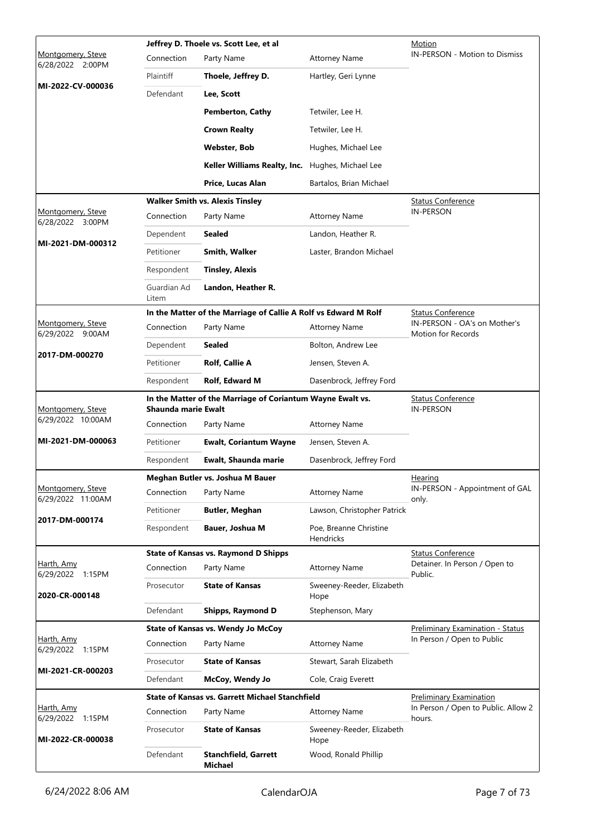|                                          |                            | Jeffrey D. Thoele vs. Scott Lee, et al                          |                                            | Motion                                             |
|------------------------------------------|----------------------------|-----------------------------------------------------------------|--------------------------------------------|----------------------------------------------------|
| Montgomery, Steve<br>6/28/2022 2:00PM    | Connection                 | Party Name                                                      | <b>Attorney Name</b>                       | <b>IN-PERSON - Motion to Dismiss</b>               |
|                                          | Plaintiff                  | Thoele, Jeffrey D.                                              | Hartley, Geri Lynne                        |                                                    |
| MI-2022-CV-000036                        | Defendant                  | Lee, Scott                                                      |                                            |                                                    |
|                                          |                            | <b>Pemberton, Cathy</b>                                         | Tetwiler, Lee H.                           |                                                    |
|                                          |                            | <b>Crown Realty</b>                                             | Tetwiler, Lee H.                           |                                                    |
|                                          |                            | Webster, Bob                                                    | Hughes, Michael Lee                        |                                                    |
|                                          |                            | Keller Williams Realty, Inc.                                    | Hughes, Michael Lee                        |                                                    |
|                                          |                            | Price, Lucas Alan                                               | Bartalos, Brian Michael                    |                                                    |
|                                          |                            | <b>Walker Smith vs. Alexis Tinsley</b>                          |                                            | <u>Status Conference</u>                           |
| Montgomery, Steve<br>6/28/2022<br>3:00PM | Connection                 | Party Name                                                      | <b>Attorney Name</b>                       | <b>IN-PERSON</b>                                   |
|                                          | Dependent                  | Sealed                                                          | Landon, Heather R.                         |                                                    |
| MI-2021-DM-000312                        | Petitioner                 | Smith, Walker                                                   | Laster, Brandon Michael                    |                                                    |
|                                          | Respondent                 | <b>Tinsley, Alexis</b>                                          |                                            |                                                    |
|                                          | Guardian Ad<br>Litem       | Landon, Heather R.                                              |                                            |                                                    |
|                                          |                            | In the Matter of the Marriage of Callie A Rolf vs Edward M Rolf |                                            | Status Conference                                  |
| Montgomery, Steve<br>6/29/2022 9:00AM    | Connection                 | Party Name                                                      | <b>Attorney Name</b>                       | IN-PERSON - OA's on Mother's<br>Motion for Records |
|                                          | Dependent                  | Sealed                                                          | Bolton, Andrew Lee                         |                                                    |
| 2017-DM-000270                           | Petitioner                 | Rolf, Callie A                                                  | Jensen, Steven A.                          |                                                    |
|                                          | Respondent                 | Rolf, Edward M                                                  | Dasenbrock, Jeffrey Ford                   |                                                    |
| Montgomery, Steve                        | <b>Shaunda marie Ewalt</b> | In the Matter of the Marriage of Coriantum Wayne Ewalt vs.      |                                            | <b>Status Conference</b><br><b>IN-PERSON</b>       |
| 6/29/2022 10:00AM                        | Connection                 | Party Name                                                      | <b>Attorney Name</b>                       |                                                    |
| MI-2021-DM-000063                        | Petitioner                 | <b>Ewalt, Coriantum Wayne</b>                                   | Jensen, Steven A.                          |                                                    |
|                                          | Respondent                 | Ewalt, Shaunda marie                                            | Dasenbrock, Jeffrey Ford                   |                                                    |
|                                          |                            | Meghan Butler vs. Joshua M Bauer                                |                                            | Hearing                                            |
| Montgomery, Steve<br>6/29/2022 11:00AM   | Connection                 | Party Name                                                      | <b>Attorney Name</b>                       | IN-PERSON - Appointment of GAL<br>only.            |
|                                          | Petitioner                 | <b>Butler, Meghan</b>                                           | Lawson, Christopher Patrick                |                                                    |
| 2017-DM-000174                           | Respondent                 | Bauer, Joshua M                                                 | Poe, Breanne Christine<br><b>Hendricks</b> |                                                    |
|                                          |                            | <b>State of Kansas vs. Raymond D Shipps</b>                     |                                            | <b>Status Conference</b>                           |
| Harth, Amy<br>6/29/2022 1:15PM           | Connection                 | Party Name                                                      | <b>Attorney Name</b>                       | Detainer. In Person / Open to<br>Public.           |
| 2020-CR-000148                           | Prosecutor                 | <b>State of Kansas</b>                                          | Sweeney-Reeder, Elizabeth<br>Hope          |                                                    |
|                                          | Defendant                  | Shipps, Raymond D                                               | Stephenson, Mary                           |                                                    |
|                                          |                            | <b>State of Kansas vs. Wendy Jo McCoy</b>                       |                                            | <b>Preliminary Examination - Status</b>            |
| Harth, Amy<br>6/29/2022 1:15PM           | Connection                 | Party Name                                                      | <b>Attorney Name</b>                       | In Person / Open to Public                         |
| MI-2021-CR-000203                        | Prosecutor                 | <b>State of Kansas</b>                                          | Stewart, Sarah Elizabeth                   |                                                    |
|                                          | Defendant                  | McCoy, Wendy Jo                                                 | Cole, Craig Everett                        |                                                    |
|                                          |                            | <b>State of Kansas vs. Garrett Michael Stanchfield</b>          |                                            | <b>Preliminary Examination</b>                     |
| <u>Harth, Amv</u><br>6/29/2022 1:15PM    | Connection                 | Party Name                                                      | <b>Attorney Name</b>                       | In Person / Open to Public. Allow 2<br>hours.      |
| MI-2022-CR-000038                        | Prosecutor                 | <b>State of Kansas</b>                                          | Sweeney-Reeder, Elizabeth<br>Hope          |                                                    |
|                                          | Defendant                  | <b>Stanchfield, Garrett</b><br>Michael                          | Wood, Ronald Phillip                       |                                                    |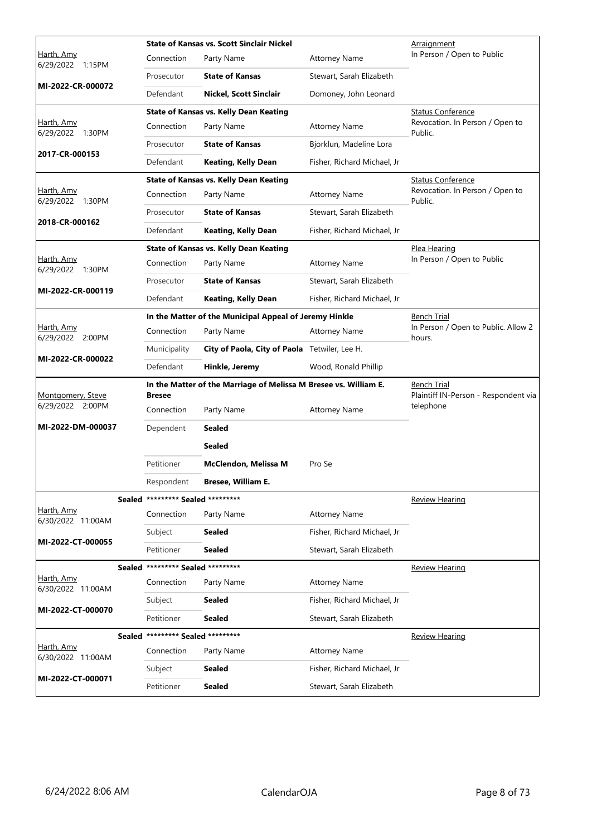|                                |                                   | <b>State of Kansas vs. Scott Sinclair Nickel</b>                 | <u>Arraignment</u>                                         |                                               |
|--------------------------------|-----------------------------------|------------------------------------------------------------------|------------------------------------------------------------|-----------------------------------------------|
| Harth, Amy<br>6/29/2022 1:15PM | Connection                        | Party Name                                                       | <b>Attorney Name</b>                                       | In Person / Open to Public                    |
|                                | Prosecutor                        | <b>State of Kansas</b>                                           | Stewart, Sarah Elizabeth                                   |                                               |
| MI-2022-CR-000072              | Defendant                         | <b>Nickel, Scott Sinclair</b>                                    | Domoney, John Leonard                                      |                                               |
|                                |                                   | <b>State of Kansas vs. Kelly Dean Keating</b>                    |                                                            | <b>Status Conference</b>                      |
| Harth, Amy<br>6/29/2022 1:30PM | Connection                        | Party Name                                                       | <b>Attorney Name</b>                                       | Revocation. In Person / Open to<br>Public.    |
|                                | Prosecutor                        | <b>State of Kansas</b>                                           | Bjorklun, Madeline Lora                                    |                                               |
| 2017-CR-000153                 | Defendant                         | <b>Keating, Kelly Dean</b>                                       | Fisher, Richard Michael, Jr                                |                                               |
|                                |                                   | <b>State of Kansas vs. Kelly Dean Keating</b>                    |                                                            | <b>Status Conference</b>                      |
| Harth, Amy<br>6/29/2022 1:30PM | Connection                        | Party Name                                                       | <b>Attorney Name</b>                                       | Revocation. In Person / Open to<br>Public.    |
|                                | Prosecutor                        | <b>State of Kansas</b>                                           | Stewart, Sarah Elizabeth                                   |                                               |
| 2018-CR-000162                 | Defendant                         | <b>Keating, Kelly Dean</b>                                       | Fisher, Richard Michael, Jr                                |                                               |
|                                |                                   | <b>State of Kansas vs. Kelly Dean Keating</b>                    |                                                            | <u>Plea Hearing</u>                           |
| Harth, Amy<br>6/29/2022 1:30PM | Connection                        | Party Name                                                       | <b>Attorney Name</b>                                       | In Person / Open to Public                    |
|                                | Prosecutor                        | <b>State of Kansas</b>                                           | Stewart, Sarah Elizabeth                                   |                                               |
| MI-2022-CR-000119              | Defendant                         | <b>Keating, Kelly Dean</b>                                       | Fisher, Richard Michael, Jr                                |                                               |
|                                |                                   | In the Matter of the Municipal Appeal of Jeremy Hinkle           |                                                            | <b>Bench Trial</b>                            |
| Harth, Amy<br>6/29/2022 2:00PM | Connection                        | Party Name                                                       | <b>Attorney Name</b>                                       | In Person / Open to Public. Allow 2<br>hours. |
|                                | Municipality                      | City of Paola, City of Paola Tetwiler, Lee H.                    |                                                            |                                               |
| MI-2022-CR-000022              | Defendant                         | Hinkle, Jeremy                                                   | Wood, Ronald Phillip                                       |                                               |
| Montgomery, Steve              | <b>Bresee</b>                     | In the Matter of the Marriage of Melissa M Bresee vs. William E. | <b>Bench Trial</b><br>Plaintiff IN-Person - Respondent via |                                               |
| 6/29/2022 2:00PM               | Connection                        | Party Name                                                       | <b>Attorney Name</b>                                       | telephone                                     |
| MI-2022-DM-000037              | Dependent                         | Sealed                                                           |                                                            |                                               |
|                                |                                   | Sealed                                                           |                                                            |                                               |
|                                | Petitioner                        | McClendon, Melissa M                                             | Pro Se                                                     |                                               |
|                                | Respondent                        | <b>Bresee, William E</b>                                         |                                                            |                                               |
|                                | Sealed ********* Sealed ********* |                                                                  |                                                            | <b>Review Hearing</b>                         |
| Harth, Amy                     | Connection                        | Party Name                                                       | <b>Attorney Name</b>                                       |                                               |
| 6/30/2022 11:00AM              | Subject                           | Sealed                                                           | Fisher, Richard Michael, Jr                                |                                               |
| MI-2022-CT-000055              | Petitioner                        | <b>Sealed</b>                                                    | Stewart, Sarah Elizabeth                                   |                                               |
|                                | Sealed ********* Sealed ********* |                                                                  |                                                            | <b>Review Hearing</b>                         |
| Harth, Amy                     | Connection                        | Party Name                                                       | Attorney Name                                              |                                               |
| 6/30/2022 11:00AM              | Subject                           | <b>Sealed</b>                                                    | Fisher, Richard Michael, Jr                                |                                               |
| MI-2022-CT-000070              | Petitioner                        | <b>Sealed</b>                                                    | Stewart, Sarah Elizabeth                                   |                                               |
|                                | Sealed ********* Sealed ********* |                                                                  |                                                            | <b>Review Hearing</b>                         |
| Harth, Amy                     | Connection                        | Party Name                                                       | <b>Attorney Name</b>                                       |                                               |
| 6/30/2022 11:00AM              | Subject                           | Sealed                                                           | Fisher, Richard Michael, Jr                                |                                               |
| MI-2022-CT-000071              | Petitioner                        | Sealed                                                           | Stewart, Sarah Elizabeth                                   |                                               |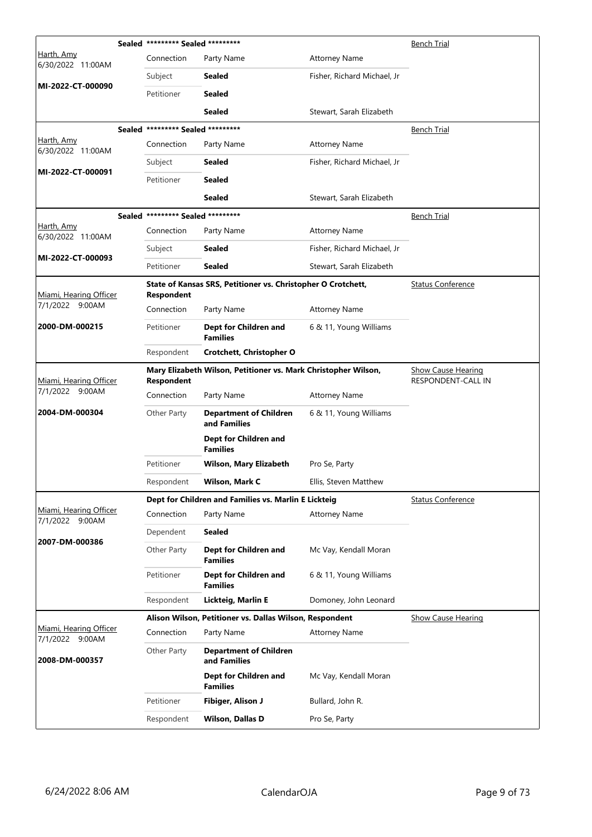|                                           |  | Sealed ********* Sealed *********                                                   |                                                              |                             | <b>Bench Trial</b>                              |
|-------------------------------------------|--|-------------------------------------------------------------------------------------|--------------------------------------------------------------|-----------------------------|-------------------------------------------------|
| Harth, Amy<br>6/30/2022 11:00AM           |  | Connection                                                                          | Party Name                                                   | <b>Attorney Name</b>        |                                                 |
|                                           |  | Subject                                                                             | <b>Sealed</b>                                                | Fisher, Richard Michael, Jr |                                                 |
| MI-2022-CT-000090                         |  | Petitioner                                                                          | <b>Sealed</b>                                                |                             |                                                 |
|                                           |  |                                                                                     | <b>Sealed</b>                                                | Stewart, Sarah Elizabeth    |                                                 |
|                                           |  | Sealed ********* Sealed *********                                                   |                                                              |                             | <b>Bench Trial</b>                              |
| <u>Harth, Amy</u><br>6/30/2022 11:00AM    |  | Connection                                                                          | Party Name                                                   | <b>Attorney Name</b>        |                                                 |
|                                           |  | Subject                                                                             | <b>Sealed</b>                                                | Fisher, Richard Michael, Jr |                                                 |
| MI-2022-CT-000091                         |  | Petitioner                                                                          | <b>Sealed</b>                                                |                             |                                                 |
|                                           |  |                                                                                     | <b>Sealed</b>                                                | Stewart, Sarah Elizabeth    |                                                 |
|                                           |  | Sealed ********* Sealed *********                                                   |                                                              |                             | <b>Bench Trial</b>                              |
| Harth, Amy<br>6/30/2022 11:00AM           |  | Connection                                                                          | Party Name                                                   | <b>Attorney Name</b>        |                                                 |
|                                           |  | Subject                                                                             | <b>Sealed</b>                                                | Fisher, Richard Michael, Jr |                                                 |
| MI-2022-CT-000093                         |  | Petitioner                                                                          | <b>Sealed</b>                                                | Stewart, Sarah Elizabeth    |                                                 |
| Miami, Hearing Officer                    |  | <b>Respondent</b>                                                                   | State of Kansas SRS, Petitioner vs. Christopher O Crotchett, |                             | <b>Status Conference</b>                        |
| 7/1/2022 9:00AM                           |  | Connection                                                                          | Party Name                                                   | <b>Attorney Name</b>        |                                                 |
| 2000-DM-000215                            |  | Petitioner                                                                          | Dept for Children and<br><b>Families</b>                     | 6 & 11, Young Williams      |                                                 |
|                                           |  | Respondent                                                                          | Crotchett, Christopher O                                     |                             |                                                 |
| Miami, Hearing Officer                    |  | Mary Elizabeth Wilson, Petitioner vs. Mark Christopher Wilson,<br><b>Respondent</b> |                                                              |                             | <b>Show Cause Hearing</b><br>RESPONDENT-CALL IN |
| 7/1/2022 9:00AM                           |  | Connection                                                                          | Party Name                                                   | <b>Attorney Name</b>        |                                                 |
| 2004-DM-000304                            |  | Other Party                                                                         | <b>Department of Children</b><br>and Families                | 6 & 11, Young Williams      |                                                 |
|                                           |  |                                                                                     | Dept for Children and<br><b>Families</b>                     |                             |                                                 |
|                                           |  | Petitioner                                                                          | Wilson, Mary Elizabeth                                       | Pro Se, Party               |                                                 |
|                                           |  | Respondent                                                                          | Wilson, Mark C                                               | Ellis, Steven Matthew       |                                                 |
|                                           |  |                                                                                     | Dept for Children and Families vs. Marlin E Lickteig         |                             | <b>Status Conference</b>                        |
| Miami, Hearing Officer<br>7/1/2022 9:00AM |  | Connection                                                                          | Party Name                                                   | <b>Attorney Name</b>        |                                                 |
| 2007-DM-000386                            |  | Dependent                                                                           | <b>Sealed</b>                                                |                             |                                                 |
|                                           |  | Other Party                                                                         | Dept for Children and<br><b>Families</b>                     | Mc Vay, Kendall Moran       |                                                 |
|                                           |  | Petitioner                                                                          | Dept for Children and<br><b>Families</b>                     | 6 & 11, Young Williams      |                                                 |
|                                           |  | Respondent                                                                          | Lickteig, Marlin E                                           | Domoney, John Leonard       |                                                 |
|                                           |  |                                                                                     | Alison Wilson, Petitioner vs. Dallas Wilson, Respondent      |                             | <b>Show Cause Hearing</b>                       |
| Miami, Hearing Officer<br>7/1/2022 9:00AM |  | Connection                                                                          | Party Name                                                   | <b>Attorney Name</b>        |                                                 |
| 2008-DM-000357                            |  | Other Party                                                                         | <b>Department of Children</b><br>and Families                |                             |                                                 |
|                                           |  |                                                                                     | Dept for Children and<br><b>Families</b>                     | Mc Vay, Kendall Moran       |                                                 |
|                                           |  | Petitioner                                                                          | Fibiger, Alison J                                            | Bullard, John R.            |                                                 |
|                                           |  | Respondent                                                                          | <b>Wilson, Dallas D</b>                                      | Pro Se, Party               |                                                 |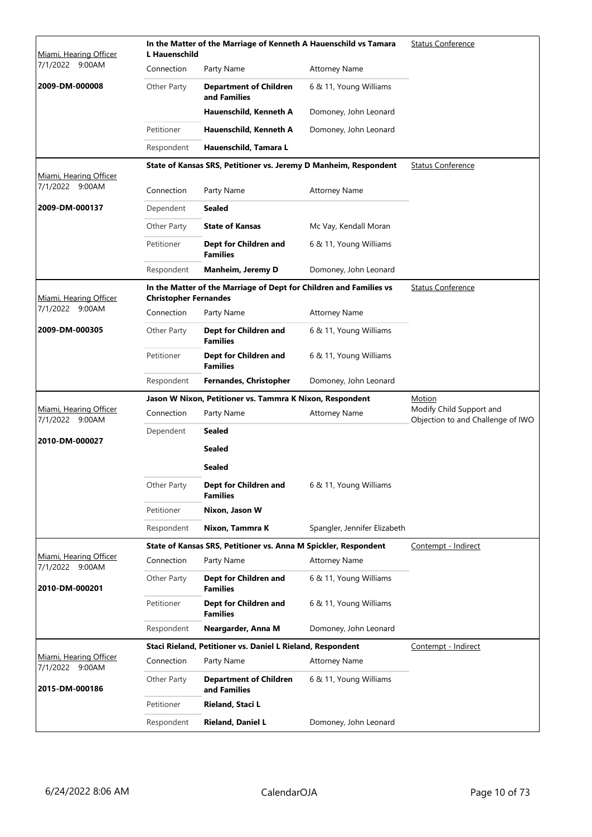| Miami, Hearing Officer                    | <b>L</b> Hauenschild         | In the Matter of the Marriage of Kenneth A Hauenschild vs Tamara   | <b>Status Conference</b>     |                                                               |
|-------------------------------------------|------------------------------|--------------------------------------------------------------------|------------------------------|---------------------------------------------------------------|
| 7/1/2022 9:00AM                           | Connection                   | Party Name                                                         | <b>Attorney Name</b>         |                                                               |
| 2009-DM-000008                            | Other Party                  | <b>Department of Children</b><br>and Families                      | 6 & 11, Young Williams       |                                                               |
|                                           |                              | Hauenschild, Kenneth A                                             | Domoney, John Leonard        |                                                               |
|                                           | Petitioner                   | Hauenschild, Kenneth A                                             | Domoney, John Leonard        |                                                               |
|                                           | Respondent                   | Hauenschild, Tamara L                                              |                              |                                                               |
| Miami, Hearing Officer                    |                              | State of Kansas SRS, Petitioner vs. Jeremy D Manheim, Respondent   |                              | <b>Status Conference</b>                                      |
| 7/1/2022 9:00AM                           | Connection                   | Party Name                                                         | <b>Attorney Name</b>         |                                                               |
| 2009-DM-000137                            | Dependent                    | Sealed                                                             |                              |                                                               |
|                                           | Other Party                  | <b>State of Kansas</b>                                             | Mc Vay, Kendall Moran        |                                                               |
|                                           | Petitioner                   | Dept for Children and<br><b>Families</b>                           | 6 & 11, Young Williams       |                                                               |
|                                           | Respondent                   | Manheim, Jeremy D                                                  | Domoney, John Leonard        |                                                               |
| Miami, Hearing Officer                    | <b>Christopher Fernandes</b> | In the Matter of the Marriage of Dept for Children and Families vs |                              | <b>Status Conference</b>                                      |
| 7/1/2022 9:00AM                           | Connection                   | Party Name                                                         | <b>Attorney Name</b>         |                                                               |
| 2009-DM-000305                            | Other Party                  | Dept for Children and<br><b>Families</b>                           | 6 & 11, Young Williams       |                                                               |
|                                           | Petitioner                   | Dept for Children and<br><b>Families</b>                           | 6 & 11, Young Williams       |                                                               |
|                                           | Respondent                   | Fernandes, Christopher                                             | Domoney, John Leonard        |                                                               |
|                                           |                              | Jason W Nixon, Petitioner vs. Tammra K Nixon, Respondent           |                              | Motion                                                        |
| Miami, Hearing Officer<br>7/1/2022 9:00AM | Connection                   | Party Name                                                         | <b>Attorney Name</b>         | Modify Child Support and<br>Objection to and Challenge of IWO |
| 2010-DM-000027                            | Dependent                    | <b>Sealed</b>                                                      |                              |                                                               |
|                                           |                              | <b>Sealed</b>                                                      |                              |                                                               |
|                                           |                              | <b>Sealed</b>                                                      |                              |                                                               |
|                                           | Other Party                  | Dept for Children and<br><b>Families</b>                           | 6 & 11, Young Williams       |                                                               |
|                                           | Petitioner                   | Nixon, Jason W                                                     |                              |                                                               |
|                                           | Respondent                   | Nixon, Tammra K                                                    | Spangler, Jennifer Elizabeth |                                                               |
|                                           |                              | State of Kansas SRS, Petitioner vs. Anna M Spickler, Respondent    |                              | Contempt - Indirect                                           |
| Miami, Hearing Officer<br>7/1/2022 9:00AM | Connection                   | Party Name                                                         | <b>Attorney Name</b>         |                                                               |
| 2010-DM-000201                            | Other Party                  | Dept for Children and<br><b>Families</b>                           | 6 & 11, Young Williams       |                                                               |
|                                           |                              |                                                                    |                              |                                                               |
|                                           | Petitioner                   | Dept for Children and<br><b>Families</b>                           | 6 & 11, Young Williams       |                                                               |
|                                           | Respondent                   | Neargarder, Anna M                                                 | Domoney, John Leonard        |                                                               |
|                                           |                              | Staci Rieland, Petitioner vs. Daniel L Rieland, Respondent         |                              | Contempt - Indirect                                           |
| Miami, Hearing Officer<br>7/1/2022 9:00AM | Connection                   | Party Name                                                         | <b>Attorney Name</b>         |                                                               |
| 2015-DM-000186                            | Other Party                  | <b>Department of Children</b><br>and Families                      | 6 & 11, Young Williams       |                                                               |
|                                           | Petitioner                   | Rieland, Staci L                                                   |                              |                                                               |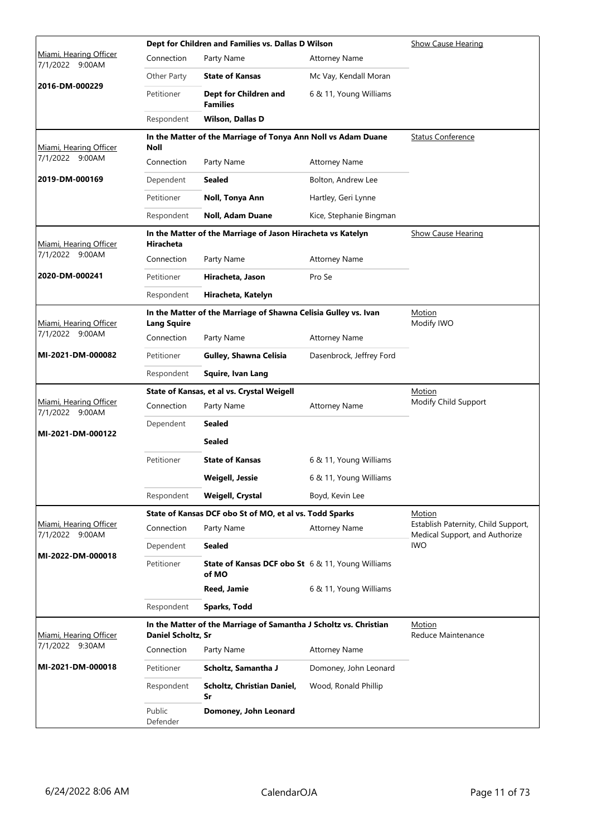|                                           |                           | Dept for Children and Families vs. Dallas D Wilson                | Show Cause Hearing       |                                                                       |
|-------------------------------------------|---------------------------|-------------------------------------------------------------------|--------------------------|-----------------------------------------------------------------------|
| Miami, Hearing Officer<br>7/1/2022 9:00AM | Connection                | Party Name                                                        | <b>Attorney Name</b>     |                                                                       |
|                                           | Other Party               | <b>State of Kansas</b>                                            | Mc Vay, Kendall Moran    |                                                                       |
| 2016-DM-000229                            | Petitioner                | Dept for Children and<br><b>Families</b>                          | 6 & 11, Young Williams   |                                                                       |
|                                           | Respondent                | <b>Wilson, Dallas D</b>                                           |                          |                                                                       |
| Miami, Hearing Officer                    | <b>Noll</b>               | In the Matter of the Marriage of Tonya Ann Noll vs Adam Duane     |                          | <b>Status Conference</b>                                              |
| 7/1/2022 9:00AM                           | Connection                | Party Name                                                        | <b>Attorney Name</b>     |                                                                       |
| 2019-DM-000169                            | Dependent                 | <b>Sealed</b>                                                     | Bolton, Andrew Lee       |                                                                       |
|                                           | Petitioner                | Noll, Tonya Ann                                                   | Hartley, Geri Lynne      |                                                                       |
|                                           | Respondent                | <b>Noll, Adam Duane</b>                                           | Kice, Stephanie Bingman  |                                                                       |
| Miami, Hearing Officer                    | Hiracheta                 | In the Matter of the Marriage of Jason Hiracheta vs Katelyn       |                          | <b>Show Cause Hearing</b>                                             |
| 7/1/2022 9:00AM                           | Connection                | Party Name                                                        | <b>Attorney Name</b>     |                                                                       |
| 2020-DM-000241                            | Petitioner                | Hiracheta, Jason                                                  | Pro Se                   |                                                                       |
|                                           | Respondent                | Hiracheta, Katelyn                                                |                          |                                                                       |
| Miami, Hearing Officer                    | <b>Lang Squire</b>        | In the Matter of the Marriage of Shawna Celisia Gulley vs. Ivan   |                          | Motion<br>Modify IWO                                                  |
| 7/1/2022 9:00AM                           | Connection                | Party Name                                                        | <b>Attorney Name</b>     |                                                                       |
| MI-2021-DM-000082                         | Petitioner                | Gulley, Shawna Celisia                                            | Dasenbrock, Jeffrey Ford |                                                                       |
|                                           | Respondent                | Squire, Ivan Lang                                                 |                          |                                                                       |
|                                           |                           | State of Kansas, et al vs. Crystal Weigell                        |                          | <u>Motion</u>                                                         |
| Miami, Hearing Officer<br>7/1/2022 9:00AM | Connection                | Party Name                                                        | <b>Attorney Name</b>     | Modify Child Support                                                  |
|                                           |                           |                                                                   |                          |                                                                       |
|                                           | Dependent                 | Sealed                                                            |                          |                                                                       |
| MI-2021-DM-000122                         |                           | <b>Sealed</b>                                                     |                          |                                                                       |
|                                           | Petitioner                | <b>State of Kansas</b>                                            | 6 & 11, Young Williams   |                                                                       |
|                                           |                           | <b>Weigell, Jessie</b>                                            | 6 & 11, Young Williams   |                                                                       |
|                                           | Respondent                | <b>Weigell, Crystal</b>                                           | Boyd, Kevin Lee          |                                                                       |
|                                           |                           | State of Kansas DCF obo St of MO, et al vs. Todd Sparks           |                          | Motion                                                                |
| Miami, Hearing Officer<br>7/1/2022 9:00AM | Connection                | Party Name                                                        | <b>Attorney Name</b>     | Establish Paternity, Child Support,<br>Medical Support, and Authorize |
|                                           | Dependent                 | <b>Sealed</b>                                                     |                          | <b>IWO</b>                                                            |
| MI-2022-DM-000018                         | Petitioner                | <b>State of Kansas DCF obo St</b> 6 & 11, Young Williams<br>of MO |                          |                                                                       |
|                                           |                           | Reed, Jamie                                                       | 6 & 11, Young Williams   |                                                                       |
|                                           | Respondent                | Sparks, Todd                                                      |                          |                                                                       |
| Miami, Hearing Officer                    | <b>Daniel Scholtz, Sr</b> | In the Matter of the Marriage of Samantha J Scholtz vs. Christian |                          | Motion<br>Reduce Maintenance                                          |
| 7/1/2022 9:30AM                           | Connection                | Party Name                                                        | <b>Attorney Name</b>     |                                                                       |
| MI-2021-DM-000018                         | Petitioner                | Scholtz, Samantha J                                               | Domoney, John Leonard    |                                                                       |
|                                           | Respondent                | Scholtz, Christian Daniel,<br>Sr                                  | Wood, Ronald Phillip     |                                                                       |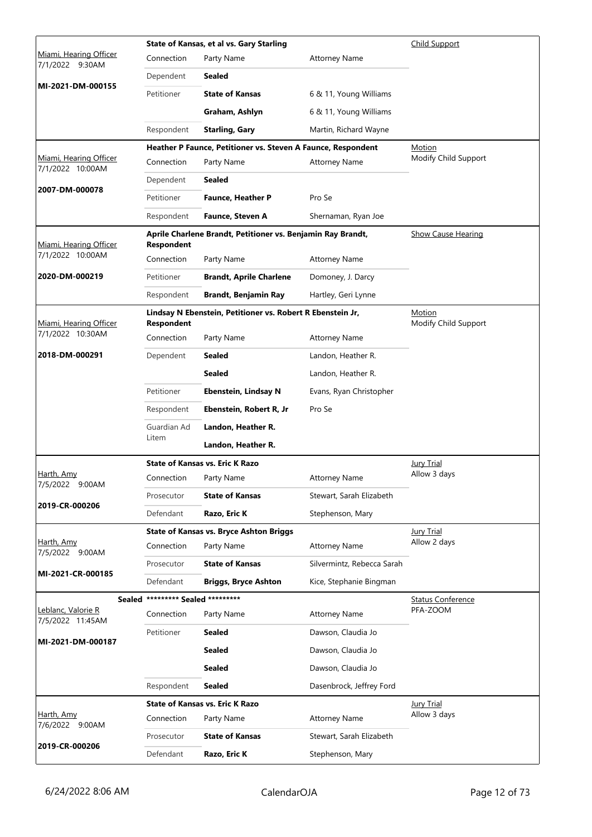|                                            | State of Kansas, et al vs. Gary Starling |                                                              |                            |                                      |  |
|--------------------------------------------|------------------------------------------|--------------------------------------------------------------|----------------------------|--------------------------------------|--|
| Miami, Hearing Officer<br>7/1/2022 9:30AM  | Connection                               | Party Name                                                   | <b>Attorney Name</b>       |                                      |  |
|                                            | Dependent                                | <b>Sealed</b>                                                |                            |                                      |  |
| MI-2021-DM-000155                          | Petitioner                               | <b>State of Kansas</b>                                       | 6 & 11, Young Williams     |                                      |  |
|                                            |                                          | Graham, Ashlyn                                               | 6 & 11, Young Williams     |                                      |  |
|                                            | Respondent                               | <b>Starling, Gary</b>                                        | Martin, Richard Wayne      |                                      |  |
|                                            |                                          | Heather P Faunce, Petitioner vs. Steven A Faunce, Respondent |                            | Motion                               |  |
| Miami, Hearing Officer<br>7/1/2022 10:00AM | Connection                               | Party Name                                                   | <b>Attorney Name</b>       | Modify Child Support                 |  |
|                                            | Dependent                                | <b>Sealed</b>                                                |                            |                                      |  |
| 2007-DM-000078                             | Petitioner                               | Faunce, Heather P                                            | Pro Se                     |                                      |  |
|                                            | Respondent                               | Faunce, Steven A                                             | Shernaman, Ryan Joe        |                                      |  |
| Miami, Hearing Officer                     | Respondent                               | Aprile Charlene Brandt, Petitioner vs. Benjamin Ray Brandt,  |                            | <b>Show Cause Hearing</b>            |  |
| 7/1/2022 10:00AM                           | Connection                               | Party Name                                                   | <b>Attorney Name</b>       |                                      |  |
| 2020-DM-000219                             | Petitioner                               | <b>Brandt, Aprile Charlene</b>                               | Domoney, J. Darcy          |                                      |  |
|                                            | Respondent                               | <b>Brandt, Benjamin Ray</b>                                  | Hartley, Geri Lynne        |                                      |  |
| Miami, Hearing Officer                     | <b>Respondent</b>                        | Lindsay N Ebenstein, Petitioner vs. Robert R Ebenstein Jr,   |                            | Motion<br>Modify Child Support       |  |
| 7/1/2022 10:30AM                           | Connection                               | Party Name                                                   | <b>Attorney Name</b>       |                                      |  |
| 2018-DM-000291                             | Dependent                                | Sealed                                                       | Landon, Heather R.         |                                      |  |
|                                            |                                          | <b>Sealed</b>                                                | Landon, Heather R.         |                                      |  |
|                                            | Petitioner                               | Ebenstein, Lindsay N                                         | Evans, Ryan Christopher    |                                      |  |
|                                            | Respondent                               | Ebenstein, Robert R, Jr                                      | Pro Se                     |                                      |  |
|                                            | Guardian Ad                              | Landon, Heather R.                                           |                            |                                      |  |
|                                            | Litem                                    | Landon, Heather R.                                           |                            |                                      |  |
|                                            |                                          | <b>State of Kansas vs. Eric K Razo</b>                       |                            | <b>Jury Trial</b>                    |  |
| Harth, Amy<br>7/5/2022 9:00AM              | Connection                               | Party Name                                                   | <b>Attorney Name</b>       | Allow 3 days                         |  |
| 2019-CR-000206                             | Prosecutor                               | <b>State of Kansas</b>                                       | Stewart, Sarah Elizabeth   |                                      |  |
|                                            | Defendant                                | Razo, Eric K                                                 | Stephenson, Mary           |                                      |  |
|                                            |                                          | <b>State of Kansas vs. Bryce Ashton Briggs</b>               |                            | <b>Jury Trial</b>                    |  |
| Harth, Amy<br>7/5/2022 9:00AM              | Connection                               | Party Name                                                   | <b>Attorney Name</b>       | Allow 2 days                         |  |
| MI-2021-CR-000185                          | Prosecutor                               | <b>State of Kansas</b>                                       | Silvermintz, Rebecca Sarah |                                      |  |
|                                            | Defendant                                | <b>Briggs, Bryce Ashton</b>                                  | Kice, Stephanie Bingman    |                                      |  |
| Sealed                                     | ********* Sealed *********               |                                                              |                            | <b>Status Conference</b><br>PFA-ZOOM |  |
| Leblanc, Valorie R<br>7/5/2022 11:45AM     | Connection                               | Party Name                                                   | <b>Attorney Name</b>       |                                      |  |
| MI-2021-DM-000187                          | Petitioner                               | <b>Sealed</b>                                                | Dawson, Claudia Jo         |                                      |  |
|                                            |                                          | <b>Sealed</b>                                                | Dawson, Claudia Jo         |                                      |  |
|                                            |                                          | <b>Sealed</b>                                                | Dawson, Claudia Jo         |                                      |  |
|                                            | Respondent                               | <b>Sealed</b>                                                | Dasenbrock, Jeffrey Ford   |                                      |  |
|                                            |                                          | <b>State of Kansas vs. Eric K Razo</b>                       |                            | <b>Jury Trial</b>                    |  |
| Harth, Amy<br>7/6/2022 9:00AM              | Connection                               | Party Name                                                   | <b>Attorney Name</b>       | Allow 3 days                         |  |
| 2019-CR-000206                             | Prosecutor                               | <b>State of Kansas</b>                                       | Stewart, Sarah Elizabeth   |                                      |  |
|                                            | Defendant                                | Razo, Eric K                                                 | Stephenson, Mary           |                                      |  |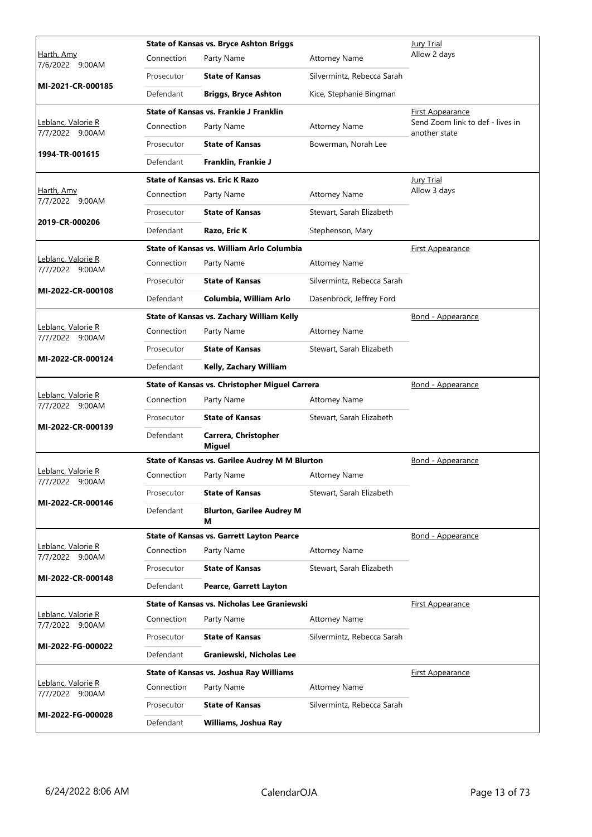|                                       |            | <b>State of Kansas vs. Bryce Ashton Briggs</b>        |                            | Jury Trial                                        |
|---------------------------------------|------------|-------------------------------------------------------|----------------------------|---------------------------------------------------|
| Harth, Amy<br>7/6/2022 9:00AM         | Connection | Party Name                                            | <b>Attorney Name</b>       | Allow 2 days                                      |
|                                       | Prosecutor | <b>State of Kansas</b>                                | Silvermintz, Rebecca Sarah |                                                   |
| MI-2021-CR-000185                     | Defendant  | <b>Briggs, Bryce Ashton</b>                           | Kice, Stephanie Bingman    |                                                   |
|                                       |            | State of Kansas vs. Frankie J Franklin                |                            | First Appearance                                  |
| Leblanc, Valorie R<br>7/7/2022 9:00AM | Connection | Party Name                                            | <b>Attorney Name</b>       | Send Zoom link to def - lives in<br>another state |
|                                       | Prosecutor | <b>State of Kansas</b>                                | Bowerman, Norah Lee        |                                                   |
| 1994-TR-001615                        | Defendant  | Franklin, Frankie J                                   |                            |                                                   |
|                                       |            | <b>State of Kansas vs. Eric K Razo</b>                |                            | Jury Trial                                        |
| Harth, Amy<br>7/7/2022 9:00AM         | Connection | Party Name                                            | <b>Attorney Name</b>       | Allow 3 days                                      |
|                                       | Prosecutor | <b>State of Kansas</b>                                | Stewart, Sarah Elizabeth   |                                                   |
| 2019-CR-000206                        | Defendant  | Razo, Eric K                                          | Stephenson, Mary           |                                                   |
|                                       |            | State of Kansas vs. William Arlo Columbia             |                            | <b>First Appearance</b>                           |
| Leblanc, Valorie R<br>7/7/2022 9:00AM | Connection | Party Name                                            | <b>Attorney Name</b>       |                                                   |
|                                       | Prosecutor | <b>State of Kansas</b>                                | Silvermintz, Rebecca Sarah |                                                   |
| MI-2022-CR-000108                     | Defendant  | Columbia, William Arlo                                | Dasenbrock, Jeffrey Ford   |                                                   |
|                                       |            | State of Kansas vs. Zachary William Kelly             |                            | Bond - Appearance                                 |
| Leblanc, Valorie R<br>7/7/2022 9:00AM | Connection | Party Name                                            | <b>Attorney Name</b>       |                                                   |
|                                       | Prosecutor | <b>State of Kansas</b>                                | Stewart, Sarah Elizabeth   |                                                   |
| MI-2022-CR-000124                     | Defendant  | Kelly, Zachary William                                |                            |                                                   |
|                                       |            | State of Kansas vs. Christopher Miguel Carrera        |                            | Bond - Appearance                                 |
| Leblanc, Valorie R<br>7/7/2022 9:00AM | Connection | Party Name                                            | <b>Attorney Name</b>       |                                                   |
| MI-2022-CR-000139                     | Prosecutor | <b>State of Kansas</b>                                | Stewart, Sarah Elizabeth   |                                                   |
|                                       | Defendant  | Carrera, Christopher<br><b>Miguel</b>                 |                            |                                                   |
|                                       |            | <b>State of Kansas vs. Garilee Audrey M M Blurton</b> |                            | Bond - Appearance                                 |
| Leblanc, Valorie R<br>7/7/2022 9:00AM | Connection | Party Name                                            | <b>Attorney Name</b>       |                                                   |
| MI-2022-CR-000146                     | Prosecutor | <b>State of Kansas</b>                                | Stewart, Sarah Elizabeth   |                                                   |
|                                       | Defendant  | <b>Blurton, Garilee Audrey M</b><br>м                 |                            |                                                   |
|                                       |            | <b>State of Kansas vs. Garrett Layton Pearce</b>      |                            | <b>Bond - Appearance</b>                          |
| Leblanc, Valorie R<br>7/7/2022 9:00AM | Connection | Party Name                                            | <b>Attorney Name</b>       |                                                   |
|                                       | Prosecutor | <b>State of Kansas</b>                                | Stewart, Sarah Elizabeth   |                                                   |
| MI-2022-CR-000148                     | Defendant  | Pearce, Garrett Layton                                |                            |                                                   |
|                                       |            | State of Kansas vs. Nicholas Lee Graniewski           |                            | <b>First Appearance</b>                           |
| Leblanc, Valorie R<br>7/7/2022 9:00AM | Connection | Party Name                                            | <b>Attorney Name</b>       |                                                   |
| MI-2022-FG-000022                     | Prosecutor | <b>State of Kansas</b>                                | Silvermintz, Rebecca Sarah |                                                   |
|                                       | Defendant  | Graniewski, Nicholas Lee                              |                            |                                                   |
|                                       |            | State of Kansas vs. Joshua Ray Williams               |                            | <b>First Appearance</b>                           |
| Leblanc, Valorie R<br>7/7/2022 9:00AM | Connection | Party Name                                            | <b>Attorney Name</b>       |                                                   |
| MI-2022-FG-000028                     | Prosecutor | <b>State of Kansas</b>                                | Silvermintz, Rebecca Sarah |                                                   |
|                                       | Defendant  | Williams, Joshua Ray                                  |                            |                                                   |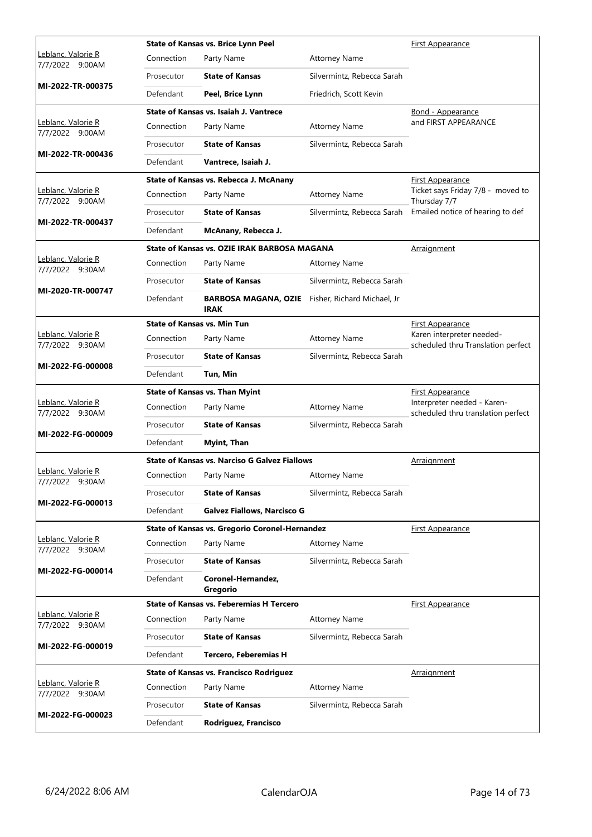|                                               |            | <b>State of Kansas vs. Brice Lynn Peel</b>                             |                            | <b>First Appearance</b>                                           |
|-----------------------------------------------|------------|------------------------------------------------------------------------|----------------------------|-------------------------------------------------------------------|
| <u> Leblanc, Valorie R</u><br>7/7/2022 9:00AM | Connection | Party Name                                                             | <b>Attorney Name</b>       |                                                                   |
|                                               | Prosecutor | <b>State of Kansas</b>                                                 | Silvermintz, Rebecca Sarah |                                                                   |
| MI-2022-TR-000375                             | Defendant  | Peel, Brice Lynn                                                       | Friedrich, Scott Kevin     |                                                                   |
|                                               |            | State of Kansas vs. Isaiah J. Vantrece                                 |                            | Bond - Appearance                                                 |
| Leblanc, Valorie R<br>7/7/2022 9:00AM         | Connection | Party Name                                                             | <b>Attorney Name</b>       | and FIRST APPEARANCE                                              |
| MI-2022-TR-000436                             | Prosecutor | <b>State of Kansas</b>                                                 | Silvermintz, Rebecca Sarah |                                                                   |
|                                               | Defendant  | Vantrece, Isaiah J.                                                    |                            |                                                                   |
|                                               |            | State of Kansas vs. Rebecca J. McAnany                                 |                            | <b>First Appearance</b>                                           |
| Leblanc, Valorie R<br>7/7/2022 9:00AM         | Connection | Party Name                                                             | <b>Attorney Name</b>       | Ticket says Friday 7/8 - moved to<br>Thursday 7/7                 |
| MI-2022-TR-000437                             | Prosecutor | <b>State of Kansas</b>                                                 | Silvermintz, Rebecca Sarah | Emailed notice of hearing to def                                  |
|                                               | Defendant  | McAnany, Rebecca J.                                                    |                            |                                                                   |
|                                               |            | State of Kansas vs. OZIE IRAK BARBOSA MAGANA                           |                            | Arraignment                                                       |
| Leblanc, Valorie R<br>7/7/2022 9:30AM         | Connection | Party Name                                                             | <b>Attorney Name</b>       |                                                                   |
|                                               | Prosecutor | <b>State of Kansas</b>                                                 | Silvermintz, Rebecca Sarah |                                                                   |
| MI-2020-TR-000747                             | Defendant  | <b>BARBOSA MAGANA, OZIE</b> Fisher, Richard Michael, Jr<br><b>IRAK</b> |                            |                                                                   |
|                                               |            | <b>State of Kansas vs. Min Tun</b>                                     |                            | First Appearance                                                  |
| Leblanc, Valorie R<br>7/7/2022 9:30AM         | Connection | Party Name                                                             | <b>Attorney Name</b>       | Karen interpreter needed-<br>scheduled thru Translation perfect   |
|                                               | Prosecutor | <b>State of Kansas</b>                                                 | Silvermintz, Rebecca Sarah |                                                                   |
| MI-2022-FG-000008                             | Defendant  | Tun, Min                                                               |                            |                                                                   |
|                                               |            |                                                                        |                            |                                                                   |
|                                               |            | <b>State of Kansas vs. Than Myint</b>                                  |                            | <b>First Appearance</b>                                           |
| Leblanc, Valorie R<br>7/7/2022 9:30AM         | Connection | Party Name                                                             | <b>Attorney Name</b>       | Interpreter needed - Karen-<br>scheduled thru translation perfect |
|                                               | Prosecutor | <b>State of Kansas</b>                                                 | Silvermintz, Rebecca Sarah |                                                                   |
| MI-2022-FG-000009                             | Defendant  | Myint, Than                                                            |                            |                                                                   |
|                                               |            | <b>State of Kansas vs. Narciso G Galvez Fiallows</b>                   |                            | <u>Arraignment</u>                                                |
| Leblanc, Valorie R<br>7/7/2022 9:30AM         | Connection | Party Name                                                             | <b>Attorney Name</b>       |                                                                   |
|                                               | Prosecutor | <b>State of Kansas</b>                                                 | Silvermintz, Rebecca Sarah |                                                                   |
| MI-2022-FG-000013                             | Defendant  | <b>Galvez Fiallows, Narcisco G</b>                                     |                            |                                                                   |
|                                               |            | State of Kansas vs. Gregorio Coronel-Hernandez                         |                            | <b>First Appearance</b>                                           |
| Leblanc, Valorie R<br>7/7/2022 9:30AM         | Connection | Party Name                                                             | <b>Attorney Name</b>       |                                                                   |
|                                               | Prosecutor | <b>State of Kansas</b>                                                 | Silvermintz, Rebecca Sarah |                                                                   |
| MI-2022-FG-000014                             | Defendant  | Coronel-Hernandez,<br>Gregorio                                         |                            |                                                                   |
|                                               |            | <b>State of Kansas vs. Feberemias H Tercero</b>                        |                            | <b>First Appearance</b>                                           |
| Leblanc, Valorie R<br>7/7/2022 9:30AM         | Connection | Party Name                                                             | <b>Attorney Name</b>       |                                                                   |
|                                               | Prosecutor | <b>State of Kansas</b>                                                 | Silvermintz, Rebecca Sarah |                                                                   |
| MI-2022-FG-000019                             | Defendant  | <b>Tercero, Feberemias H</b>                                           |                            |                                                                   |
|                                               |            | <b>State of Kansas vs. Francisco Rodriguez</b>                         |                            | Arraignment                                                       |
| Leblanc, Valorie R<br>7/7/2022 9:30AM         | Connection | Party Name                                                             | <b>Attorney Name</b>       |                                                                   |
| MI-2022-FG-000023                             | Prosecutor | <b>State of Kansas</b>                                                 | Silvermintz, Rebecca Sarah |                                                                   |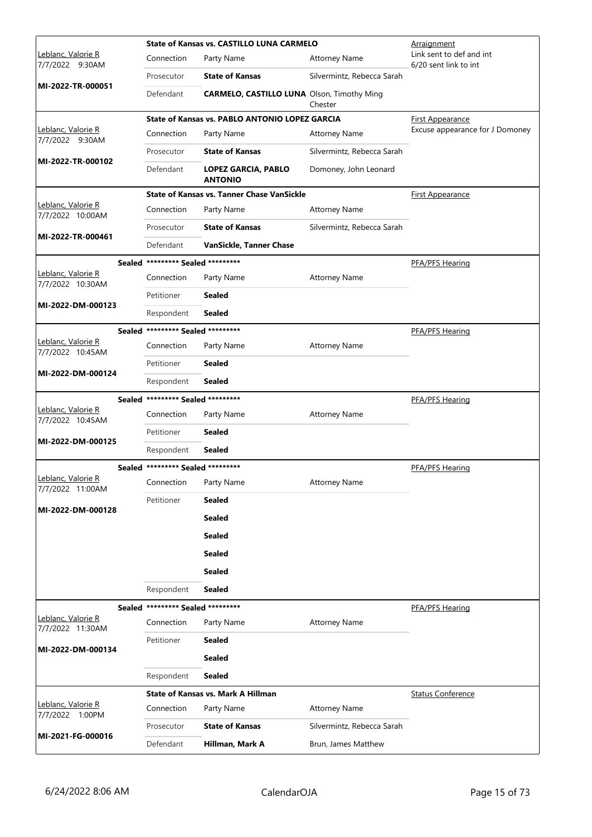|                                               |                                   | <b>State of Kansas vs. CASTILLO LUNA CARMELO</b>  |                            | Arraignment                                       |
|-----------------------------------------------|-----------------------------------|---------------------------------------------------|----------------------------|---------------------------------------------------|
| <u> Leblanc, Valorie R</u><br>7/7/2022 9:30AM | Connection                        | Party Name                                        | <b>Attorney Name</b>       | Link sent to def and int<br>6/20 sent link to int |
| MI-2022-TR-000051                             | Prosecutor                        | <b>State of Kansas</b>                            | Silvermintz, Rebecca Sarah |                                                   |
|                                               | Defendant                         | <b>CARMELO, CASTILLO LUNA</b> Olson, Timothy Ming | Chester                    |                                                   |
|                                               |                                   | State of Kansas vs. PABLO ANTONIO LOPEZ GARCIA    |                            | First Appearance                                  |
| Leblanc, Valorie R<br>7/7/2022 9:30AM         | Connection                        | Party Name                                        | <b>Attorney Name</b>       | Excuse appearance for J Domoney                   |
| MI-2022-TR-000102                             | Prosecutor                        | <b>State of Kansas</b>                            | Silvermintz, Rebecca Sarah |                                                   |
|                                               | Defendant                         | LOPEZ GARCIA, PABLO<br><b>ANTONIO</b>             | Domoney, John Leonard      |                                                   |
|                                               |                                   | <b>State of Kansas vs. Tanner Chase VanSickle</b> |                            | <b>First Appearance</b>                           |
| Leblanc, Valorie R<br>7/7/2022 10:00AM        | Connection                        | Party Name                                        | <b>Attorney Name</b>       |                                                   |
| MI-2022-TR-000461                             | Prosecutor                        | <b>State of Kansas</b>                            | Silvermintz, Rebecca Sarah |                                                   |
|                                               | Defendant                         | VanSickle, Tanner Chase                           |                            |                                                   |
|                                               | Sealed ********* Sealed ********* |                                                   |                            | <b>PFA/PFS Hearing</b>                            |
| Leblanc, Valorie R<br>7/7/2022 10:30AM        | Connection                        | Party Name                                        | <b>Attorney Name</b>       |                                                   |
| MI-2022-DM-000123                             | Petitioner                        | <b>Sealed</b>                                     |                            |                                                   |
|                                               | Respondent                        | <b>Sealed</b>                                     |                            |                                                   |
|                                               | Sealed ********* Sealed ********* |                                                   |                            | PFA/PFS Hearing                                   |
| Leblanc, Valorie R<br>7/7/2022 10:45AM        | Connection                        | Party Name                                        | <b>Attorney Name</b>       |                                                   |
| MI-2022-DM-000124                             | Petitioner                        | <b>Sealed</b>                                     |                            |                                                   |
|                                               | Respondent                        | <b>Sealed</b>                                     |                            |                                                   |
|                                               | Sealed ********* Sealed ********* |                                                   |                            | PFA/PFS Hearing                                   |
| Leblanc, Valorie R<br>7/7/2022 10:45AM        | Connection                        | Party Name                                        | <b>Attorney Name</b>       |                                                   |
| MI-2022-DM-000125                             | Petitioner                        | <b>Sealed</b>                                     |                            |                                                   |
|                                               | Respondent                        | <b>Sealed</b>                                     |                            |                                                   |
|                                               | Sealed ********* Sealed ********* |                                                   |                            | PFA/PFS Hearing                                   |
| Leblanc, Valorie R<br>7/7/2022 11:00AM        | Connection Party Name             |                                                   | <b>Attorney Name</b>       |                                                   |
| MI-2022-DM-000128                             | Petitioner                        | <b>Sealed</b>                                     |                            |                                                   |
|                                               |                                   | <b>Sealed</b>                                     |                            |                                                   |
|                                               |                                   | <b>Sealed</b>                                     |                            |                                                   |
|                                               |                                   | <b>Sealed</b>                                     |                            |                                                   |
|                                               |                                   | <b>Sealed</b>                                     |                            |                                                   |
|                                               | Respondent                        | <b>Sealed</b>                                     |                            |                                                   |
|                                               | Sealed ********* Sealed ********* |                                                   |                            | PFA/PFS Hearing                                   |
| Leblanc, Valorie R<br>7/7/2022 11:30AM        | Connection                        | Party Name                                        | <b>Attorney Name</b>       |                                                   |
| MI-2022-DM-000134                             | Petitioner                        | Sealed                                            |                            |                                                   |
|                                               |                                   | <b>Sealed</b>                                     |                            |                                                   |
|                                               | Respondent                        | <b>Sealed</b>                                     |                            |                                                   |
|                                               |                                   | State of Kansas vs. Mark A Hillman                |                            | <b>Status Conference</b>                          |
| Leblanc, Valorie R<br>7/7/2022 1:00PM         | Connection                        | Party Name                                        | <b>Attorney Name</b>       |                                                   |
|                                               | Prosecutor                        | <b>State of Kansas</b>                            | Silvermintz, Rebecca Sarah |                                                   |
| MI-2021-FG-000016                             | Defendant                         | Hillman, Mark A                                   | Brun, James Matthew        |                                                   |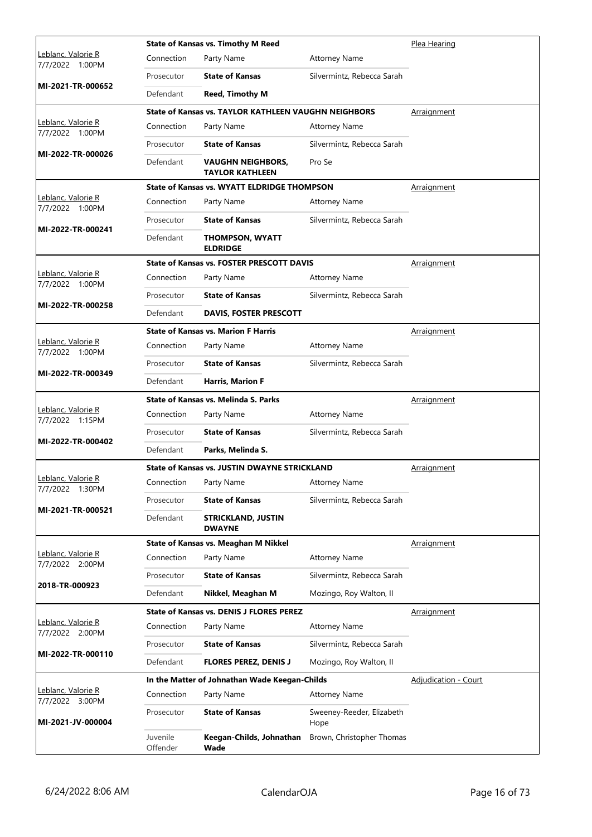| Leblanc, Valorie R<br>Connection<br>Party Name<br><b>Attorney Name</b><br>7/7/2022 1:00PM<br><b>State of Kansas</b><br>Silvermintz, Rebecca Sarah<br>Prosecutor<br>MI-2021-TR-000652<br>Defendant<br><b>Reed, Timothy M</b><br>State of Kansas vs. TAYLOR KATHLEEN VAUGHN NEIGHBORS<br>Arraignment<br>Leblanc, Valorie R<br>Connection<br>Party Name<br><b>Attorney Name</b><br>7/7/2022<br>1:00PM<br><b>State of Kansas</b><br>Silvermintz, Rebecca Sarah<br>Prosecutor<br>MI-2022-TR-000026<br>Defendant<br>Pro Se<br>VAUGHN NEIGHBORS,<br><b>TAYLOR KATHLEEN</b><br><b>State of Kansas vs. WYATT ELDRIDGE THOMPSON</b><br>Arraignment<br>Leblanc, Valorie R<br>Connection<br>Party Name<br><b>Attorney Name</b><br>7/7/2022 1:00PM<br><b>State of Kansas</b><br>Silvermintz, Rebecca Sarah<br>Prosecutor<br>MI-2022-TR-000241<br>Defendant<br><b>THOMPSON, WYATT</b><br><b>ELDRIDGE</b><br><b>State of Kansas vs. FOSTER PRESCOTT DAVIS</b><br>Arraignment<br>Leblanc, Valorie R<br>Connection<br>Party Name<br><b>Attorney Name</b><br>7/7/2022 1:00PM<br><b>State of Kansas</b><br>Silvermintz, Rebecca Sarah<br>Prosecutor<br>MI-2022-TR-000258<br>Defendant<br><b>DAVIS, FOSTER PRESCOTT</b><br><b>State of Kansas vs. Marion F Harris</b><br>Arraignment<br>Leblanc, Valorie R<br>Connection<br>Party Name<br><b>Attorney Name</b><br>7/7/2022 1:00PM<br><b>State of Kansas</b><br>Silvermintz, Rebecca Sarah<br>Prosecutor<br>MI-2022-TR-000349<br>Defendant<br><b>Harris, Marion F</b> |                    | <b>State of Kansas vs. Timothy M Reed</b> | Plea Hearing |
|--------------------------------------------------------------------------------------------------------------------------------------------------------------------------------------------------------------------------------------------------------------------------------------------------------------------------------------------------------------------------------------------------------------------------------------------------------------------------------------------------------------------------------------------------------------------------------------------------------------------------------------------------------------------------------------------------------------------------------------------------------------------------------------------------------------------------------------------------------------------------------------------------------------------------------------------------------------------------------------------------------------------------------------------------------------------------------------------------------------------------------------------------------------------------------------------------------------------------------------------------------------------------------------------------------------------------------------------------------------------------------------------------------------------------------------------------------------------------------------------------|--------------------|-------------------------------------------|--------------|
|                                                                                                                                                                                                                                                                                                                                                                                                                                                                                                                                                                                                                                                                                                                                                                                                                                                                                                                                                                                                                                                                                                                                                                                                                                                                                                                                                                                                                                                                                                  |                    |                                           |              |
|                                                                                                                                                                                                                                                                                                                                                                                                                                                                                                                                                                                                                                                                                                                                                                                                                                                                                                                                                                                                                                                                                                                                                                                                                                                                                                                                                                                                                                                                                                  |                    |                                           |              |
|                                                                                                                                                                                                                                                                                                                                                                                                                                                                                                                                                                                                                                                                                                                                                                                                                                                                                                                                                                                                                                                                                                                                                                                                                                                                                                                                                                                                                                                                                                  |                    |                                           |              |
|                                                                                                                                                                                                                                                                                                                                                                                                                                                                                                                                                                                                                                                                                                                                                                                                                                                                                                                                                                                                                                                                                                                                                                                                                                                                                                                                                                                                                                                                                                  |                    |                                           |              |
|                                                                                                                                                                                                                                                                                                                                                                                                                                                                                                                                                                                                                                                                                                                                                                                                                                                                                                                                                                                                                                                                                                                                                                                                                                                                                                                                                                                                                                                                                                  |                    |                                           |              |
|                                                                                                                                                                                                                                                                                                                                                                                                                                                                                                                                                                                                                                                                                                                                                                                                                                                                                                                                                                                                                                                                                                                                                                                                                                                                                                                                                                                                                                                                                                  |                    |                                           |              |
|                                                                                                                                                                                                                                                                                                                                                                                                                                                                                                                                                                                                                                                                                                                                                                                                                                                                                                                                                                                                                                                                                                                                                                                                                                                                                                                                                                                                                                                                                                  |                    |                                           |              |
|                                                                                                                                                                                                                                                                                                                                                                                                                                                                                                                                                                                                                                                                                                                                                                                                                                                                                                                                                                                                                                                                                                                                                                                                                                                                                                                                                                                                                                                                                                  |                    |                                           |              |
|                                                                                                                                                                                                                                                                                                                                                                                                                                                                                                                                                                                                                                                                                                                                                                                                                                                                                                                                                                                                                                                                                                                                                                                                                                                                                                                                                                                                                                                                                                  |                    |                                           |              |
|                                                                                                                                                                                                                                                                                                                                                                                                                                                                                                                                                                                                                                                                                                                                                                                                                                                                                                                                                                                                                                                                                                                                                                                                                                                                                                                                                                                                                                                                                                  |                    |                                           |              |
|                                                                                                                                                                                                                                                                                                                                                                                                                                                                                                                                                                                                                                                                                                                                                                                                                                                                                                                                                                                                                                                                                                                                                                                                                                                                                                                                                                                                                                                                                                  |                    |                                           |              |
|                                                                                                                                                                                                                                                                                                                                                                                                                                                                                                                                                                                                                                                                                                                                                                                                                                                                                                                                                                                                                                                                                                                                                                                                                                                                                                                                                                                                                                                                                                  |                    |                                           |              |
|                                                                                                                                                                                                                                                                                                                                                                                                                                                                                                                                                                                                                                                                                                                                                                                                                                                                                                                                                                                                                                                                                                                                                                                                                                                                                                                                                                                                                                                                                                  |                    |                                           |              |
|                                                                                                                                                                                                                                                                                                                                                                                                                                                                                                                                                                                                                                                                                                                                                                                                                                                                                                                                                                                                                                                                                                                                                                                                                                                                                                                                                                                                                                                                                                  |                    |                                           |              |
|                                                                                                                                                                                                                                                                                                                                                                                                                                                                                                                                                                                                                                                                                                                                                                                                                                                                                                                                                                                                                                                                                                                                                                                                                                                                                                                                                                                                                                                                                                  |                    |                                           |              |
|                                                                                                                                                                                                                                                                                                                                                                                                                                                                                                                                                                                                                                                                                                                                                                                                                                                                                                                                                                                                                                                                                                                                                                                                                                                                                                                                                                                                                                                                                                  |                    |                                           |              |
|                                                                                                                                                                                                                                                                                                                                                                                                                                                                                                                                                                                                                                                                                                                                                                                                                                                                                                                                                                                                                                                                                                                                                                                                                                                                                                                                                                                                                                                                                                  |                    |                                           |              |
|                                                                                                                                                                                                                                                                                                                                                                                                                                                                                                                                                                                                                                                                                                                                                                                                                                                                                                                                                                                                                                                                                                                                                                                                                                                                                                                                                                                                                                                                                                  |                    |                                           |              |
|                                                                                                                                                                                                                                                                                                                                                                                                                                                                                                                                                                                                                                                                                                                                                                                                                                                                                                                                                                                                                                                                                                                                                                                                                                                                                                                                                                                                                                                                                                  |                    |                                           |              |
| State of Kansas vs. Melinda S. Parks<br>Arraignment                                                                                                                                                                                                                                                                                                                                                                                                                                                                                                                                                                                                                                                                                                                                                                                                                                                                                                                                                                                                                                                                                                                                                                                                                                                                                                                                                                                                                                              |                    |                                           |              |
| Leblanc, Valorie R<br>Connection<br><b>Attorney Name</b><br>Party Name<br>7/7/2022 1:15PM                                                                                                                                                                                                                                                                                                                                                                                                                                                                                                                                                                                                                                                                                                                                                                                                                                                                                                                                                                                                                                                                                                                                                                                                                                                                                                                                                                                                        |                    |                                           |              |
| <b>State of Kansas</b><br>Silvermintz, Rebecca Sarah<br>Prosecutor<br>MI-2022-TR-000402                                                                                                                                                                                                                                                                                                                                                                                                                                                                                                                                                                                                                                                                                                                                                                                                                                                                                                                                                                                                                                                                                                                                                                                                                                                                                                                                                                                                          |                    |                                           |              |
| Defendant<br>Parks, Melinda S.                                                                                                                                                                                                                                                                                                                                                                                                                                                                                                                                                                                                                                                                                                                                                                                                                                                                                                                                                                                                                                                                                                                                                                                                                                                                                                                                                                                                                                                                   |                    |                                           |              |
| <b>State of Kansas vs. JUSTIN DWAYNE STRICKLAND</b><br>Arraignment                                                                                                                                                                                                                                                                                                                                                                                                                                                                                                                                                                                                                                                                                                                                                                                                                                                                                                                                                                                                                                                                                                                                                                                                                                                                                                                                                                                                                               |                    |                                           |              |
| Leblanc, Valorie R<br>Connection Party Name<br><b>Attorney Name</b><br>7/7/2022 1:30PM                                                                                                                                                                                                                                                                                                                                                                                                                                                                                                                                                                                                                                                                                                                                                                                                                                                                                                                                                                                                                                                                                                                                                                                                                                                                                                                                                                                                           |                    |                                           |              |
| <b>State of Kansas</b><br>Silvermintz, Rebecca Sarah<br>Prosecutor<br>MI-2021-TR-000521                                                                                                                                                                                                                                                                                                                                                                                                                                                                                                                                                                                                                                                                                                                                                                                                                                                                                                                                                                                                                                                                                                                                                                                                                                                                                                                                                                                                          |                    |                                           |              |
| Defendant<br><b>STRICKLAND, JUSTIN</b><br><b>DWAYNE</b>                                                                                                                                                                                                                                                                                                                                                                                                                                                                                                                                                                                                                                                                                                                                                                                                                                                                                                                                                                                                                                                                                                                                                                                                                                                                                                                                                                                                                                          |                    |                                           |              |
| State of Kansas vs. Meaghan M Nikkel<br>Arraignment                                                                                                                                                                                                                                                                                                                                                                                                                                                                                                                                                                                                                                                                                                                                                                                                                                                                                                                                                                                                                                                                                                                                                                                                                                                                                                                                                                                                                                              |                    |                                           |              |
| Leblanc, Valorie R<br>Connection<br>Party Name<br><b>Attorney Name</b><br>7/7/2022 2:00PM                                                                                                                                                                                                                                                                                                                                                                                                                                                                                                                                                                                                                                                                                                                                                                                                                                                                                                                                                                                                                                                                                                                                                                                                                                                                                                                                                                                                        |                    |                                           |              |
| <b>State of Kansas</b><br>Silvermintz, Rebecca Sarah<br>Prosecutor<br>2018-TR-000923                                                                                                                                                                                                                                                                                                                                                                                                                                                                                                                                                                                                                                                                                                                                                                                                                                                                                                                                                                                                                                                                                                                                                                                                                                                                                                                                                                                                             |                    |                                           |              |
| Defendant<br>Nikkel, Meaghan M<br>Mozingo, Roy Walton, II                                                                                                                                                                                                                                                                                                                                                                                                                                                                                                                                                                                                                                                                                                                                                                                                                                                                                                                                                                                                                                                                                                                                                                                                                                                                                                                                                                                                                                        |                    |                                           |              |
| <b>State of Kansas vs. DENIS J FLORES PEREZ</b><br>Arraignment                                                                                                                                                                                                                                                                                                                                                                                                                                                                                                                                                                                                                                                                                                                                                                                                                                                                                                                                                                                                                                                                                                                                                                                                                                                                                                                                                                                                                                   |                    |                                           |              |
| Leblanc, Valorie R<br>Connection<br>Party Name<br><b>Attorney Name</b><br>7/7/2022 2:00PM                                                                                                                                                                                                                                                                                                                                                                                                                                                                                                                                                                                                                                                                                                                                                                                                                                                                                                                                                                                                                                                                                                                                                                                                                                                                                                                                                                                                        |                    |                                           |              |
| <b>State of Kansas</b><br>Silvermintz, Rebecca Sarah<br>Prosecutor                                                                                                                                                                                                                                                                                                                                                                                                                                                                                                                                                                                                                                                                                                                                                                                                                                                                                                                                                                                                                                                                                                                                                                                                                                                                                                                                                                                                                               |                    |                                           |              |
| Defendant<br><b>FLORES PEREZ, DENIS J</b><br>Mozingo, Roy Walton, II                                                                                                                                                                                                                                                                                                                                                                                                                                                                                                                                                                                                                                                                                                                                                                                                                                                                                                                                                                                                                                                                                                                                                                                                                                                                                                                                                                                                                             |                    |                                           |              |
| In the Matter of Johnathan Wade Keegan-Childs<br><b>Adjudication - Court</b>                                                                                                                                                                                                                                                                                                                                                                                                                                                                                                                                                                                                                                                                                                                                                                                                                                                                                                                                                                                                                                                                                                                                                                                                                                                                                                                                                                                                                     | MI-2022-TR-000110  |                                           |              |
| Connection<br>Party Name<br><b>Attorney Name</b><br>7/7/2022 3:00PM                                                                                                                                                                                                                                                                                                                                                                                                                                                                                                                                                                                                                                                                                                                                                                                                                                                                                                                                                                                                                                                                                                                                                                                                                                                                                                                                                                                                                              |                    |                                           |              |
| <b>State of Kansas</b><br>Prosecutor<br>Sweeney-Reeder, Elizabeth<br>MI-2021-JV-000004<br>Hope                                                                                                                                                                                                                                                                                                                                                                                                                                                                                                                                                                                                                                                                                                                                                                                                                                                                                                                                                                                                                                                                                                                                                                                                                                                                                                                                                                                                   | Leblanc, Valorie R |                                           |              |
| Juvenile<br>Keegan-Childs, Johnathan<br>Brown, Christopher Thomas<br>Offender<br>Wade                                                                                                                                                                                                                                                                                                                                                                                                                                                                                                                                                                                                                                                                                                                                                                                                                                                                                                                                                                                                                                                                                                                                                                                                                                                                                                                                                                                                            |                    |                                           |              |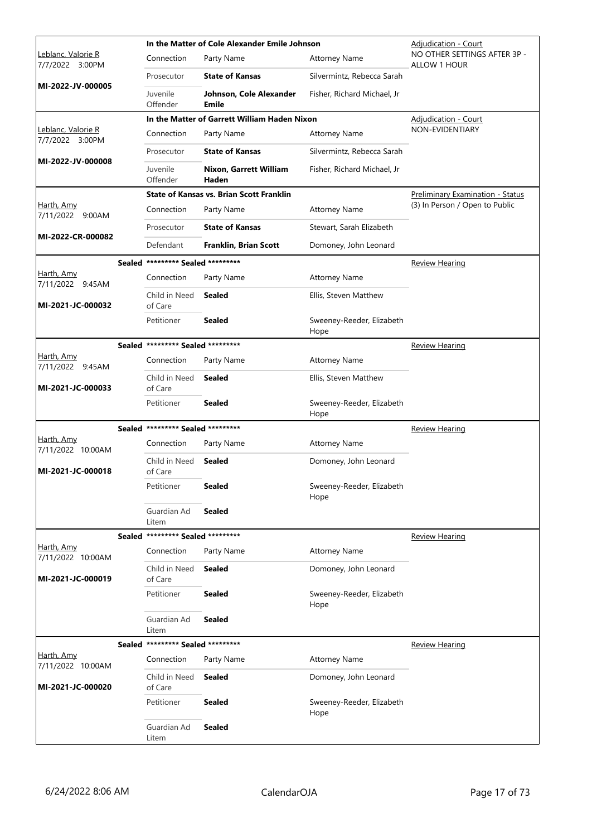|                                        |                                   | In the Matter of Cole Alexander Emile Johnson   |                                   | <b>Adjudication - Court</b>                         |
|----------------------------------------|-----------------------------------|-------------------------------------------------|-----------------------------------|-----------------------------------------------------|
| Leblanc, Valorie R<br>7/7/2022 3:00PM  | Connection                        | Party Name                                      | <b>Attorney Name</b>              | NO OTHER SETTINGS AFTER 3P -<br><b>ALLOW 1 HOUR</b> |
| MI-2022-JV-000005                      | Prosecutor                        | <b>State of Kansas</b>                          | Silvermintz, Rebecca Sarah        |                                                     |
|                                        | Juvenile<br>Offender              | Johnson, Cole Alexander<br>Emile                | Fisher, Richard Michael, Jr       |                                                     |
|                                        |                                   | In the Matter of Garrett William Haden Nixon    |                                   | <b>Adjudication - Court</b>                         |
| Leblanc, Valorie R<br>7/7/2022 3:00PM  | Connection                        | Party Name                                      | <b>Attorney Name</b>              | NON-EVIDENTIARY                                     |
| MI-2022-JV-000008                      | Prosecutor                        | <b>State of Kansas</b>                          | Silvermintz, Rebecca Sarah        |                                                     |
|                                        | Juvenile<br>Offender              | Nixon, Garrett William<br>Haden                 | Fisher, Richard Michael, Jr       |                                                     |
|                                        |                                   | <b>State of Kansas vs. Brian Scott Franklin</b> |                                   | Preliminary Examination - Status                    |
| Harth, Amy<br>7/11/2022 9:00AM         | Connection                        | Party Name                                      | <b>Attorney Name</b>              | (3) In Person / Open to Public                      |
|                                        | Prosecutor                        | <b>State of Kansas</b>                          | Stewart, Sarah Elizabeth          |                                                     |
| MI-2022-CR-000082                      | Defendant                         | Franklin, Brian Scott                           | Domoney, John Leonard             |                                                     |
|                                        | Sealed ********* Sealed ********* |                                                 |                                   | <b>Review Hearing</b>                               |
| Harth, Amy<br>7/11/2022 9:45AM         | Connection                        | Party Name                                      | <b>Attorney Name</b>              |                                                     |
| MI-2021-JC-000032                      | Child in Need<br>of Care          | <b>Sealed</b>                                   | Ellis, Steven Matthew             |                                                     |
|                                        | Petitioner                        | <b>Sealed</b>                                   | Sweeney-Reeder, Elizabeth<br>Hope |                                                     |
|                                        | Sealed ********* Sealed ********* |                                                 |                                   | <b>Review Hearing</b>                               |
| Harth, Amy<br>7/11/2022 9:45AM         | Connection                        | Party Name                                      | <b>Attorney Name</b>              |                                                     |
| MI-2021-JC-000033                      | Child in Need<br>of Care          | <b>Sealed</b>                                   | Ellis, Steven Matthew             |                                                     |
|                                        | Petitioner                        | <b>Sealed</b>                                   | Sweeney-Reeder, Elizabeth<br>Hope |                                                     |
|                                        | Sealed ********* Sealed ********* |                                                 |                                   | <b>Review Hearing</b>                               |
| <u>Harth, Amy</u><br>7/11/2022 10:00AM | Connection                        | Party Name                                      | <b>Attorney Name</b>              |                                                     |
| MI-2021-JC-000018                      | Child in Need<br>of Care          | <b>Sealed</b>                                   | Domoney, John Leonard             |                                                     |
|                                        | Petitioner                        | Sealed                                          | Sweeney-Reeder, Elizabeth<br>Hope |                                                     |
|                                        | Guardian Ad<br>Litem              | <b>Sealed</b>                                   |                                   |                                                     |
|                                        | Sealed ********* Sealed ********* |                                                 |                                   | <b>Review Hearing</b>                               |
| Harth, Amy<br>7/11/2022 10:00AM        | Connection                        | Party Name                                      | <b>Attorney Name</b>              |                                                     |
| MI-2021-JC-000019                      | Child in Need<br>of Care          | Sealed                                          | Domoney, John Leonard             |                                                     |
|                                        | Petitioner                        | <b>Sealed</b>                                   | Sweeney-Reeder, Elizabeth<br>Hope |                                                     |
|                                        | Guardian Ad<br>Litem              | <b>Sealed</b>                                   |                                   |                                                     |
|                                        | Sealed ********* Sealed ********* |                                                 |                                   | <b>Review Hearing</b>                               |
| Harth, Amy<br>7/11/2022 10:00AM        | Connection                        | Party Name                                      | <b>Attorney Name</b>              |                                                     |
| MI-2021-JC-000020                      | Child in Need<br>of Care          | <b>Sealed</b>                                   | Domoney, John Leonard             |                                                     |
|                                        | Petitioner                        | Sealed                                          | Sweeney-Reeder, Elizabeth<br>Hope |                                                     |
|                                        | Guardian Ad<br>Litem              | <b>Sealed</b>                                   |                                   |                                                     |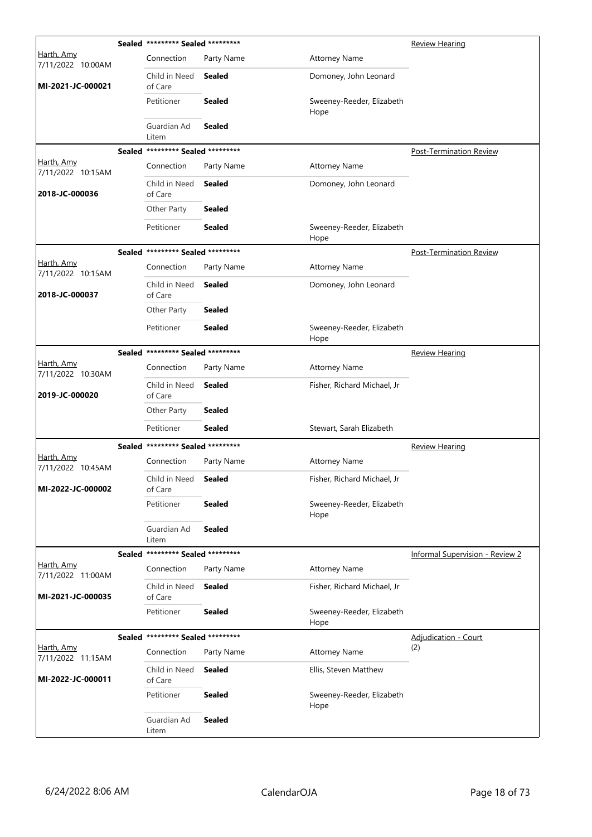|                                 | Sealed ********* Sealed ********* |               |                                   | <b>Review Hearing</b>           |
|---------------------------------|-----------------------------------|---------------|-----------------------------------|---------------------------------|
| Harth, Amy<br>7/11/2022 10:00AM | Connection                        | Party Name    | <b>Attorney Name</b>              |                                 |
| MI-2021-JC-000021               | Child in Need<br>of Care          | <b>Sealed</b> | Domoney, John Leonard             |                                 |
|                                 | Petitioner                        | <b>Sealed</b> | Sweeney-Reeder, Elizabeth<br>Hope |                                 |
|                                 | Guardian Ad<br>Litem              | <b>Sealed</b> |                                   |                                 |
|                                 | Sealed ********* Sealed ********* |               |                                   | Post-Termination Review         |
| Harth, Amy<br>7/11/2022 10:15AM | Connection                        | Party Name    | <b>Attorney Name</b>              |                                 |
| 2018-JC-000036                  | Child in Need<br>of Care          | <b>Sealed</b> | Domoney, John Leonard             |                                 |
|                                 | Other Party                       | <b>Sealed</b> |                                   |                                 |
|                                 | Petitioner                        | <b>Sealed</b> | Sweeney-Reeder, Elizabeth<br>Hope |                                 |
|                                 | Sealed ********* Sealed ********* |               |                                   | <b>Post-Termination Review</b>  |
| Harth, Amy<br>7/11/2022 10:15AM | Connection                        | Party Name    | <b>Attorney Name</b>              |                                 |
| 2018-JC-000037                  | Child in Need<br>of Care          | Sealed        | Domoney, John Leonard             |                                 |
|                                 | Other Party                       | Sealed        |                                   |                                 |
|                                 | Petitioner                        | <b>Sealed</b> | Sweeney-Reeder, Elizabeth<br>Hope |                                 |
|                                 | Sealed ********* Sealed ********* |               |                                   | <b>Review Hearing</b>           |
| Harth, Amy<br>7/11/2022 10:30AM | Connection                        | Party Name    | <b>Attorney Name</b>              |                                 |
| 2019-JC-000020                  | Child in Need<br>of Care          | <b>Sealed</b> | Fisher, Richard Michael, Jr       |                                 |
|                                 | Other Party                       | <b>Sealed</b> |                                   |                                 |
|                                 | Petitioner                        | <b>Sealed</b> | Stewart, Sarah Elizabeth          |                                 |
|                                 | Sealed ********* Sealed ********* |               |                                   | <b>Review Hearing</b>           |
| Harth, Amy<br>7/11/2022 10:45AM | Connection                        | Party Name    | <b>Attorney Name</b>              |                                 |
| MI-2022-JC-000002               | Child in Need<br>of Care          | Sealed        | Fisher, Richard Michael, Jr       |                                 |
|                                 | Petitioner                        | <b>Sealed</b> | Sweeney-Reeder, Elizabeth<br>Hope |                                 |
|                                 | Guardian Ad<br>Litem              | <b>Sealed</b> |                                   |                                 |
|                                 | Sealed ********* Sealed ********* |               |                                   | Informal Supervision - Review 2 |
| Harth, Amy<br>7/11/2022 11:00AM | Connection                        | Party Name    | <b>Attorney Name</b>              |                                 |
| MI-2021-JC-000035               | Child in Need<br>of Care          | <b>Sealed</b> | Fisher, Richard Michael, Jr       |                                 |
|                                 | Petitioner                        | <b>Sealed</b> | Sweeney-Reeder, Elizabeth<br>Hope |                                 |
|                                 | Sealed ********* Sealed ********* |               |                                   | Adjudication - Court            |
| Harth, Amy<br>7/11/2022 11:15AM | Connection                        | Party Name    | <b>Attorney Name</b>              | (2)                             |
| MI-2022-JC-000011               | Child in Need<br>of Care          | <b>Sealed</b> | Ellis, Steven Matthew             |                                 |
|                                 | Petitioner                        | <b>Sealed</b> | Sweeney-Reeder, Elizabeth<br>Hope |                                 |
|                                 | Guardian Ad<br>Litem              | <b>Sealed</b> |                                   |                                 |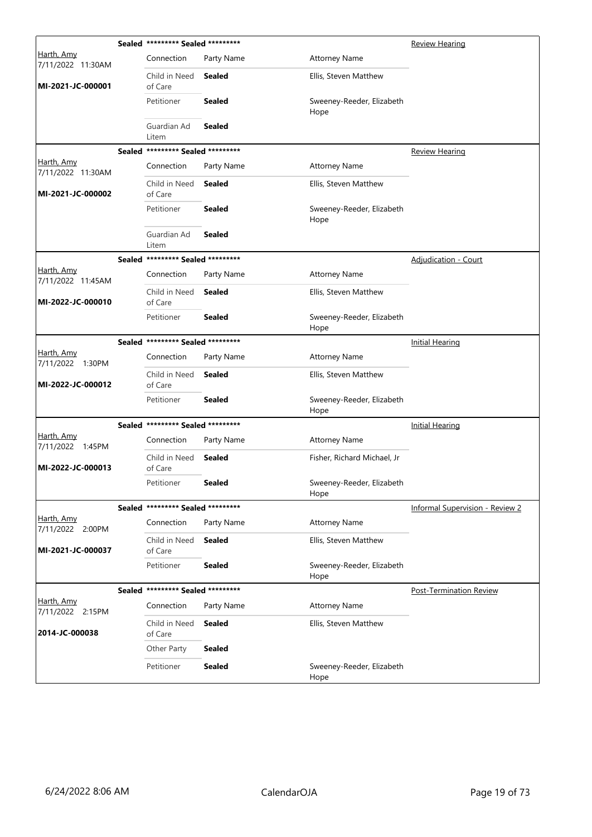|                                        |        | Sealed ********* Sealed ********* |               |                                   | <b>Review Hearing</b>                  |
|----------------------------------------|--------|-----------------------------------|---------------|-----------------------------------|----------------------------------------|
| <u>Harth, Amy</u><br>7/11/2022 11:30AM |        | Connection                        | Party Name    | <b>Attorney Name</b>              |                                        |
| MI-2021-JC-000001                      |        | Child in Need<br>of Care          | Sealed        | Ellis, Steven Matthew             |                                        |
|                                        |        | Petitioner                        | <b>Sealed</b> | Sweeney-Reeder, Elizabeth<br>Hope |                                        |
|                                        |        | Guardian Ad<br>Litem              | <b>Sealed</b> |                                   |                                        |
|                                        |        | Sealed ********* Sealed ********* |               |                                   | <b>Review Hearing</b>                  |
| Harth, Amy<br>7/11/2022 11:30AM        |        | Connection                        | Party Name    | <b>Attorney Name</b>              |                                        |
| MI-2021-JC-000002                      |        | Child in Need<br>of Care          | Sealed        | Ellis, Steven Matthew             |                                        |
|                                        |        | Petitioner                        | <b>Sealed</b> | Sweeney-Reeder, Elizabeth<br>Hope |                                        |
|                                        |        | Guardian Ad<br>Litem              | Sealed        |                                   |                                        |
|                                        | Sealed | ********* Sealed *********        |               |                                   | <b>Adjudication - Court</b>            |
| <u>Harth, Amy</u><br>7/11/2022 11:45AM |        | Connection                        | Party Name    | <b>Attorney Name</b>              |                                        |
| MI-2022-JC-000010                      |        | Child in Need<br>of Care          | Sealed        | Ellis, Steven Matthew             |                                        |
|                                        |        | Petitioner                        | <b>Sealed</b> | Sweeney-Reeder, Elizabeth<br>Hope |                                        |
|                                        |        | Sealed ********* Sealed ********* |               |                                   | <b>Initial Hearing</b>                 |
| <u>Harth, Amy</u><br>7/11/2022 1:30PM  |        | Connection                        | Party Name    | <b>Attorney Name</b>              |                                        |
| MI-2022-JC-000012                      |        | Child in Need<br>of Care          | Sealed        | Ellis, Steven Matthew             |                                        |
|                                        |        | Petitioner                        | <b>Sealed</b> | Sweeney-Reeder, Elizabeth<br>Hope |                                        |
|                                        |        | Sealed ********* Sealed ********* |               |                                   | Initial Hearing                        |
| <u>Harth, Amy</u><br>7/11/2022 1:45PM  |        | Connection                        | Party Name    | <b>Attorney Name</b>              |                                        |
| MI-2022-JC-000013                      |        | Child in Need<br>of Care          | Sealed        | Fisher, Richard Michael, Jr       |                                        |
|                                        |        | Petitioner                        | <b>Sealed</b> | Sweeney-Reeder, Elizabeth<br>Hope |                                        |
|                                        |        | Sealed ********* Sealed ********* |               |                                   | <b>Informal Supervision - Review 2</b> |
| Harth, Amy<br>7/11/2022 2:00PM         |        | Connection                        | Party Name    | <b>Attorney Name</b>              |                                        |
| MI-2021-JC-000037                      |        | Child in Need<br>of Care          | <b>Sealed</b> | Ellis, Steven Matthew             |                                        |
|                                        |        | Petitioner                        | <b>Sealed</b> | Sweeney-Reeder, Elizabeth<br>Hope |                                        |
|                                        |        | Sealed ********* Sealed ********* |               |                                   | <b>Post-Termination Review</b>         |
| Harth, Amy<br>7/11/2022 2:15PM         |        | Connection                        | Party Name    | <b>Attorney Name</b>              |                                        |
| 2014-JC-000038                         |        | Child in Need<br>of Care          | <b>Sealed</b> | Ellis, Steven Matthew             |                                        |
|                                        |        | Other Party                       | <b>Sealed</b> |                                   |                                        |
|                                        |        | Petitioner                        | <b>Sealed</b> | Sweeney-Reeder, Elizabeth<br>Hope |                                        |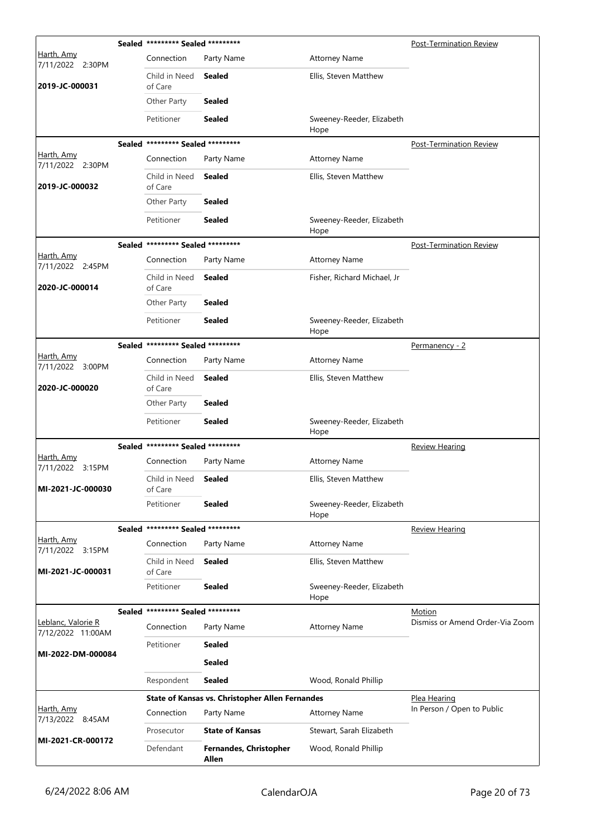|                                       | Sealed ********* Sealed ********* |                                                        |                                   | <b>Post-Termination Review</b>            |
|---------------------------------------|-----------------------------------|--------------------------------------------------------|-----------------------------------|-------------------------------------------|
| <u>Harth, Amy</u><br>7/11/2022 2:30PM | Connection                        | Party Name                                             | <b>Attorney Name</b>              |                                           |
| 2019-JC-000031                        | Child in Need<br>of Care          | Sealed                                                 | Ellis, Steven Matthew             |                                           |
|                                       | Other Party                       | <b>Sealed</b>                                          |                                   |                                           |
|                                       | Petitioner                        | Sealed                                                 | Sweeney-Reeder, Elizabeth<br>Hope |                                           |
|                                       | Sealed ********* Sealed ********* |                                                        |                                   | <b>Post-Termination Review</b>            |
| Harth, Amy<br>7/11/2022 2:30PM        | Connection                        | Party Name                                             | <b>Attorney Name</b>              |                                           |
| 2019-JC-000032                        | Child in Need<br>of Care          | Sealed                                                 | Ellis, Steven Matthew             |                                           |
|                                       | Other Party                       | <b>Sealed</b>                                          |                                   |                                           |
|                                       | Petitioner                        | Sealed                                                 | Sweeney-Reeder, Elizabeth<br>Hope |                                           |
|                                       | Sealed ********* Sealed ********* |                                                        |                                   | <b>Post-Termination Review</b>            |
| Harth, Amy<br>7/11/2022 2:45PM        | Connection                        | Party Name                                             | <b>Attorney Name</b>              |                                           |
| 2020-JC-000014                        | Child in Need<br>of Care          | Sealed                                                 | Fisher, Richard Michael, Jr       |                                           |
|                                       | Other Party                       | Sealed                                                 |                                   |                                           |
|                                       | Petitioner                        | Sealed                                                 | Sweeney-Reeder, Elizabeth<br>Hope |                                           |
|                                       | Sealed ********* Sealed ********* |                                                        |                                   | Permanency - 2                            |
| Harth, Amy<br>7/11/2022 3:00PM        | Connection                        | Party Name                                             | <b>Attorney Name</b>              |                                           |
| 2020-JC-000020                        | Child in Need<br>of Care          | Sealed                                                 | Ellis, Steven Matthew             |                                           |
|                                       | Other Party                       | <b>Sealed</b>                                          |                                   |                                           |
|                                       | Petitioner                        | Sealed                                                 | Sweeney-Reeder, Elizabeth<br>Hope |                                           |
|                                       | Sealed ********* Sealed ********* |                                                        |                                   | <b>Review Hearing</b>                     |
| Harth, Amy<br>7/11/2022 3:15PM        | Connection                        | Party Name                                             | <b>Attorney Name</b>              |                                           |
| MI-2021-JC-000030                     | Child in Need<br>of Care          | Sealed                                                 | Ellis, Steven Matthew             |                                           |
|                                       | Petitioner                        | Sealed                                                 | Sweeney-Reeder, Elizabeth<br>Hope |                                           |
|                                       | Sealed ********* Sealed ********* |                                                        |                                   | <b>Review Hearing</b>                     |
| Harth, Amy<br>7/11/2022 3:15PM        | Connection                        | Party Name                                             | <b>Attorney Name</b>              |                                           |
| MI-2021-JC-000031                     | Child in Need<br>of Care          | <b>Sealed</b>                                          | Ellis, Steven Matthew             |                                           |
|                                       | Petitioner                        | <b>Sealed</b>                                          | Sweeney-Reeder, Elizabeth<br>Hope |                                           |
| Leblanc, Valorie R                    | Sealed ********* Sealed ********* |                                                        |                                   | Motion<br>Dismiss or Amend Order-Via Zoom |
| 7/12/2022 11:00AM                     | Connection                        | Party Name                                             | <b>Attorney Name</b>              |                                           |
| MI-2022-DM-000084                     | Petitioner                        | Sealed                                                 |                                   |                                           |
|                                       |                                   | <b>Sealed</b>                                          |                                   |                                           |
|                                       | Respondent                        | Sealed                                                 | Wood, Ronald Phillip              |                                           |
|                                       |                                   | <b>State of Kansas vs. Christopher Allen Fernandes</b> |                                   | Plea Hearing                              |
| Harth, Amy<br>7/13/2022 8:45AM        | Connection                        | Party Name                                             | <b>Attorney Name</b>              | In Person / Open to Public                |
| MI-2021-CR-000172                     | Prosecutor                        | <b>State of Kansas</b>                                 | Stewart, Sarah Elizabeth          |                                           |
|                                       | Defendant                         | Fernandes, Christopher<br>Allen                        | Wood, Ronald Phillip              |                                           |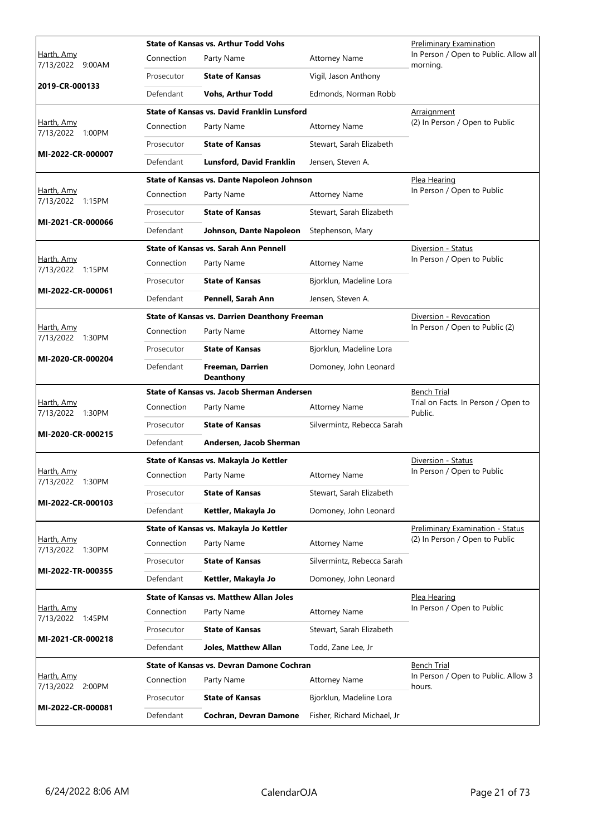|                                       |            | <b>State of Kansas vs. Arthur Todd Vohs</b>          |                            | Preliminary Examination                           |
|---------------------------------------|------------|------------------------------------------------------|----------------------------|---------------------------------------------------|
| Harth, Amy<br>7/13/2022 9:00AM        | Connection | Party Name                                           | <b>Attorney Name</b>       | In Person / Open to Public. Allow all<br>morning. |
|                                       | Prosecutor | <b>State of Kansas</b>                               | Vigil, Jason Anthony       |                                                   |
| 2019-CR-000133                        | Defendant  | <b>Vohs, Arthur Todd</b>                             | Edmonds, Norman Robb       |                                                   |
|                                       |            | State of Kansas vs. David Franklin Lunsford          |                            | Arraignment                                       |
| Harth, Amy<br>7/13/2022 1:00PM        | Connection | Party Name                                           | <b>Attorney Name</b>       | (2) In Person / Open to Public                    |
| MI-2022-CR-000007                     | Prosecutor | <b>State of Kansas</b>                               | Stewart, Sarah Elizabeth   |                                                   |
|                                       | Defendant  | <b>Lunsford, David Franklin</b>                      | Jensen, Steven A.          |                                                   |
|                                       |            | State of Kansas vs. Dante Napoleon Johnson           |                            | Plea Hearing                                      |
| Harth, Amy<br>7/13/2022 1:15PM        | Connection | Party Name                                           | <b>Attorney Name</b>       | In Person / Open to Public                        |
|                                       | Prosecutor | <b>State of Kansas</b>                               | Stewart, Sarah Elizabeth   |                                                   |
| MI-2021-CR-000066                     | Defendant  | Johnson, Dante Napoleon                              | Stephenson, Mary           |                                                   |
|                                       |            | <b>State of Kansas vs. Sarah Ann Pennell</b>         |                            | Diversion - Status                                |
| Harth, Amy<br>7/13/2022 1:15PM        | Connection | Party Name                                           | <b>Attorney Name</b>       | In Person / Open to Public                        |
|                                       | Prosecutor | <b>State of Kansas</b>                               | Bjorklun, Madeline Lora    |                                                   |
| MI-2022-CR-000061                     | Defendant  | Pennell, Sarah Ann                                   | Jensen, Steven A.          |                                                   |
|                                       |            | <b>State of Kansas vs. Darrien Deanthony Freeman</b> |                            | Diversion - Revocation                            |
| Harth, Amy<br>7/13/2022 1:30PM        | Connection | Party Name                                           | <b>Attorney Name</b>       | In Person / Open to Public (2)                    |
|                                       | Prosecutor | <b>State of Kansas</b>                               | Bjorklun, Madeline Lora    |                                                   |
| MI-2020-CR-000204                     | Defendant  | Freeman, Darrien<br><b>Deanthony</b>                 | Domoney, John Leonard      |                                                   |
|                                       |            |                                                      |                            |                                                   |
|                                       |            | <b>State of Kansas vs. Jacob Sherman Andersen</b>    |                            | <b>Bench Trial</b>                                |
| Harth, Amy                            | Connection | Party Name                                           | <b>Attorney Name</b>       | Trial on Facts. In Person / Open to               |
| 7/13/2022 1:30PM                      | Prosecutor | <b>State of Kansas</b>                               | Silvermintz, Rebecca Sarah | Public.                                           |
| MI-2020-CR-000215                     | Defendant  | Andersen, Jacob Sherman                              |                            |                                                   |
|                                       |            | State of Kansas vs. Makayla Jo Kettler               |                            | Diversion - Status                                |
| Harth, Amy                            | Connection | Party Name                                           | <b>Attorney Name</b>       | In Person / Open to Public                        |
| 7/13/2022 1:30PM                      | Prosecutor | <b>State of Kansas</b>                               | Stewart, Sarah Elizabeth   |                                                   |
| MI-2022-CR-000103                     | Defendant  | Kettler, Makayla Jo                                  | Domoney, John Leonard      |                                                   |
|                                       |            | State of Kansas vs. Makayla Jo Kettler               |                            | <b>Preliminary Examination - Status</b>           |
| Harth, Amy                            | Connection | Party Name                                           | <b>Attorney Name</b>       | (2) In Person / Open to Public                    |
| 7/13/2022 1:30PM                      | Prosecutor | <b>State of Kansas</b>                               | Silvermintz, Rebecca Sarah |                                                   |
| MI-2022-TR-000355                     | Defendant  | Kettler, Makayla Jo                                  | Domoney, John Leonard      |                                                   |
|                                       |            | <b>State of Kansas vs. Matthew Allan Joles</b>       |                            | Plea Hearing                                      |
| Harth, Amy                            | Connection | Party Name                                           | <b>Attorney Name</b>       | In Person / Open to Public                        |
| 7/13/2022 1:45PM                      | Prosecutor | <b>State of Kansas</b>                               | Stewart, Sarah Elizabeth   |                                                   |
| MI-2021-CR-000218                     | Defendant  | <b>Joles, Matthew Allan</b>                          | Todd, Zane Lee, Jr         |                                                   |
|                                       |            | State of Kansas vs. Devran Damone Cochran            |                            | <b>Bench Trial</b>                                |
| Harth, Amy                            | Connection | Party Name                                           | <b>Attorney Name</b>       | In Person / Open to Public. Allow 3<br>hours.     |
| 7/13/2022 2:00PM<br>MI-2022-CR-000081 | Prosecutor | <b>State of Kansas</b>                               | Bjorklun, Madeline Lora    |                                                   |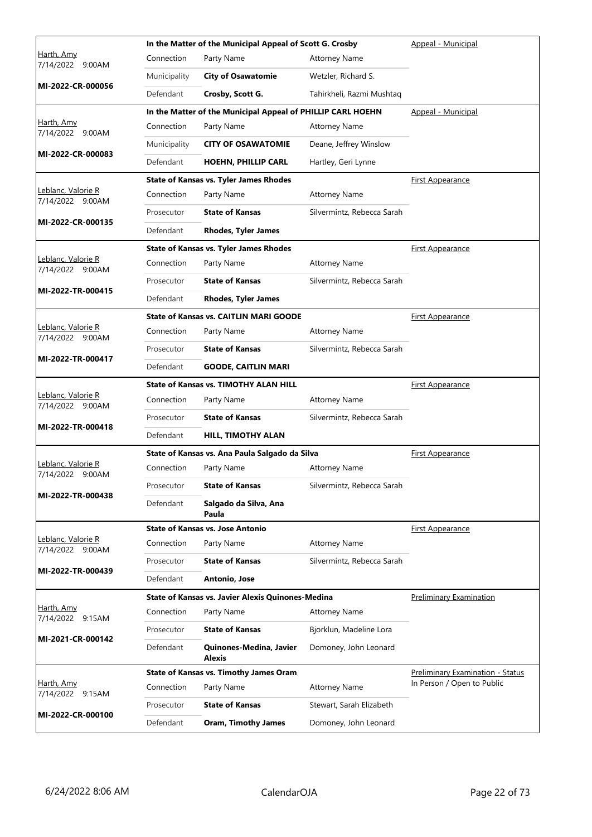|                                        |              | In the Matter of the Municipal Appeal of Scott G. Crosby    |                            | Appeal - Municipal                      |
|----------------------------------------|--------------|-------------------------------------------------------------|----------------------------|-----------------------------------------|
| Harth, Amy<br>7/14/2022 9:00AM         | Connection   | Party Name                                                  | <b>Attorney Name</b>       |                                         |
|                                        | Municipality | <b>City of Osawatomie</b>                                   | Wetzler, Richard S.        |                                         |
| MI-2022-CR-000056                      | Defendant    | Crosby, Scott G.                                            | Tahirkheli, Razmi Mushtaq  |                                         |
|                                        |              | In the Matter of the Municipal Appeal of PHILLIP CARL HOEHN |                            | Appeal - Municipal                      |
| Harth, Amy<br>7/14/2022 9:00AM         | Connection   | Party Name                                                  | <b>Attorney Name</b>       |                                         |
|                                        | Municipality | <b>CITY OF OSAWATOMIE</b>                                   | Deane, Jeffrey Winslow     |                                         |
| MI-2022-CR-000083                      | Defendant    | <b>HOEHN, PHILLIP CARL</b>                                  | Hartley, Geri Lynne        |                                         |
|                                        |              | <b>State of Kansas vs. Tyler James Rhodes</b>               |                            | <b>First Appearance</b>                 |
| Leblanc, Valorie R<br>7/14/2022 9:00AM | Connection   | Party Name                                                  | <b>Attorney Name</b>       |                                         |
|                                        | Prosecutor   | <b>State of Kansas</b>                                      | Silvermintz, Rebecca Sarah |                                         |
| MI-2022-CR-000135                      | Defendant    | <b>Rhodes, Tyler James</b>                                  |                            |                                         |
|                                        |              | <b>State of Kansas vs. Tyler James Rhodes</b>               |                            | <b>First Appearance</b>                 |
| Leblanc, Valorie R<br>7/14/2022 9:00AM | Connection   | Party Name                                                  | <b>Attorney Name</b>       |                                         |
|                                        | Prosecutor   | <b>State of Kansas</b>                                      | Silvermintz, Rebecca Sarah |                                         |
| MI-2022-TR-000415                      | Defendant    | <b>Rhodes, Tyler James</b>                                  |                            |                                         |
|                                        |              | <b>State of Kansas vs. CAITLIN MARI GOODE</b>               |                            | <b>First Appearance</b>                 |
| Leblanc, Valorie R<br>7/14/2022 9:00AM | Connection   | Party Name                                                  | <b>Attorney Name</b>       |                                         |
|                                        | Prosecutor   | <b>State of Kansas</b>                                      | Silvermintz, Rebecca Sarah |                                         |
| MI-2022-TR-000417                      | Defendant    | <b>GOODE, CAITLIN MARI</b>                                  |                            |                                         |
|                                        |              | <b>State of Kansas vs. TIMOTHY ALAN HILL</b>                |                            | <b>First Appearance</b>                 |
| Leblanc, Valorie R<br>7/14/2022 9:00AM | Connection   | Party Name                                                  | <b>Attorney Name</b>       |                                         |
|                                        | Prosecutor   | <b>State of Kansas</b>                                      | Silvermintz, Rebecca Sarah |                                         |
| MI-2022-TR-000418                      | Defendant    | <b>HILL, TIMOTHY ALAN</b>                                   |                            |                                         |
|                                        |              | State of Kansas vs. Ana Paula Salgado da Silva              |                            | <b>First Appearance</b>                 |
| Leblanc, Valorie R<br>7/14/2022 9:00AM | Connection   | Party Name                                                  | <b>Attorney Name</b>       |                                         |
|                                        | Prosecutor   | <b>State of Kansas</b>                                      | Silvermintz, Rebecca Sarah |                                         |
| MI-2022-TR-000438                      | Defendant    | Salgado da Silva, Ana<br>Paula                              |                            |                                         |
|                                        |              | <b>State of Kansas vs. Jose Antonio</b>                     |                            | <b>First Appearance</b>                 |
| Leblanc, Valorie R<br>7/14/2022 9:00AM | Connection   | Party Name                                                  | <b>Attorney Name</b>       |                                         |
|                                        | Prosecutor   | <b>State of Kansas</b>                                      | Silvermintz, Rebecca Sarah |                                         |
| MI-2022-TR-000439                      | Defendant    | Antonio, Jose                                               |                            |                                         |
|                                        |              | State of Kansas vs. Javier Alexis Quinones-Medina           |                            | <b>Preliminary Examination</b>          |
| Harth, Amy<br>7/14/2022 9:15AM         | Connection   | Party Name                                                  | <b>Attorney Name</b>       |                                         |
|                                        | Prosecutor   | <b>State of Kansas</b>                                      | Bjorklun, Madeline Lora    |                                         |
| MI-2021-CR-000142                      | Defendant    | Quinones-Medina, Javier<br>Alexis                           | Domoney, John Leonard      |                                         |
|                                        |              | <b>State of Kansas vs. Timothy James Oram</b>               |                            | <b>Preliminary Examination - Status</b> |
| <u>Harth, Amy</u><br>7/14/2022 9:15AM  | Connection   | Party Name                                                  | <b>Attorney Name</b>       | In Person / Open to Public              |
|                                        | Prosecutor   | <b>State of Kansas</b>                                      | Stewart, Sarah Elizabeth   |                                         |
| MI-2022-CR-000100                      | Defendant    | <b>Oram, Timothy James</b>                                  | Domoney, John Leonard      |                                         |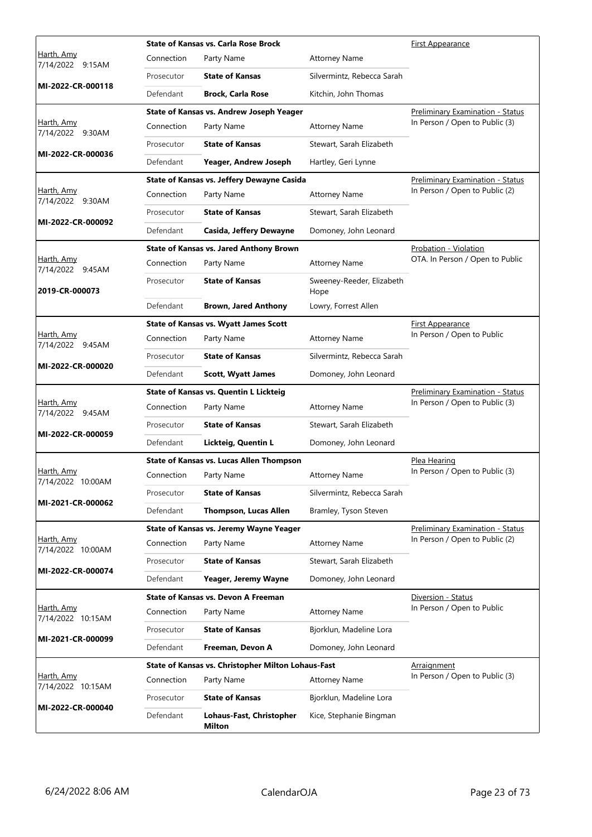|                                        |            | <b>State of Kansas vs. Carla Rose Brock</b>        |                                   | First Appearance                        |
|----------------------------------------|------------|----------------------------------------------------|-----------------------------------|-----------------------------------------|
| Harth, Amy<br>7/14/2022 9:15AM         | Connection | Party Name                                         | <b>Attorney Name</b>              |                                         |
|                                        | Prosecutor | <b>State of Kansas</b>                             | Silvermintz, Rebecca Sarah        |                                         |
| MI-2022-CR-000118                      | Defendant  | <b>Brock, Carla Rose</b>                           | Kitchin, John Thomas              |                                         |
|                                        |            | State of Kansas vs. Andrew Joseph Yeager           |                                   | <b>Preliminary Examination - Status</b> |
| <u>Harth, Amv</u><br>7/14/2022 9:30AM  | Connection | Party Name                                         | <b>Attorney Name</b>              | In Person / Open to Public (3)          |
|                                        | Prosecutor | <b>State of Kansas</b>                             | Stewart, Sarah Elizabeth          |                                         |
| MI-2022-CR-000036                      | Defendant  | Yeager, Andrew Joseph                              | Hartley, Geri Lynne               |                                         |
|                                        |            | State of Kansas vs. Jeffery Dewayne Casida         |                                   | <b>Preliminary Examination - Status</b> |
| Harth, Amy<br>7/14/2022 9:30AM         | Connection | Party Name                                         | <b>Attorney Name</b>              | In Person / Open to Public (2)          |
|                                        | Prosecutor | <b>State of Kansas</b>                             | Stewart, Sarah Elizabeth          |                                         |
| MI-2022-CR-000092                      | Defendant  | Casida, Jeffery Dewayne                            | Domoney, John Leonard             |                                         |
|                                        |            | <b>State of Kansas vs. Jared Anthony Brown</b>     |                                   | Probation - Violation                   |
| Harth, Amy<br>7/14/2022 9:45AM         | Connection | Party Name                                         | <b>Attorney Name</b>              | OTA. In Person / Open to Public         |
| 2019-CR-000073                         | Prosecutor | <b>State of Kansas</b>                             | Sweeney-Reeder, Elizabeth<br>Hope |                                         |
|                                        | Defendant  | <b>Brown, Jared Anthony</b>                        | Lowry, Forrest Allen              |                                         |
|                                        |            | <b>State of Kansas vs. Wyatt James Scott</b>       |                                   | First Appearance                        |
| Harth, Amy<br>7/14/2022 9:45AM         | Connection | Party Name                                         | <b>Attorney Name</b>              | In Person / Open to Public              |
|                                        | Prosecutor | <b>State of Kansas</b>                             | Silvermintz, Rebecca Sarah        |                                         |
| MI-2022-CR-000020                      | Defendant  | <b>Scott, Wyatt James</b>                          | Domoney, John Leonard             |                                         |
|                                        |            |                                                    |                                   |                                         |
|                                        |            | <b>State of Kansas vs. Quentin L Lickteig</b>      |                                   | <b>Preliminary Examination - Status</b> |
| <u>Harth, Amv</u>                      | Connection | Party Name                                         | <b>Attorney Name</b>              | In Person / Open to Public (3)          |
| 7/14/2022 9:45AM                       | Prosecutor | <b>State of Kansas</b>                             | Stewart, Sarah Elizabeth          |                                         |
| MI-2022-CR-000059                      | Defendant  | Lickteig, Quentin L                                | Domoney, John Leonard             |                                         |
|                                        |            | <b>State of Kansas vs. Lucas Allen Thompson</b>    |                                   | Plea Hearing                            |
| Harth, Amy                             | Connection | Party Name                                         | <b>Attorney Name</b>              | In Person / Open to Public (3)          |
| 7/14/2022 10:00AM                      | Prosecutor | <b>State of Kansas</b>                             | Silvermintz, Rebecca Sarah        |                                         |
| MI-2021-CR-000062                      | Defendant  | <b>Thompson, Lucas Allen</b>                       | Bramley, Tyson Steven             |                                         |
|                                        |            | <b>State of Kansas vs. Jeremy Wayne Yeager</b>     |                                   | <b>Preliminary Examination - Status</b> |
| Harth, Amy                             | Connection | Party Name                                         | <b>Attorney Name</b>              | In Person / Open to Public (2)          |
| 7/14/2022 10:00AM                      | Prosecutor | <b>State of Kansas</b>                             | Stewart, Sarah Elizabeth          |                                         |
| MI-2022-CR-000074                      | Defendant  | Yeager, Jeremy Wayne                               | Domoney, John Leonard             |                                         |
|                                        |            | <b>State of Kansas vs. Devon A Freeman</b>         |                                   | Diversion - Status                      |
| Harth, Amy                             | Connection | Party Name                                         | <b>Attorney Name</b>              | In Person / Open to Public              |
| 7/14/2022 10:15AM                      | Prosecutor | <b>State of Kansas</b>                             | Bjorklun, Madeline Lora           |                                         |
| MI-2021-CR-000099                      | Defendant  | Freeman, Devon A                                   | Domoney, John Leonard             |                                         |
|                                        |            | State of Kansas vs. Christopher Milton Lohaus-Fast |                                   | <b>Arraignment</b>                      |
| Harth, Amy                             | Connection | Party Name                                         | <b>Attorney Name</b>              | In Person / Open to Public (3)          |
| 7/14/2022 10:15AM<br>MI-2022-CR-000040 | Prosecutor | <b>State of Kansas</b>                             | Bjorklun, Madeline Lora           |                                         |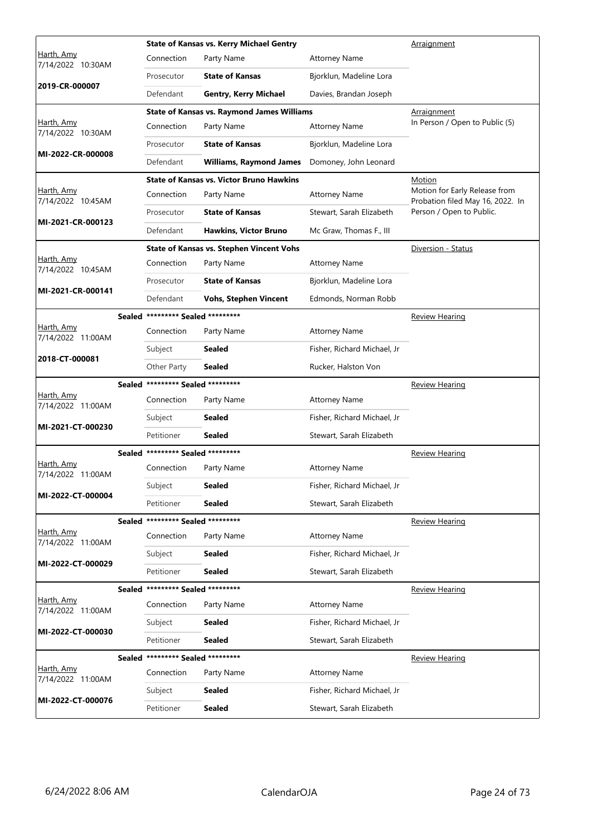|                                        |                                   | <b>State of Kansas vs. Kerry Michael Gentry</b>   |                             | Arraignment                                                       |
|----------------------------------------|-----------------------------------|---------------------------------------------------|-----------------------------|-------------------------------------------------------------------|
| Harth, Amy<br>7/14/2022 10:30AM        | Connection                        | Party Name                                        | <b>Attorney Name</b>        |                                                                   |
|                                        | Prosecutor                        | <b>State of Kansas</b>                            | Bjorklun, Madeline Lora     |                                                                   |
| 2019-CR-000007                         | Defendant                         | <b>Gentry, Kerry Michael</b>                      | Davies, Brandan Joseph      |                                                                   |
|                                        |                                   | <b>State of Kansas vs. Raymond James Williams</b> |                             | Arraignment                                                       |
| Harth, Amy<br>7/14/2022 10:30AM        | Connection                        | Party Name                                        | <b>Attorney Name</b>        | In Person / Open to Public (5)                                    |
|                                        | Prosecutor                        | <b>State of Kansas</b>                            | Bjorklun, Madeline Lora     |                                                                   |
| MI-2022-CR-000008                      | Defendant                         | <b>Williams, Raymond James</b>                    | Domoney, John Leonard       |                                                                   |
|                                        |                                   | <b>State of Kansas vs. Victor Bruno Hawkins</b>   |                             | Motion                                                            |
| Harth, Amy<br>7/14/2022 10:45AM        | Connection                        | Party Name                                        | <b>Attorney Name</b>        | Motion for Early Release from<br>Probation filed May 16, 2022. In |
| MI-2021-CR-000123                      | Prosecutor                        | <b>State of Kansas</b>                            | Stewart, Sarah Elizabeth    | Person / Open to Public.                                          |
|                                        | Defendant                         | <b>Hawkins, Victor Bruno</b>                      | Mc Graw, Thomas F., III     |                                                                   |
|                                        |                                   | <b>State of Kansas vs. Stephen Vincent Vohs</b>   |                             | Diversion - Status                                                |
| Harth, Amy<br>7/14/2022 10:45AM        | Connection                        | Party Name                                        | <b>Attorney Name</b>        |                                                                   |
| MI-2021-CR-000141                      | Prosecutor                        | <b>State of Kansas</b>                            | Bjorklun, Madeline Lora     |                                                                   |
|                                        | Defendant                         | <b>Vohs, Stephen Vincent</b>                      | Edmonds, Norman Robb        |                                                                   |
|                                        | Sealed ********* Sealed ********* |                                                   |                             | <b>Review Hearing</b>                                             |
| Harth, Amy<br>7/14/2022 11:00AM        | Connection                        | Party Name                                        | <b>Attorney Name</b>        |                                                                   |
| 2018-CT-000081                         | Subject                           | <b>Sealed</b>                                     | Fisher, Richard Michael, Jr |                                                                   |
|                                        | Other Party                       | <b>Sealed</b>                                     | Rucker, Halston Von         |                                                                   |
|                                        | Sealed ********* Sealed ********* |                                                   |                             | <u>Review Hearing</u>                                             |
| <u>Harth, Amy</u><br>7/14/2022 11:00AM | Connection                        | Party Name                                        | <b>Attorney Name</b>        |                                                                   |
| MI-2021-CT-000230                      | Subject                           | <b>Sealed</b>                                     | Fisher, Richard Michael, Jr |                                                                   |
|                                        | Petitioner                        | <b>Sealed</b>                                     | Stewart, Sarah Elizabeth    |                                                                   |
|                                        | Sealed ********* Sealed ********* |                                                   |                             | <b>Review Hearing</b>                                             |
| Harth, Amy<br>7/14/2022 11:00AM        | Connection                        | Party Name                                        | <b>Attorney Name</b>        |                                                                   |
| MI-2022-CT-000004                      | Subject                           | Sealed                                            | Fisher, Richard Michael, Jr |                                                                   |
|                                        | Petitioner                        | <b>Sealed</b>                                     | Stewart, Sarah Elizabeth    |                                                                   |
|                                        | Sealed ********* Sealed ********* |                                                   |                             | <b>Review Hearing</b>                                             |
| <u>Harth, Amy</u><br>7/14/2022 11:00AM | Connection                        | Party Name                                        | <b>Attorney Name</b>        |                                                                   |
|                                        | Subject                           | <b>Sealed</b>                                     | Fisher, Richard Michael, Jr |                                                                   |
|                                        |                                   |                                                   |                             |                                                                   |
| MI-2022-CT-000029                      | Petitioner                        | <b>Sealed</b>                                     | Stewart, Sarah Elizabeth    |                                                                   |
|                                        | Sealed ********* Sealed ********* |                                                   |                             | <b>Review Hearing</b>                                             |
| Harth, Amy<br>7/14/2022 11:00AM        | Connection                        | Party Name                                        | <b>Attorney Name</b>        |                                                                   |
|                                        | Subject                           | Sealed                                            | Fisher, Richard Michael, Jr |                                                                   |
| MI-2022-CT-000030                      | Petitioner                        | Sealed                                            | Stewart, Sarah Elizabeth    |                                                                   |
|                                        | Sealed ********* Sealed ********* |                                                   |                             | <b>Review Hearing</b>                                             |
| Harth, Amy<br>7/14/2022 11:00AM        | Connection                        | Party Name                                        | <b>Attorney Name</b>        |                                                                   |
| MI-2022-CT-000076                      | Subject                           | Sealed                                            | Fisher, Richard Michael, Jr |                                                                   |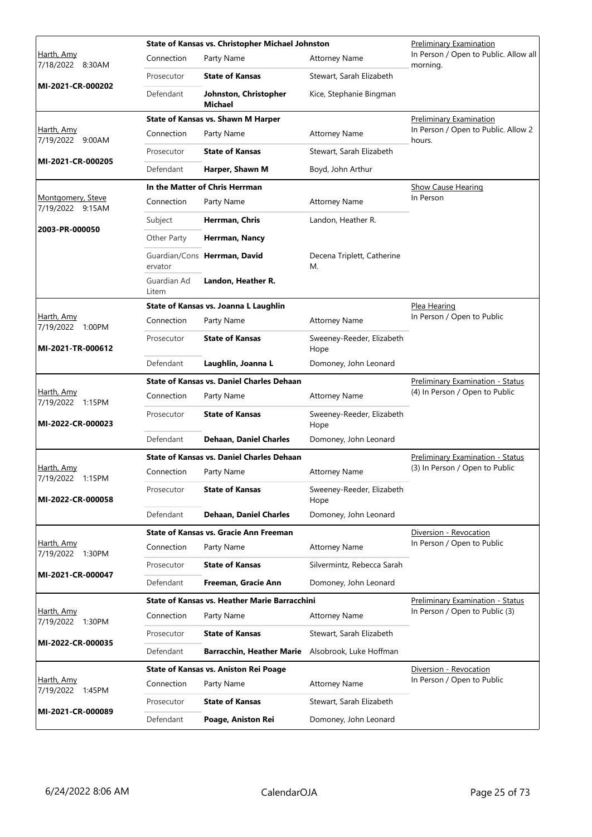|                                       |                      | State of Kansas vs. Christopher Michael Johnston     | Preliminary Examination           |                                                   |
|---------------------------------------|----------------------|------------------------------------------------------|-----------------------------------|---------------------------------------------------|
| Harth, Amy<br>7/18/2022 8:30AM        | Connection           | Party Name                                           | <b>Attorney Name</b>              | In Person / Open to Public. Allow all<br>morning. |
|                                       | Prosecutor           | <b>State of Kansas</b>                               | Stewart, Sarah Elizabeth          |                                                   |
| MI-2021-CR-000202                     | Defendant            | Johnston, Christopher<br>Michael                     | Kice, Stephanie Bingman           |                                                   |
|                                       |                      | <b>State of Kansas vs. Shawn M Harper</b>            |                                   | <b>Preliminary Examination</b>                    |
| Harth, Amy<br>7/19/2022 9:00AM        | Connection           | Party Name                                           | <b>Attorney Name</b>              | In Person / Open to Public. Allow 2<br>hours.     |
|                                       | Prosecutor           | <b>State of Kansas</b>                               | Stewart, Sarah Elizabeth          |                                                   |
| MI-2021-CR-000205                     | Defendant            | Harper, Shawn M                                      | Boyd, John Arthur                 |                                                   |
|                                       |                      | In the Matter of Chris Herrman                       |                                   | <b>Show Cause Hearing</b>                         |
| Montgomery, Steve<br>7/19/2022 9:15AM | Connection           | Party Name                                           | <b>Attorney Name</b>              | In Person                                         |
|                                       | Subject              | Herrman, Chris                                       | Landon, Heather R.                |                                                   |
| 2003-PR-000050                        | Other Party          | Herrman, Nancy                                       |                                   |                                                   |
|                                       | ervator              | Guardian/Cons Herrman, David                         | Decena Triplett, Catherine<br>М.  |                                                   |
|                                       | Guardian Ad<br>Litem | Landon, Heather R.                                   |                                   |                                                   |
|                                       |                      | State of Kansas vs. Joanna L Laughlin                |                                   | Plea Hearing                                      |
| Harth, Amy<br>7/19/2022 1:00PM        | Connection           | Party Name                                           | <b>Attorney Name</b>              | In Person / Open to Public                        |
| MI-2021-TR-000612                     | Prosecutor           | <b>State of Kansas</b>                               | Sweeney-Reeder, Elizabeth<br>Hope |                                                   |
|                                       | Defendant            | Laughlin, Joanna L                                   | Domoney, John Leonard             |                                                   |
|                                       |                      | <b>State of Kansas vs. Daniel Charles Dehaan</b>     |                                   | Preliminary Examination - Status                  |
| Harth, Amy<br>7/19/2022 1:15PM        | Connection           | Party Name                                           | <b>Attorney Name</b>              | (4) In Person / Open to Public                    |
| MI-2022-CR-000023                     | Prosecutor           | <b>State of Kansas</b>                               | Sweeney-Reeder, Elizabeth<br>Hope |                                                   |
|                                       | Defendant            | <b>Dehaan, Daniel Charles</b>                        | Domoney, John Leonard             |                                                   |
|                                       |                      | <b>State of Kansas vs. Daniel Charles Dehaan</b>     |                                   | Preliminary Examination - Status                  |
| Harth, Amy<br>7/19/2022 1:15PM        | Connection           | Party Name                                           | <b>Attorney Name</b>              | (3) In Person / Open to Public                    |
| MI-2022-CR-000058                     | Prosecutor           | <b>State of Kansas</b>                               | Sweeney-Reeder, Elizabeth<br>Hope |                                                   |
|                                       | Defendant            | <b>Dehaan, Daniel Charles</b>                        | Domoney, John Leonard             |                                                   |
|                                       |                      | <b>State of Kansas vs. Gracie Ann Freeman</b>        |                                   | Diversion - Revocation                            |
| Harth, Amy<br>7/19/2022 1:30PM        | Connection           | Party Name                                           | <b>Attorney Name</b>              | In Person / Open to Public                        |
|                                       | Prosecutor           | <b>State of Kansas</b>                               | Silvermintz, Rebecca Sarah        |                                                   |
| MI-2021-CR-000047                     | Defendant            | Freeman, Gracie Ann                                  | Domoney, John Leonard             |                                                   |
|                                       |                      | <b>State of Kansas vs. Heather Marie Barracchini</b> |                                   | Preliminary Examination - Status                  |
| Harth, Amy<br>7/19/2022 1:30PM        | Connection           | Party Name                                           | <b>Attorney Name</b>              | In Person / Open to Public (3)                    |
|                                       | Prosecutor           | <b>State of Kansas</b>                               | Stewart, Sarah Elizabeth          |                                                   |
| MI-2022-CR-000035                     | Defendant            | <b>Barracchin, Heather Marie</b>                     | Alsobrook, Luke Hoffman           |                                                   |
|                                       |                      | State of Kansas vs. Aniston Rei Poage                |                                   | Diversion - Revocation                            |
| Harth, Amy<br>7/19/2022 1:45PM        | Connection           | Party Name                                           | <b>Attorney Name</b>              | In Person / Open to Public                        |
|                                       | Prosecutor           | <b>State of Kansas</b>                               | Stewart, Sarah Elizabeth          |                                                   |
| MI-2021-CR-000089                     | Defendant            | Poage, Aniston Rei                                   | Domoney, John Leonard             |                                                   |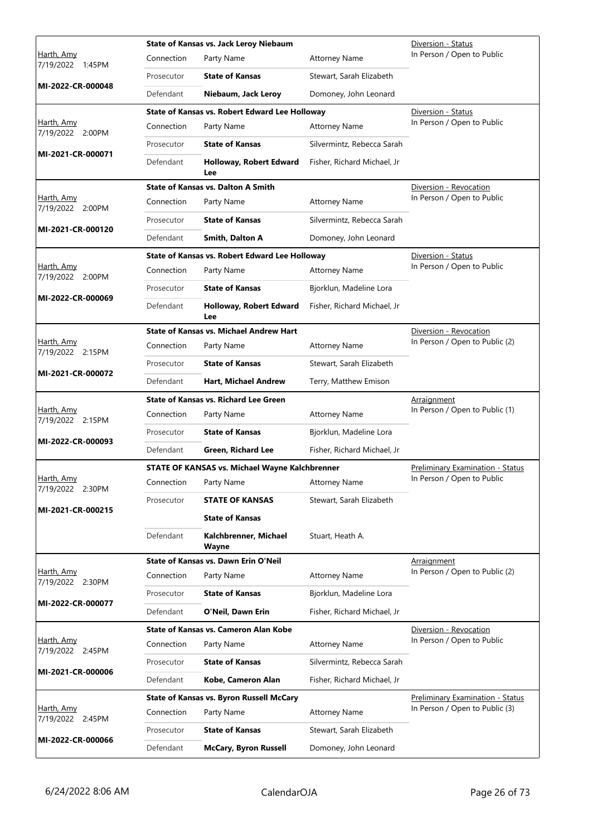|                                       |            | State of Kansas vs. Jack Leroy Niebaum                |                             | Diversion - Status                      |
|---------------------------------------|------------|-------------------------------------------------------|-----------------------------|-----------------------------------------|
| Harth, Amy<br>7/19/2022 1:45PM        | Connection | Party Name                                            | <b>Attorney Name</b>        | In Person / Open to Public              |
|                                       | Prosecutor | <b>State of Kansas</b>                                | Stewart, Sarah Elizabeth    |                                         |
| MI-2022-CR-000048                     | Defendant  | Niebaum, Jack Leroy                                   | Domoney, John Leonard       |                                         |
|                                       |            | State of Kansas vs. Robert Edward Lee Holloway        |                             | Diversion - Status                      |
| <u>Harth, Amy</u><br>7/19/2022 2:00PM | Connection | Party Name                                            | <b>Attorney Name</b>        | In Person / Open to Public              |
| MI-2021-CR-000071                     | Prosecutor | <b>State of Kansas</b>                                | Silvermintz, Rebecca Sarah  |                                         |
|                                       | Defendant  | <b>Holloway, Robert Edward</b><br>Lee                 | Fisher, Richard Michael, Jr |                                         |
|                                       |            | <b>State of Kansas vs. Dalton A Smith</b>             |                             | Diversion - Revocation                  |
| Harth, Amy<br>7/19/2022 2:00PM        | Connection | Party Name                                            | <b>Attorney Name</b>        | In Person / Open to Public              |
|                                       | Prosecutor | <b>State of Kansas</b>                                | Silvermintz, Rebecca Sarah  |                                         |
| MI-2021-CR-000120                     | Defendant  | Smith, Dalton A                                       | Domoney, John Leonard       |                                         |
|                                       |            | State of Kansas vs. Robert Edward Lee Holloway        |                             | Diversion - Status                      |
| Harth, Amy<br>7/19/2022 2:00PM        | Connection | Party Name                                            | <b>Attorney Name</b>        | In Person / Open to Public              |
|                                       | Prosecutor | <b>State of Kansas</b>                                | Bjorklun, Madeline Lora     |                                         |
| MI-2022-CR-000069                     | Defendant  | <b>Holloway, Robert Edward</b><br>Lee                 | Fisher, Richard Michael, Jr |                                         |
|                                       |            | <b>State of Kansas vs. Michael Andrew Hart</b>        |                             | Diversion - Revocation                  |
| Harth, Amy<br>7/19/2022 2:15PM        | Connection | Party Name                                            | <b>Attorney Name</b>        | In Person / Open to Public (2)          |
| MI-2021-CR-000072                     | Prosecutor | <b>State of Kansas</b>                                | Stewart, Sarah Elizabeth    |                                         |
|                                       | Defendant  | Hart, Michael Andrew                                  | Terry, Matthew Emison       |                                         |
|                                       |            | <b>State of Kansas vs. Richard Lee Green</b>          |                             | Arraignment                             |
| Harth, Amy<br>7/19/2022 2:15PM        | Connection | Party Name                                            | <b>Attorney Name</b>        | In Person / Open to Public (1)          |
| MI-2022-CR-000093                     | Prosecutor | <b>State of Kansas</b>                                | Bjorklun, Madeline Lora     |                                         |
|                                       | Defendant  | Green, Richard Lee                                    | Fisher, Richard Michael, Jr |                                         |
|                                       |            | <b>STATE OF KANSAS vs. Michael Wayne Kalchbrenner</b> |                             | Preliminary Examination - Status        |
| Harth, Amy<br>7/19/2022 2:30PM        |            | Connection Party Name                                 | <b>Attorney Name</b>        | In Person / Open to Public              |
| MI-2021-CR-000215                     | Prosecutor | <b>STATE OF KANSAS</b>                                | Stewart, Sarah Elizabeth    |                                         |
|                                       |            | <b>State of Kansas</b>                                |                             |                                         |
|                                       | Defendant  | Kalchbrenner, Michael<br>Wayne                        | Stuart, Heath A.            |                                         |
|                                       |            | State of Kansas vs. Dawn Erin O'Neil                  |                             | Arraignment                             |
| Harth, Amy<br>7/19/2022 2:30PM        | Connection | Party Name                                            | <b>Attorney Name</b>        | In Person / Open to Public (2)          |
| MI-2022-CR-000077                     | Prosecutor | <b>State of Kansas</b>                                | Bjorklun, Madeline Lora     |                                         |
|                                       | Defendant  | O'Neil, Dawn Erin                                     | Fisher, Richard Michael, Jr |                                         |
|                                       |            | State of Kansas vs. Cameron Alan Kobe                 |                             | Diversion - Revocation                  |
| Harth, Amy<br>7/19/2022 2:45PM        | Connection | Party Name                                            | Attorney Name               | In Person / Open to Public              |
| MI-2021-CR-000006                     | Prosecutor | <b>State of Kansas</b>                                | Silvermintz, Rebecca Sarah  |                                         |
|                                       | Defendant  | Kobe, Cameron Alan                                    | Fisher, Richard Michael, Jr |                                         |
|                                       |            | <b>State of Kansas vs. Byron Russell McCary</b>       |                             | <b>Preliminary Examination - Status</b> |
| Harth, Amy<br>7/19/2022 2:45PM        | Connection | Party Name                                            | <b>Attorney Name</b>        | In Person / Open to Public (3)          |
| MI-2022-CR-000066                     | Prosecutor | <b>State of Kansas</b>                                | Stewart, Sarah Elizabeth    |                                         |
|                                       | Defendant  | <b>McCary, Byron Russell</b>                          | Domoney, John Leonard       |                                         |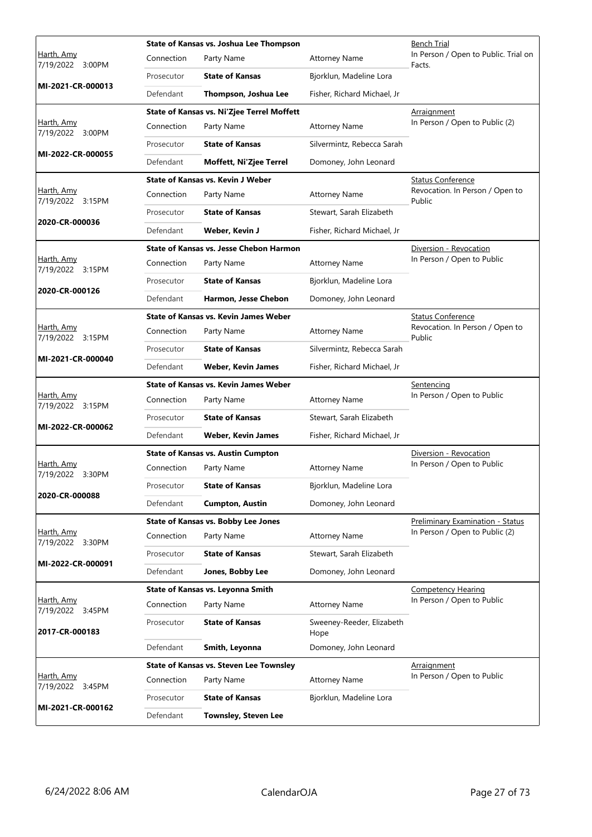|                                       | State of Kansas vs. Joshua Lee Thompson |                                                |                                   | Bench Trial                                    |
|---------------------------------------|-----------------------------------------|------------------------------------------------|-----------------------------------|------------------------------------------------|
| Harth, Amy<br>7/19/2022 3:00PM        | Connection                              | Party Name                                     | <b>Attorney Name</b>              | In Person / Open to Public. Trial on<br>Facts. |
|                                       | Prosecutor                              | <b>State of Kansas</b>                         | Bjorklun, Madeline Lora           |                                                |
| MI-2021-CR-000013                     | Defendant                               | Thompson, Joshua Lee                           | Fisher, Richard Michael, Jr       |                                                |
|                                       |                                         | State of Kansas vs. Ni'Zjee Terrel Moffett     |                                   | Arraignment                                    |
| Harth, Amy<br>7/19/2022 3:00PM        | Connection                              | Party Name                                     | <b>Attorney Name</b>              | In Person / Open to Public (2)                 |
| MI-2022-CR-000055                     | Prosecutor                              | <b>State of Kansas</b>                         | Silvermintz, Rebecca Sarah        |                                                |
|                                       | Defendant                               | Moffett, Ni'Zjee Terrel                        | Domoney, John Leonard             |                                                |
|                                       |                                         | State of Kansas vs. Kevin J Weber              |                                   | <b>Status Conference</b>                       |
| Harth, Amy<br>7/19/2022 3:15PM        | Connection                              | Party Name                                     | <b>Attorney Name</b>              | Revocation. In Person / Open to<br>Public      |
|                                       | Prosecutor                              | <b>State of Kansas</b>                         | Stewart, Sarah Elizabeth          |                                                |
| 2020-CR-000036                        | Defendant                               | Weber, Kevin J                                 | Fisher, Richard Michael, Jr       |                                                |
|                                       |                                         | <b>State of Kansas vs. Jesse Chebon Harmon</b> |                                   | Diversion - Revocation                         |
| Harth, Amy<br>7/19/2022 3:15PM        | Connection                              | Party Name                                     | <b>Attorney Name</b>              | In Person / Open to Public                     |
|                                       | Prosecutor                              | <b>State of Kansas</b>                         | Bjorklun, Madeline Lora           |                                                |
| 2020-CR-000126                        | Defendant                               | Harmon, Jesse Chebon                           | Domoney, John Leonard             |                                                |
|                                       |                                         | <b>State of Kansas vs. Kevin James Weber</b>   |                                   | <b>Status Conference</b>                       |
| Harth, Amy<br>7/19/2022 3:15PM        | Connection                              | Party Name                                     | <b>Attorney Name</b>              | Revocation. In Person / Open to<br>Public      |
|                                       | Prosecutor                              | <b>State of Kansas</b>                         | Silvermintz, Rebecca Sarah        |                                                |
| MI-2021-CR-000040                     | Defendant                               | <b>Weber, Kevin James</b>                      | Fisher, Richard Michael, Jr       |                                                |
|                                       |                                         | State of Kansas vs. Kevin James Weber          |                                   | Sentencing                                     |
|                                       |                                         |                                                |                                   |                                                |
| Harth, Amy                            | Connection                              | Party Name                                     | <b>Attorney Name</b>              | In Person / Open to Public                     |
| 7/19/2022 3:15PM                      | Prosecutor                              | <b>State of Kansas</b>                         | Stewart, Sarah Elizabeth          |                                                |
| MI-2022-CR-000062                     | Defendant                               | Weber, Kevin James                             | Fisher, Richard Michael, Jr       |                                                |
|                                       |                                         | <b>State of Kansas vs. Austin Cumpton</b>      |                                   | Diversion - Revocation                         |
| Harth, Amy                            | Connection                              | Party Name                                     | <b>Attorney Name</b>              | In Person / Open to Public                     |
| 7/19/2022 3:30PM                      | Prosecutor                              | <b>State of Kansas</b>                         | Bjorklun, Madeline Lora           |                                                |
| 2020-CR-000088                        | Defendant                               | <b>Cumpton, Austin</b>                         | Domoney, John Leonard             |                                                |
|                                       |                                         | State of Kansas vs. Bobby Lee Jones            |                                   | Preliminary Examination - Status               |
| <u>Harth, Amy</u>                     | Connection                              | Party Name                                     | <b>Attorney Name</b>              | In Person / Open to Public (2)                 |
| 7/19/2022 3:30PM                      | Prosecutor                              | <b>State of Kansas</b>                         | Stewart, Sarah Elizabeth          |                                                |
| MI-2022-CR-000091                     | Defendant                               | Jones, Bobby Lee                               | Domoney, John Leonard             |                                                |
|                                       |                                         | State of Kansas vs. Leyonna Smith              |                                   | <b>Competency Hearing</b>                      |
| <u>Harth, Amy</u>                     | Connection                              | Party Name                                     | <b>Attorney Name</b>              | In Person / Open to Public                     |
| 7/19/2022 3:45PM<br>2017-CR-000183    | Prosecutor                              | <b>State of Kansas</b>                         | Sweeney-Reeder, Elizabeth<br>Hope |                                                |
|                                       | Defendant                               | Smith, Leyonna                                 | Domoney, John Leonard             |                                                |
|                                       |                                         | <b>State of Kansas vs. Steven Lee Townsley</b> |                                   | <b>Arraignment</b>                             |
| Harth, Amy                            | Connection                              | Party Name                                     | <b>Attorney Name</b>              | In Person / Open to Public                     |
| 7/19/2022 3:45PM<br>MI-2021-CR-000162 | Prosecutor                              | <b>State of Kansas</b>                         | Bjorklun, Madeline Lora           |                                                |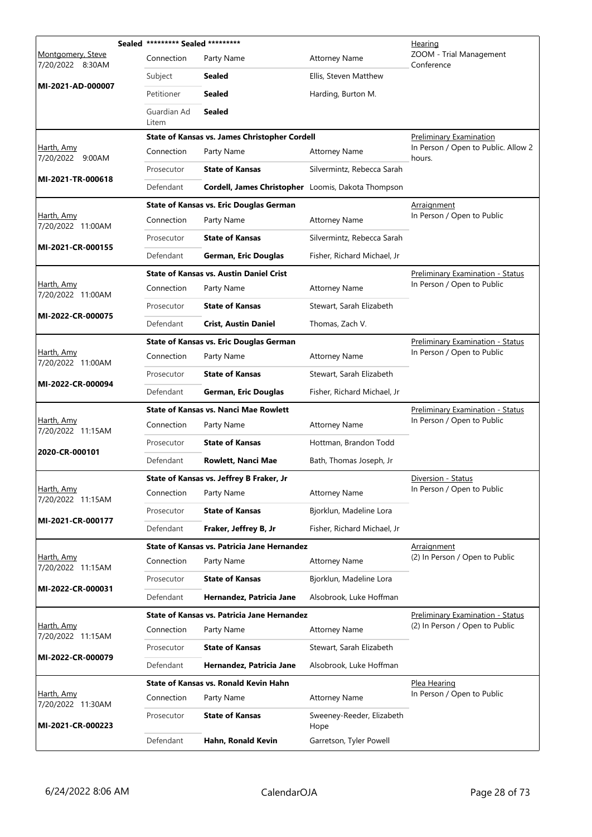|                                        | Sealed ********* Sealed ********* |                                                    | Hearing                           |                                               |
|----------------------------------------|-----------------------------------|----------------------------------------------------|-----------------------------------|-----------------------------------------------|
| Montgomery, Steve<br>7/20/2022 8:30AM  | Connection                        | Party Name                                         | <b>Attorney Name</b>              | ZOOM - Trial Management<br>Conference         |
|                                        | Subject                           | Sealed                                             | Ellis, Steven Matthew             |                                               |
| MI-2021-AD-000007                      | Petitioner                        | Sealed                                             | Harding, Burton M.                |                                               |
|                                        | Guardian Ad<br>Litem              | <b>Sealed</b>                                      |                                   |                                               |
|                                        |                                   | State of Kansas vs. James Christopher Cordell      |                                   | <b>Preliminary Examination</b>                |
| Harth, Amy<br>7/20/2022 9:00AM         | Connection                        | Party Name                                         | <b>Attorney Name</b>              | In Person / Open to Public. Allow 2<br>hours. |
|                                        | Prosecutor                        | <b>State of Kansas</b>                             | Silvermintz, Rebecca Sarah        |                                               |
| MI-2021-TR-000618                      | Defendant                         | Cordell, James Christopher Loomis, Dakota Thompson |                                   |                                               |
|                                        |                                   | <b>State of Kansas vs. Eric Douglas German</b>     |                                   | Arraignment                                   |
| <u>Harth, Amy</u><br>7/20/2022 11:00AM | Connection                        | Party Name                                         | <b>Attorney Name</b>              | In Person / Open to Public                    |
|                                        | Prosecutor                        | <b>State of Kansas</b>                             | Silvermintz, Rebecca Sarah        |                                               |
| MI-2021-CR-000155                      | Defendant                         | German, Eric Douglas                               | Fisher, Richard Michael, Jr       |                                               |
|                                        |                                   | <b>State of Kansas vs. Austin Daniel Crist</b>     |                                   | <b>Preliminary Examination - Status</b>       |
| Harth, Amy<br>7/20/2022 11:00AM        | Connection                        | Party Name                                         | <b>Attorney Name</b>              | In Person / Open to Public                    |
|                                        | Prosecutor                        | <b>State of Kansas</b>                             | Stewart, Sarah Elizabeth          |                                               |
| MI-2022-CR-000075                      | Defendant                         | <b>Crist, Austin Daniel</b>                        | Thomas, Zach V.                   |                                               |
|                                        |                                   | <b>State of Kansas vs. Eric Douglas German</b>     |                                   | <b>Preliminary Examination - Status</b>       |
| Harth, Amy<br>7/20/2022 11:00AM        | Connection                        | Party Name                                         | <b>Attorney Name</b>              | In Person / Open to Public                    |
|                                        | Prosecutor                        | <b>State of Kansas</b>                             | Stewart, Sarah Elizabeth          |                                               |
| MI-2022-CR-000094                      | Defendant                         | German, Eric Douglas                               | Fisher, Richard Michael, Jr       |                                               |
|                                        |                                   | <b>State of Kansas vs. Nanci Mae Rowlett</b>       |                                   | <b>Preliminary Examination - Status</b>       |
| Harth, Amy<br>7/20/2022 11:15AM        | Connection                        | Party Name                                         | <b>Attorney Name</b>              | In Person / Open to Public                    |
| 2020-CR-000101                         | Prosecutor                        | <b>State of Kansas</b>                             | Hottman, Brandon Todd             |                                               |
|                                        | Defendant                         | Rowlett, Nanci Mae                                 | Bath, Thomas Joseph, Jr           |                                               |
|                                        |                                   | State of Kansas vs. Jeffrey B Fraker, Jr           |                                   | <u> Diversion - Status</u>                    |
| Harth, Amy<br>7/20/2022 11:15AM        | Connection                        | Party Name                                         | <b>Attorney Name</b>              | In Person / Open to Public                    |
| MI-2021-CR-000177                      | Prosecutor                        | <b>State of Kansas</b>                             | Bjorklun, Madeline Lora           |                                               |
|                                        | Defendant                         | Fraker, Jeffrey B, Jr                              | Fisher, Richard Michael, Jr       |                                               |
|                                        |                                   | State of Kansas vs. Patricia Jane Hernandez        |                                   | Arraignment                                   |
| Harth, Amy<br>7/20/2022 11:15AM        | Connection                        | Party Name                                         | <b>Attorney Name</b>              | (2) In Person / Open to Public                |
| MI-2022-CR-000031                      | Prosecutor                        | <b>State of Kansas</b>                             | Bjorklun, Madeline Lora           |                                               |
|                                        | Defendant                         | Hernandez, Patricia Jane                           | Alsobrook, Luke Hoffman           |                                               |
|                                        |                                   | State of Kansas vs. Patricia Jane Hernandez        |                                   | Preliminary Examination - Status              |
| Harth, Amy<br>7/20/2022 11:15AM        | Connection                        | Party Name                                         | <b>Attorney Name</b>              | (2) In Person / Open to Public                |
| MI-2022-CR-000079                      | Prosecutor                        | <b>State of Kansas</b>                             | Stewart, Sarah Elizabeth          |                                               |
|                                        | Defendant                         | Hernandez, Patricia Jane                           | Alsobrook, Luke Hoffman           |                                               |
|                                        |                                   | State of Kansas vs. Ronald Kevin Hahn              |                                   | <u>Plea Hearing</u>                           |
| Harth, Amy<br>7/20/2022 11:30AM        | Connection                        | Party Name                                         | <b>Attorney Name</b>              | In Person / Open to Public                    |
| MI-2021-CR-000223                      | Prosecutor                        | <b>State of Kansas</b>                             | Sweeney-Reeder, Elizabeth<br>Hope |                                               |
|                                        | Defendant                         | Hahn, Ronald Kevin                                 | Garretson, Tyler Powell           |                                               |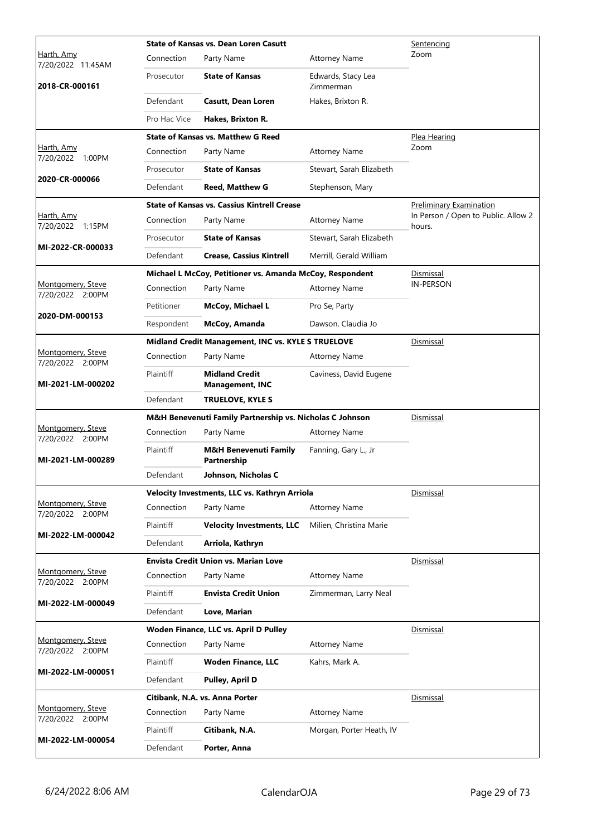|                                          | <b>State of Kansas vs. Dean Loren Casutt</b> |                                                          |                                 | Sentencing                                    |
|------------------------------------------|----------------------------------------------|----------------------------------------------------------|---------------------------------|-----------------------------------------------|
| Harth, Amy<br>7/20/2022 11:45AM          | Connection                                   | Party Name                                               | <b>Attorney Name</b>            | Zoom                                          |
| 2018-CR-000161                           | Prosecutor                                   | <b>State of Kansas</b>                                   | Edwards, Stacy Lea<br>Zimmerman |                                               |
|                                          | Defendant                                    | <b>Casutt, Dean Loren</b>                                | Hakes, Brixton R.               |                                               |
|                                          | Pro Hac Vice                                 | Hakes, Brixton R.                                        |                                 |                                               |
|                                          |                                              | <b>State of Kansas vs. Matthew G Reed</b>                |                                 | Plea Hearing                                  |
| Harth, Amy<br>7/20/2022 1:00PM           | Connection                                   | Party Name                                               | <b>Attorney Name</b>            | Zoom                                          |
|                                          | Prosecutor                                   | <b>State of Kansas</b>                                   | Stewart, Sarah Elizabeth        |                                               |
| 2020-CR-000066                           | Defendant                                    | <b>Reed, Matthew G</b>                                   | Stephenson, Mary                |                                               |
|                                          |                                              | <b>State of Kansas vs. Cassius Kintrell Crease</b>       |                                 | Preliminary Examination                       |
| Harth, Amy<br>7/20/2022 1:15PM           | Connection                                   | Party Name                                               | <b>Attorney Name</b>            | In Person / Open to Public. Allow 2<br>hours. |
|                                          | Prosecutor                                   | <b>State of Kansas</b>                                   | Stewart, Sarah Elizabeth        |                                               |
| MI-2022-CR-000033                        | Defendant                                    | <b>Crease, Cassius Kintrell</b>                          | Merrill, Gerald William         |                                               |
|                                          |                                              | Michael L McCoy, Petitioner vs. Amanda McCoy, Respondent |                                 | Dismissal                                     |
| Montgomery, Steve<br>7/20/2022 2:00PM    | Connection                                   | Party Name                                               | <b>Attorney Name</b>            | <b>IN-PERSON</b>                              |
|                                          | Petitioner                                   | <b>McCoy, Michael L</b>                                  | Pro Se, Party                   |                                               |
| 2020-DM-000153                           | Respondent                                   | McCoy, Amanda                                            | Dawson, Claudia Jo              |                                               |
|                                          |                                              | Midland Credit Management, INC vs. KYLE S TRUELOVE       |                                 | <b>Dismissal</b>                              |
| Montgomery, Steve<br>7/20/2022 2:00PM    | Connection                                   | Party Name                                               | <b>Attorney Name</b>            |                                               |
| MI-2021-LM-000202                        | Plaintiff                                    | <b>Midland Credit</b><br><b>Management, INC</b>          | Caviness, David Eugene          |                                               |
|                                          | Defendant                                    | <b>TRUELOVE, KYLE S</b>                                  |                                 |                                               |
|                                          |                                              | M&H Benevenuti Family Partnership vs. Nicholas C Johnson |                                 | Dismissal                                     |
| Montgomery, Steve<br>7/20/2022 2:00PM    | Connection                                   | Party Name                                               | <b>Attorney Name</b>            |                                               |
| MI-2021-LM-000289                        | Plaintiff                                    | <b>M&amp;H Benevenuti Family</b><br>Partnership          | Fanning, Gary L., Jr            |                                               |
|                                          | Defendant                                    | Johnson, Nicholas C                                      |                                 |                                               |
|                                          |                                              | Velocity Investments, LLC vs. Kathryn Arriola            |                                 | Dismissal                                     |
| Montgomery, Steve<br>7/20/2022<br>2:00PM | Connection                                   | Party Name                                               | <b>Attorney Name</b>            |                                               |
| MI-2022-LM-000042                        | Plaintiff                                    | <b>Velocity Investments, LLC</b>                         | Milien, Christina Marie         |                                               |
|                                          | Defendant                                    | Arriola, Kathryn                                         |                                 |                                               |
|                                          |                                              | <b>Envista Credit Union vs. Marian Love</b>              |                                 | Dismissal                                     |
| Montgomery, Steve<br>7/20/2022 2:00PM    | Connection                                   | Party Name                                               | <b>Attorney Name</b>            |                                               |
|                                          | Plaintiff                                    | <b>Envista Credit Union</b>                              | Zimmerman, Larry Neal           |                                               |
| MI-2022-LM-000049                        | Defendant                                    | Love, Marian                                             |                                 |                                               |
|                                          |                                              | Woden Finance, LLC vs. April D Pulley                    |                                 | Dismissal                                     |
| Montgomery, Steve<br>7/20/2022 2:00PM    | Connection                                   | Party Name                                               | <b>Attorney Name</b>            |                                               |
|                                          | Plaintiff                                    | <b>Woden Finance, LLC</b>                                | Kahrs, Mark A.                  |                                               |
| MI-2022-LM-000051                        | Defendant                                    | <b>Pulley, April D</b>                                   |                                 |                                               |
|                                          |                                              | Citibank, N.A. vs. Anna Porter                           |                                 | Dismissal                                     |
| Montgomery, Steve<br>7/20/2022 2:00PM    | Connection                                   | Party Name                                               | <b>Attorney Name</b>            |                                               |
|                                          | Plaintiff                                    | Citibank, N.A.                                           | Morgan, Porter Heath, IV        |                                               |
| MI-2022-LM-000054                        | Defendant                                    | Porter, Anna                                             |                                 |                                               |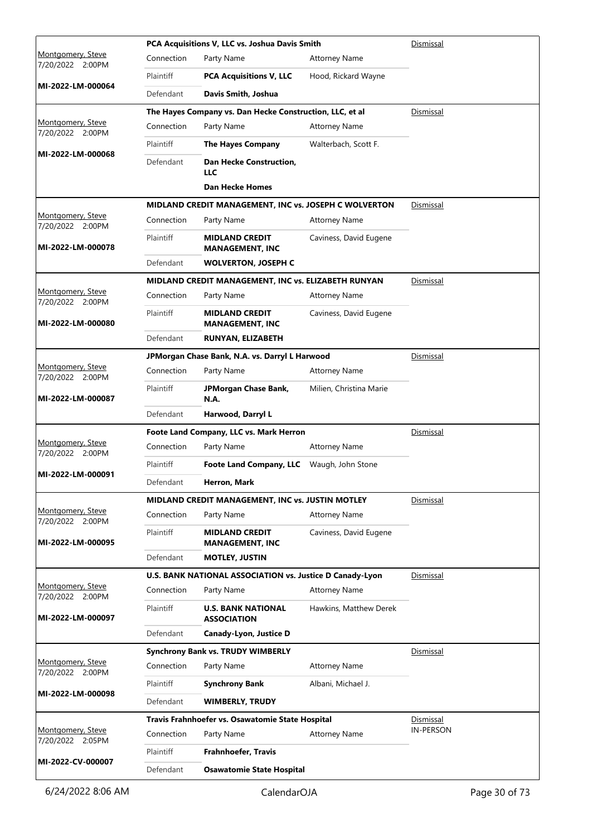|                                              |                  | PCA Acquisitions V, LLC vs. Joshua Davis Smith           | Dismissal               |                               |
|----------------------------------------------|------------------|----------------------------------------------------------|-------------------------|-------------------------------|
| Montgomery, Steve<br>7/20/2022 2:00PM        | Connection       | Party Name                                               | <b>Attorney Name</b>    |                               |
|                                              | <b>Plaintiff</b> | <b>PCA Acquisitions V, LLC</b>                           | Hood, Rickard Wayne     |                               |
| MI-2022-LM-000064                            | Defendant        | Davis Smith, Joshua                                      |                         |                               |
|                                              |                  | The Hayes Company vs. Dan Hecke Construction, LLC, et al |                         | Dismissal                     |
| Montgomery, Steve<br>7/20/2022 2:00PM        | Connection       | Party Name                                               | <b>Attorney Name</b>    |                               |
| MI-2022-LM-000068                            | Plaintiff        | <b>The Hayes Company</b>                                 | Walterbach, Scott F.    |                               |
|                                              | Defendant        | <b>Dan Hecke Construction,</b><br>LLC                    |                         |                               |
|                                              |                  | <b>Dan Hecke Homes</b>                                   |                         |                               |
|                                              |                  | MIDLAND CREDIT MANAGEMENT, INC vs. JOSEPH C WOLVERTON    |                         | Dismissal                     |
| Montgomery, Steve<br>7/20/2022 2:00PM        | Connection       | Party Name                                               | <b>Attorney Name</b>    |                               |
| MI-2022-LM-000078                            | Plaintiff        | <b>MIDLAND CREDIT</b><br><b>MANAGEMENT, INC</b>          | Caviness, David Eugene  |                               |
|                                              | Defendant        | <b>WOLVERTON, JOSEPH C</b>                               |                         |                               |
|                                              |                  | MIDLAND CREDIT MANAGEMENT, INC vs. ELIZABETH RUNYAN      |                         | Dismissal                     |
| Montgomery, Steve<br>7/20/2022 2:00PM        | Connection       | Party Name                                               | <b>Attorney Name</b>    |                               |
| MI-2022-LM-000080                            | Plaintiff        | <b>MIDLAND CREDIT</b><br><b>MANAGEMENT, INC</b>          | Caviness, David Eugene  |                               |
|                                              | Defendant        | <b>RUNYAN, ELIZABETH</b>                                 |                         |                               |
|                                              |                  | JPMorgan Chase Bank, N.A. vs. Darryl L Harwood           |                         | Dismissal                     |
| <u>Montgomery, Steve</u><br>7/20/2022 2:00PM | Connection       | Party Name                                               | <b>Attorney Name</b>    |                               |
| MI-2022-LM-000087                            | Plaintiff        | JPMorgan Chase Bank,<br><b>N.A.</b>                      | Milien, Christina Marie |                               |
|                                              | Defendant        | Harwood, Darryl L                                        |                         |                               |
| Montgomery, Steve                            |                  | Foote Land Company, LLC vs. Mark Herron                  |                         | Dismissal                     |
| 7/20/2022 2:00PM                             | Connection       | Party Name                                               | <b>Attorney Name</b>    |                               |
| MI-2022-LM-000091                            | Plaintiff        | <b>Foote Land Company, LLC</b>                           | Waugh, John Stone       |                               |
|                                              | Defendant        | Herron, Mark                                             |                         |                               |
|                                              |                  | MIDLAND CREDIT MANAGEMENT, INC vs. JUSTIN MOTLEY         |                         | Dismissal                     |
| Montgomery, Steve<br>7/20/2022 2:00PM        | Connection       | Party Name                                               | <b>Attorney Name</b>    |                               |
| MI-2022-LM-000095                            | Plaintiff        | <b>MIDLAND CREDIT</b><br><b>MANAGEMENT, INC</b>          | Caviness, David Eugene  |                               |
|                                              | Defendant        | <b>MOTLEY, JUSTIN</b>                                    |                         |                               |
| Montgomery, Steve                            |                  | U.S. BANK NATIONAL ASSOCIATION vs. Justice D Canady-Lyon |                         | <u>Dismissal</u>              |
| 7/20/2022 2:00PM                             | Connection       | Party Name                                               | <b>Attorney Name</b>    |                               |
| MI-2022-LM-000097                            | Plaintiff        | <b>U.S. BANK NATIONAL</b><br><b>ASSOCIATION</b>          | Hawkins, Matthew Derek  |                               |
|                                              | Defendant        | Canady-Lyon, Justice D                                   |                         |                               |
| Montgomery, Steve                            |                  | <b>Synchrony Bank vs. TRUDY WIMBERLY</b>                 |                         | Dismissal                     |
| 7/20/2022 2:00PM                             | Connection       | Party Name                                               | <b>Attorney Name</b>    |                               |
| MI-2022-LM-000098                            | Plaintiff        | <b>Synchrony Bank</b>                                    | Albani, Michael J.      |                               |
|                                              | Defendant        | <b>WIMBERLY, TRUDY</b>                                   |                         |                               |
| Montgomery, Steve                            |                  | Travis Frahnhoefer vs. Osawatomie State Hospital         |                         | Dismissal<br><b>IN-PERSON</b> |
| 7/20/2022 2:05PM                             | Connection       | Party Name                                               | <b>Attorney Name</b>    |                               |
| MI-2022-CV-000007                            | Plaintiff        | <b>Frahnhoefer, Travis</b>                               |                         |                               |
|                                              | Defendant        | <b>Osawatomie State Hospital</b>                         |                         |                               |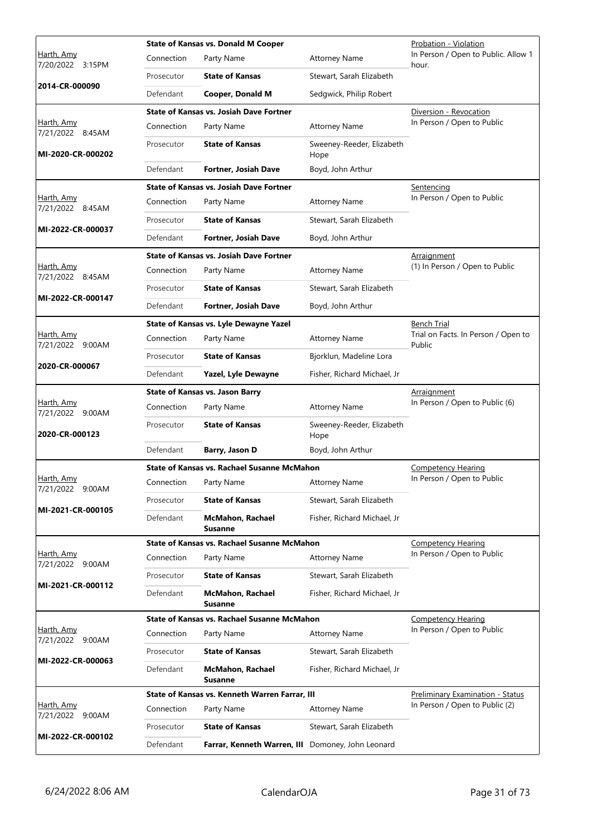|                                       |            | <b>State of Kansas vs. Donald M Cooper</b>         |                                   | Probation - Violation                         |
|---------------------------------------|------------|----------------------------------------------------|-----------------------------------|-----------------------------------------------|
| Harth, Amy<br>7/20/2022 3:15PM        | Connection | Party Name                                         | <b>Attorney Name</b>              | In Person / Open to Public. Allow 1<br>hour.  |
|                                       | Prosecutor | <b>State of Kansas</b>                             | Stewart, Sarah Elizabeth          |                                               |
| 2014-CR-000090                        | Defendant  | Cooper, Donald M                                   | Sedgwick, Philip Robert           |                                               |
|                                       |            | <b>State of Kansas vs. Josiah Dave Fortner</b>     |                                   | Diversion - Revocation                        |
| Harth, Amy<br>7/21/2022 8:45AM        | Connection | Party Name                                         | Attorney Name                     | In Person / Open to Public                    |
| MI-2020-CR-000202                     | Prosecutor | <b>State of Kansas</b>                             | Sweeney-Reeder, Elizabeth<br>Hope |                                               |
|                                       | Defendant  | Fortner, Josiah Dave                               | Boyd, John Arthur                 |                                               |
|                                       |            | <b>State of Kansas vs. Josiah Dave Fortner</b>     |                                   | <u>Sentencing</u>                             |
| Harth, Amy<br>7/21/2022 8:45AM        | Connection | Party Name                                         | <b>Attorney Name</b>              | In Person / Open to Public                    |
|                                       | Prosecutor | <b>State of Kansas</b>                             | Stewart, Sarah Elizabeth          |                                               |
| MI-2022-CR-000037                     | Defendant  | <b>Fortner, Josiah Dave</b>                        | Boyd, John Arthur                 |                                               |
|                                       |            | <b>State of Kansas vs. Josiah Dave Fortner</b>     |                                   | Arraignment                                   |
| Harth, Amy<br>7/21/2022 8:45AM        | Connection | Party Name                                         | <b>Attorney Name</b>              | (1) In Person / Open to Public                |
|                                       | Prosecutor | <b>State of Kansas</b>                             | Stewart, Sarah Elizabeth          |                                               |
| MI-2022-CR-000147                     | Defendant  | <b>Fortner, Josiah Dave</b>                        | Boyd, John Arthur                 |                                               |
|                                       |            | State of Kansas vs. Lyle Dewayne Yazel             |                                   | <b>Bench Trial</b>                            |
| Harth, Amy<br>7/21/2022 9:00AM        | Connection | Party Name                                         | <b>Attorney Name</b>              | Trial on Facts. In Person / Open to<br>Public |
|                                       | Prosecutor | <b>State of Kansas</b>                             | Bjorklun, Madeline Lora           |                                               |
| 2020-CR-000067                        | Defendant  | Yazel, Lyle Dewayne                                | Fisher, Richard Michael, Jr       |                                               |
|                                       |            | <b>State of Kansas vs. Jason Barry</b>             |                                   | <b>Arraignment</b>                            |
| Harth, Amy<br>7/21/2022 9:00AM        | Connection | Party Name                                         | <b>Attorney Name</b>              | In Person / Open to Public (6)                |
| 2020-CR-000123                        | Prosecutor | <b>State of Kansas</b>                             | Sweeney-Reeder, Elizabeth<br>Hope |                                               |
|                                       | Defendant  | Barry, Jason D                                     | Boyd, John Arthur                 |                                               |
|                                       |            | <b>State of Kansas vs. Rachael Susanne McMahon</b> |                                   | <b>Competency Hearing</b>                     |
| <u>Harth, Amy</u><br>7/21/2022 9:00AM | Connection | Party Name                                         | Attorney Name                     | In Person / Open to Public                    |
|                                       | Prosecutor | <b>State of Kansas</b>                             | Stewart, Sarah Elizabeth          |                                               |
| MI-2021-CR-000105                     | Defendant  | <b>McMahon, Rachael</b><br><b>Susanne</b>          | Fisher, Richard Michael, Jr       |                                               |
|                                       |            | State of Kansas vs. Rachael Susanne McMahon        |                                   | <b>Competency Hearing</b>                     |
| Harth, Amy<br>7/21/2022 9:00AM        | Connection | Party Name                                         | <b>Attorney Name</b>              | In Person / Open to Public                    |
| MI-2021-CR-000112                     | Prosecutor | <b>State of Kansas</b>                             | Stewart, Sarah Elizabeth          |                                               |
|                                       | Defendant  | <b>McMahon, Rachael</b><br><b>Susanne</b>          | Fisher, Richard Michael, Jr       |                                               |
|                                       |            | State of Kansas vs. Rachael Susanne McMahon        |                                   | <b>Competency Hearing</b>                     |
| Harth, Amy<br>7/21/2022 9:00AM        | Connection | Party Name                                         | <b>Attorney Name</b>              | In Person / Open to Public                    |
| MI-2022-CR-000063                     | Prosecutor | <b>State of Kansas</b>                             | Stewart, Sarah Elizabeth          |                                               |
|                                       | Defendant  | McMahon, Rachael<br><b>Susanne</b>                 | Fisher, Richard Michael, Jr       |                                               |
|                                       |            | State of Kansas vs. Kenneth Warren Farrar, III     |                                   | <b>Preliminary Examination - Status</b>       |
| Harth, Amy<br>7/21/2022 9:00AM        | Connection | Party Name                                         | <b>Attorney Name</b>              | In Person / Open to Public (2)                |
|                                       | Prosecutor | <b>State of Kansas</b>                             | Stewart, Sarah Elizabeth          |                                               |
| MI-2022-CR-000102                     | Defendant  | Farrar, Kenneth Warren, III Domoney, John Leonard  |                                   |                                               |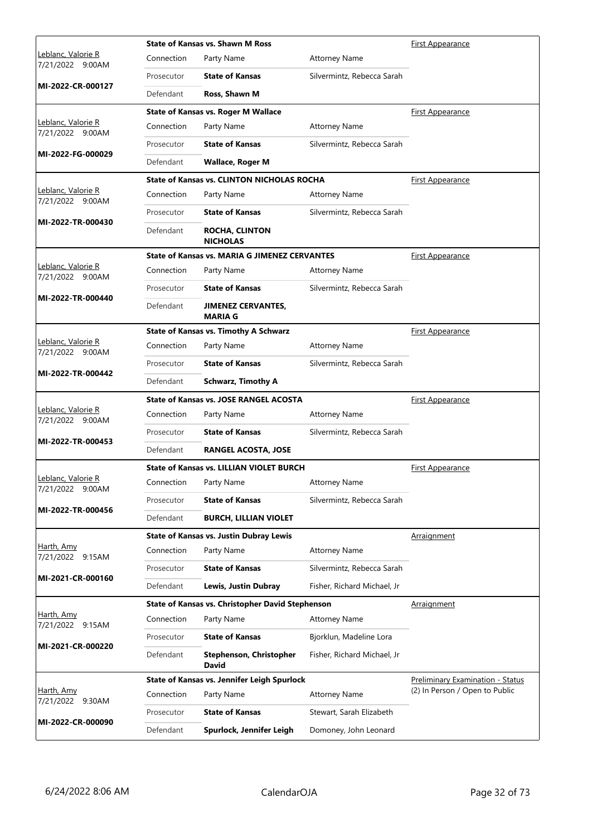|                                        |            | <b>State of Kansas vs. Shawn M Ross</b>              | <b>First Appearance</b>     |                                         |
|----------------------------------------|------------|------------------------------------------------------|-----------------------------|-----------------------------------------|
| Leblanc, Valorie R<br>7/21/2022 9:00AM | Connection | Party Name                                           | <b>Attorney Name</b>        |                                         |
|                                        | Prosecutor | <b>State of Kansas</b>                               | Silvermintz, Rebecca Sarah  |                                         |
| MI-2022-CR-000127                      | Defendant  | Ross, Shawn M                                        |                             |                                         |
|                                        |            | <b>State of Kansas vs. Roger M Wallace</b>           |                             | First Appearance                        |
| Leblanc, Valorie R<br>7/21/2022 9:00AM | Connection | Party Name                                           | <b>Attorney Name</b>        |                                         |
|                                        | Prosecutor | <b>State of Kansas</b>                               | Silvermintz, Rebecca Sarah  |                                         |
| MI-2022-FG-000029                      | Defendant  | <b>Wallace, Roger M</b>                              |                             |                                         |
|                                        |            | State of Kansas vs. CLINTON NICHOLAS ROCHA           |                             | <b>First Appearance</b>                 |
| Leblanc, Valorie R<br>7/21/2022 9:00AM | Connection | Party Name                                           | <b>Attorney Name</b>        |                                         |
|                                        | Prosecutor | <b>State of Kansas</b>                               | Silvermintz, Rebecca Sarah  |                                         |
| MI-2022-TR-000430                      | Defendant  | <b>ROCHA, CLINTON</b><br><b>NICHOLAS</b>             |                             |                                         |
|                                        |            | <b>State of Kansas vs. MARIA G JIMENEZ CERVANTES</b> |                             | First Appearance                        |
| Leblanc, Valorie R<br>7/21/2022 9:00AM | Connection | Party Name                                           | <b>Attorney Name</b>        |                                         |
|                                        | Prosecutor | <b>State of Kansas</b>                               | Silvermintz, Rebecca Sarah  |                                         |
| MI-2022-TR-000440                      | Defendant  | <b>JIMENEZ CERVANTES,</b><br><b>MARIA G</b>          |                             |                                         |
|                                        |            | <b>State of Kansas vs. Timothy A Schwarz</b>         |                             | <b>First Appearance</b>                 |
| Leblanc, Valorie R<br>7/21/2022 9:00AM | Connection | Party Name                                           | <b>Attorney Name</b>        |                                         |
|                                        | Prosecutor | <b>State of Kansas</b>                               | Silvermintz, Rebecca Sarah  |                                         |
| MI-2022-TR-000442                      | Defendant  | <b>Schwarz, Timothy A</b>                            |                             |                                         |
|                                        |            | <b>State of Kansas vs. JOSE RANGEL ACOSTA</b>        |                             | <b>First Appearance</b>                 |
| Leblanc, Valorie R<br>7/21/2022 9:00AM | Connection | Party Name                                           | <b>Attorney Name</b>        |                                         |
|                                        | Prosecutor | <b>State of Kansas</b>                               | Silvermintz, Rebecca Sarah  |                                         |
| MI-2022-TR-000453                      | Defendant  | <b>RANGEL ACOSTA, JOSE</b>                           |                             |                                         |
|                                        |            | <b>State of Kansas vs. LILLIAN VIOLET BURCH</b>      |                             | First Appearance                        |
| Leblanc, Valorie R<br>7/21/2022 9:00AM |            | Connection Party Name                                | <b>Attorney Name</b>        |                                         |
|                                        | Prosecutor | <b>State of Kansas</b>                               | Silvermintz, Rebecca Sarah  |                                         |
| MI-2022-TR-000456                      | Defendant  | <b>BURCH, LILLIAN VIOLET</b>                         |                             |                                         |
|                                        |            | <b>State of Kansas vs. Justin Dubray Lewis</b>       |                             | Arraignment                             |
| Harth, Amy<br>7/21/2022 9:15AM         | Connection | Party Name                                           | <b>Attorney Name</b>        |                                         |
|                                        | Prosecutor | <b>State of Kansas</b>                               | Silvermintz, Rebecca Sarah  |                                         |
| MI-2021-CR-000160                      | Defendant  | Lewis, Justin Dubray                                 | Fisher, Richard Michael, Jr |                                         |
|                                        |            | State of Kansas vs. Christopher David Stephenson     |                             | <u>Arraignment</u>                      |
| Harth, Amy<br>7/21/2022 9:15AM         | Connection | Party Name                                           | <b>Attorney Name</b>        |                                         |
| MI-2021-CR-000220                      | Prosecutor | <b>State of Kansas</b>                               | Bjorklun, Madeline Lora     |                                         |
|                                        | Defendant  | <b>Stephenson, Christopher</b><br><b>David</b>       | Fisher, Richard Michael, Jr |                                         |
|                                        |            | State of Kansas vs. Jennifer Leigh Spurlock          |                             | <b>Preliminary Examination - Status</b> |
| Harth, Amy<br>7/21/2022 9:30AM         | Connection | Party Name                                           | <b>Attorney Name</b>        | (2) In Person / Open to Public          |
| MI-2022-CR-000090                      | Prosecutor | <b>State of Kansas</b>                               | Stewart, Sarah Elizabeth    |                                         |
|                                        | Defendant  | Spurlock, Jennifer Leigh                             | Domoney, John Leonard       |                                         |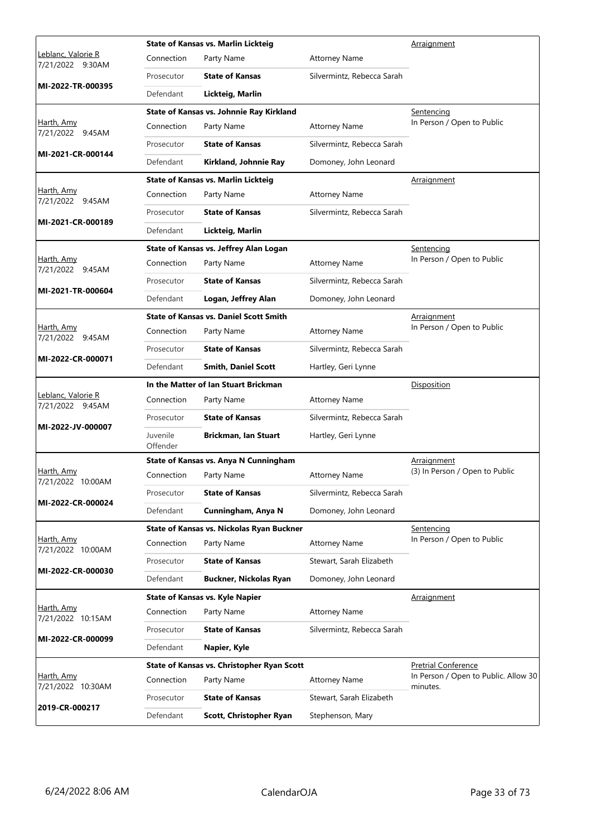|                                                |                      | <b>State of Kansas vs. Marlin Lickteig</b>    |                            | Arraignment                          |
|------------------------------------------------|----------------------|-----------------------------------------------|----------------------------|--------------------------------------|
| <u> Leblanc, Valorie R</u><br>7/21/2022 9:30AM | Connection           | Party Name                                    | <b>Attorney Name</b>       |                                      |
|                                                | Prosecutor           | <b>State of Kansas</b>                        | Silvermintz, Rebecca Sarah |                                      |
| MI-2022-TR-000395                              | Defendant            | Lickteig, Marlin                              |                            |                                      |
|                                                |                      | State of Kansas vs. Johnnie Ray Kirkland      |                            | Sentencing                           |
| Harth, Amy<br>7/21/2022 9:45AM                 | Connection           | Party Name                                    | <b>Attorney Name</b>       | In Person / Open to Public           |
|                                                | Prosecutor           | <b>State of Kansas</b>                        | Silvermintz, Rebecca Sarah |                                      |
| MI-2021-CR-000144                              | Defendant            | Kirkland, Johnnie Ray                         | Domoney, John Leonard      |                                      |
|                                                |                      | <b>State of Kansas vs. Marlin Lickteig</b>    |                            | <u>Arraignment</u>                   |
| Harth, Amy<br>7/21/2022 9:45AM                 | Connection           | Party Name                                    | <b>Attorney Name</b>       |                                      |
|                                                | Prosecutor           | <b>State of Kansas</b>                        | Silvermintz, Rebecca Sarah |                                      |
| MI-2021-CR-000189                              | Defendant            | Lickteig, Marlin                              |                            |                                      |
|                                                |                      | State of Kansas vs. Jeffrey Alan Logan        |                            | <u>Sentencing</u>                    |
| Harth, Amy<br>7/21/2022 9:45AM                 | Connection           | Party Name                                    | <b>Attorney Name</b>       | In Person / Open to Public           |
|                                                | Prosecutor           | <b>State of Kansas</b>                        | Silvermintz, Rebecca Sarah |                                      |
| MI-2021-TR-000604                              | Defendant            | Logan, Jeffrey Alan                           | Domoney, John Leonard      |                                      |
|                                                |                      | <b>State of Kansas vs. Daniel Scott Smith</b> |                            | Arraignment                          |
| Harth, Amy<br>7/21/2022 9:45AM                 | Connection           | Party Name                                    | <b>Attorney Name</b>       | In Person / Open to Public           |
| MI-2022-CR-000071                              | Prosecutor           | <b>State of Kansas</b>                        | Silvermintz, Rebecca Sarah |                                      |
|                                                | Defendant            | <b>Smith, Daniel Scott</b>                    | Hartley, Geri Lynne        |                                      |
|                                                |                      | In the Matter of Ian Stuart Brickman          |                            | Disposition                          |
|                                                |                      |                                               |                            |                                      |
| Leblanc, Valorie R<br>7/21/2022 9:45AM         | Connection           | Party Name                                    | <b>Attorney Name</b>       |                                      |
|                                                | Prosecutor           | <b>State of Kansas</b>                        | Silvermintz, Rebecca Sarah |                                      |
| MI-2022-JV-000007                              | Juvenile<br>Offender | <b>Brickman, Ian Stuart</b>                   | Hartley, Geri Lynne        |                                      |
|                                                |                      | State of Kansas vs. Anya N Cunningham         |                            | <u>Arraignment</u>                   |
| <u>Harth, Amy</u><br>7/21/2022 10:00AM         | Connection           | Party Name                                    | <b>Attorney Name</b>       | (3) In Person / Open to Public       |
|                                                | Prosecutor           | <b>State of Kansas</b>                        | Silvermintz, Rebecca Sarah |                                      |
| MI-2022-CR-000024                              | Defendant            | Cunningham, Anya N                            | Domoney, John Leonard      |                                      |
|                                                |                      | State of Kansas vs. Nickolas Ryan Buckner     |                            | Sentencing                           |
| Harth, Amy<br>7/21/2022 10:00AM                | Connection           | Party Name                                    | <b>Attorney Name</b>       | In Person / Open to Public           |
|                                                | Prosecutor           | <b>State of Kansas</b>                        | Stewart, Sarah Elizabeth   |                                      |
| MI-2022-CR-000030                              | Defendant            | Buckner, Nickolas Ryan                        | Domoney, John Leonard      |                                      |
|                                                |                      | <b>State of Kansas vs. Kyle Napier</b>        |                            | Arraignment                          |
| Harth, Amy<br>7/21/2022 10:15AM                | Connection           | Party Name                                    | <b>Attorney Name</b>       |                                      |
|                                                | Prosecutor           | <b>State of Kansas</b>                        | Silvermintz, Rebecca Sarah |                                      |
| MI-2022-CR-000099                              | Defendant            | Napier, Kyle                                  |                            |                                      |
|                                                |                      | State of Kansas vs. Christopher Ryan Scott    |                            | <b>Pretrial Conference</b>           |
| Harth, Amy<br>7/21/2022 10:30AM                | Connection           | Party Name                                    | <b>Attorney Name</b>       | minutes.                             |
| 2019-CR-000217                                 | Prosecutor           | <b>State of Kansas</b>                        | Stewart, Sarah Elizabeth   | In Person / Open to Public. Allow 30 |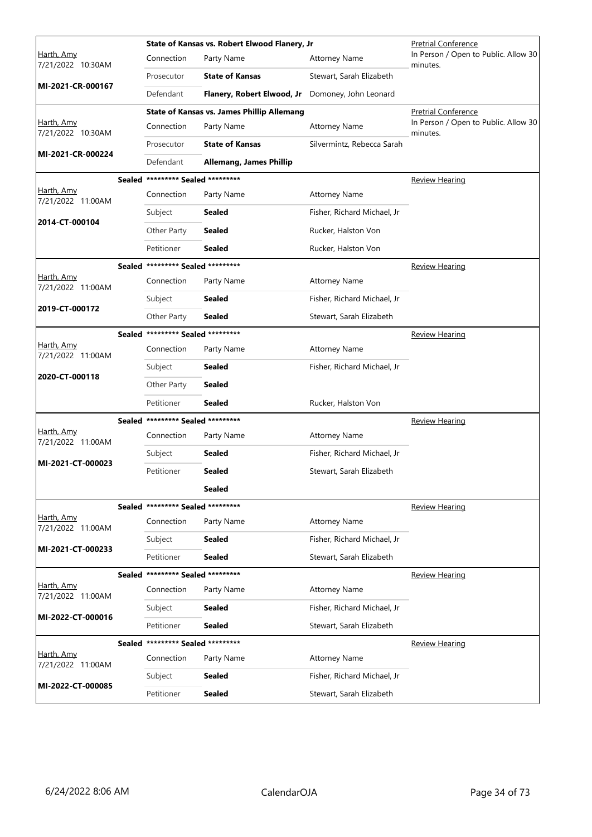|                                 | State of Kansas vs. Robert Elwood Flanery, Jr | <b>Pretrial Conference</b>                        |                             |                                                  |
|---------------------------------|-----------------------------------------------|---------------------------------------------------|-----------------------------|--------------------------------------------------|
| Harth, Amy<br>7/21/2022 10:30AM | Connection                                    | Party Name                                        | <b>Attorney Name</b>        | In Person / Open to Public. Allow 30<br>minutes. |
|                                 | Prosecutor                                    | <b>State of Kansas</b>                            | Stewart, Sarah Elizabeth    |                                                  |
| MI-2021-CR-000167               | Defendant                                     | Flanery, Robert Elwood, Jr                        | Domoney, John Leonard       |                                                  |
|                                 |                                               | <b>State of Kansas vs. James Phillip Allemang</b> |                             | <b>Pretrial Conference</b>                       |
| Harth, Amy<br>7/21/2022 10:30AM | Connection                                    | Party Name                                        | <b>Attorney Name</b>        | In Person / Open to Public. Allow 30<br>minutes. |
|                                 | Prosecutor                                    | <b>State of Kansas</b>                            | Silvermintz, Rebecca Sarah  |                                                  |
| MI-2021-CR-000224               | Defendant                                     | <b>Allemang, James Phillip</b>                    |                             |                                                  |
|                                 | Sealed ********* Sealed *********             |                                                   |                             | <u>Review Hearing</u>                            |
| Harth, Amy<br>7/21/2022 11:00AM | Connection                                    | Party Name                                        | <b>Attorney Name</b>        |                                                  |
|                                 | Subject                                       | <b>Sealed</b>                                     | Fisher, Richard Michael, Jr |                                                  |
| 2014-CT-000104                  | Other Party                                   | <b>Sealed</b>                                     | Rucker, Halston Von         |                                                  |
|                                 | Petitioner                                    | <b>Sealed</b>                                     | Rucker, Halston Von         |                                                  |
|                                 | Sealed ********* Sealed *********             |                                                   |                             | <b>Review Hearing</b>                            |
| Harth, Amy<br>7/21/2022 11:00AM | Connection                                    | Party Name                                        | <b>Attorney Name</b>        |                                                  |
|                                 | Subject                                       | <b>Sealed</b>                                     | Fisher, Richard Michael, Jr |                                                  |
| 2019-CT-000172                  | Other Party                                   | Sealed                                            | Stewart, Sarah Elizabeth    |                                                  |
|                                 | Sealed ********* Sealed *********             |                                                   |                             | <b>Review Hearing</b>                            |
| Harth, Amy<br>7/21/2022 11:00AM | Connection                                    | Party Name                                        | <b>Attorney Name</b>        |                                                  |
|                                 | Subject                                       | Sealed                                            | Fisher, Richard Michael, Jr |                                                  |
| 2020-CT-000118                  | Other Party                                   | Sealed                                            |                             |                                                  |
|                                 | Petitioner                                    | Sealed                                            | Rucker, Halston Von         |                                                  |
|                                 | Sealed ********* Sealed *********             |                                                   |                             | <b>Review Hearing</b>                            |
| Harth, Amy<br>7/21/2022 11:00AM | Connection                                    | Party Name                                        | <b>Attorney Name</b>        |                                                  |
|                                 | Subject                                       | Sealed                                            | Fisher, Richard Michael, Jr |                                                  |
| MI-2021-CT-000023               | Petitioner                                    | <b>Sealed</b>                                     | Stewart, Sarah Elizabeth    |                                                  |
|                                 |                                               | <b>Sealed</b>                                     |                             |                                                  |
|                                 | Sealed ********* Sealed *********             |                                                   |                             | Review Hearing                                   |
| Harth, Amy<br>7/21/2022 11:00AM | Connection                                    | Party Name                                        | <b>Attorney Name</b>        |                                                  |
|                                 | Subject                                       | Sealed                                            | Fisher, Richard Michael, Jr |                                                  |
| MI-2021-CT-000233               | Petitioner                                    | Sealed                                            | Stewart, Sarah Elizabeth    |                                                  |
|                                 | Sealed ********* Sealed *********             |                                                   |                             | <b>Review Hearing</b>                            |
| Harth, Amy<br>7/21/2022 11:00AM | Connection                                    | Party Name                                        | <b>Attorney Name</b>        |                                                  |
|                                 | Subject                                       | Sealed                                            | Fisher, Richard Michael, Jr |                                                  |
| MI-2022-CT-000016               | Petitioner                                    | Sealed                                            | Stewart, Sarah Elizabeth    |                                                  |
|                                 | Sealed ********* Sealed *********             |                                                   |                             | Review Hearing                                   |
| Harth, Amy<br>7/21/2022 11:00AM | Connection                                    | Party Name                                        | <b>Attorney Name</b>        |                                                  |
|                                 | Subject                                       | <b>Sealed</b>                                     | Fisher, Richard Michael, Jr |                                                  |
| MI-2022-CT-000085               | Petitioner                                    | <b>Sealed</b>                                     | Stewart, Sarah Elizabeth    |                                                  |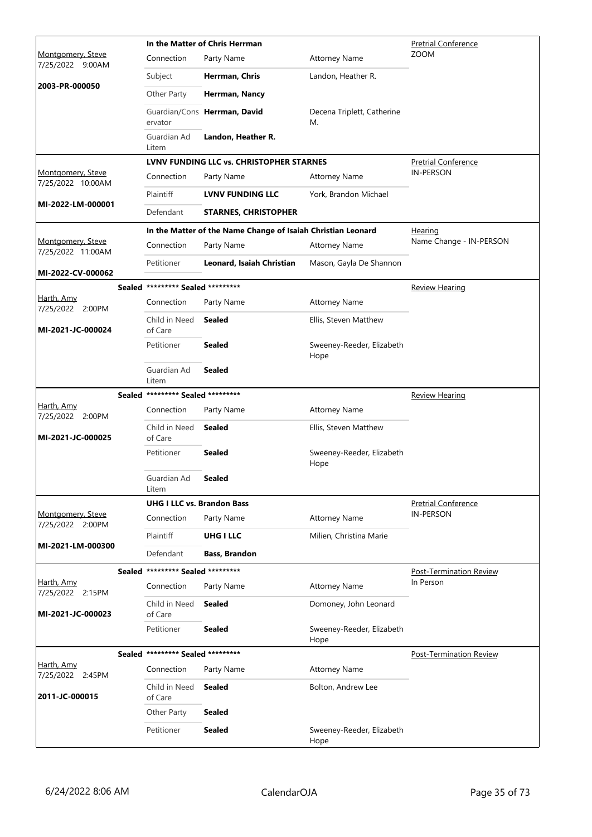|                                        |                                   | In the Matter of Chris Herrman                               | <b>Pretrial Conference</b>        |                                |
|----------------------------------------|-----------------------------------|--------------------------------------------------------------|-----------------------------------|--------------------------------|
| Montgomery, Steve<br>7/25/2022 9:00AM  | Connection                        | Party Name                                                   | <b>Attorney Name</b>              | <b>ZOOM</b>                    |
| 2003-PR-000050                         | Subject                           | Herrman, Chris                                               | Landon, Heather R.                |                                |
|                                        | Other Party                       | Herrman, Nancy                                               |                                   |                                |
|                                        | ervator                           | Guardian/Cons Herrman, David                                 | Decena Triplett, Catherine<br>М.  |                                |
|                                        | Guardian Ad<br>Litem              | Landon, Heather R.                                           |                                   |                                |
|                                        |                                   | LVNV FUNDING LLC vs. CHRISTOPHER STARNES                     |                                   | <b>Pretrial Conference</b>     |
| Montgomery, Steve<br>7/25/2022 10:00AM | Connection                        | Party Name                                                   | <b>Attorney Name</b>              | <b>IN-PERSON</b>               |
|                                        | Plaintiff                         | <b>LVNV FUNDING LLC</b>                                      | York, Brandon Michael             |                                |
| MI-2022-LM-000001                      | Defendant                         | <b>STARNES, CHRISTOPHER</b>                                  |                                   |                                |
|                                        |                                   | In the Matter of the Name Change of Isaiah Christian Leonard |                                   | <u>Hearing</u>                 |
| Montgomery, Steve<br>7/25/2022 11:00AM | Connection                        | Party Name                                                   | <b>Attorney Name</b>              | Name Change - IN-PERSON        |
| MI-2022-CV-000062                      | Petitioner                        | Leonard, Isaiah Christian                                    | Mason, Gayla De Shannon           |                                |
|                                        | Sealed ********* Sealed ********* |                                                              |                                   | <b>Review Hearing</b>          |
| Harth, Amy                             | Connection                        | Party Name                                                   | <b>Attorney Name</b>              |                                |
| 7/25/2022 2:00PM<br>MI-2021-JC-000024  | Child in Need<br>of Care          | <b>Sealed</b>                                                | Ellis, Steven Matthew             |                                |
|                                        | Petitioner                        | <b>Sealed</b>                                                | Sweeney-Reeder, Elizabeth<br>Hope |                                |
|                                        | Guardian Ad<br>Litem              | <b>Sealed</b>                                                |                                   |                                |
|                                        | Sealed ********* Sealed ********* |                                                              |                                   | <b>Review Hearing</b>          |
| Harth, Amy<br>7/25/2022 2:00PM         | Connection                        | Party Name                                                   | <b>Attorney Name</b>              |                                |
| MI-2021-JC-000025                      | Child in Need<br>of Care          | <b>Sealed</b>                                                | Ellis, Steven Matthew             |                                |
|                                        | Petitioner                        | <b>Sealed</b>                                                | Sweeney-Reeder, Elizabeth<br>Hope |                                |
|                                        | Guardian Ad<br>Litem              | <b>Sealed</b>                                                |                                   |                                |
|                                        | <b>UHG I LLC vs. Brandon Bass</b> |                                                              |                                   | <b>Pretrial Conference</b>     |
| Montgomery, Steve<br>7/25/2022 2:00PM  | Connection                        | Party Name                                                   | <b>Attorney Name</b>              | <b>IN-PERSON</b>               |
|                                        | Plaintiff                         | <b>UHG I LLC</b>                                             | Milien, Christina Marie           |                                |
| MI-2021-LM-000300                      | Defendant                         | Bass, Brandon                                                |                                   |                                |
|                                        | Sealed ********* Sealed ********* |                                                              |                                   | <b>Post-Termination Review</b> |
| Harth, Amy<br>7/25/2022 2:15PM         | Connection                        | Party Name                                                   | <b>Attorney Name</b>              | In Person                      |
| MI-2021-JC-000023                      | Child in Need<br>of Care          | <b>Sealed</b>                                                | Domoney, John Leonard             |                                |
|                                        | Petitioner                        | <b>Sealed</b>                                                | Sweeney-Reeder, Elizabeth<br>Hope |                                |
|                                        | Sealed ********* Sealed ********* |                                                              |                                   | <b>Post-Termination Review</b> |
| Harth, Amy<br>7/25/2022 2:45PM         | Connection                        | Party Name                                                   | <b>Attorney Name</b>              |                                |
| 2011-JC-000015                         | Child in Need<br>of Care          | <b>Sealed</b>                                                | Bolton, Andrew Lee                |                                |
|                                        | Other Party                       | <b>Sealed</b>                                                |                                   |                                |
|                                        | Petitioner                        | <b>Sealed</b>                                                | Sweeney-Reeder, Elizabeth<br>Hope |                                |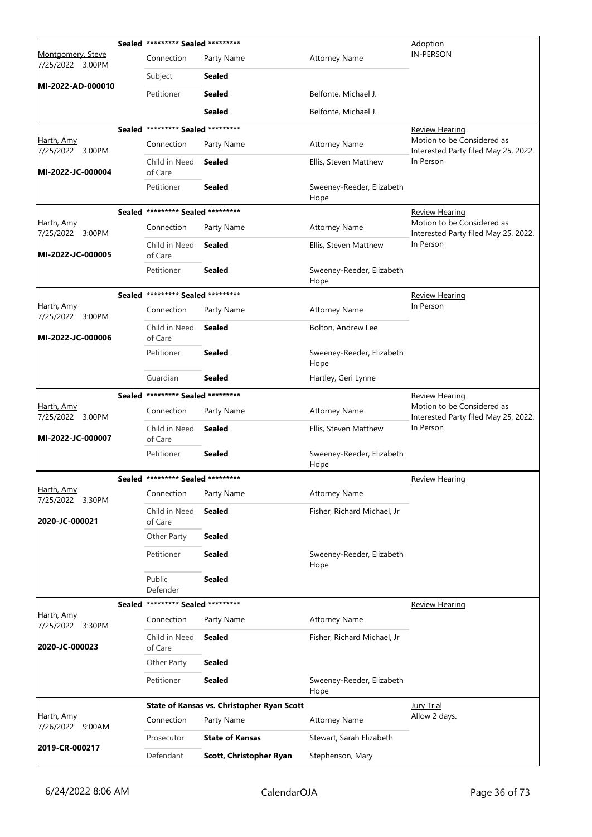|                                       | Sealed ********* Sealed ********* |                                            |                                   | <b>Adoption</b>                                                    |
|---------------------------------------|-----------------------------------|--------------------------------------------|-----------------------------------|--------------------------------------------------------------------|
| Montgomery, Steve<br>7/25/2022 3:00PM | Connection                        | Party Name                                 | <b>Attorney Name</b>              | <b>IN-PERSON</b>                                                   |
|                                       | Subject                           | Sealed                                     |                                   |                                                                    |
| MI-2022-AD-000010                     | Petitioner                        | <b>Sealed</b>                              | Belfonte, Michael J.              |                                                                    |
|                                       |                                   | <b>Sealed</b>                              | Belfonte, Michael J.              |                                                                    |
|                                       | Sealed ********* Sealed ********* |                                            |                                   | <u>Review Hearing</u>                                              |
| Harth, Amy<br>7/25/2022 3:00PM        | Connection                        | Party Name                                 | <b>Attorney Name</b>              | Motion to be Considered as<br>Interested Party filed May 25, 2022. |
| MI-2022-JC-000004                     | Child in Need<br>of Care          | <b>Sealed</b>                              | Ellis, Steven Matthew             | In Person                                                          |
|                                       | Petitioner                        | <b>Sealed</b>                              | Sweeney-Reeder, Elizabeth<br>Hope |                                                                    |
|                                       | Sealed ********* Sealed ********* |                                            |                                   | <u>Review Hearing</u>                                              |
| <u>Harth, Amy</u><br>7/25/2022 3:00PM | Connection                        | Party Name                                 | <b>Attorney Name</b>              | Motion to be Considered as<br>Interested Party filed May 25, 2022. |
| MI-2022-JC-000005                     | Child in Need<br>of Care          | <b>Sealed</b>                              | Ellis, Steven Matthew             | In Person                                                          |
|                                       | Petitioner                        | <b>Sealed</b>                              | Sweeney-Reeder, Elizabeth<br>Hope |                                                                    |
|                                       | Sealed ********* Sealed ********* |                                            |                                   | <b>Review Hearing</b>                                              |
| Harth, Amy<br>7/25/2022 3:00PM        | Connection                        | Party Name                                 | <b>Attorney Name</b>              | In Person                                                          |
| MI-2022-JC-000006                     | Child in Need<br>of Care          | <b>Sealed</b>                              | Bolton, Andrew Lee                |                                                                    |
|                                       | Petitioner                        | <b>Sealed</b>                              | Sweeney-Reeder, Elizabeth<br>Hope |                                                                    |
|                                       | Guardian                          | <b>Sealed</b>                              | Hartley, Geri Lynne               |                                                                    |
|                                       | Sealed ********* Sealed ********* |                                            |                                   | <u>Review Hearing</u>                                              |
| Harth, Amy<br>7/25/2022 3:00PM        | Connection                        | Party Name                                 | <b>Attorney Name</b>              | Motion to be Considered as<br>Interested Party filed May 25, 2022. |
| MI-2022-JC-000007                     | Child in Need<br>of Care          | Sealed                                     | Ellis, Steven Matthew             | In Person                                                          |
|                                       | Petitioner                        | <b>Sealed</b>                              | Sweeney-Reeder, Elizabeth<br>Hope |                                                                    |
|                                       | Sealed ********* Sealed ********* |                                            |                                   | <b>Review Hearing</b>                                              |
| Harth, Amy<br>7/25/2022 3:30PM        | Connection                        | Party Name                                 | <b>Attorney Name</b>              |                                                                    |
| 2020-JC-000021                        | Child in Need<br>of Care          | Sealed                                     | Fisher, Richard Michael, Jr       |                                                                    |
|                                       | Other Party                       | <b>Sealed</b>                              |                                   |                                                                    |
|                                       | Petitioner                        | <b>Sealed</b>                              | Sweeney-Reeder, Elizabeth<br>Hope |                                                                    |
|                                       | Public<br>Defender                | <b>Sealed</b>                              |                                   |                                                                    |
|                                       | Sealed ********* Sealed ********* |                                            |                                   | <b>Review Hearing</b>                                              |
| Harth, Amy<br>7/25/2022 3:30PM        | Connection                        | Party Name                                 | <b>Attorney Name</b>              |                                                                    |
| 2020-JC-000023                        | Child in Need<br>of Care          | Sealed                                     | Fisher, Richard Michael, Jr       |                                                                    |
|                                       | Other Party                       | <b>Sealed</b>                              |                                   |                                                                    |
|                                       | Petitioner                        | <b>Sealed</b>                              | Sweeney-Reeder, Elizabeth<br>Hope |                                                                    |
|                                       |                                   | State of Kansas vs. Christopher Ryan Scott |                                   | <b>Jury Trial</b>                                                  |
| Harth, Amy<br>7/26/2022 9:00AM        | Connection                        | Party Name                                 | <b>Attorney Name</b>              | Allow 2 days.                                                      |
|                                       | Prosecutor                        | <b>State of Kansas</b>                     | Stewart, Sarah Elizabeth          |                                                                    |
| 2019-CR-000217                        | Defendant                         | Scott, Christopher Ryan                    | Stephenson, Mary                  |                                                                    |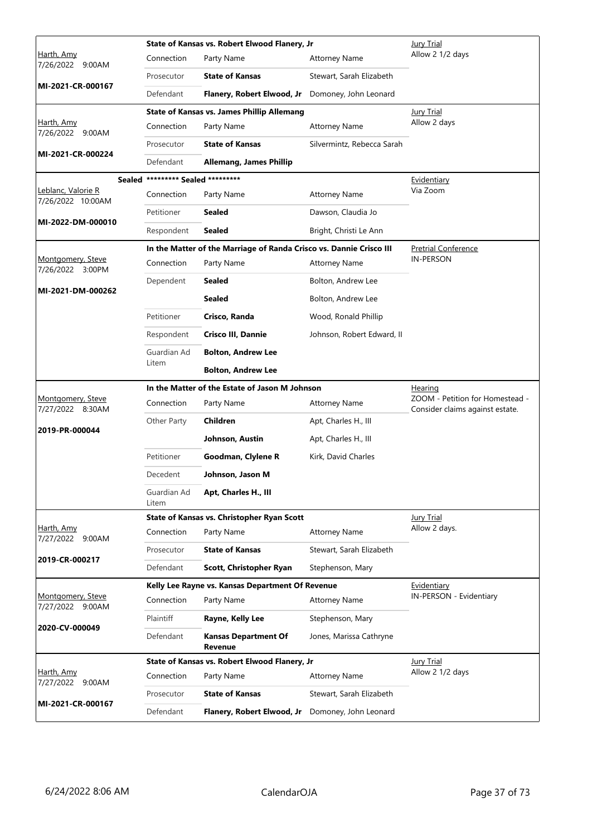|                                         |                                   | State of Kansas vs. Robert Elwood Flanery, Jr                       |                            | <b>Jury Trial</b>               |
|-----------------------------------------|-----------------------------------|---------------------------------------------------------------------|----------------------------|---------------------------------|
| <u>Harth, Amy</u><br>7/26/2022 9:00AM   | Connection                        | Party Name                                                          | <b>Attorney Name</b>       | Allow 2 1/2 days                |
| MI-2021-CR-000167                       | Prosecutor                        | <b>State of Kansas</b>                                              | Stewart, Sarah Elizabeth   |                                 |
|                                         | Defendant                         | Flanery, Robert Elwood, Jr                                          | Domoney, John Leonard      |                                 |
|                                         |                                   | <b>State of Kansas vs. James Phillip Allemang</b>                   |                            | <b>Jury Trial</b>               |
| <u>Harth, Amy</u><br>7/26/2022 9:00AM   | Connection                        | Party Name                                                          | <b>Attorney Name</b>       | Allow 2 days                    |
| MI-2021-CR-000224                       | Prosecutor                        | <b>State of Kansas</b>                                              | Silvermintz, Rebecca Sarah |                                 |
|                                         | Defendant                         | <b>Allemang, James Phillip</b>                                      |                            |                                 |
|                                         | Sealed ********* Sealed ********* |                                                                     |                            | Evidentiary                     |
| Leblanc, Valorie R<br>7/26/2022 10:00AM | Connection                        | Party Name                                                          | <b>Attorney Name</b>       | Via Zoom                        |
| MI-2022-DM-000010                       | Petitioner                        | <b>Sealed</b>                                                       | Dawson, Claudia Jo         |                                 |
|                                         | Respondent                        | <b>Sealed</b>                                                       | Bright, Christi Le Ann     |                                 |
|                                         |                                   | In the Matter of the Marriage of Randa Crisco vs. Dannie Crisco III |                            | <b>Pretrial Conference</b>      |
| Montgomery, Steve<br>7/26/2022 3:00PM   | Connection                        | Party Name                                                          | <b>Attorney Name</b>       | <b>IN-PERSON</b>                |
| MI-2021-DM-000262                       | Dependent                         | <b>Sealed</b>                                                       | Bolton, Andrew Lee         |                                 |
|                                         |                                   | <b>Sealed</b>                                                       | Bolton, Andrew Lee         |                                 |
|                                         | Petitioner                        | Crisco, Randa                                                       | Wood, Ronald Phillip       |                                 |
|                                         | Respondent                        | Crisco III, Dannie                                                  | Johnson, Robert Edward, II |                                 |
|                                         | Guardian Ad                       | <b>Bolton, Andrew Lee</b>                                           |                            |                                 |
|                                         | Litem                             | <b>Bolton, Andrew Lee</b>                                           |                            |                                 |
|                                         |                                   |                                                                     |                            |                                 |
|                                         |                                   | In the Matter of the Estate of Jason M Johnson                      |                            | <u>Hearing</u>                  |
| Montgomery, Steve                       | Connection                        | Party Name                                                          | <b>Attorney Name</b>       | ZOOM - Petition for Homestead - |
| 7/27/2022 8:30AM                        | Other Party                       | Children                                                            | Apt, Charles H., III       | Consider claims against estate. |
| 2019-PR-000044                          |                                   | Johnson, Austin                                                     | Apt, Charles H., III       |                                 |
|                                         | Petitioner                        | Goodman, Clylene R                                                  | Kirk, David Charles        |                                 |
|                                         | Decedent                          | Johnson, Jason M                                                    |                            |                                 |
|                                         | Guardian Ad<br>Litem              | Apt, Charles H., III                                                |                            |                                 |
|                                         |                                   | State of Kansas vs. Christopher Ryan Scott                          |                            | Jury Trial                      |
| Harth, Amy<br>7/27/2022 9:00AM          | Connection                        | Party Name                                                          | <b>Attorney Name</b>       | Allow 2 days.                   |
| 2019-CR-000217                          | Prosecutor                        | <b>State of Kansas</b>                                              | Stewart, Sarah Elizabeth   |                                 |
|                                         | Defendant                         | Scott, Christopher Ryan                                             | Stephenson, Mary           |                                 |
|                                         |                                   | Kelly Lee Rayne vs. Kansas Department Of Revenue                    |                            | Evidentiary                     |
| Montgomery, Steve<br>7/27/2022 9:00AM   | Connection                        | Party Name                                                          | <b>Attorney Name</b>       | IN-PERSON - Evidentiary         |
|                                         | Plaintiff                         | Rayne, Kelly Lee                                                    | Stephenson, Mary           |                                 |
| 2020-CV-000049                          | Defendant                         | <b>Kansas Department Of</b><br>Revenue                              | Jones, Marissa Cathryne    |                                 |
|                                         |                                   | State of Kansas vs. Robert Elwood Flanery, Jr                       |                            | <b>Jury Trial</b>               |
| <u>Harth, Amy</u><br>7/27/2022 9:00AM   | Connection                        | Party Name                                                          | <b>Attorney Name</b>       | Allow 2 1/2 days                |
| MI-2021-CR-000167                       | Prosecutor                        | <b>State of Kansas</b>                                              | Stewart, Sarah Elizabeth   |                                 |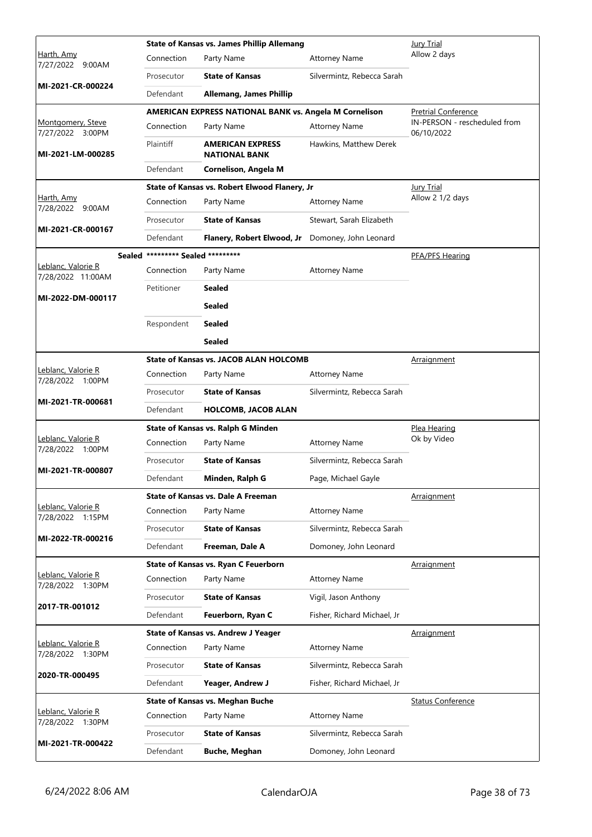|                                                |                                   | <b>State of Kansas vs. James Phillip Allemang</b>             |                             | <b>Jury Trial</b>                          |
|------------------------------------------------|-----------------------------------|---------------------------------------------------------------|-----------------------------|--------------------------------------------|
| <u>Harth, Amy</u><br>7/27/2022 9:00AM          | Connection                        | Party Name                                                    | <b>Attorney Name</b>        | Allow 2 days                               |
|                                                | Prosecutor                        | <b>State of Kansas</b>                                        | Silvermintz, Rebecca Sarah  |                                            |
| MI-2021-CR-000224                              | Defendant                         | <b>Allemang, James Phillip</b>                                |                             |                                            |
|                                                |                                   | <b>AMERICAN EXPRESS NATIONAL BANK vs. Angela M Cornelison</b> |                             | Pretrial Conference                        |
| Montgomery, Steve<br>7/27/2022 3:00PM          | Connection                        | Party Name                                                    | <b>Attorney Name</b>        | IN-PERSON - rescheduled from<br>06/10/2022 |
| MI-2021-LM-000285                              | Plaintiff                         | <b>AMERICAN EXPRESS</b><br><b>NATIONAL BANK</b>               | Hawkins, Matthew Derek      |                                            |
|                                                | Defendant                         | Cornelison, Angela M                                          |                             |                                            |
|                                                |                                   | State of Kansas vs. Robert Elwood Flanery, Jr                 |                             | Jury Trial                                 |
| Harth, Amy<br>7/28/2022 9:00AM                 | Connection                        | Party Name                                                    | <b>Attorney Name</b>        | Allow 2 1/2 days                           |
| MI-2021-CR-000167                              | Prosecutor                        | <b>State of Kansas</b>                                        | Stewart, Sarah Elizabeth    |                                            |
|                                                | Defendant                         | Flanery, Robert Elwood, Jr                                    | Domoney, John Leonard       |                                            |
|                                                | Sealed ********* Sealed ********* |                                                               |                             | PFA/PFS Hearing                            |
| Leblanc, Valorie R<br>7/28/2022 11:00AM        | Connection                        | Party Name                                                    | <b>Attorney Name</b>        |                                            |
| MI-2022-DM-000117                              | Petitioner                        | <b>Sealed</b>                                                 |                             |                                            |
|                                                |                                   | <b>Sealed</b>                                                 |                             |                                            |
|                                                | Respondent                        | <b>Sealed</b>                                                 |                             |                                            |
|                                                |                                   | <b>Sealed</b>                                                 |                             |                                            |
|                                                |                                   | <b>State of Kansas vs. JACOB ALAN HOLCOMB</b>                 |                             | <u>Arraignment</u>                         |
| Leblanc, Valorie R<br>7/28/2022 1:00PM         | Connection                        | Party Name                                                    | <b>Attorney Name</b>        |                                            |
|                                                | Prosecutor                        | <b>State of Kansas</b>                                        | Silvermintz, Rebecca Sarah  |                                            |
| MI-2021-TR-000681                              | Defendant                         | <b>HOLCOMB, JACOB ALAN</b>                                    |                             |                                            |
|                                                |                                   | State of Kansas vs. Ralph G Minden                            |                             | Plea Hearing                               |
| <u> Leblanc, Valorie R</u><br>7/28/2022 1:00PM | Connection                        | Party Name                                                    | <b>Attorney Name</b>        | Ok by Video                                |
| MI-2021-TR-000807                              | Prosecutor                        | <b>State of Kansas</b>                                        | Silvermintz, Rebecca Sarah  |                                            |
|                                                | Defendant                         | Minden, Ralph G                                               | Page, Michael Gayle         |                                            |
|                                                |                                   | State of Kansas vs. Dale A Freeman                            |                             | <b>Arraignment</b>                         |
| Leblanc, Valorie R<br>7/28/2022 1:15PM         | Connection                        | Party Name                                                    | <b>Attorney Name</b>        |                                            |
| MI-2022-TR-000216                              | Prosecutor                        | <b>State of Kansas</b>                                        | Silvermintz, Rebecca Sarah  |                                            |
|                                                | Defendant                         | Freeman, Dale A                                               | Domoney, John Leonard       |                                            |
|                                                |                                   | State of Kansas vs. Ryan C Feuerborn                          |                             | Arraignment                                |
| Leblanc, Valorie R<br>7/28/2022 1:30PM         | Connection                        | Party Name                                                    | <b>Attorney Name</b>        |                                            |
| 2017-TR-001012                                 | Prosecutor                        | <b>State of Kansas</b>                                        | Vigil, Jason Anthony        |                                            |
|                                                | Defendant                         | Feuerborn, Ryan C                                             | Fisher, Richard Michael, Jr |                                            |
|                                                |                                   | <b>State of Kansas vs. Andrew J Yeager</b>                    |                             | Arraignment                                |
| Leblanc, Valorie R<br>7/28/2022 1:30PM         | Connection                        | Party Name                                                    | <b>Attorney Name</b>        |                                            |
| 2020-TR-000495                                 | Prosecutor                        | <b>State of Kansas</b>                                        | Silvermintz, Rebecca Sarah  |                                            |
|                                                | Defendant                         | Yeager, Andrew J                                              | Fisher, Richard Michael, Jr |                                            |
|                                                |                                   | <b>State of Kansas vs. Meghan Buche</b>                       |                             | <b>Status Conference</b>                   |
| Leblanc, Valorie R<br>7/28/2022 1:30PM         | Connection                        | Party Name                                                    | <b>Attorney Name</b>        |                                            |
| MI-2021-TR-000422                              | Prosecutor                        | <b>State of Kansas</b>                                        | Silvermintz, Rebecca Sarah  |                                            |
|                                                | Defendant                         | <b>Buche, Meghan</b>                                          | Domoney, John Leonard       |                                            |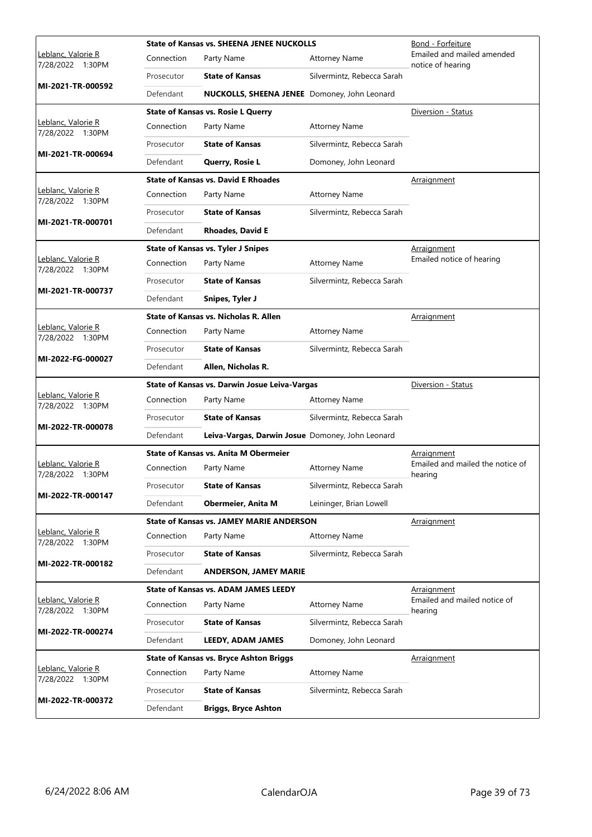|                                                |            | <b>State of Kansas vs. SHEENA JENEE NUCKOLLS</b>    |                            | Bond - Forfeiture                               |
|------------------------------------------------|------------|-----------------------------------------------------|----------------------------|-------------------------------------------------|
| Leblanc, Valorie R<br>7/28/2022 1:30PM         | Connection | Party Name                                          | <b>Attorney Name</b>       | Emailed and mailed amended<br>notice of hearing |
|                                                | Prosecutor | <b>State of Kansas</b>                              | Silvermintz, Rebecca Sarah |                                                 |
| MI-2021-TR-000592                              | Defendant  | <b>NUCKOLLS, SHEENA JENEE</b> Domoney, John Leonard |                            |                                                 |
|                                                |            | <b>State of Kansas vs. Rosie L Querry</b>           |                            | Diversion - Status                              |
| Leblanc, Valorie R<br>7/28/2022 1:30PM         | Connection | Party Name                                          | <b>Attorney Name</b>       |                                                 |
| MI-2021-TR-000694                              | Prosecutor | <b>State of Kansas</b>                              | Silvermintz, Rebecca Sarah |                                                 |
|                                                | Defendant  | Querry, Rosie L                                     | Domoney, John Leonard      |                                                 |
|                                                |            | <b>State of Kansas vs. David E Rhoades</b>          |                            | Arraignment                                     |
| Leblanc, Valorie R<br>7/28/2022 1:30PM         | Connection | Party Name                                          | <b>Attorney Name</b>       |                                                 |
| MI-2021-TR-000701                              | Prosecutor | <b>State of Kansas</b>                              | Silvermintz, Rebecca Sarah |                                                 |
|                                                | Defendant  | <b>Rhoades, David E</b>                             |                            |                                                 |
|                                                |            | <b>State of Kansas vs. Tyler J Snipes</b>           |                            | <b>Arraignment</b>                              |
| Leblanc, Valorie R<br>7/28/2022 1:30PM         | Connection | Party Name                                          | <b>Attorney Name</b>       | Emailed notice of hearing                       |
| MI-2021-TR-000737                              | Prosecutor | <b>State of Kansas</b>                              | Silvermintz, Rebecca Sarah |                                                 |
|                                                | Defendant  | Snipes, Tyler J                                     |                            |                                                 |
|                                                |            | <b>State of Kansas vs. Nicholas R. Allen</b>        |                            | <b>Arraignment</b>                              |
| Leblanc, Valorie R<br>7/28/2022 1:30PM         | Connection | Party Name                                          | <b>Attorney Name</b>       |                                                 |
| MI-2022-FG-000027                              | Prosecutor | <b>State of Kansas</b>                              | Silvermintz, Rebecca Sarah |                                                 |
|                                                | Defendant  | Allen, Nicholas R.                                  |                            |                                                 |
|                                                |            |                                                     |                            |                                                 |
|                                                |            | State of Kansas vs. Darwin Josue Leiva-Vargas       |                            | Diversion - Status                              |
| Leblanc, Valorie R<br>7/28/2022 1:30PM         | Connection | Party Name                                          | <b>Attorney Name</b>       |                                                 |
|                                                | Prosecutor | <b>State of Kansas</b>                              | Silvermintz, Rebecca Sarah |                                                 |
| MI-2022-TR-000078                              | Defendant  | Leiva-Vargas, Darwin Josue Domoney, John Leonard    |                            |                                                 |
|                                                |            | <b>State of Kansas vs. Anita M Obermeier</b>        |                            | Arraignment                                     |
| Leblanc, Valorie R<br>7/28/2022 1:30PM         | Connection | Party Name                                          | <b>Attorney Name</b>       | Emailed and mailed the notice of<br>hearing     |
|                                                | Prosecutor | <b>State of Kansas</b>                              | Silvermintz, Rebecca Sarah |                                                 |
| MI-2022-TR-000147                              | Defendant  | <b>Obermeier, Anita M</b>                           | Leininger, Brian Lowell    |                                                 |
|                                                |            | <b>State of Kansas vs. JAMEY MARIE ANDERSON</b>     |                            | <b>Arraignment</b>                              |
| <u> Leblanc, Valorie R</u><br>7/28/2022 1:30PM | Connection | Party Name                                          | <b>Attorney Name</b>       |                                                 |
|                                                | Prosecutor | <b>State of Kansas</b>                              | Silvermintz, Rebecca Sarah |                                                 |
| MI-2022-TR-000182                              | Defendant  | <b>ANDERSON, JAMEY MARIE</b>                        |                            |                                                 |
|                                                |            | <b>State of Kansas vs. ADAM JAMES LEEDY</b>         |                            | Arraignment                                     |
| <u> Leblanc, Valorie R</u><br>7/28/2022 1:30PM | Connection | Party Name                                          | <b>Attorney Name</b>       | Emailed and mailed notice of<br>hearing         |
|                                                | Prosecutor | <b>State of Kansas</b>                              | Silvermintz, Rebecca Sarah |                                                 |
| MI-2022-TR-000274                              | Defendant  | LEEDY, ADAM JAMES                                   | Domoney, John Leonard      |                                                 |
|                                                |            | <b>State of Kansas vs. Bryce Ashton Briggs</b>      |                            | <u>Arraignment</u>                              |
| Leblanc, Valorie R<br>7/28/2022 1:30PM         | Connection | Party Name                                          | <b>Attorney Name</b>       |                                                 |
| MI-2022-TR-000372                              | Prosecutor | <b>State of Kansas</b>                              | Silvermintz, Rebecca Sarah |                                                 |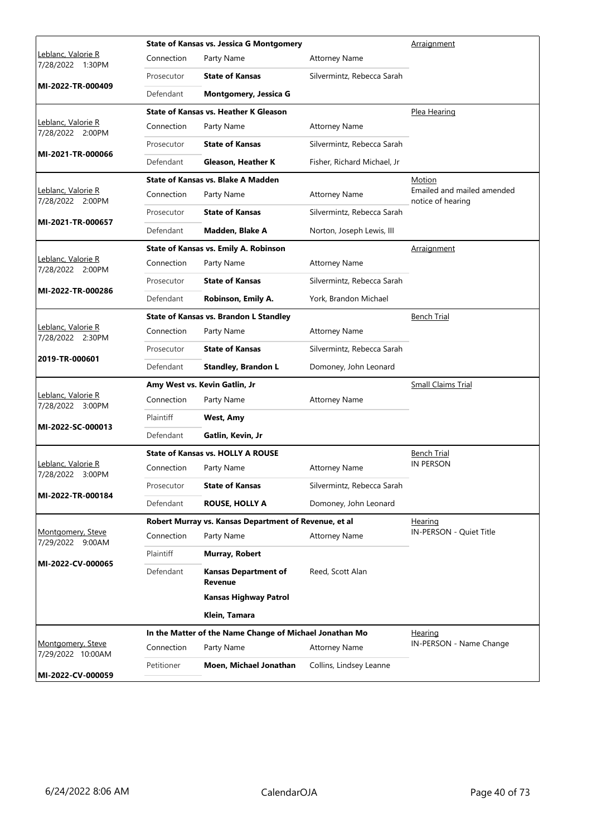|                                                |            | <b>State of Kansas vs. Jessica G Montgomery</b>         | Arraignment                 |                                                 |
|------------------------------------------------|------------|---------------------------------------------------------|-----------------------------|-------------------------------------------------|
| <u> Leblanc, Valorie R</u><br>7/28/2022 1:30PM | Connection | Party Name                                              | <b>Attorney Name</b>        |                                                 |
|                                                | Prosecutor | <b>State of Kansas</b>                                  | Silvermintz, Rebecca Sarah  |                                                 |
| MI-2022-TR-000409                              | Defendant  | Montgomery, Jessica G                                   |                             |                                                 |
|                                                |            | State of Kansas vs. Heather K Gleason                   |                             | Plea Hearing                                    |
| Leblanc, Valorie R<br>7/28/2022 2:00PM         | Connection | Party Name                                              | <b>Attorney Name</b>        |                                                 |
|                                                | Prosecutor | <b>State of Kansas</b>                                  | Silvermintz, Rebecca Sarah  |                                                 |
| MI-2021-TR-000066                              | Defendant  | <b>Gleason, Heather K</b>                               | Fisher, Richard Michael, Jr |                                                 |
|                                                |            | State of Kansas vs. Blake A Madden                      |                             | <u>Motion</u>                                   |
| Leblanc, Valorie R<br>7/28/2022 2:00PM         | Connection | Party Name                                              | <b>Attorney Name</b>        | Emailed and mailed amended<br>notice of hearing |
|                                                | Prosecutor | <b>State of Kansas</b>                                  | Silvermintz, Rebecca Sarah  |                                                 |
| MI-2021-TR-000657                              | Defendant  | Madden, Blake A                                         | Norton, Joseph Lewis, III   |                                                 |
|                                                |            | State of Kansas vs. Emily A. Robinson                   |                             | Arraignment                                     |
| Leblanc, Valorie R<br>7/28/2022 2:00PM         | Connection | Party Name                                              | <b>Attorney Name</b>        |                                                 |
|                                                | Prosecutor | <b>State of Kansas</b>                                  | Silvermintz, Rebecca Sarah  |                                                 |
| MI-2022-TR-000286                              | Defendant  | Robinson, Emily A.                                      | York, Brandon Michael       |                                                 |
|                                                |            | <b>State of Kansas vs. Brandon L Standley</b>           |                             | <b>Bench Trial</b>                              |
| Leblanc, Valorie R<br>7/28/2022 2:30PM         | Connection | Party Name                                              | <b>Attorney Name</b>        |                                                 |
|                                                | Prosecutor | <b>State of Kansas</b>                                  | Silvermintz, Rebecca Sarah  |                                                 |
| 2019-TR-000601                                 | Defendant  | <b>Standley, Brandon L</b>                              | Domoney, John Leonard       |                                                 |
|                                                |            | Amy West vs. Kevin Gatlin, Jr                           |                             | <b>Small Claims Trial</b>                       |
| Leblanc, Valorie R<br>7/28/2022 3:00PM         | Connection | Party Name                                              | <b>Attorney Name</b>        |                                                 |
|                                                | Plaintiff  | West, Amy                                               |                             |                                                 |
| MI-2022-SC-000013                              | Defendant  | Gatlin, Kevin, Jr                                       |                             |                                                 |
|                                                |            | <b>State of Kansas vs. HOLLY A ROUSE</b>                |                             | <b>Bench Trial</b>                              |
| Leblanc, Valorie R<br>7/28/2022 3:00PM         | Connection | Party Name                                              | <b>Attorney Name</b>        | <b>IN PERSON</b>                                |
|                                                | Prosecutor | <b>State of Kansas</b>                                  | Silvermintz, Rebecca Sarah  |                                                 |
| MI-2022-TR-000184                              | Defendant  | <b>ROUSE, HOLLY A</b>                                   | Domoney, John Leonard       |                                                 |
|                                                |            | Robert Murray vs. Kansas Department of Revenue, et al   |                             | Hearing                                         |
| Montgomery, Steve<br>7/29/2022 9:00AM          | Connection | Party Name                                              | <b>Attorney Name</b>        | IN-PERSON - Quiet Title                         |
|                                                | Plaintiff  | Murray, Robert                                          |                             |                                                 |
| MI-2022-CV-000065                              | Defendant  | <b>Kansas Department of</b><br>Revenue                  | Reed, Scott Alan            |                                                 |
|                                                |            | <b>Kansas Highway Patrol</b>                            |                             |                                                 |
|                                                |            | Klein, Tamara                                           |                             |                                                 |
|                                                |            | In the Matter of the Name Change of Michael Jonathan Mo |                             | Hearing                                         |
| Montgomery, Steve<br>7/29/2022 10:00AM         | Connection | Party Name                                              | <b>Attorney Name</b>        | IN-PERSON - Name Change                         |
| MI-2022-CV-000059                              | Petitioner | Moen, Michael Jonathan                                  | Collins, Lindsey Leanne     |                                                 |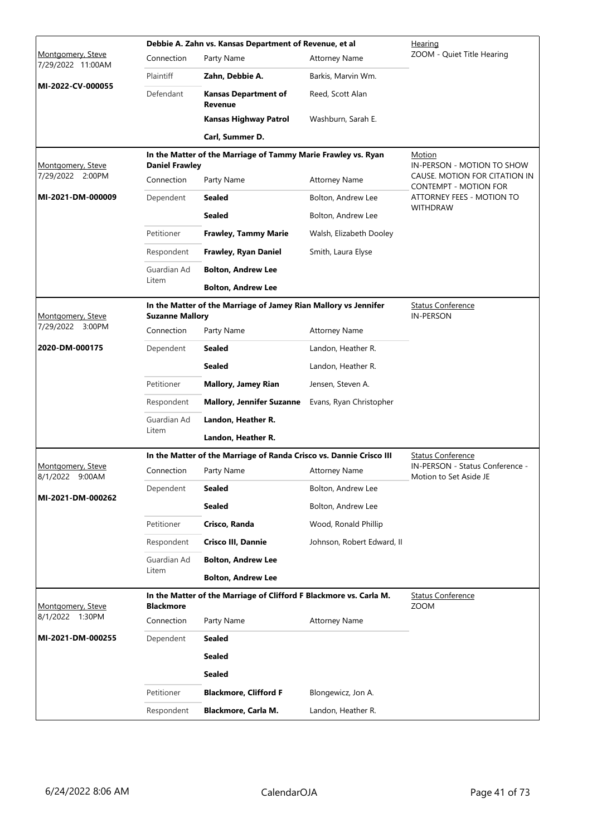|                                        |                        | Debbie A. Zahn vs. Kansas Department of Revenue, et al              |                            | Hearing                                                   |  |  |
|----------------------------------------|------------------------|---------------------------------------------------------------------|----------------------------|-----------------------------------------------------------|--|--|
| Montgomery, Steve<br>7/29/2022 11:00AM | Connection             | Party Name                                                          | <b>Attorney Name</b>       | ZOOM - Quiet Title Hearing                                |  |  |
|                                        | Plaintiff              | Zahn, Debbie A.                                                     | Barkis, Marvin Wm.         |                                                           |  |  |
| MI-2022-CV-000055                      | Defendant              | <b>Kansas Department of</b><br>Revenue                              | Reed, Scott Alan           |                                                           |  |  |
|                                        |                        | <b>Kansas Highway Patrol</b>                                        | Washburn, Sarah E.         |                                                           |  |  |
|                                        |                        | Carl, Summer D.                                                     |                            |                                                           |  |  |
| Montgomery, Steve                      | <b>Daniel Frawley</b>  | In the Matter of the Marriage of Tammy Marie Frawley vs. Ryan       |                            | Motion<br>IN-PERSON - MOTION TO SHOW                      |  |  |
| 7/29/2022 2:00PM                       | Connection             | Party Name                                                          | <b>Attorney Name</b>       | CAUSE. MOTION FOR CITATION IN<br>CONTEMPT - MOTION FOR    |  |  |
| MI-2021-DM-000009                      | Dependent              | Sealed                                                              | Bolton, Andrew Lee         | ATTORNEY FEES - MOTION TO                                 |  |  |
|                                        |                        | <b>Sealed</b>                                                       | Bolton, Andrew Lee         | <b>WITHDRAW</b>                                           |  |  |
|                                        | Petitioner             | <b>Frawley, Tammy Marie</b>                                         | Walsh, Elizabeth Dooley    |                                                           |  |  |
|                                        | Respondent             | Frawley, Ryan Daniel                                                | Smith, Laura Elyse         |                                                           |  |  |
|                                        | Guardian Ad            | <b>Bolton, Andrew Lee</b>                                           |                            |                                                           |  |  |
|                                        | Litem                  | <b>Bolton, Andrew Lee</b>                                           |                            |                                                           |  |  |
| Montgomery, Steve                      | <b>Suzanne Mallory</b> | In the Matter of the Marriage of Jamey Rian Mallory vs Jennifer     |                            | <b>Status Conference</b><br><b>IN-PERSON</b>              |  |  |
| 7/29/2022 3:00PM                       | Connection             | Party Name                                                          | <b>Attorney Name</b>       |                                                           |  |  |
| 2020-DM-000175                         | Dependent              | Sealed                                                              | Landon, Heather R.         |                                                           |  |  |
|                                        |                        | Sealed                                                              | Landon, Heather R.         |                                                           |  |  |
|                                        | Petitioner             | <b>Mallory, Jamey Rian</b>                                          | Jensen, Steven A.          |                                                           |  |  |
|                                        | Respondent             | <b>Mallory, Jennifer Suzanne</b>                                    | Evans, Ryan Christopher    |                                                           |  |  |
|                                        | Guardian Ad            | Landon, Heather R.                                                  |                            |                                                           |  |  |
|                                        | Litem                  | Landon, Heather R.                                                  |                            |                                                           |  |  |
|                                        |                        | In the Matter of the Marriage of Randa Crisco vs. Dannie Crisco III |                            | <b>Status Conference</b>                                  |  |  |
| Montgomery, Steve<br>8/1/2022 9:00AM   | Connection             | Party Name                                                          | <b>Attorney Name</b>       | IN-PERSON - Status Conference -<br>Motion to Set Aside JE |  |  |
|                                        | Dependent              | <b>Sealed</b>                                                       | Bolton, Andrew Lee         |                                                           |  |  |
| MI-2021-DM-000262                      |                        | Sealed                                                              | Bolton, Andrew Lee         |                                                           |  |  |
|                                        | Petitioner             | Crisco, Randa                                                       | Wood, Ronald Phillip       |                                                           |  |  |
|                                        | Respondent             | Crisco III, Dannie                                                  | Johnson, Robert Edward, II |                                                           |  |  |
|                                        | Guardian Ad            | <b>Bolton, Andrew Lee</b>                                           |                            |                                                           |  |  |
|                                        | Litem                  | <b>Bolton, Andrew Lee</b>                                           |                            |                                                           |  |  |
| Montgomery, Steve                      | <b>Blackmore</b>       | In the Matter of the Marriage of Clifford F Blackmore vs. Carla M.  |                            | <b>Status Conference</b><br><b>ZOOM</b>                   |  |  |
| 8/1/2022<br>1:30PM                     | Connection             | Party Name                                                          | <b>Attorney Name</b>       |                                                           |  |  |
| MI-2021-DM-000255                      | Dependent              | <b>Sealed</b>                                                       |                            |                                                           |  |  |
|                                        |                        | <b>Sealed</b>                                                       |                            |                                                           |  |  |
|                                        |                        | <b>Sealed</b>                                                       |                            |                                                           |  |  |
|                                        | Petitioner             | <b>Blackmore, Clifford F</b>                                        | Blongewicz, Jon A.         |                                                           |  |  |
|                                        | Respondent             | Blackmore, Carla M.                                                 | Landon, Heather R.         |                                                           |  |  |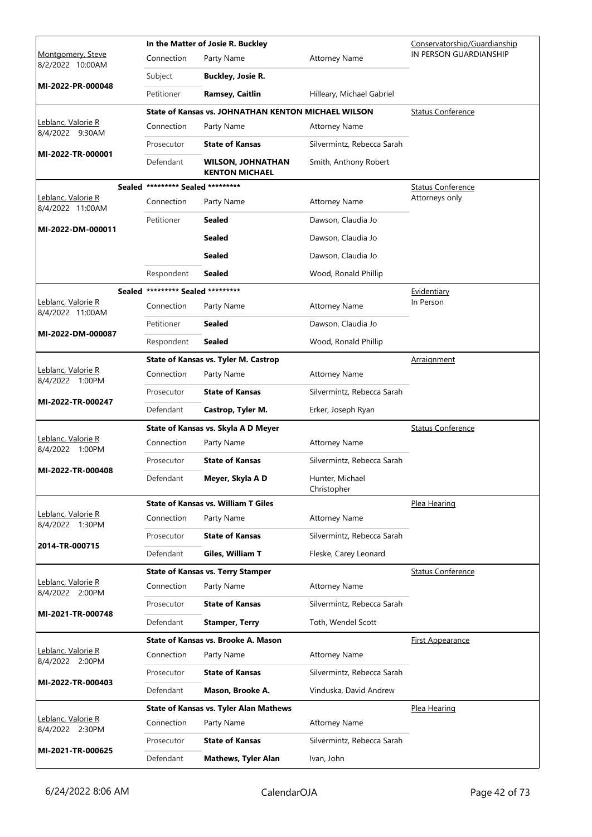|                                              |                                   | In the Matter of Josie R. Buckley                   |                                | Conservatorship/Guardianship |
|----------------------------------------------|-----------------------------------|-----------------------------------------------------|--------------------------------|------------------------------|
| Montgomery, Steve<br>8/2/2022 10:00AM        | Connection                        | Party Name                                          | <b>Attorney Name</b>           | IN PERSON GUARDIANSHIP       |
|                                              | Subject                           | <b>Buckley, Josie R.</b>                            |                                |                              |
| MI-2022-PR-000048                            | Petitioner                        | Ramsey, Caitlin                                     | Hilleary, Michael Gabriel      |                              |
|                                              |                                   | State of Kansas vs. JOHNATHAN KENTON MICHAEL WILSON |                                | <b>Status Conference</b>     |
| Leblanc, Valorie R<br>8/4/2022 9:30AM        | Connection                        | Party Name                                          | <b>Attorney Name</b>           |                              |
| MI-2022-TR-000001                            | Prosecutor                        | <b>State of Kansas</b>                              | Silvermintz, Rebecca Sarah     |                              |
|                                              | Defendant                         | <b>WILSON, JOHNATHAN</b><br><b>KENTON MICHAEL</b>   | Smith, Anthony Robert          |                              |
|                                              | Sealed ********* Sealed ********* |                                                     |                                | Status Conference            |
| Leblanc, Valorie R<br>8/4/2022 11:00AM       | Connection                        | Party Name                                          | <b>Attorney Name</b>           | Attorneys only               |
| MI-2022-DM-000011                            | Petitioner                        | Sealed                                              | Dawson, Claudia Jo             |                              |
|                                              |                                   | Sealed                                              | Dawson, Claudia Jo             |                              |
|                                              |                                   | <b>Sealed</b>                                       | Dawson, Claudia Jo             |                              |
|                                              | Respondent                        | Sealed                                              | Wood, Ronald Phillip           |                              |
|                                              | Sealed ********* Sealed ********* |                                                     |                                | Evidentiary                  |
| Leblanc, Valorie R<br>8/4/2022 11:00AM       | Connection                        | Party Name                                          | <b>Attorney Name</b>           | In Person                    |
|                                              | Petitioner                        | Sealed                                              | Dawson, Claudia Jo             |                              |
| MI-2022-DM-000087                            | Respondent                        | Sealed                                              | Wood, Ronald Phillip           |                              |
|                                              |                                   | <b>State of Kansas vs. Tyler M. Castrop</b>         |                                | <b>Arraignment</b>           |
| Leblanc, Valorie R<br>8/4/2022 1:00PM        | Connection                        | Party Name                                          | <b>Attorney Name</b>           |                              |
| MI-2022-TR-000247                            | Prosecutor                        | <b>State of Kansas</b>                              | Silvermintz, Rebecca Sarah     |                              |
|                                              | Defendant                         | Castrop, Tyler M.                                   | Erker, Joseph Ryan             |                              |
|                                              |                                   | State of Kansas vs. Skyla A D Meyer                 |                                | <b>Status Conference</b>     |
| <u>Leblanc, Valorie R</u><br>8/4/2022 1:00PM | Connection                        | Party Name                                          | <b>Attorney Name</b>           |                              |
| MI-2022-TR-000408                            | Prosecutor                        | <b>State of Kansas</b>                              | Silvermintz, Rebecca Sarah     |                              |
|                                              | Defendant                         | Meyer, Skyla A D                                    | Hunter, Michael<br>Christopher |                              |
|                                              |                                   | <b>State of Kansas vs. William T Giles</b>          |                                | Plea Hearing                 |
| <u>Leblanc, Valorie R</u><br>8/4/2022 1:30PM | Connection                        | Party Name                                          | <b>Attorney Name</b>           |                              |
| 2014-TR-000715                               | Prosecutor                        | <b>State of Kansas</b>                              | Silvermintz, Rebecca Sarah     |                              |
|                                              | Defendant                         | Giles, William T                                    | Fleske, Carey Leonard          |                              |
|                                              |                                   | <b>State of Kansas vs. Terry Stamper</b>            |                                | <b>Status Conference</b>     |
| Leblanc, Valorie R<br>8/4/2022 2:00PM        | Connection                        | Party Name                                          | <b>Attorney Name</b>           |                              |
| MI-2021-TR-000748                            | Prosecutor                        | <b>State of Kansas</b>                              | Silvermintz, Rebecca Sarah     |                              |
|                                              | Defendant                         | <b>Stamper, Terry</b>                               | Toth, Wendel Scott             |                              |
|                                              |                                   | State of Kansas vs. Brooke A. Mason                 |                                | <b>First Appearance</b>      |
| Leblanc, Valorie R<br>8/4/2022 2:00PM        | Connection                        | Party Name                                          | <b>Attorney Name</b>           |                              |
| MI-2022-TR-000403                            | Prosecutor                        | <b>State of Kansas</b>                              | Silvermintz, Rebecca Sarah     |                              |
|                                              | Defendant                         | Mason, Brooke A.                                    | Vinduska, David Andrew         |                              |
|                                              |                                   | <b>State of Kansas vs. Tyler Alan Mathews</b>       |                                | Plea Hearing                 |
| Leblanc, Valorie R<br>8/4/2022 2:30PM        | Connection                        | Party Name                                          | <b>Attorney Name</b>           |                              |
|                                              | Prosecutor                        | <b>State of Kansas</b>                              | Silvermintz, Rebecca Sarah     |                              |
| MI-2021-TR-000625                            | Defendant                         | <b>Mathews, Tyler Alan</b>                          | Ivan, John                     |                              |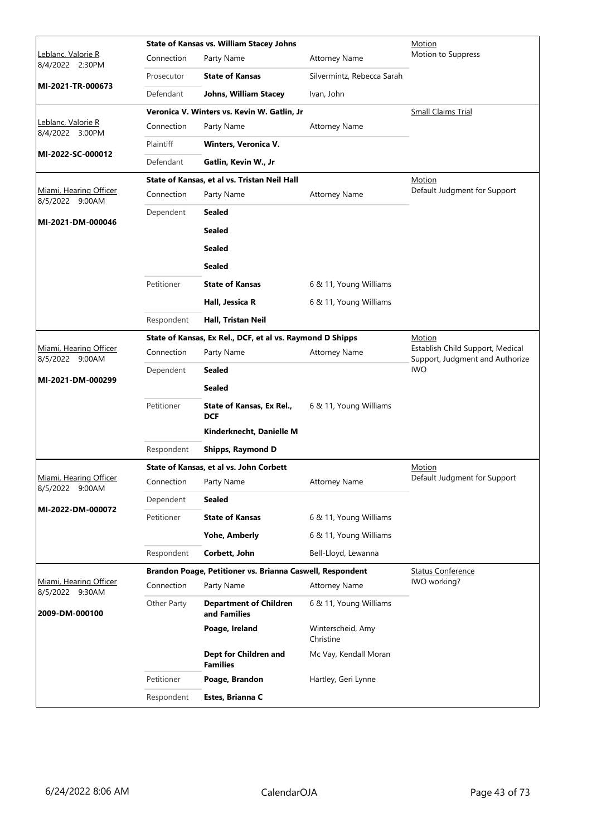|                                           |             | <b>State of Kansas vs. William Stacey Johns</b>           | Motion                         |                                                                     |
|-------------------------------------------|-------------|-----------------------------------------------------------|--------------------------------|---------------------------------------------------------------------|
| Leblanc, Valorie R<br>8/4/2022 2:30PM     | Connection  | Party Name                                                | <b>Attorney Name</b>           | Motion to Suppress                                                  |
|                                           | Prosecutor  | <b>State of Kansas</b>                                    | Silvermintz, Rebecca Sarah     |                                                                     |
| MI-2021-TR-000673                         | Defendant   | Johns, William Stacey                                     | Ivan, John                     |                                                                     |
|                                           |             | Veronica V. Winters vs. Kevin W. Gatlin, Jr               |                                | Small Claims Trial                                                  |
| Leblanc, Valorie R<br>8/4/2022 3:00PM     | Connection  | Party Name                                                | <b>Attorney Name</b>           |                                                                     |
| MI-2022-SC-000012                         | Plaintiff   | Winters, Veronica V.                                      |                                |                                                                     |
|                                           | Defendant   | Gatlin, Kevin W., Jr                                      |                                |                                                                     |
|                                           |             | State of Kansas, et al vs. Tristan Neil Hall              |                                | <b>Motion</b>                                                       |
| Miami, Hearing Officer<br>8/5/2022 9:00AM | Connection  | Party Name                                                | <b>Attorney Name</b>           | Default Judgment for Support                                        |
| MI-2021-DM-000046                         | Dependent   | <b>Sealed</b>                                             |                                |                                                                     |
|                                           |             | <b>Sealed</b>                                             |                                |                                                                     |
|                                           |             | <b>Sealed</b>                                             |                                |                                                                     |
|                                           |             | <b>Sealed</b>                                             |                                |                                                                     |
|                                           | Petitioner  | <b>State of Kansas</b>                                    | 6 & 11, Young Williams         |                                                                     |
|                                           |             | Hall, Jessica R                                           | 6 & 11, Young Williams         |                                                                     |
|                                           | Respondent  | Hall, Tristan Neil                                        |                                |                                                                     |
|                                           |             | State of Kansas, Ex Rel., DCF, et al vs. Raymond D Shipps |                                | Motion                                                              |
| Miami, Hearing Officer<br>8/5/2022 9:00AM | Connection  | Party Name                                                | <b>Attorney Name</b>           | Establish Child Support, Medical<br>Support, Judgment and Authorize |
|                                           | Dependent   | <b>Sealed</b>                                             |                                | <b>IWO</b>                                                          |
| MI-2021-DM-000299                         |             | <b>Sealed</b>                                             |                                |                                                                     |
|                                           | Petitioner  | State of Kansas, Ex Rel.,<br><b>DCF</b>                   | 6 & 11, Young Williams         |                                                                     |
|                                           |             | Kinderknecht, Danielle M                                  |                                |                                                                     |
|                                           | Respondent  | <b>Shipps, Raymond D</b>                                  |                                |                                                                     |
|                                           |             | State of Kansas, et al vs. John Corbett                   |                                | <b>Motion</b>                                                       |
| Miami, Hearing Officer<br>8/5/2022 9:00AM |             | Connection Party Name                                     | <b>Attorney Name</b>           | Default Judgment for Support                                        |
| MI-2022-DM-000072                         | Dependent   | Sealed                                                    |                                |                                                                     |
|                                           | Petitioner  | <b>State of Kansas</b>                                    | 6 & 11, Young Williams         |                                                                     |
|                                           |             | Yohe, Amberly                                             | 6 & 11, Young Williams         |                                                                     |
|                                           | Respondent  | Corbett, John                                             | Bell-Lloyd, Lewanna            |                                                                     |
|                                           |             | Brandon Poage, Petitioner vs. Brianna Caswell, Respondent |                                | <b>Status Conference</b>                                            |
| Miami, Hearing Officer<br>8/5/2022 9:30AM | Connection  | Party Name                                                | <b>Attorney Name</b>           | IWO working?                                                        |
| 2009-DM-000100                            | Other Party | <b>Department of Children</b><br>and Families             | 6 & 11, Young Williams         |                                                                     |
|                                           |             | Poage, Ireland                                            | Winterscheid, Amy<br>Christine |                                                                     |
|                                           |             | Dept for Children and<br><b>Families</b>                  | Mc Vay, Kendall Moran          |                                                                     |
|                                           | Petitioner  | Poage, Brandon                                            | Hartley, Geri Lynne            |                                                                     |
|                                           | Respondent  | Estes, Brianna C                                          |                                |                                                                     |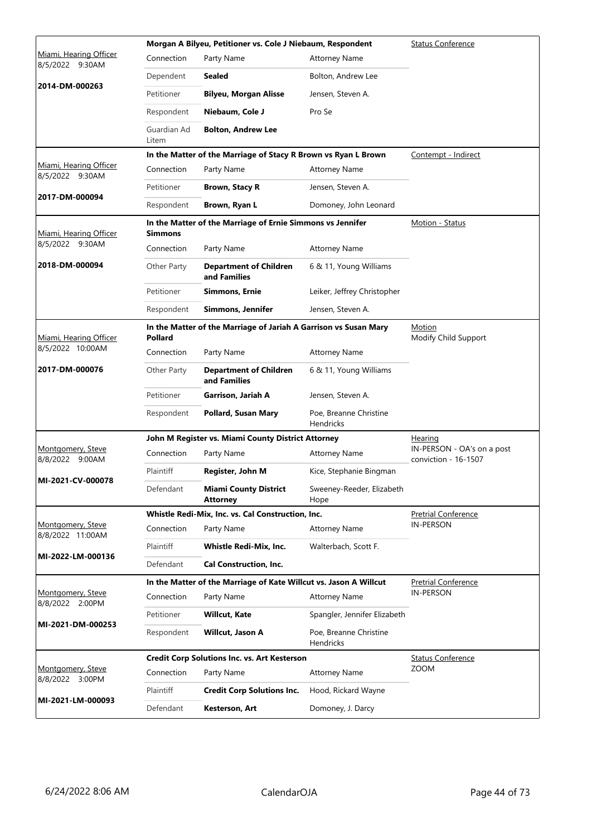|                                           |                      | Morgan A Bilyeu, Petitioner vs. Cole J Niebaum, Respondent        | <b>Status Conference</b>            |                                                    |  |  |
|-------------------------------------------|----------------------|-------------------------------------------------------------------|-------------------------------------|----------------------------------------------------|--|--|
| Miami, Hearing Officer<br>8/5/2022 9:30AM | Connection           | Party Name                                                        | <b>Attorney Name</b>                |                                                    |  |  |
|                                           | Dependent            | <b>Sealed</b>                                                     | Bolton, Andrew Lee                  |                                                    |  |  |
| 2014-DM-000263                            | Petitioner           | <b>Bilyeu, Morgan Alisse</b>                                      | Jensen, Steven A.                   |                                                    |  |  |
|                                           | Respondent           | Niebaum, Cole J                                                   | Pro Se                              |                                                    |  |  |
|                                           | Guardian Ad<br>Litem | <b>Bolton, Andrew Lee</b>                                         |                                     |                                                    |  |  |
|                                           |                      | In the Matter of the Marriage of Stacy R Brown vs Ryan L Brown    |                                     | Contempt - Indirect                                |  |  |
| Miami, Hearing Officer<br>8/5/2022 9:30AM | Connection           | Party Name                                                        | <b>Attorney Name</b>                |                                                    |  |  |
|                                           | Petitioner           | <b>Brown, Stacy R</b>                                             | Jensen, Steven A.                   |                                                    |  |  |
| 2017-DM-000094                            | Respondent           | Brown, Ryan L                                                     | Domoney, John Leonard               |                                                    |  |  |
| Miami, Hearing Officer                    | <b>Simmons</b>       | In the Matter of the Marriage of Ernie Simmons vs Jennifer        |                                     | Motion - Status                                    |  |  |
| 8/5/2022 9:30AM                           | Connection           | Party Name                                                        | <b>Attorney Name</b>                |                                                    |  |  |
| 2018-DM-000094                            | Other Party          | <b>Department of Children</b><br>and Families                     | 6 & 11, Young Williams              |                                                    |  |  |
|                                           | Petitioner           | <b>Simmons, Ernie</b>                                             | Leiker, Jeffrey Christopher         |                                                    |  |  |
|                                           | Respondent           | Simmons, Jennifer                                                 | Jensen, Steven A.                   |                                                    |  |  |
| Miami, Hearing Officer                    | <b>Pollard</b>       | In the Matter of the Marriage of Jariah A Garrison vs Susan Mary  |                                     | Motion<br>Modify Child Support                     |  |  |
| 8/5/2022 10:00AM                          | Connection           | Party Name                                                        | <b>Attorney Name</b>                |                                                    |  |  |
| 2017-DM-000076                            | Other Party          | <b>Department of Children</b><br>and Families                     | 6 & 11, Young Williams              |                                                    |  |  |
|                                           | Petitioner           | Garrison, Jariah A                                                | Jensen, Steven A.                   |                                                    |  |  |
|                                           | Respondent           | <b>Pollard, Susan Mary</b>                                        | Poe, Breanne Christine<br>Hendricks |                                                    |  |  |
|                                           |                      | John M Register vs. Miami County District Attorney                |                                     | Hearing                                            |  |  |
| Montgomery, Steve<br>8/8/2022 9:00AM      | Connection           | Party Name                                                        | <b>Attorney Name</b>                | IN-PERSON - OA's on a post<br>conviction - 16-1507 |  |  |
| MI-2021-CV-000078                         | Plaintiff            | Register, John M                                                  | Kice, Stephanie Bingman             |                                                    |  |  |
|                                           | Defendant            | <b>Miami County District</b><br><b>Attorney</b>                   | Sweeney-Reeder, Elizabeth<br>Hope   |                                                    |  |  |
|                                           |                      | Whistle Redi-Mix, Inc. vs. Cal Construction, Inc.                 |                                     | <b>Pretrial Conference</b>                         |  |  |
| Montgomery, Steve<br>8/8/2022 11:00AM     | Connection           | Party Name                                                        | <b>Attorney Name</b>                | <b>IN-PERSON</b>                                   |  |  |
| MI-2022-LM-000136                         | Plaintiff            | <b>Whistle Redi-Mix, Inc.</b>                                     | Walterbach, Scott F.                |                                                    |  |  |
|                                           | Defendant            | <b>Cal Construction, Inc.</b>                                     |                                     |                                                    |  |  |
|                                           |                      | In the Matter of the Marriage of Kate Willcut vs. Jason A Willcut |                                     | <b>Pretrial Conference</b>                         |  |  |
| Montgomery, Steve<br>8/8/2022 2:00PM      | Connection           | Party Name                                                        | <b>Attorney Name</b>                | <b>IN-PERSON</b>                                   |  |  |
| MI-2021-DM-000253                         | Petitioner           | <b>Willcut, Kate</b>                                              | Spangler, Jennifer Elizabeth        |                                                    |  |  |
|                                           | Respondent           | Willcut, Jason A                                                  | Poe, Breanne Christine<br>Hendricks |                                                    |  |  |
|                                           |                      | <b>Credit Corp Solutions Inc. vs. Art Kesterson</b>               |                                     | <b>Status Conference</b>                           |  |  |
| Montgomery, Steve<br>8/8/2022 3:00PM      | Connection           | Party Name                                                        | <b>Attorney Name</b>                | <b>ZOOM</b>                                        |  |  |
| MI-2021-LM-000093                         | Plaintiff            | <b>Credit Corp Solutions Inc.</b>                                 | Hood, Rickard Wayne                 |                                                    |  |  |
|                                           | Defendant            | Kesterson, Art                                                    | Domoney, J. Darcy                   |                                                    |  |  |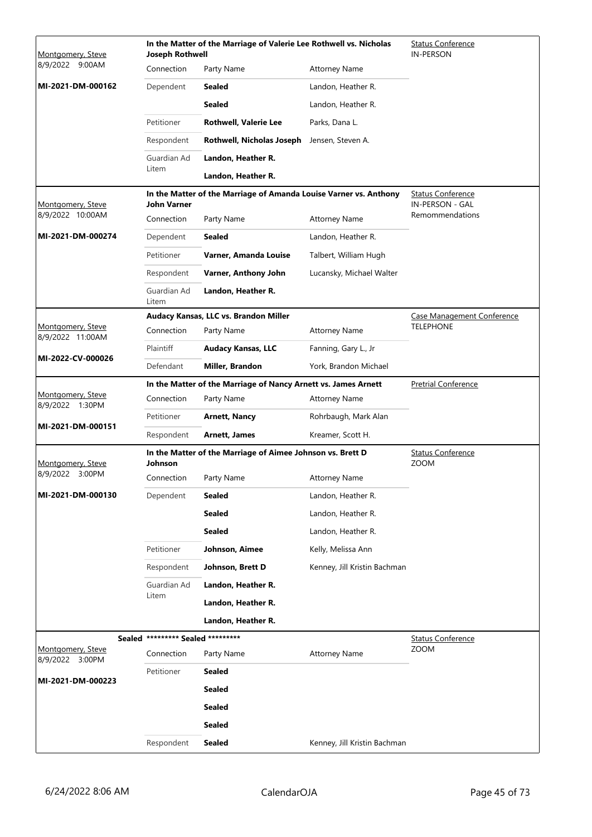| Montgomery, Steve                     | <b>Joseph Rothwell</b>            | In the Matter of the Marriage of Valerie Lee Rothwell vs. Nicholas | <b>Status Conference</b><br><b>IN-PERSON</b> |                                         |
|---------------------------------------|-----------------------------------|--------------------------------------------------------------------|----------------------------------------------|-----------------------------------------|
| 8/9/2022 9:00AM                       | Connection                        | Party Name                                                         | <b>Attorney Name</b>                         |                                         |
| MI-2021-DM-000162                     | Dependent                         | <b>Sealed</b>                                                      | Landon, Heather R.                           |                                         |
|                                       |                                   | <b>Sealed</b>                                                      | Landon, Heather R.                           |                                         |
|                                       | Petitioner                        | <b>Rothwell, Valerie Lee</b>                                       | Parks, Dana L.                               |                                         |
|                                       | Respondent                        | Rothwell, Nicholas Joseph                                          | Jensen, Steven A.                            |                                         |
|                                       | Guardian Ad                       | Landon, Heather R.                                                 |                                              |                                         |
|                                       | Litem                             | Landon, Heather R.                                                 |                                              |                                         |
|                                       |                                   | In the Matter of the Marriage of Amanda Louise Varner vs. Anthony  |                                              | <b>Status Conference</b>                |
| Montgomery, Steve<br>8/9/2022 10:00AM | John Varner                       |                                                                    |                                              | IN-PERSON - GAL<br>Remommendations      |
|                                       | Connection                        | Party Name                                                         | <b>Attorney Name</b>                         |                                         |
| MI-2021-DM-000274                     | Dependent                         | <b>Sealed</b>                                                      | Landon, Heather R.                           |                                         |
|                                       | Petitioner                        | Varner, Amanda Louise                                              | Talbert, William Hugh                        |                                         |
|                                       | Respondent                        | Varner, Anthony John                                               | Lucansky, Michael Walter                     |                                         |
|                                       | Guardian Ad<br>Litem              | Landon, Heather R.                                                 |                                              |                                         |
|                                       |                                   | Audacy Kansas, LLC vs. Brandon Miller                              |                                              | <b>Case Management Conference</b>       |
| Montgomery, Steve<br>8/9/2022 11:00AM | Connection                        | Party Name                                                         | <b>Attorney Name</b>                         | <b>TELEPHONE</b>                        |
| MI-2022-CV-000026                     | Plaintiff                         | <b>Audacy Kansas, LLC</b>                                          | Fanning, Gary L., Jr                         |                                         |
|                                       | Defendant                         | Miller, Brandon                                                    | York, Brandon Michael                        |                                         |
|                                       |                                   | In the Matter of the Marriage of Nancy Arnett vs. James Arnett     |                                              | <b>Pretrial Conference</b>              |
| Montgomery, Steve<br>8/9/2022 1:30PM  | Connection                        | Party Name                                                         | <b>Attorney Name</b>                         |                                         |
| MI-2021-DM-000151                     | Petitioner                        | <b>Arnett, Nancy</b>                                               | Rohrbaugh, Mark Alan                         |                                         |
|                                       | Respondent                        | <b>Arnett, James</b>                                               | Kreamer, Scott H.                            |                                         |
| Montgomery, Steve                     | Johnson                           | In the Matter of the Marriage of Aimee Johnson vs. Brett D         |                                              | <b>Status Conference</b><br><b>ZOOM</b> |
| 8/9/2022 3:00PM                       | Connection                        | Party Name                                                         | Attorney Name                                |                                         |
| MI-2021-DM-000130                     | Dependent                         | <b>Sealed</b>                                                      | Landon, Heather R.                           |                                         |
|                                       |                                   | <b>Sealed</b>                                                      | Landon, Heather R.                           |                                         |
|                                       |                                   | <b>Sealed</b>                                                      | Landon, Heather R.                           |                                         |
|                                       | Petitioner                        | Johnson, Aimee                                                     | Kelly, Melissa Ann                           |                                         |
|                                       | Respondent                        | Johnson, Brett D                                                   | Kenney, Jill Kristin Bachman                 |                                         |
|                                       | Guardian Ad                       | Landon, Heather R.                                                 |                                              |                                         |
|                                       | Litem                             | Landon, Heather R.                                                 |                                              |                                         |
|                                       |                                   | Landon, Heather R.                                                 |                                              |                                         |
|                                       | Sealed ********* Sealed ********* |                                                                    |                                              | <b>Status Conference</b>                |
| Montgomery, Steve<br>8/9/2022 3:00PM  | Connection                        | Party Name                                                         | <b>Attorney Name</b>                         | ZOOM                                    |
|                                       | Petitioner                        | <b>Sealed</b>                                                      |                                              |                                         |
| MI-2021-DM-000223                     |                                   | <b>Sealed</b>                                                      |                                              |                                         |
|                                       |                                   | <b>Sealed</b>                                                      |                                              |                                         |
|                                       |                                   | <b>Sealed</b>                                                      |                                              |                                         |
|                                       | Respondent                        | <b>Sealed</b>                                                      | Kenney, Jill Kristin Bachman                 |                                         |
|                                       |                                   |                                                                    |                                              |                                         |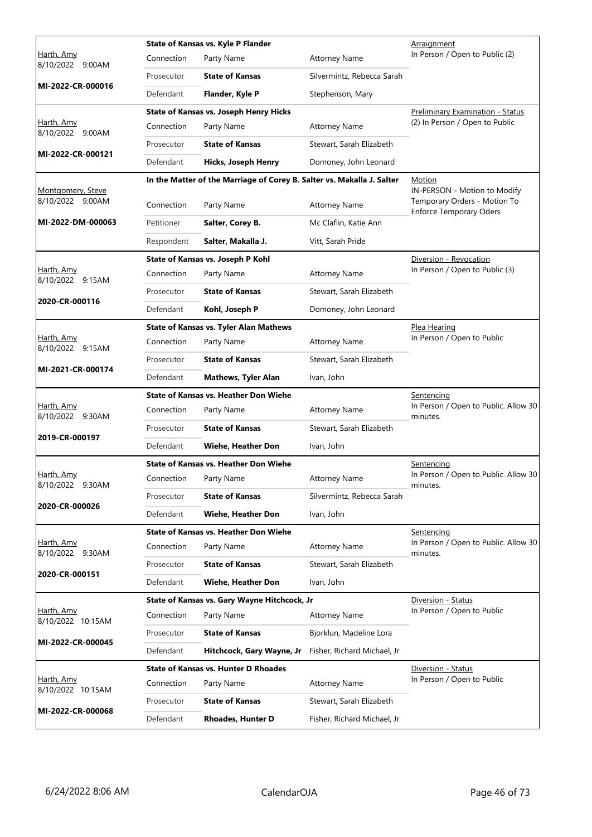|                                       |            | State of Kansas vs. Kyle P Flander                                     |                                                           | Arraignment                                                                                    |
|---------------------------------------|------------|------------------------------------------------------------------------|-----------------------------------------------------------|------------------------------------------------------------------------------------------------|
| Harth, Amy<br>8/10/2022 9:00AM        | Connection | Party Name                                                             | <b>Attorney Name</b>                                      | In Person / Open to Public (2)                                                                 |
| MI-2022-CR-000016                     | Prosecutor | <b>State of Kansas</b>                                                 | Silvermintz, Rebecca Sarah                                |                                                                                                |
|                                       | Defendant  | Flander, Kyle P                                                        | Stephenson, Mary                                          |                                                                                                |
|                                       |            | State of Kansas vs. Joseph Henry Hicks                                 |                                                           | <b>Preliminary Examination - Status</b>                                                        |
| Harth, Amy<br>8/10/2022 9:00AM        | Connection | Party Name                                                             | <b>Attorney Name</b>                                      | (2) In Person / Open to Public                                                                 |
| MI-2022-CR-000121                     | Prosecutor | <b>State of Kansas</b>                                                 | Stewart, Sarah Elizabeth                                  |                                                                                                |
|                                       | Defendant  | <b>Hicks, Joseph Henry</b>                                             | Domoney, John Leonard                                     |                                                                                                |
|                                       |            | In the Matter of the Marriage of Corey B. Salter vs. Makalla J. Salter |                                                           | Motion                                                                                         |
| Montgomery, Steve<br>8/10/2022 9:00AM | Connection | Party Name                                                             | <b>Attorney Name</b>                                      | IN-PERSON - Motion to Modify<br>Temporary Orders - Motion To<br><b>Enforce Temporary Oders</b> |
| MI-2022-DM-000063                     | Petitioner | Salter, Corey B.                                                       | Mc Claflin, Katie Ann                                     |                                                                                                |
|                                       | Respondent | Salter, Makalla J.                                                     | Vitt, Sarah Pride                                         |                                                                                                |
|                                       |            | State of Kansas vs. Joseph P Kohl                                      |                                                           | Diversion - Revocation                                                                         |
| Harth, Amy<br>8/10/2022 9:15AM        | Connection | Party Name                                                             | <b>Attorney Name</b>                                      | In Person / Open to Public (3)                                                                 |
|                                       | Prosecutor | <b>State of Kansas</b>                                                 | Stewart, Sarah Elizabeth                                  |                                                                                                |
| 2020-CR-000116                        | Defendant  | Kohl, Joseph P                                                         | Domoney, John Leonard                                     |                                                                                                |
|                                       |            | <b>State of Kansas vs. Tyler Alan Mathews</b>                          |                                                           | Plea Hearing                                                                                   |
| Harth, Amy<br>8/10/2022 9:15AM        | Connection | Party Name                                                             | <b>Attorney Name</b>                                      | In Person / Open to Public                                                                     |
| MI-2021-CR-000174                     | Prosecutor | <b>State of Kansas</b>                                                 | Stewart, Sarah Elizabeth                                  |                                                                                                |
|                                       | Defendant  | <b>Mathews, Tyler Alan</b>                                             | Ivan, John                                                |                                                                                                |
|                                       |            | <b>State of Kansas vs. Heather Don Wiehe</b>                           |                                                           | <u>Sentencing</u>                                                                              |
| Harth, Amy<br>8/10/2022 9:30AM        | Connection | Party Name                                                             | <b>Attorney Name</b>                                      | In Person / Open to Public. Allow 30<br>minutes.                                               |
| 2019-CR-000197                        | Prosecutor | <b>State of Kansas</b>                                                 | Stewart, Sarah Elizabeth                                  |                                                                                                |
|                                       | Defendant  | <b>Wiehe, Heather Don</b>                                              | Ivan, John                                                |                                                                                                |
| <u>Harth, Amy</u>                     |            | State of Kansas vs. Heather Don Wiehe                                  | <u>Sentencing</u><br>In Person / Open to Public. Allow 30 |                                                                                                |
| 8/10/2022 9:30AM                      | Connection | Party Name                                                             | <b>Attorney Name</b>                                      | minutes.                                                                                       |
| 2020-CR-000026                        | Prosecutor | <b>State of Kansas</b>                                                 | Silvermintz, Rebecca Sarah                                |                                                                                                |
|                                       | Defendant  | Wiehe, Heather Don                                                     | Ivan, John                                                |                                                                                                |
| Harth, Amy                            |            | <b>State of Kansas vs. Heather Don Wiehe</b>                           |                                                           | <b>Sentencing</b><br>In Person / Open to Public. Allow 30                                      |
| 8/10/2022 9:30AM                      | Connection | Party Name                                                             | <b>Attorney Name</b>                                      | minutes.                                                                                       |
| 2020-CR-000151                        | Prosecutor | <b>State of Kansas</b>                                                 | Stewart, Sarah Elizabeth                                  |                                                                                                |
|                                       | Defendant  | <b>Wiehe, Heather Don</b>                                              | Ivan, John                                                |                                                                                                |
| Harth, Amy                            |            | State of Kansas vs. Gary Wayne Hitchcock, Jr                           |                                                           | Diversion - Status<br>In Person / Open to Public                                               |
| 8/10/2022 10:15AM                     | Connection | Party Name                                                             | <b>Attorney Name</b>                                      |                                                                                                |
| MI-2022-CR-000045                     | Prosecutor | <b>State of Kansas</b>                                                 | Bjorklun, Madeline Lora                                   |                                                                                                |
|                                       | Defendant  | Hitchcock, Gary Wayne, Jr                                              | Fisher, Richard Michael, Jr                               |                                                                                                |
| Harth, Amy                            | Connection | <b>State of Kansas vs. Hunter D Rhoades</b><br>Party Name              | <b>Attorney Name</b>                                      | Diversion - Status<br>In Person / Open to Public                                               |
| 8/10/2022 10:15AM                     |            |                                                                        |                                                           |                                                                                                |
| MI-2022-CR-000068                     | Prosecutor | <b>State of Kansas</b>                                                 | Stewart, Sarah Elizabeth                                  |                                                                                                |
|                                       | Defendant  | <b>Rhoades, Hunter D</b>                                               | Fisher, Richard Michael, Jr                               |                                                                                                |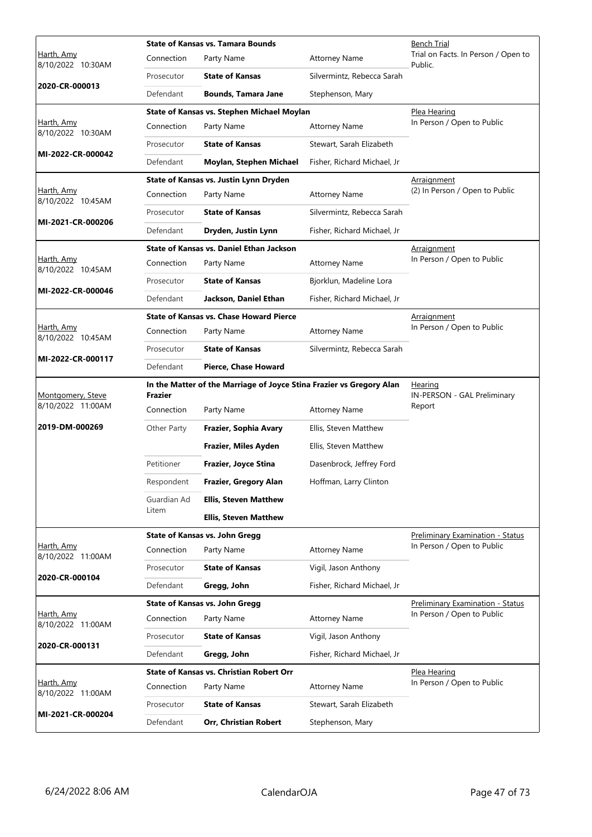|                                        | <b>State of Kansas vs. Tamara Bounds</b> |                                                                      |                             | <b>Bench Trial</b>                             |
|----------------------------------------|------------------------------------------|----------------------------------------------------------------------|-----------------------------|------------------------------------------------|
| Harth, Amy<br>8/10/2022 10:30AM        | Connection                               | Party Name                                                           | <b>Attorney Name</b>        | Trial on Facts. In Person / Open to<br>Public. |
|                                        | Prosecutor                               | <b>State of Kansas</b>                                               | Silvermintz, Rebecca Sarah  |                                                |
| 2020-CR-000013                         | Defendant                                | <b>Bounds, Tamara Jane</b>                                           | Stephenson, Mary            |                                                |
|                                        |                                          | State of Kansas vs. Stephen Michael Moylan                           |                             | Plea Hearing                                   |
| Harth, Amy<br>8/10/2022 10:30AM        | Connection                               | Party Name                                                           | <b>Attorney Name</b>        | In Person / Open to Public                     |
|                                        | Prosecutor                               | <b>State of Kansas</b>                                               | Stewart, Sarah Elizabeth    |                                                |
| MI-2022-CR-000042                      | Defendant                                | Moylan, Stephen Michael                                              | Fisher, Richard Michael, Jr |                                                |
|                                        |                                          | State of Kansas vs. Justin Lynn Dryden                               |                             | <b>Arraignment</b>                             |
| Harth, Amy<br>8/10/2022 10:45AM        | Connection                               | Party Name                                                           | <b>Attorney Name</b>        | (2) In Person / Open to Public                 |
| MI-2021-CR-000206                      | Prosecutor                               | <b>State of Kansas</b>                                               | Silvermintz, Rebecca Sarah  |                                                |
|                                        | Defendant                                | Dryden, Justin Lynn                                                  | Fisher, Richard Michael, Jr |                                                |
|                                        |                                          | <b>State of Kansas vs. Daniel Ethan Jackson</b>                      |                             | <u>Arraignment</u>                             |
| <u>Harth, Amy</u><br>8/10/2022 10:45AM | Connection                               | Party Name                                                           | <b>Attorney Name</b>        | In Person / Open to Public                     |
|                                        | Prosecutor                               | <b>State of Kansas</b>                                               | Bjorklun, Madeline Lora     |                                                |
| MI-2022-CR-000046                      | Defendant                                | Jackson, Daniel Ethan                                                | Fisher, Richard Michael, Jr |                                                |
|                                        |                                          | <b>State of Kansas vs. Chase Howard Pierce</b>                       |                             | <b>Arraignment</b>                             |
| Harth, Amy<br>8/10/2022 10:45AM        | Connection                               | Party Name                                                           | <b>Attorney Name</b>        | In Person / Open to Public                     |
|                                        | Prosecutor                               | <b>State of Kansas</b>                                               | Silvermintz, Rebecca Sarah  |                                                |
| MI-2022-CR-000117                      | Defendant                                | Pierce, Chase Howard                                                 |                             |                                                |
|                                        |                                          | In the Matter of the Marriage of Joyce Stina Frazier vs Gregory Alan |                             | Hearing                                        |
| Montgomery, Steve<br>8/10/2022 11:00AM | Frazier<br>Connection                    | Party Name                                                           | <b>Attorney Name</b>        | IN-PERSON - GAL Preliminary<br>Report          |
| 2019-DM-000269                         | Other Party                              | Frazier, Sophia Avary                                                | Ellis, Steven Matthew       |                                                |
|                                        |                                          | Frazier, Miles Ayden                                                 | Ellis, Steven Matthew       |                                                |
|                                        | Petitioner                               | Frazier, Joyce Stina                                                 | Dasenbrock, Jeffrey Ford    |                                                |
|                                        | Respondent                               | Frazier, Gregory Alan                                                | Hoffman, Larry Clinton      |                                                |
|                                        | Guardian Ad                              | <b>Ellis, Steven Matthew</b>                                         |                             |                                                |
|                                        | Litem                                    | <b>Ellis, Steven Matthew</b>                                         |                             |                                                |
|                                        |                                          | <b>State of Kansas vs. John Gregg</b>                                |                             | Preliminary Examination - Status               |
| Harth, Amy<br>8/10/2022 11:00AM        | Connection                               | Party Name                                                           | <b>Attorney Name</b>        | In Person / Open to Public                     |
|                                        | Prosecutor                               | <b>State of Kansas</b>                                               | Vigil, Jason Anthony        |                                                |
| 2020-CR-000104                         | Defendant                                | Gregg, John                                                          | Fisher, Richard Michael, Jr |                                                |
|                                        |                                          | <b>State of Kansas vs. John Gregg</b>                                |                             | Preliminary Examination - Status               |
| Harth, Amy<br>8/10/2022 11:00AM        | Connection                               | Party Name                                                           | <b>Attorney Name</b>        | In Person / Open to Public                     |
|                                        | Prosecutor                               | <b>State of Kansas</b>                                               | Vigil, Jason Anthony        |                                                |
| 2020-CR-000131                         | Defendant                                | Gregg, John                                                          | Fisher, Richard Michael, Jr |                                                |
|                                        |                                          | <b>State of Kansas vs. Christian Robert Orr</b>                      |                             | Plea Hearing                                   |
| Harth, Amy<br>8/10/2022 11:00AM        | Connection                               | Party Name                                                           | <b>Attorney Name</b>        | In Person / Open to Public                     |
|                                        | Prosecutor                               | <b>State of Kansas</b>                                               | Stewart, Sarah Elizabeth    |                                                |
| MI-2021-CR-000204                      | Defendant                                | Orr, Christian Robert                                                | Stephenson, Mary            |                                                |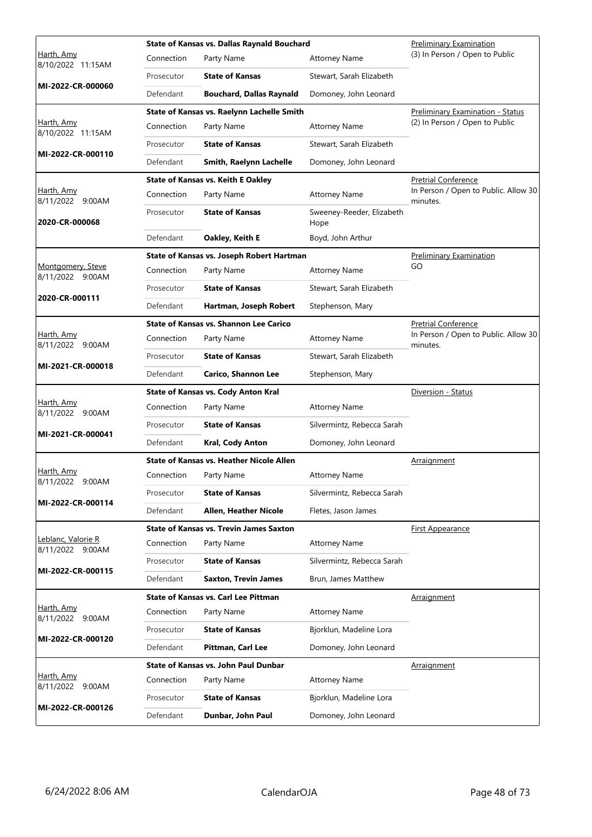|                                        |            | State of Kansas vs. Dallas Raynald Bouchard     |                                   | <b>Preliminary Examination</b>                   |
|----------------------------------------|------------|-------------------------------------------------|-----------------------------------|--------------------------------------------------|
| Harth, Amy<br>8/10/2022 11:15AM        | Connection | Party Name                                      | <b>Attorney Name</b>              | (3) In Person / Open to Public                   |
|                                        | Prosecutor | <b>State of Kansas</b>                          | Stewart, Sarah Elizabeth          |                                                  |
| MI-2022-CR-000060                      | Defendant  | <b>Bouchard, Dallas Raynald</b>                 | Domoney, John Leonard             |                                                  |
|                                        |            | State of Kansas vs. Raelynn Lachelle Smith      |                                   | <b>Preliminary Examination - Status</b>          |
| <u>Harth, Amy</u><br>8/10/2022 11:15AM | Connection | Party Name                                      | <b>Attorney Name</b>              | (2) In Person / Open to Public                   |
|                                        | Prosecutor | <b>State of Kansas</b>                          | Stewart, Sarah Elizabeth          |                                                  |
| MI-2022-CR-000110                      | Defendant  | Smith, Raelynn Lachelle                         | Domoney, John Leonard             |                                                  |
|                                        |            | <b>State of Kansas vs. Keith E Oakley</b>       |                                   | <b>Pretrial Conference</b>                       |
| Harth, Amy<br>8/11/2022 9:00AM         | Connection | Party Name                                      | <b>Attorney Name</b>              | In Person / Open to Public. Allow 30<br>minutes. |
| 2020-CR-000068                         | Prosecutor | <b>State of Kansas</b>                          | Sweeney-Reeder, Elizabeth<br>Hope |                                                  |
|                                        | Defendant  | Oakley, Keith E                                 | Boyd, John Arthur                 |                                                  |
|                                        |            | State of Kansas vs. Joseph Robert Hartman       |                                   | Preliminary Examination                          |
| Montgomery, Steve<br>8/11/2022 9:00AM  | Connection | Party Name                                      | <b>Attorney Name</b>              | GO                                               |
|                                        | Prosecutor | <b>State of Kansas</b>                          | Stewart, Sarah Elizabeth          |                                                  |
| 2020-CR-000111                         | Defendant  | Hartman, Joseph Robert                          | Stephenson, Mary                  |                                                  |
|                                        |            | <b>State of Kansas vs. Shannon Lee Carico</b>   |                                   | <b>Pretrial Conference</b>                       |
| Harth, Amy<br>8/11/2022 9:00AM         | Connection | Party Name                                      | <b>Attorney Name</b>              | In Person / Open to Public. Allow 30<br>minutes. |
|                                        | Prosecutor | <b>State of Kansas</b>                          | Stewart, Sarah Elizabeth          |                                                  |
| MI-2021-CR-000018                      | Defendant  | <b>Carico, Shannon Lee</b>                      | Stephenson, Mary                  |                                                  |
|                                        |            | <b>State of Kansas vs. Cody Anton Kral</b>      |                                   | Diversion - Status                               |
| <u>Harth, Amy</u><br>8/11/2022 9:00AM  | Connection | Party Name                                      | <b>Attorney Name</b>              |                                                  |
| MI-2021-CR-000041                      | Prosecutor | <b>State of Kansas</b>                          | Silvermintz, Rebecca Sarah        |                                                  |
|                                        | Defendant  | Kral, Cody Anton                                | Domoney, John Leonard             |                                                  |
|                                        |            | <b>State of Kansas vs. Heather Nicole Allen</b> |                                   | <b>Arraignment</b>                               |
| <u>Harth, Amy</u><br>8/11/2022 9:00AM  | Connection | Party Name                                      | <b>Attorney Name</b>              |                                                  |
| MI-2022-CR-000114                      | Prosecutor | <b>State of Kansas</b>                          | Silvermintz, Rebecca Sarah        |                                                  |
|                                        | Defendant  | <b>Allen, Heather Nicole</b>                    | Fletes, Jason James               |                                                  |
|                                        |            | <b>State of Kansas vs. Trevin James Saxton</b>  |                                   | <b>First Appearance</b>                          |
| Leblanc, Valorie R<br>8/11/2022 9:00AM | Connection | Party Name                                      | <b>Attorney Name</b>              |                                                  |
| MI-2022-CR-000115                      | Prosecutor | <b>State of Kansas</b>                          | Silvermintz, Rebecca Sarah        |                                                  |
|                                        | Defendant  | <b>Saxton, Trevin James</b>                     | Brun, James Matthew               |                                                  |
|                                        |            | State of Kansas vs. Carl Lee Pittman            |                                   | Arraignment                                      |
| Harth, Amy<br>8/11/2022 9:00AM         | Connection | Party Name                                      | <b>Attorney Name</b>              |                                                  |
| MI-2022-CR-000120                      | Prosecutor | <b>State of Kansas</b>                          | Bjorklun, Madeline Lora           |                                                  |
|                                        | Defendant  | Pittman, Carl Lee                               | Domoney, John Leonard             |                                                  |
|                                        |            | <b>State of Kansas vs. John Paul Dunbar</b>     |                                   | <b>Arraignment</b>                               |
| Harth, Amy<br>8/11/2022<br>9:00AM      | Connection | Party Name                                      | <b>Attorney Name</b>              |                                                  |
|                                        | Prosecutor | <b>State of Kansas</b>                          | Bjorklun, Madeline Lora           |                                                  |
| MI-2022-CR-000126                      | Defendant  | Dunbar, John Paul                               | Domoney, John Leonard             |                                                  |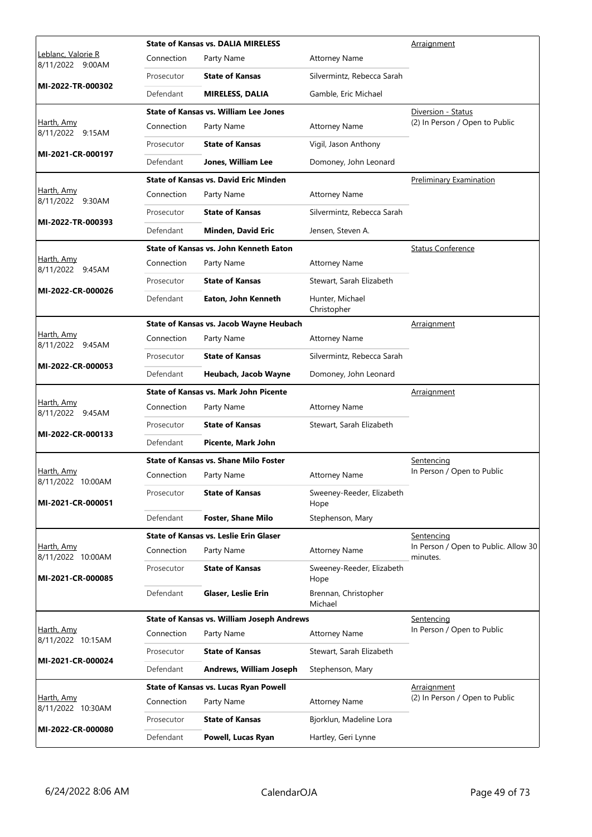|                                               |            | <b>State of Kansas vs. DALIA MIRELESS</b>         |                                   | Arraignment                                        |
|-----------------------------------------------|------------|---------------------------------------------------|-----------------------------------|----------------------------------------------------|
| <u>Leblanc, Valorie R</u><br>8/11/2022 9:00AM | Connection | Party Name                                        | <b>Attorney Name</b>              |                                                    |
|                                               | Prosecutor | <b>State of Kansas</b>                            | Silvermintz, Rebecca Sarah        |                                                    |
| MI-2022-TR-000302                             | Defendant  | <b>MIRELESS, DALIA</b>                            | Gamble, Eric Michael              |                                                    |
|                                               |            | <b>State of Kansas vs. William Lee Jones</b>      |                                   | Diversion - Status                                 |
| Harth, Amy<br>8/11/2022 9:15AM                | Connection | Party Name                                        | <b>Attorney Name</b>              | (2) In Person / Open to Public                     |
| MI-2021-CR-000197                             | Prosecutor | <b>State of Kansas</b>                            | Vigil, Jason Anthony              |                                                    |
|                                               | Defendant  | Jones, William Lee                                | Domoney, John Leonard             |                                                    |
|                                               |            | <b>State of Kansas vs. David Eric Minden</b>      |                                   | <b>Preliminary Examination</b>                     |
| Harth, Amy<br>8/11/2022 9:30AM                | Connection | Party Name                                        | <b>Attorney Name</b>              |                                                    |
| MI-2022-TR-000393                             | Prosecutor | <b>State of Kansas</b>                            | Silvermintz, Rebecca Sarah        |                                                    |
|                                               | Defendant  | Minden, David Eric                                | Jensen, Steven A.                 |                                                    |
|                                               |            | State of Kansas vs. John Kenneth Eaton            |                                   | <b>Status Conference</b>                           |
| Harth, Amy<br>8/11/2022 9:45AM                | Connection | Party Name                                        | <b>Attorney Name</b>              |                                                    |
| MI-2022-CR-000026                             | Prosecutor | <b>State of Kansas</b>                            | Stewart, Sarah Elizabeth          |                                                    |
|                                               | Defendant  | Eaton, John Kenneth                               | Hunter, Michael<br>Christopher    |                                                    |
|                                               |            | State of Kansas vs. Jacob Wayne Heubach           |                                   | Arraignment                                        |
| Harth, Amy<br>8/11/2022 9:45AM                | Connection | Party Name                                        | <b>Attorney Name</b>              |                                                    |
| MI-2022-CR-000053                             | Prosecutor | <b>State of Kansas</b>                            | Silvermintz, Rebecca Sarah        |                                                    |
|                                               | Defendant  | Heubach, Jacob Wayne                              | Domoney, John Leonard             |                                                    |
|                                               |            | State of Kansas vs. Mark John Picente             |                                   | <b>Arraignment</b>                                 |
| Harth, Amy<br>8/11/2022 9:45AM                | Connection | Party Name                                        | <b>Attorney Name</b>              |                                                    |
| MI-2022-CR-000133                             | Prosecutor | <b>State of Kansas</b>                            | Stewart, Sarah Elizabeth          |                                                    |
|                                               | Defendant  | Picente, Mark John                                |                                   |                                                    |
|                                               |            | State of Kansas vs. Shane Milo Foster             |                                   | <u>Sentencing</u>                                  |
| <u>Harth, Amy</u><br>8/11/2022 10:00AM        | Connection | Party Name                                        | <b>Attorney Name</b>              | In Person / Open to Public                         |
| MI-2021-CR-000051                             | Prosecutor | <b>State of Kansas</b>                            | Sweeney-Reeder, Elizabeth<br>Hope |                                                    |
|                                               | Defendant  | <b>Foster, Shane Milo</b>                         | Stephenson, Mary                  |                                                    |
|                                               |            | State of Kansas vs. Leslie Erin Glaser            |                                   | Sentencing<br>In Person / Open to Public. Allow 30 |
| Harth, Amy<br>8/11/2022 10:00AM               | Connection | Party Name                                        | <b>Attorney Name</b>              | minutes.                                           |
| MI-2021-CR-000085                             | Prosecutor | <b>State of Kansas</b>                            | Sweeney-Reeder, Elizabeth<br>Hope |                                                    |
|                                               | Defendant  | <b>Glaser, Leslie Erin</b>                        | Brennan, Christopher<br>Michael   |                                                    |
|                                               |            | <b>State of Kansas vs. William Joseph Andrews</b> |                                   | Sentencing                                         |
| Harth, Amy<br>8/11/2022 10:15AM               | Connection | Party Name                                        | <b>Attorney Name</b>              | In Person / Open to Public                         |
| MI-2021-CR-000024                             | Prosecutor | <b>State of Kansas</b>                            | Stewart, Sarah Elizabeth          |                                                    |
|                                               | Defendant  | Andrews, William Joseph                           | Stephenson, Mary                  |                                                    |
|                                               |            | State of Kansas vs. Lucas Ryan Powell             |                                   | <b>Arraignment</b>                                 |
| Harth, Amy<br>8/11/2022 10:30AM               | Connection | Party Name                                        | <b>Attorney Name</b>              | (2) In Person / Open to Public                     |
| MI-2022-CR-000080                             | Prosecutor | <b>State of Kansas</b>                            | Bjorklun, Madeline Lora           |                                                    |
|                                               | Defendant  | Powell, Lucas Ryan                                | Hartley, Geri Lynne               |                                                    |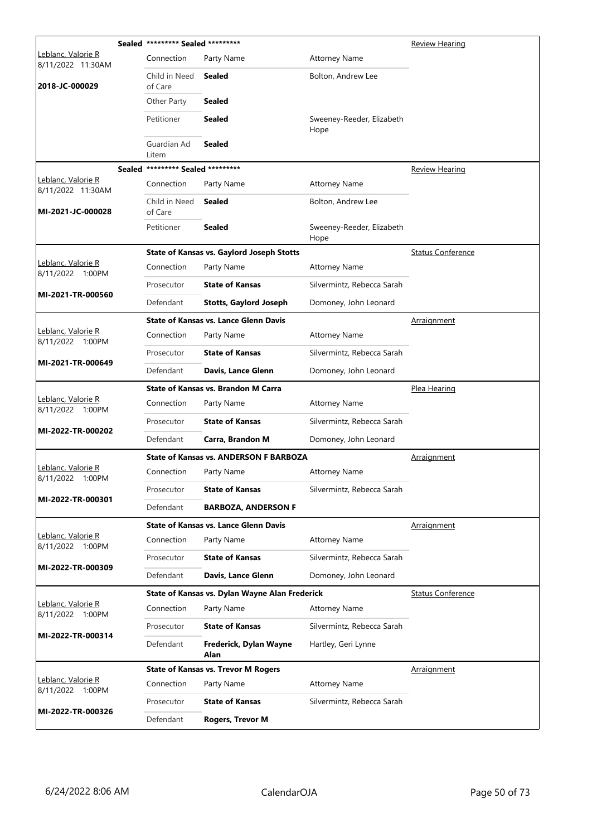|                                                | Sealed ********* Sealed ********* |                                                  |                                   | <b>Review Hearing</b>    |
|------------------------------------------------|-----------------------------------|--------------------------------------------------|-----------------------------------|--------------------------|
| Leblanc, Valorie R<br>8/11/2022 11:30AM        | Connection                        | Party Name                                       | <b>Attorney Name</b>              |                          |
| 2018-JC-000029                                 | Child in Need<br>of Care          | Sealed                                           | Bolton, Andrew Lee                |                          |
|                                                | Other Party                       | <b>Sealed</b>                                    |                                   |                          |
|                                                | Petitioner                        | <b>Sealed</b>                                    | Sweeney-Reeder, Elizabeth<br>Hope |                          |
|                                                | Guardian Ad<br>Litem              | <b>Sealed</b>                                    |                                   |                          |
|                                                | Sealed ********* Sealed ********* |                                                  |                                   | <b>Review Hearing</b>    |
| Leblanc, Valorie R<br>8/11/2022 11:30AM        | Connection                        | Party Name                                       | <b>Attorney Name</b>              |                          |
| MI-2021-JC-000028                              | Child in Need<br>of Care          | Sealed                                           | Bolton, Andrew Lee                |                          |
|                                                | Petitioner                        | <b>Sealed</b>                                    | Sweeney-Reeder, Elizabeth<br>Hope |                          |
|                                                |                                   | <b>State of Kansas vs. Gaylord Joseph Stotts</b> |                                   | <b>Status Conference</b> |
| Leblanc, Valorie R<br>8/11/2022 1:00PM         | Connection                        | Party Name                                       | <b>Attorney Name</b>              |                          |
| MI-2021-TR-000560                              | Prosecutor                        | <b>State of Kansas</b>                           | Silvermintz, Rebecca Sarah        |                          |
|                                                | Defendant                         | <b>Stotts, Gaylord Joseph</b>                    | Domoney, John Leonard             |                          |
|                                                |                                   | <b>State of Kansas vs. Lance Glenn Davis</b>     |                                   | Arraignment              |
| Leblanc, Valorie R<br>8/11/2022 1:00PM         | Connection                        | Party Name                                       | <b>Attorney Name</b>              |                          |
| MI-2021-TR-000649                              | Prosecutor                        | <b>State of Kansas</b>                           | Silvermintz, Rebecca Sarah        |                          |
|                                                | Defendant                         | Davis, Lance Glenn                               | Domoney, John Leonard             |                          |
|                                                |                                   | <b>State of Kansas vs. Brandon M Carra</b>       |                                   | Plea Hearing             |
|                                                |                                   |                                                  |                                   |                          |
| <u> Leblanc, Valorie R</u><br>8/11/2022 1:00PM | Connection                        | Party Name                                       | <b>Attorney Name</b>              |                          |
|                                                | Prosecutor                        | <b>State of Kansas</b>                           | Silvermintz, Rebecca Sarah        |                          |
| MI-2022-TR-000202                              | Defendant                         | Carra, Brandon M                                 | Domoney, John Leonard             |                          |
|                                                |                                   | <b>State of Kansas vs. ANDERSON F BARBOZA</b>    |                                   | <u>Arraignment</u>       |
| Leblanc, Valorie R<br>8/11/2022 1:00PM         | Connection                        | Party Name                                       | <b>Attorney Name</b>              |                          |
|                                                | Prosecutor                        | <b>State of Kansas</b>                           | Silvermintz, Rebecca Sarah        |                          |
| MI-2022-TR-000301                              | Defendant                         | <b>BARBOZA, ANDERSON F</b>                       |                                   |                          |
|                                                |                                   | <b>State of Kansas vs. Lance Glenn Davis</b>     |                                   | Arraignment              |
| Leblanc, Valorie R<br>8/11/2022 1:00PM         | Connection                        | Party Name                                       | <b>Attorney Name</b>              |                          |
|                                                | Prosecutor                        | <b>State of Kansas</b>                           | Silvermintz, Rebecca Sarah        |                          |
| MI-2022-TR-000309                              | Defendant                         | Davis, Lance Glenn                               | Domoney, John Leonard             |                          |
|                                                |                                   | State of Kansas vs. Dylan Wayne Alan Frederick   |                                   | <b>Status Conference</b> |
| Leblanc, Valorie R<br>8/11/2022 1:00PM         | Connection                        | Party Name                                       | <b>Attorney Name</b>              |                          |
|                                                | Prosecutor                        | <b>State of Kansas</b>                           | Silvermintz, Rebecca Sarah        |                          |
| MI-2022-TR-000314                              | Defendant                         | Frederick, Dylan Wayne<br>Alan                   | Hartley, Geri Lynne               |                          |
|                                                |                                   | <b>State of Kansas vs. Trevor M Rogers</b>       |                                   | Arraignment              |
| Leblanc, Valorie R<br>8/11/2022 1:00PM         | Connection                        | Party Name                                       | <b>Attorney Name</b>              |                          |
| MI-2022-TR-000326                              | Prosecutor                        | <b>State of Kansas</b>                           | Silvermintz, Rebecca Sarah        |                          |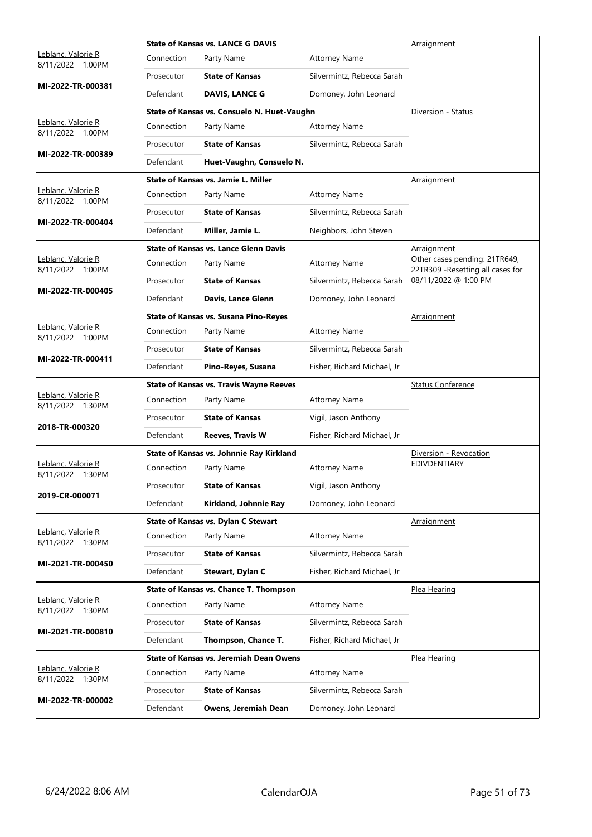|                                                |            | <b>State of Kansas vs. LANCE G DAVIS</b>       |                             | Arraignment                                                        |
|------------------------------------------------|------------|------------------------------------------------|-----------------------------|--------------------------------------------------------------------|
| Leblanc, Valorie R<br>8/11/2022 1:00PM         | Connection | Party Name                                     | <b>Attorney Name</b>        |                                                                    |
|                                                | Prosecutor | <b>State of Kansas</b>                         | Silvermintz, Rebecca Sarah  |                                                                    |
| MI-2022-TR-000381                              | Defendant  | <b>DAVIS, LANCE G</b>                          | Domoney, John Leonard       |                                                                    |
|                                                |            | State of Kansas vs. Consuelo N. Huet-Vaughn    |                             | Diversion - Status                                                 |
| Leblanc, Valorie R<br>8/11/2022 1:00PM         | Connection | Party Name                                     | <b>Attorney Name</b>        |                                                                    |
|                                                | Prosecutor | <b>State of Kansas</b>                         | Silvermintz, Rebecca Sarah  |                                                                    |
| MI-2022-TR-000389                              | Defendant  | Huet-Vaughn, Consuelo N.                       |                             |                                                                    |
|                                                |            | State of Kansas vs. Jamie L. Miller            |                             | Arraignment                                                        |
| Leblanc, Valorie R<br>8/11/2022 1:00PM         | Connection | Party Name                                     | <b>Attorney Name</b>        |                                                                    |
|                                                | Prosecutor | <b>State of Kansas</b>                         | Silvermintz, Rebecca Sarah  |                                                                    |
| MI-2022-TR-000404                              | Defendant  | Miller, Jamie L.                               | Neighbors, John Steven      |                                                                    |
|                                                |            | <b>State of Kansas vs. Lance Glenn Davis</b>   |                             | <u>Arraignment</u>                                                 |
| Leblanc, Valorie R<br>8/11/2022 1:00PM         | Connection | Party Name                                     | <b>Attorney Name</b>        | Other cases pending: 21TR649,<br>22TR309 - Resetting all cases for |
| MI-2022-TR-000405                              | Prosecutor | <b>State of Kansas</b>                         | Silvermintz, Rebecca Sarah  | 08/11/2022 @ 1:00 PM                                               |
|                                                | Defendant  | Davis, Lance Glenn                             | Domoney, John Leonard       |                                                                    |
|                                                |            | <b>State of Kansas vs. Susana Pino-Reyes</b>   |                             | Arraignment                                                        |
| Leblanc, Valorie R<br>8/11/2022 1:00PM         | Connection | Party Name                                     | <b>Attorney Name</b>        |                                                                    |
|                                                | Prosecutor | <b>State of Kansas</b>                         | Silvermintz, Rebecca Sarah  |                                                                    |
| MI-2022-TR-000411                              | Defendant  | Pino-Reyes, Susana                             | Fisher, Richard Michael, Jr |                                                                    |
|                                                |            |                                                |                             |                                                                    |
|                                                |            | <b>State of Kansas vs. Travis Wayne Reeves</b> |                             | <b>Status Conference</b>                                           |
| Leblanc, Valorie R<br>8/11/2022 1:30PM         | Connection | Party Name                                     | <b>Attorney Name</b>        |                                                                    |
|                                                | Prosecutor | <b>State of Kansas</b>                         | Vigil, Jason Anthony        |                                                                    |
| 2018-TR-000320                                 | Defendant  | <b>Reeves, Travis W</b>                        | Fisher, Richard Michael, Jr |                                                                    |
|                                                |            | State of Kansas vs. Johnnie Ray Kirkland       |                             | Diversion - Revocation                                             |
| <u> Leblanc, Valorie R</u><br>8/11/2022 1:30PM | Connection | Party Name                                     | <b>Attorney Name</b>        | <b>EDIVDENTIARY</b>                                                |
|                                                | Prosecutor | <b>State of Kansas</b>                         | Vigil, Jason Anthony        |                                                                    |
| 2019-CR-000071                                 | Defendant  | Kirkland, Johnnie Ray                          | Domoney, John Leonard       |                                                                    |
|                                                |            | <b>State of Kansas vs. Dylan C Stewart</b>     |                             | Arraignment                                                        |
| Leblanc, Valorie R<br>8/11/2022 1:30PM         | Connection | Party Name                                     | <b>Attorney Name</b>        |                                                                    |
|                                                | Prosecutor | <b>State of Kansas</b>                         | Silvermintz, Rebecca Sarah  |                                                                    |
| MI-2021-TR-000450                              | Defendant  | Stewart, Dylan C                               | Fisher, Richard Michael, Jr |                                                                    |
|                                                |            | <b>State of Kansas vs. Chance T. Thompson</b>  |                             | Plea Hearing                                                       |
| Leblanc, Valorie R<br>8/11/2022 1:30PM         | Connection | Party Name                                     | <b>Attorney Name</b>        |                                                                    |
|                                                | Prosecutor | <b>State of Kansas</b>                         | Silvermintz, Rebecca Sarah  |                                                                    |
| MI-2021-TR-000810                              | Defendant  | Thompson, Chance T.                            | Fisher, Richard Michael, Jr |                                                                    |
|                                                |            | <b>State of Kansas vs. Jeremiah Dean Owens</b> |                             | Plea Hearing                                                       |
| Leblanc, Valorie R<br>8/11/2022 1:30PM         | Connection | Party Name                                     | <b>Attorney Name</b>        |                                                                    |
| MI-2022-TR-000002                              | Prosecutor | <b>State of Kansas</b>                         | Silvermintz, Rebecca Sarah  |                                                                    |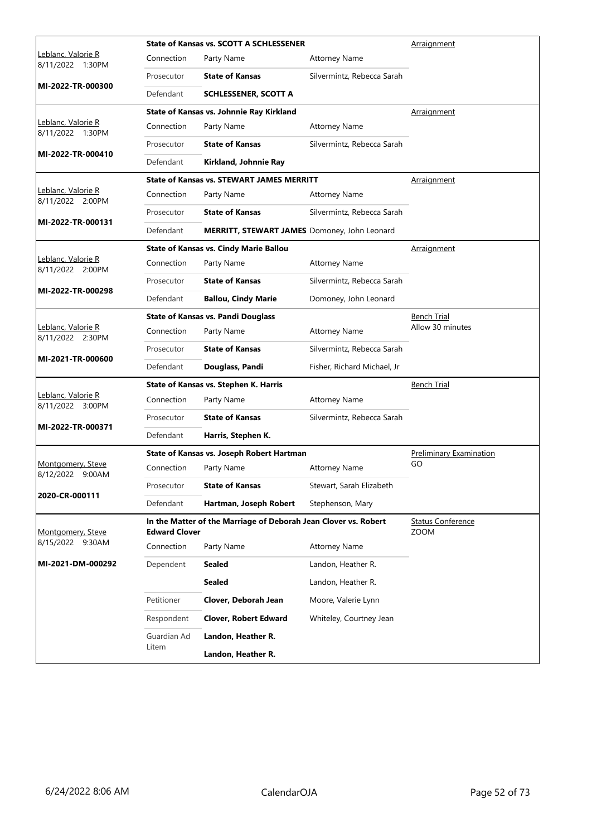|                                        |                      | State of Kansas vs. SCOTT A SCHLESSENER                         |                             | Arraignment                             |
|----------------------------------------|----------------------|-----------------------------------------------------------------|-----------------------------|-----------------------------------------|
| Leblanc, Valorie R<br>8/11/2022 1:30PM | Connection           | Party Name                                                      | <b>Attorney Name</b>        |                                         |
|                                        | Prosecutor           | <b>State of Kansas</b>                                          | Silvermintz, Rebecca Sarah  |                                         |
| MI-2022-TR-000300                      | Defendant            | <b>SCHLESSENER, SCOTT A</b>                                     |                             |                                         |
|                                        |                      | State of Kansas vs. Johnnie Ray Kirkland                        |                             | Arraignment                             |
| Leblanc, Valorie R<br>8/11/2022 1:30PM | Connection           | Party Name                                                      | <b>Attorney Name</b>        |                                         |
|                                        | Prosecutor           | <b>State of Kansas</b>                                          | Silvermintz, Rebecca Sarah  |                                         |
| MI-2022-TR-000410                      | Defendant            | Kirkland, Johnnie Ray                                           |                             |                                         |
|                                        |                      | <b>State of Kansas vs. STEWART JAMES MERRITT</b>                |                             | <b>Arraignment</b>                      |
| Leblanc, Valorie R<br>8/11/2022 2:00PM | Connection           | Party Name                                                      | <b>Attorney Name</b>        |                                         |
|                                        | Prosecutor           | <b>State of Kansas</b>                                          | Silvermintz, Rebecca Sarah  |                                         |
| MI-2022-TR-000131                      | Defendant            | MERRITT, STEWART JAMES Domoney, John Leonard                    |                             |                                         |
|                                        |                      | <b>State of Kansas vs. Cindy Marie Ballou</b>                   |                             | <b>Arraignment</b>                      |
| Leblanc, Valorie R<br>8/11/2022 2:00PM | Connection           | Party Name                                                      | <b>Attorney Name</b>        |                                         |
|                                        | Prosecutor           | <b>State of Kansas</b>                                          | Silvermintz, Rebecca Sarah  |                                         |
| MI-2022-TR-000298                      | Defendant            | <b>Ballou, Cindy Marie</b>                                      | Domoney, John Leonard       |                                         |
|                                        |                      | <b>State of Kansas vs. Pandi Douglass</b>                       |                             | <b>Bench Trial</b>                      |
| Leblanc, Valorie R<br>8/11/2022 2:30PM | Connection           | Party Name                                                      | <b>Attorney Name</b>        | Allow 30 minutes                        |
|                                        | Prosecutor           | <b>State of Kansas</b>                                          | Silvermintz, Rebecca Sarah  |                                         |
| MI-2021-TR-000600                      | Defendant            | Douglass, Pandi                                                 | Fisher, Richard Michael, Jr |                                         |
|                                        |                      | State of Kansas vs. Stephen K. Harris                           |                             | <b>Bench Trial</b>                      |
| Leblanc, Valorie R<br>8/11/2022 3:00PM | Connection           | Party Name                                                      | <b>Attorney Name</b>        |                                         |
| MI-2022-TR-000371                      | Prosecutor           | <b>State of Kansas</b>                                          | Silvermintz, Rebecca Sarah  |                                         |
|                                        | Defendant            | Harris, Stephen K.                                              |                             |                                         |
|                                        |                      | State of Kansas vs. Joseph Robert Hartman                       |                             | <b>Preliminary Examination</b>          |
| Montgomery, Steve<br>8/12/2022 9:00AM  | Connection           | Party Name                                                      | <b>Attorney Name</b>        | GO                                      |
| 2020-CR-000111                         | Prosecutor           | <b>State of Kansas</b>                                          | Stewart, Sarah Elizabeth    |                                         |
|                                        | Defendant            | Hartman, Joseph Robert                                          | Stephenson, Mary            |                                         |
| Montgomery, Steve                      | <b>Edward Clover</b> | In the Matter of the Marriage of Deborah Jean Clover vs. Robert |                             | <b>Status Conference</b><br><b>ZOOM</b> |
| 8/15/2022 9:30AM                       | Connection           | Party Name                                                      | <b>Attorney Name</b>        |                                         |
| MI-2021-DM-000292                      | Dependent            | <b>Sealed</b>                                                   | Landon, Heather R.          |                                         |
|                                        |                      | Sealed                                                          | Landon, Heather R.          |                                         |
|                                        | Petitioner           | Clover, Deborah Jean                                            | Moore, Valerie Lynn         |                                         |
|                                        | Respondent           | <b>Clover, Robert Edward</b>                                    | Whiteley, Courtney Jean     |                                         |
|                                        | Guardian Ad          | Landon, Heather R.                                              |                             |                                         |
|                                        | Litem                | Landon, Heather R.                                              |                             |                                         |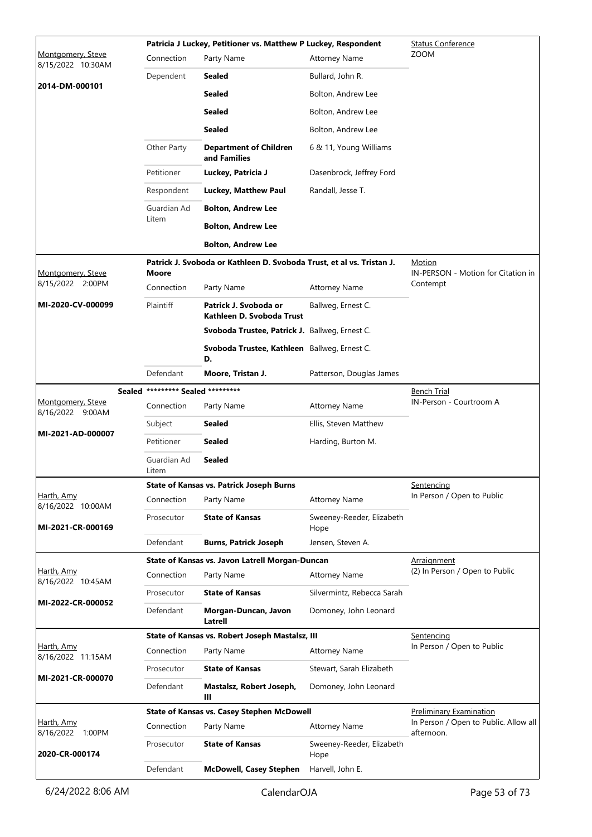|                                        |                            | Patricia J Luckey, Petitioner vs. Matthew P Luckey, Respondent        |                                   | <b>Status Conference</b>                            |
|----------------------------------------|----------------------------|-----------------------------------------------------------------------|-----------------------------------|-----------------------------------------------------|
| Montgomery, Steve<br>8/15/2022 10:30AM | Connection                 | Party Name                                                            | <b>Attorney Name</b>              | <b>ZOOM</b>                                         |
|                                        | Dependent                  | Sealed                                                                | Bullard, John R.                  |                                                     |
| 2014-DM-000101                         |                            | <b>Sealed</b>                                                         | Bolton, Andrew Lee                |                                                     |
|                                        |                            | <b>Sealed</b>                                                         | Bolton, Andrew Lee                |                                                     |
|                                        |                            | <b>Sealed</b>                                                         | Bolton, Andrew Lee                |                                                     |
|                                        | Other Party                | <b>Department of Children</b><br>and Families                         | 6 & 11, Young Williams            |                                                     |
|                                        | Petitioner                 | Luckey, Patricia J                                                    | Dasenbrock, Jeffrey Ford          |                                                     |
|                                        | Respondent                 | Luckey, Matthew Paul                                                  | Randall, Jesse T.                 |                                                     |
|                                        | Guardian Ad                | <b>Bolton, Andrew Lee</b>                                             |                                   |                                                     |
|                                        | Litem                      | <b>Bolton, Andrew Lee</b>                                             |                                   |                                                     |
|                                        |                            | <b>Bolton, Andrew Lee</b>                                             |                                   |                                                     |
| Montgomery, Steve                      | <b>Moore</b>               | Patrick J. Svoboda or Kathleen D. Svoboda Trust, et al vs. Tristan J. |                                   | Motion<br>IN-PERSON - Motion for Citation in        |
| 8/15/2022 2:00PM                       | Connection                 | Party Name                                                            | <b>Attorney Name</b>              | Contempt                                            |
| MI-2020-CV-000099                      | Plaintiff                  | Patrick J. Svoboda or<br>Kathleen D. Svoboda Trust                    | Ballweg, Ernest C.                |                                                     |
|                                        |                            | Svoboda Trustee, Patrick J. Ballweg, Ernest C.                        |                                   |                                                     |
|                                        |                            | Svoboda Trustee, Kathleen Ballweg, Ernest C.<br>D.                    |                                   |                                                     |
|                                        | Defendant                  | Moore, Tristan J.                                                     | Patterson, Douglas James          |                                                     |
| Sealed                                 | ********* Sealed ********* |                                                                       |                                   | <u>Bench Trial</u>                                  |
| Montgomery, Steve<br>8/16/2022 9:00AM  | Connection                 | Party Name                                                            | <b>Attorney Name</b>              | IN-Person - Courtroom A                             |
| MI-2021-AD-000007                      | Subject                    | <b>Sealed</b>                                                         | Ellis, Steven Matthew             |                                                     |
|                                        | Petitioner                 | <b>Sealed</b>                                                         | Harding, Burton M.                |                                                     |
|                                        | Guardian Ad<br>Litem       | <b>Sealed</b>                                                         |                                   |                                                     |
|                                        |                            | <b>State of Kansas vs. Patrick Joseph Burns</b>                       |                                   | Sentencing                                          |
| Harth, Amy<br>8/16/2022 10:00AM        | Connection                 | Party Name                                                            | <b>Attorney Name</b>              | In Person / Open to Public                          |
| MI-2021-CR-000169                      | Prosecutor                 | <b>State of Kansas</b>                                                | Sweeney-Reeder, Elizabeth<br>Hope |                                                     |
|                                        | Defendant                  | <b>Burns, Patrick Joseph</b>                                          | Jensen, Steven A.                 |                                                     |
| Harth, Amy                             |                            | State of Kansas vs. Javon Latrell Morgan-Duncan                       |                                   | Arraignment<br>(2) In Person / Open to Public       |
| 8/16/2022 10:45AM                      | Connection                 | Party Name                                                            | <b>Attorney Name</b>              |                                                     |
| MI-2022-CR-000052                      | Prosecutor                 | <b>State of Kansas</b>                                                | Silvermintz, Rebecca Sarah        |                                                     |
|                                        | Defendant                  | Morgan-Duncan, Javon<br>Latrell                                       | Domoney, John Leonard             |                                                     |
| Harth, Amy                             |                            | State of Kansas vs. Robert Joseph Mastalsz, III                       |                                   | <u>Sentencing</u><br>In Person / Open to Public     |
| 8/16/2022 11:15AM                      | Connection                 | Party Name                                                            | <b>Attorney Name</b>              |                                                     |
| MI-2021-CR-000070                      | Prosecutor                 | <b>State of Kansas</b>                                                | Stewart, Sarah Elizabeth          |                                                     |
|                                        | Defendant                  | Mastalsz, Robert Joseph,<br>Ш                                         | Domoney, John Leonard             |                                                     |
|                                        |                            | <b>State of Kansas vs. Casey Stephen McDowell</b>                     |                                   | <b>Preliminary Examination</b>                      |
| Harth, Amy<br>8/16/2022 1:00PM         | Connection                 | Party Name                                                            | <b>Attorney Name</b>              | In Person / Open to Public. Allow all<br>afternoon. |
| 2020-CR-000174                         | Prosecutor                 | <b>State of Kansas</b>                                                | Sweeney-Reeder, Elizabeth<br>Hope |                                                     |
|                                        | Defendant                  | <b>McDowell, Casey Stephen</b>                                        | Harvell, John E.                  |                                                     |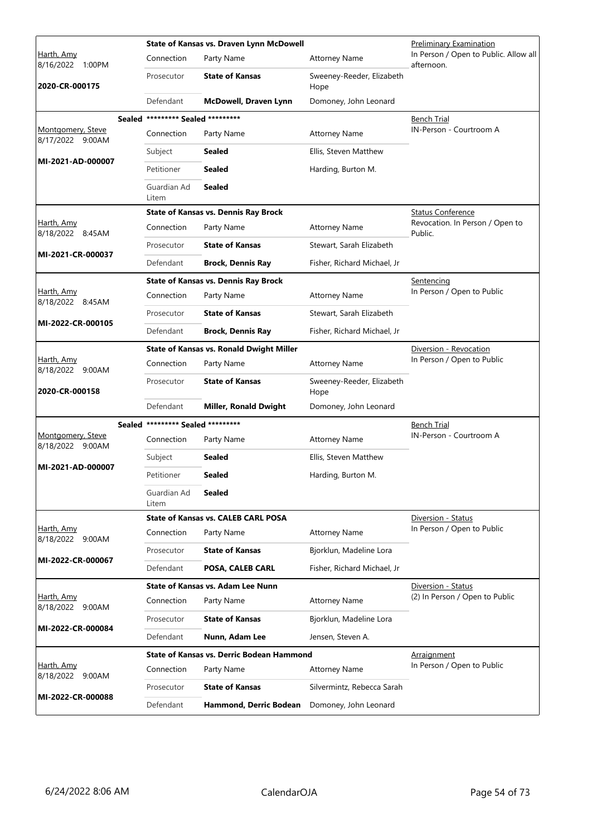|                                       |                                   | State of Kansas vs. Draven Lynn McDowell         |                                   | Preliminary Examination                             |
|---------------------------------------|-----------------------------------|--------------------------------------------------|-----------------------------------|-----------------------------------------------------|
| Harth, Amy<br>8/16/2022 1:00PM        | Connection                        | Party Name                                       | <b>Attorney Name</b>              | In Person / Open to Public. Allow all<br>afternoon. |
| 2020-CR-000175                        | Prosecutor                        | <b>State of Kansas</b>                           | Sweeney-Reeder, Elizabeth<br>Hope |                                                     |
|                                       | Defendant                         | McDowell, Draven Lynn                            | Domoney, John Leonard             |                                                     |
|                                       | Sealed ********* Sealed ********* |                                                  |                                   | Bench Trial                                         |
| Montgomery, Steve<br>8/17/2022 9:00AM | Connection                        | Party Name                                       | <b>Attorney Name</b>              | IN-Person - Courtroom A                             |
| MI-2021-AD-000007                     | Subject                           | Sealed                                           | Ellis, Steven Matthew             |                                                     |
|                                       | Petitioner                        | Sealed                                           | Harding, Burton M.                |                                                     |
|                                       | Guardian Ad<br>Litem              | Sealed                                           |                                   |                                                     |
|                                       |                                   | <b>State of Kansas vs. Dennis Ray Brock</b>      |                                   | <b>Status Conference</b>                            |
| Harth, Amy<br>8/18/2022 8:45AM        | Connection                        | Party Name                                       | <b>Attorney Name</b>              | Revocation. In Person / Open to<br>Public.          |
| MI-2021-CR-000037                     | Prosecutor                        | <b>State of Kansas</b>                           | Stewart, Sarah Elizabeth          |                                                     |
|                                       | Defendant                         | <b>Brock, Dennis Ray</b>                         | Fisher, Richard Michael, Jr       |                                                     |
|                                       |                                   | <b>State of Kansas vs. Dennis Ray Brock</b>      |                                   | Sentencing                                          |
| Harth, Amy<br>8/18/2022 8:45AM        | Connection                        | Party Name                                       | <b>Attorney Name</b>              | In Person / Open to Public                          |
| MI-2022-CR-000105                     | Prosecutor                        | <b>State of Kansas</b>                           | Stewart, Sarah Elizabeth          |                                                     |
|                                       | Defendant                         | <b>Brock, Dennis Ray</b>                         | Fisher, Richard Michael, Jr       |                                                     |
|                                       |                                   | <b>State of Kansas vs. Ronald Dwight Miller</b>  |                                   | Diversion - Revocation                              |
| Harth, Amy<br>8/18/2022 9:00AM        | Connection                        | Party Name                                       | <b>Attorney Name</b>              | In Person / Open to Public                          |
| 2020-CR-000158                        | Prosecutor                        | <b>State of Kansas</b>                           | Sweeney-Reeder, Elizabeth<br>Hope |                                                     |
|                                       | Defendant                         | <b>Miller, Ronald Dwight</b>                     | Domoney, John Leonard             |                                                     |
|                                       | Sealed ********* Sealed ********* |                                                  |                                   | <b>Bench Trial</b>                                  |
| Montgomery, Steve<br>8/18/2022 9:00AM | Connection                        | Party Name                                       | <b>Attorney Name</b>              | IN-Person - Courtroom A                             |
| MI-2021-AD-000007                     | Subject                           | <b>Sealed</b>                                    | Ellis, Steven Matthew             |                                                     |
|                                       | Petitioner                        | Sealed                                           | Harding, Burton M.                |                                                     |
|                                       | Guardian Ad<br>Litem              | Sealed                                           |                                   |                                                     |
|                                       |                                   | <b>State of Kansas vs. CALEB CARL POSA</b>       |                                   | Diversion - Status                                  |
| Harth, Amy<br>8/18/2022 9:00AM        | Connection                        | Party Name                                       | <b>Attorney Name</b>              | In Person / Open to Public                          |
| MI-2022-CR-000067                     | Prosecutor                        | <b>State of Kansas</b>                           | Bjorklun, Madeline Lora           |                                                     |
|                                       | Defendant                         | POSA, CALEB CARL                                 | Fisher, Richard Michael, Jr       |                                                     |
|                                       |                                   | State of Kansas vs. Adam Lee Nunn                |                                   | Diversion - Status                                  |
| Harth, Amy<br>8/18/2022 9:00AM        | Connection                        | Party Name                                       | <b>Attorney Name</b>              | (2) In Person / Open to Public                      |
| MI-2022-CR-000084                     | Prosecutor                        | <b>State of Kansas</b>                           | Bjorklun, Madeline Lora           |                                                     |
|                                       | Defendant                         | Nunn, Adam Lee                                   | Jensen, Steven A.                 |                                                     |
|                                       |                                   | <b>State of Kansas vs. Derric Bodean Hammond</b> |                                   | <u>Arraignment</u>                                  |
| <u>Harth, Amy</u><br>8/18/2022 9:00AM | Connection                        | Party Name                                       | <b>Attorney Name</b>              | In Person / Open to Public                          |
| MI-2022-CR-000088                     | Prosecutor                        | <b>State of Kansas</b>                           | Silvermintz, Rebecca Sarah        |                                                     |
|                                       | Defendant                         | Hammond, Derric Bodean                           | Domoney, John Leonard             |                                                     |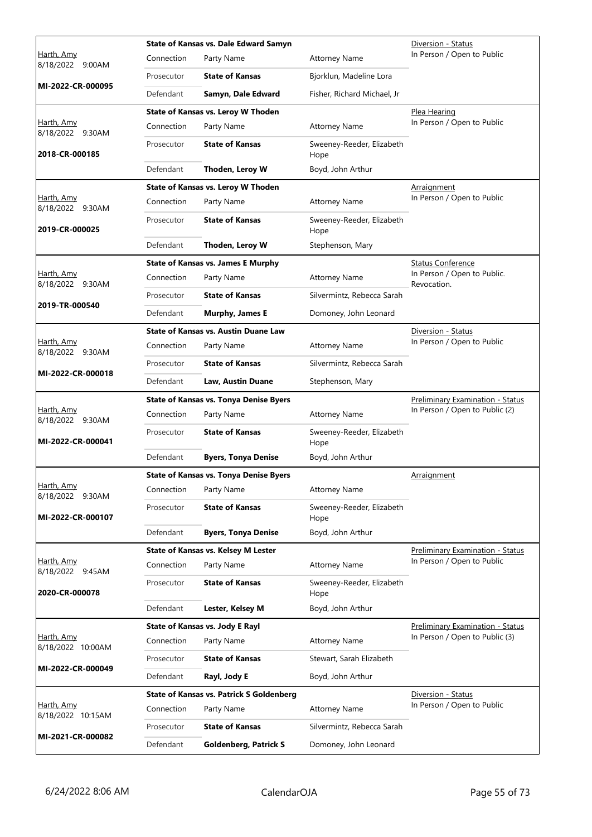|                                        |            | <b>State of Kansas vs. Dale Edward Samyn</b>    |                                   | Diversion - Status                         |
|----------------------------------------|------------|-------------------------------------------------|-----------------------------------|--------------------------------------------|
| Harth, Amy<br>8/18/2022 9:00AM         | Connection | Party Name                                      | <b>Attorney Name</b>              | In Person / Open to Public                 |
|                                        | Prosecutor | <b>State of Kansas</b>                          | Bjorklun, Madeline Lora           |                                            |
| MI-2022-CR-000095                      | Defendant  | Samyn, Dale Edward                              | Fisher, Richard Michael, Jr       |                                            |
|                                        |            | State of Kansas vs. Leroy W Thoden              |                                   | Plea Hearing                               |
| Harth, Amy<br>8/18/2022 9:30AM         | Connection | Party Name                                      | <b>Attorney Name</b>              | In Person / Open to Public                 |
| 2018-CR-000185                         | Prosecutor | <b>State of Kansas</b>                          | Sweeney-Reeder, Elizabeth<br>Hope |                                            |
|                                        | Defendant  | Thoden, Leroy W                                 | Boyd, John Arthur                 |                                            |
|                                        |            | State of Kansas vs. Leroy W Thoden              |                                   | Arraignment                                |
| Harth, Amy<br>8/18/2022 9:30AM         | Connection | Party Name                                      | <b>Attorney Name</b>              | In Person / Open to Public                 |
| 2019-CR-000025                         | Prosecutor | <b>State of Kansas</b>                          | Sweeney-Reeder, Elizabeth<br>Hope |                                            |
|                                        | Defendant  | Thoden, Leroy W                                 | Stephenson, Mary                  |                                            |
|                                        |            | <b>State of Kansas vs. James E Murphy</b>       |                                   | <b>Status Conference</b>                   |
| Harth, Amy<br>8/18/2022 9:30AM         | Connection | Party Name                                      | <b>Attorney Name</b>              | In Person / Open to Public.<br>Revocation. |
|                                        | Prosecutor | <b>State of Kansas</b>                          | Silvermintz, Rebecca Sarah        |                                            |
| 2019-TR-000540                         | Defendant  | Murphy, James E                                 | Domoney, John Leonard             |                                            |
|                                        |            | <b>State of Kansas vs. Austin Duane Law</b>     |                                   | Diversion - Status                         |
| <u>Harth, Amy</u><br>8/18/2022 9:30AM  | Connection | Party Name                                      | <b>Attorney Name</b>              | In Person / Open to Public                 |
|                                        | Prosecutor | <b>State of Kansas</b>                          | Silvermintz, Rebecca Sarah        |                                            |
| MI-2022-CR-000018                      | Defendant  | Law, Austin Duane                               | Stephenson, Mary                  |                                            |
|                                        |            | <b>State of Kansas vs. Tonya Denise Byers</b>   |                                   | <b>Preliminary Examination - Status</b>    |
| Harth, Amy<br>8/18/2022 9:30AM         | Connection | Party Name                                      | <b>Attorney Name</b>              | In Person / Open to Public (2)             |
| MI-2022-CR-000041                      | Prosecutor | <b>State of Kansas</b>                          | Sweeney-Reeder, Elizabeth<br>Hope |                                            |
|                                        | Defendant  | <b>Byers, Tonya Denise</b>                      | Boyd, John Arthur                 |                                            |
|                                        |            | <b>State of Kansas vs. Tonya Denise Byers</b>   |                                   | Arraignment                                |
| Harth, Amy<br>8/18/2022 9:30AM         | Connection | Party Name                                      | <b>Attorney Name</b>              |                                            |
| MI-2022-CR-000107                      | Prosecutor | <b>State of Kansas</b>                          | Sweeney-Reeder, Elizabeth<br>Hope |                                            |
|                                        | Defendant  | <b>Byers, Tonya Denise</b>                      | Boyd, John Arthur                 |                                            |
|                                        |            | <b>State of Kansas vs. Kelsey M Lester</b>      |                                   | <b>Preliminary Examination - Status</b>    |
| Harth, Amy<br>8/18/2022 9:45AM         | Connection | Party Name                                      | <b>Attorney Name</b>              | In Person / Open to Public                 |
| 2020-CR-000078                         | Prosecutor | <b>State of Kansas</b>                          | Sweeney-Reeder, Elizabeth<br>Hope |                                            |
|                                        | Defendant  | Lester, Kelsey M                                | Boyd, John Arthur                 |                                            |
|                                        |            | <b>State of Kansas vs. Jody E Rayl</b>          |                                   | <b>Preliminary Examination - Status</b>    |
| Harth, Amy<br>8/18/2022 10:00AM        | Connection | Party Name                                      | <b>Attorney Name</b>              | In Person / Open to Public (3)             |
|                                        | Prosecutor | <b>State of Kansas</b>                          | Stewart, Sarah Elizabeth          |                                            |
| MI-2022-CR-000049                      | Defendant  | Rayl, Jody E                                    | Boyd, John Arthur                 |                                            |
|                                        |            | <b>State of Kansas vs. Patrick S Goldenberg</b> |                                   | Diversion - Status                         |
| <u>Harth, Amy</u><br>8/18/2022 10:15AM | Connection | Party Name                                      | <b>Attorney Name</b>              | In Person / Open to Public                 |
|                                        | Prosecutor | <b>State of Kansas</b>                          | Silvermintz, Rebecca Sarah        |                                            |
| MI-2021-CR-000082                      | Defendant  | <b>Goldenberg, Patrick S</b>                    | Domoney, John Leonard             |                                            |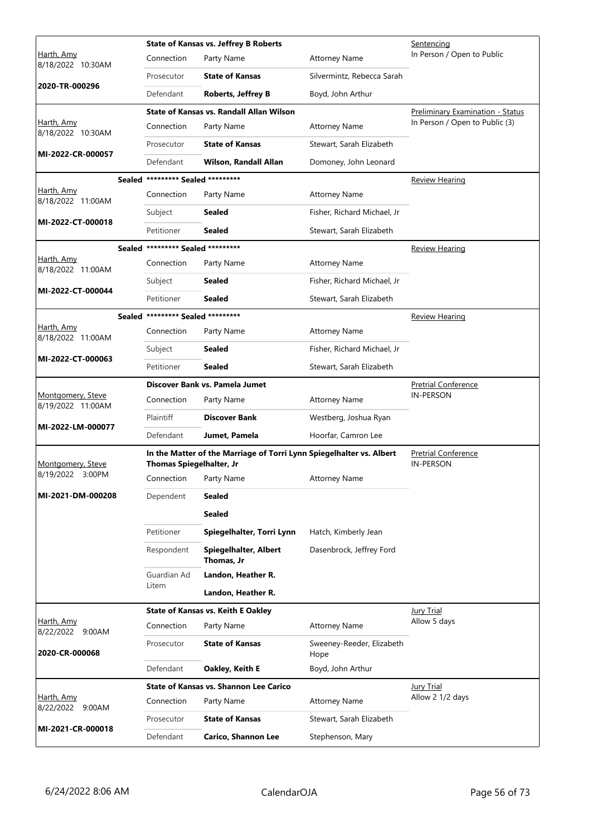|                                        |                                   | <b>State of Kansas vs. Jeffrey B Roberts</b>                         |                                   | Sentencing                                     |
|----------------------------------------|-----------------------------------|----------------------------------------------------------------------|-----------------------------------|------------------------------------------------|
| Harth, Amy<br>8/18/2022 10:30AM        | Connection                        | Party Name                                                           | <b>Attorney Name</b>              | In Person / Open to Public                     |
|                                        | Prosecutor                        | <b>State of Kansas</b>                                               | Silvermintz, Rebecca Sarah        |                                                |
| 2020-TR-000296                         | Defendant                         | <b>Roberts, Jeffrey B</b>                                            | Boyd, John Arthur                 |                                                |
|                                        |                                   | State of Kansas vs. Randall Allan Wilson                             |                                   | Preliminary Examination - Status               |
| <u>Harth, Amy</u><br>8/18/2022 10:30AM | Connection                        | Party Name                                                           | <b>Attorney Name</b>              | In Person / Open to Public (3)                 |
| MI-2022-CR-000057                      | Prosecutor                        | <b>State of Kansas</b>                                               | Stewart, Sarah Elizabeth          |                                                |
|                                        | Defendant                         | Wilson, Randall Allan                                                | Domoney, John Leonard             |                                                |
|                                        | Sealed ********* Sealed ********* |                                                                      |                                   | <u>Review Hearing</u>                          |
| Harth, Amy<br>8/18/2022 11:00AM        | Connection                        | Party Name                                                           | <b>Attorney Name</b>              |                                                |
| MI-2022-CT-000018                      | Subject                           | <b>Sealed</b>                                                        | Fisher, Richard Michael, Jr       |                                                |
|                                        | Petitioner                        | <b>Sealed</b>                                                        | Stewart, Sarah Elizabeth          |                                                |
|                                        | Sealed ********* Sealed ********* |                                                                      |                                   | <b>Review Hearing</b>                          |
| Harth, Amy<br>8/18/2022 11:00AM        | Connection                        | Party Name                                                           | <b>Attorney Name</b>              |                                                |
|                                        | Subject                           | Sealed                                                               | Fisher, Richard Michael, Jr       |                                                |
| MI-2022-CT-000044                      | Petitioner                        | <b>Sealed</b>                                                        | Stewart, Sarah Elizabeth          |                                                |
|                                        | Sealed ********* Sealed ********* |                                                                      |                                   | <b>Review Hearing</b>                          |
| Harth, Amy<br>8/18/2022 11:00AM        | Connection                        | Party Name                                                           | <b>Attorney Name</b>              |                                                |
|                                        | Subject                           | <b>Sealed</b>                                                        | Fisher, Richard Michael, Jr       |                                                |
| MI-2022-CT-000063                      | Petitioner                        | Sealed                                                               | Stewart, Sarah Elizabeth          |                                                |
|                                        |                                   | Discover Bank vs. Pamela Jumet                                       |                                   | <b>Pretrial Conference</b>                     |
| Montgomery, Steve<br>8/19/2022 11:00AM | Connection                        | Party Name                                                           | <b>Attorney Name</b>              | IN-PERSON                                      |
|                                        | Plaintiff                         | <b>Discover Bank</b>                                                 | Westberg, Joshua Ryan             |                                                |
| MI-2022-LM-000077                      | Defendant                         | Jumet, Pamela                                                        | Hoorfar, Camron Lee               |                                                |
| Montgomery, Steve                      | <b>Thomas Spiegelhalter, Jr</b>   | In the Matter of the Marriage of Torri Lynn Spiegelhalter vs. Albert |                                   | <b>Pretrial Conference</b><br><b>IN-PERSON</b> |
| 8/19/2022 3:00PM                       | Connection                        | Party Name                                                           | Attorney Name                     |                                                |
| MI-2021-DM-000208                      | Dependent                         | <b>Sealed</b>                                                        |                                   |                                                |
|                                        |                                   | <b>Sealed</b>                                                        |                                   |                                                |
|                                        | Petitioner                        | Spiegelhalter, Torri Lynn                                            | Hatch, Kimberly Jean              |                                                |
|                                        | Respondent                        | Spiegelhalter, Albert<br>Thomas, Jr                                  | Dasenbrock, Jeffrey Ford          |                                                |
|                                        | Guardian Ad                       | Landon, Heather R.                                                   |                                   |                                                |
|                                        | Litem                             | Landon, Heather R.                                                   |                                   |                                                |
|                                        |                                   | <b>State of Kansas vs. Keith E Oakley</b>                            |                                   | Jury Trial                                     |
| Harth, Amy<br>8/22/2022 9:00AM         | Connection                        | Party Name                                                           | <b>Attorney Name</b>              | Allow 5 days                                   |
| 2020-CR-000068                         | Prosecutor                        | <b>State of Kansas</b>                                               | Sweeney-Reeder, Elizabeth<br>Hope |                                                |
|                                        | Defendant                         | Oakley, Keith E                                                      | Boyd, John Arthur                 |                                                |
|                                        |                                   | <b>State of Kansas vs. Shannon Lee Carico</b>                        |                                   | <b>Jury Trial</b>                              |
| Harth, Amy<br>8/22/2022 9:00AM         | Connection                        | Party Name                                                           | <b>Attorney Name</b>              | Allow 2 1/2 days                               |
|                                        | Prosecutor                        | <b>State of Kansas</b>                                               | Stewart, Sarah Elizabeth          |                                                |
| MI-2021-CR-000018                      | Defendant                         | <b>Carico, Shannon Lee</b>                                           | Stephenson, Mary                  |                                                |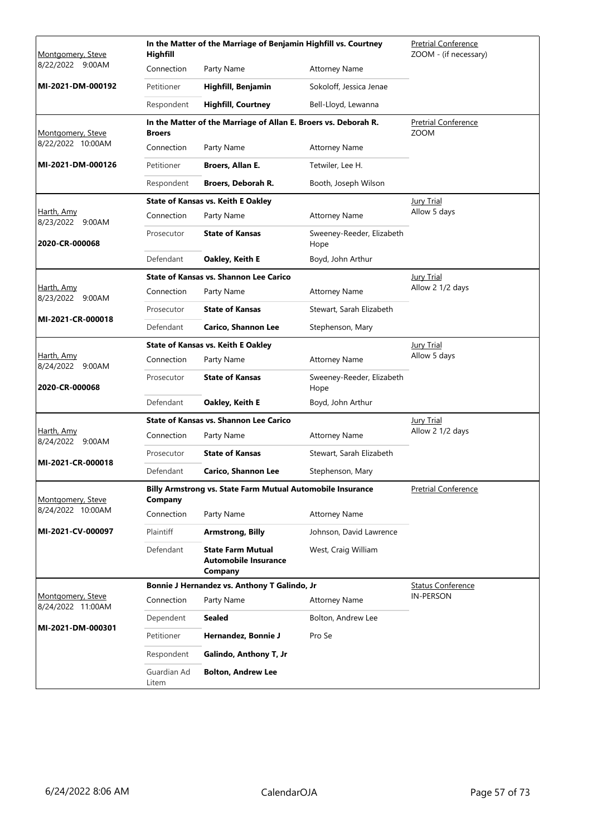| Montgomery, Steve                      | Highfill             | In the Matter of the Marriage of Benjamin Highfill vs. Courtney    |                                   | <b>Pretrial Conference</b><br>ZOOM - (if necessary) |
|----------------------------------------|----------------------|--------------------------------------------------------------------|-----------------------------------|-----------------------------------------------------|
| 8/22/2022<br>9:00AM                    | Connection           | Party Name                                                         | <b>Attorney Name</b>              |                                                     |
| MI-2021-DM-000192                      | Petitioner           | Highfill, Benjamin                                                 | Sokoloff, Jessica Jenae           |                                                     |
|                                        | Respondent           | <b>Highfill, Courtney</b>                                          | Bell-Lloyd, Lewanna               |                                                     |
| Montgomery, Steve                      | <b>Broers</b>        | In the Matter of the Marriage of Allan E. Broers vs. Deborah R.    |                                   | <b>Pretrial Conference</b><br><b>ZOOM</b>           |
| 8/22/2022 10:00AM                      | Connection           | Party Name                                                         | <b>Attorney Name</b>              |                                                     |
| MI-2021-DM-000126                      | Petitioner           | Broers, Allan E.                                                   | Tetwiler, Lee H.                  |                                                     |
|                                        | Respondent           | Broers, Deborah R.                                                 | Booth, Joseph Wilson              |                                                     |
|                                        |                      | <b>State of Kansas vs. Keith E Oakley</b>                          |                                   | <b>Jury Trial</b>                                   |
| Harth, Amy<br>8/23/2022 9:00AM         | Connection           | Party Name                                                         | <b>Attorney Name</b>              | Allow 5 days                                        |
| 2020-CR-000068                         | Prosecutor           | <b>State of Kansas</b>                                             | Sweeney-Reeder, Elizabeth<br>Hope |                                                     |
|                                        | Defendant            | Oakley, Keith E                                                    | Boyd, John Arthur                 |                                                     |
|                                        |                      | <b>State of Kansas vs. Shannon Lee Carico</b>                      |                                   | <b>Jury Trial</b>                                   |
| <u>Harth, Amy</u><br>8/23/2022 9:00AM  | Connection           | Party Name                                                         | <b>Attorney Name</b>              | Allow 2 1/2 days                                    |
| MI-2021-CR-000018                      | Prosecutor           | <b>State of Kansas</b>                                             | Stewart, Sarah Elizabeth          |                                                     |
|                                        | Defendant            | <b>Carico, Shannon Lee</b>                                         | Stephenson, Mary                  |                                                     |
|                                        |                      | <b>State of Kansas vs. Keith E Oakley</b>                          |                                   | <b>Jury Trial</b>                                   |
| Harth, Amy<br>8/24/2022 9:00AM         | Connection           | Party Name                                                         | <b>Attorney Name</b>              | Allow 5 days                                        |
| 2020-CR-000068                         | Prosecutor           | <b>State of Kansas</b>                                             | Sweeney-Reeder, Elizabeth<br>Hope |                                                     |
|                                        | Defendant            | Oakley, Keith E                                                    | Boyd, John Arthur                 |                                                     |
|                                        |                      | <b>State of Kansas vs. Shannon Lee Carico</b>                      |                                   | <b>Jury Trial</b>                                   |
| Harth, Amy<br>8/24/2022<br>9:00AM      | Connection           | Party Name                                                         | <b>Attorney Name</b>              | Allow 2 1/2 days                                    |
| MI-2021-CR-000018                      | Prosecutor           | <b>State of Kansas</b>                                             | Stewart, Sarah Elizabeth          |                                                     |
|                                        | Defendant            | <b>Carico, Shannon Lee</b>                                         | Stephenson, Mary                  |                                                     |
| Montgomery, Steve                      | Company              | Billy Armstrong vs. State Farm Mutual Automobile Insurance         |                                   | <b>Pretrial Conference</b>                          |
| 8/24/2022 10:00AM                      | Connection           | Party Name                                                         | <b>Attorney Name</b>              |                                                     |
| MI-2021-CV-000097                      | Plaintiff            | <b>Armstrong, Billy</b>                                            | Johnson, David Lawrence           |                                                     |
|                                        | Defendant            | <b>State Farm Mutual</b><br><b>Automobile Insurance</b><br>Company | West, Craig William               |                                                     |
|                                        |                      | Bonnie J Hernandez vs. Anthony T Galindo, Jr                       |                                   | <b>Status Conference</b>                            |
| Montgomery, Steve<br>8/24/2022 11:00AM | Connection           | Party Name                                                         | <b>Attorney Name</b>              | <b>IN-PERSON</b>                                    |
|                                        | Dependent            | Sealed                                                             | Bolton, Andrew Lee                |                                                     |
| MI-2021-DM-000301                      | Petitioner           | Hernandez, Bonnie J                                                | Pro Se                            |                                                     |
|                                        | Respondent           | Galindo, Anthony T, Jr                                             |                                   |                                                     |
|                                        | Guardian Ad<br>Litem | <b>Bolton, Andrew Lee</b>                                          |                                   |                                                     |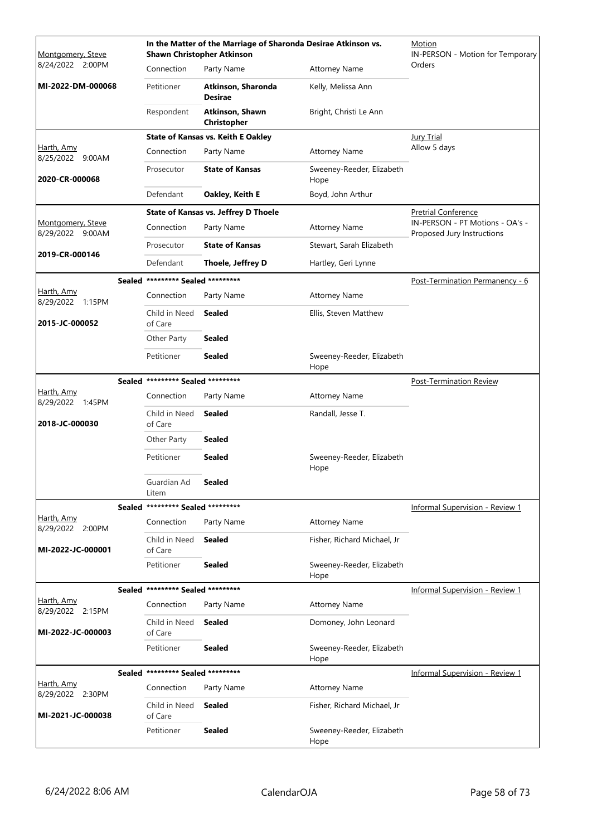| Montgomery, Steve                     |                                   | <b>Shawn Christopher Atkinson</b>           | In the Matter of the Marriage of Sharonda Desirae Atkinson vs. | Motion<br>IN-PERSON - Motion for Temporary                    |
|---------------------------------------|-----------------------------------|---------------------------------------------|----------------------------------------------------------------|---------------------------------------------------------------|
| 8/24/2022 2:00PM                      | Connection                        | Party Name                                  | <b>Attorney Name</b>                                           | Orders                                                        |
| MI-2022-DM-000068                     | Petitioner                        | Atkinson, Sharonda<br><b>Desirae</b>        | Kelly, Melissa Ann                                             |                                                               |
|                                       | Respondent                        | Atkinson, Shawn<br>Christopher              | Bright, Christi Le Ann                                         |                                                               |
|                                       |                                   | <b>State of Kansas vs. Keith E Oakley</b>   |                                                                | <b>Jury Trial</b>                                             |
| Harth, Amy<br>8/25/2022 9:00AM        | Connection                        | Party Name                                  | <b>Attorney Name</b>                                           | Allow 5 days                                                  |
| 2020-CR-000068                        | Prosecutor                        | <b>State of Kansas</b>                      | Sweeney-Reeder, Elizabeth<br>Hope                              |                                                               |
|                                       | Defendant                         | Oakley, Keith E                             | Boyd, John Arthur                                              |                                                               |
|                                       |                                   | <b>State of Kansas vs. Jeffrey D Thoele</b> |                                                                | <b>Pretrial Conference</b>                                    |
| Montgomery, Steve<br>8/29/2022 9:00AM | Connection                        | Party Name                                  | <b>Attorney Name</b>                                           | IN-PERSON - PT Motions - OA's -<br>Proposed Jury Instructions |
|                                       | Prosecutor                        | <b>State of Kansas</b>                      | Stewart, Sarah Elizabeth                                       |                                                               |
| 2019-CR-000146                        | Defendant                         | Thoele, Jeffrey D                           | Hartley, Geri Lynne                                            |                                                               |
|                                       | Sealed ********* Sealed ********* |                                             |                                                                | Post-Termination Permanency - 6                               |
| Harth, Amy<br>8/29/2022 1:15PM        | Connection                        | Party Name                                  | <b>Attorney Name</b>                                           |                                                               |
| 2015-JC-000052                        | Child in Need<br>of Care          | <b>Sealed</b>                               | Ellis, Steven Matthew                                          |                                                               |
|                                       | Other Party                       | Sealed                                      |                                                                |                                                               |
|                                       | Petitioner                        | <b>Sealed</b>                               | Sweeney-Reeder, Elizabeth<br>Hope                              |                                                               |
|                                       | Sealed ********* Sealed ********* |                                             |                                                                | <b>Post-Termination Review</b>                                |
| Harth, Amy<br>8/29/2022 1:45PM        | Connection                        | Party Name                                  | <b>Attorney Name</b>                                           |                                                               |
| 2018-JC-000030                        | Child in Need<br>of Care          | <b>Sealed</b>                               | Randall, Jesse T.                                              |                                                               |
|                                       | Other Party                       | <b>Sealed</b>                               |                                                                |                                                               |
|                                       | Petitioner                        | <b>Sealed</b>                               | Sweeney-Reeder, Elizabeth<br>Hope                              |                                                               |
|                                       | Guardian Ad<br>Litem              | <b>Sealed</b>                               |                                                                |                                                               |
|                                       | Sealed ********* Sealed ********* |                                             |                                                                | <b>Informal Supervision - Review 1</b>                        |
| Harth, Amy<br>8/29/2022 2:00PM        | Connection                        | Party Name                                  | <b>Attorney Name</b>                                           |                                                               |
| MI-2022-JC-000001                     | Child in Need<br>of Care          | Sealed                                      | Fisher, Richard Michael, Jr                                    |                                                               |
|                                       | Petitioner                        | <b>Sealed</b>                               | Sweeney-Reeder, Elizabeth<br>Hope                              |                                                               |
|                                       | Sealed ********* Sealed ********* |                                             |                                                                | <b>Informal Supervision - Review 1</b>                        |
| <u>Harth, Amy</u><br>8/29/2022 2:15PM | Connection                        | Party Name                                  | <b>Attorney Name</b>                                           |                                                               |
| MI-2022-JC-000003                     | Child in Need<br>of Care          | Sealed                                      | Domoney, John Leonard                                          |                                                               |
|                                       | Petitioner                        | <b>Sealed</b>                               | Sweeney-Reeder, Elizabeth<br>Hope                              |                                                               |
|                                       | Sealed ********* Sealed ********* |                                             |                                                                | <b>Informal Supervision - Review 1</b>                        |
| <u>Harth, Amy</u><br>8/29/2022 2:30PM | Connection                        | Party Name                                  | <b>Attorney Name</b>                                           |                                                               |
| MI-2021-JC-000038                     | Child in Need<br>of Care          | <b>Sealed</b>                               | Fisher, Richard Michael, Jr                                    |                                                               |
|                                       | Petitioner                        | <b>Sealed</b>                               | Sweeney-Reeder, Elizabeth<br>Hope                              |                                                               |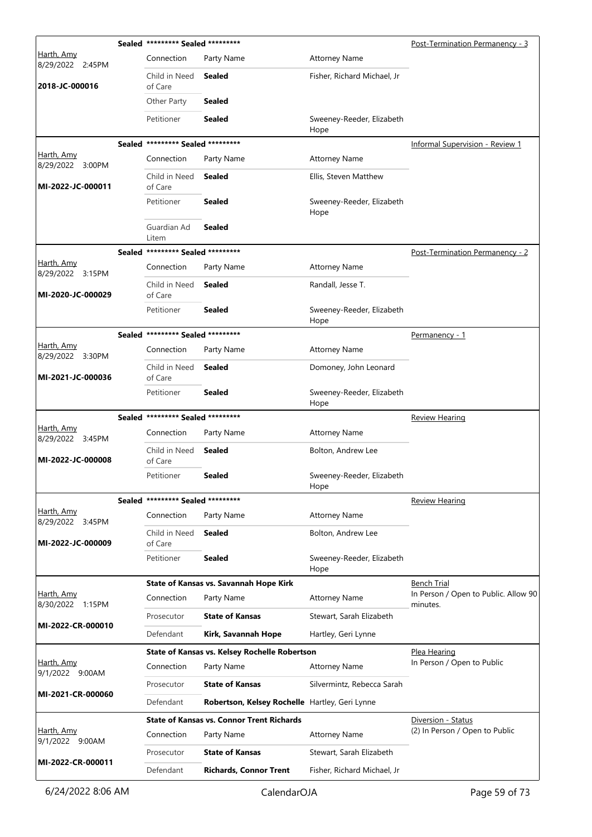|                                | Sealed ********* Sealed ********* |                                                  |                                   | Post-Termination Permanency - 3      |
|--------------------------------|-----------------------------------|--------------------------------------------------|-----------------------------------|--------------------------------------|
| Harth, Amy<br>8/29/2022 2:45PM | Connection                        | Party Name                                       | <b>Attorney Name</b>              |                                      |
| 2018-JC-000016                 | Child in Need<br>of Care          | Sealed                                           | Fisher, Richard Michael, Jr       |                                      |
|                                | Other Party                       | Sealed                                           |                                   |                                      |
|                                | Petitioner                        | Sealed                                           | Sweeney-Reeder, Elizabeth<br>Hope |                                      |
|                                | Sealed ********* Sealed ********* |                                                  |                                   | Informal Supervision - Review 1      |
| Harth, Amy<br>8/29/2022 3:00PM | Connection                        | Party Name                                       | <b>Attorney Name</b>              |                                      |
| MI-2022-JC-000011              | Child in Need<br>of Care          | Sealed                                           | Ellis, Steven Matthew             |                                      |
|                                | Petitioner                        | Sealed                                           | Sweeney-Reeder, Elizabeth<br>Hope |                                      |
|                                | Guardian Ad<br>Litem              | <b>Sealed</b>                                    |                                   |                                      |
|                                | Sealed ********* Sealed ********* |                                                  |                                   | Post-Termination Permanency - 2      |
| Harth, Amy<br>8/29/2022 3:15PM | Connection                        | Party Name                                       | <b>Attorney Name</b>              |                                      |
| MI-2020-JC-000029              | Child in Need<br>of Care          | Sealed                                           | Randall, Jesse T.                 |                                      |
|                                | Petitioner                        | <b>Sealed</b>                                    | Sweeney-Reeder, Elizabeth<br>Hope |                                      |
|                                | Sealed ********* Sealed ********* |                                                  |                                   | <u>Permanency - 1</u>                |
| Harth, Amy<br>8/29/2022 3:30PM | Connection                        | Party Name                                       | <b>Attorney Name</b>              |                                      |
| MI-2021-JC-000036              | Child in Need<br>of Care          | Sealed                                           | Domoney, John Leonard             |                                      |
|                                | Petitioner                        | Sealed                                           | Sweeney-Reeder, Elizabeth<br>Hope |                                      |
|                                |                                   |                                                  |                                   |                                      |
|                                | Sealed ********* Sealed ********* |                                                  |                                   | <b>Review Hearing</b>                |
| Harth, Amy<br>8/29/2022 3:45PM | Connection                        | Party Name                                       | <b>Attorney Name</b>              |                                      |
| MI-2022-JC-000008              | Child in Need<br>of Care          | Sealed                                           | Bolton, Andrew Lee                |                                      |
|                                | Petitioner                        | Sealed                                           | Sweeney-Reeder, Elizabeth<br>Hope |                                      |
|                                | Sealed ********* Sealed ********* |                                                  |                                   | <b>Review Hearing</b>                |
| Harth, Amy<br>8/29/2022 3:45PM | Connection                        | Party Name                                       | <b>Attorney Name</b>              |                                      |
| MI-2022-JC-000009              | Child in Need<br>of Care          | <b>Sealed</b>                                    | Bolton, Andrew Lee                |                                      |
|                                | Petitioner                        | <b>Sealed</b>                                    | Sweeney-Reeder, Elizabeth<br>Hope |                                      |
|                                |                                   | State of Kansas vs. Savannah Hope Kirk           |                                   | <b>Bench Trial</b>                   |
| Harth, Amy<br>8/30/2022 1:15PM | Connection                        | Party Name                                       | <b>Attorney Name</b>              | minutes.                             |
|                                | Prosecutor                        | <b>State of Kansas</b>                           | Stewart, Sarah Elizabeth          |                                      |
| MI-2022-CR-000010              | Defendant                         | Kirk, Savannah Hope                              | Hartley, Geri Lynne               | In Person / Open to Public. Allow 90 |
|                                |                                   | State of Kansas vs. Kelsey Rochelle Robertson    |                                   | Plea Hearing                         |
| Harth, Amy<br>9/1/2022 9:00AM  | Connection                        | Party Name                                       | <b>Attorney Name</b>              | In Person / Open to Public           |
|                                | Prosecutor                        | <b>State of Kansas</b>                           | Silvermintz, Rebecca Sarah        |                                      |
| MI-2021-CR-000060              | Defendant                         | Robertson, Kelsey Rochelle Hartley, Geri Lynne   |                                   |                                      |
|                                |                                   | <b>State of Kansas vs. Connor Trent Richards</b> |                                   | Diversion - Status                   |
| Harth, Amy<br>9/1/2022 9:00AM  | Connection                        | Party Name                                       | <b>Attorney Name</b>              | (2) In Person / Open to Public       |
| MI-2022-CR-000011              | Prosecutor                        | <b>State of Kansas</b>                           | Stewart, Sarah Elizabeth          |                                      |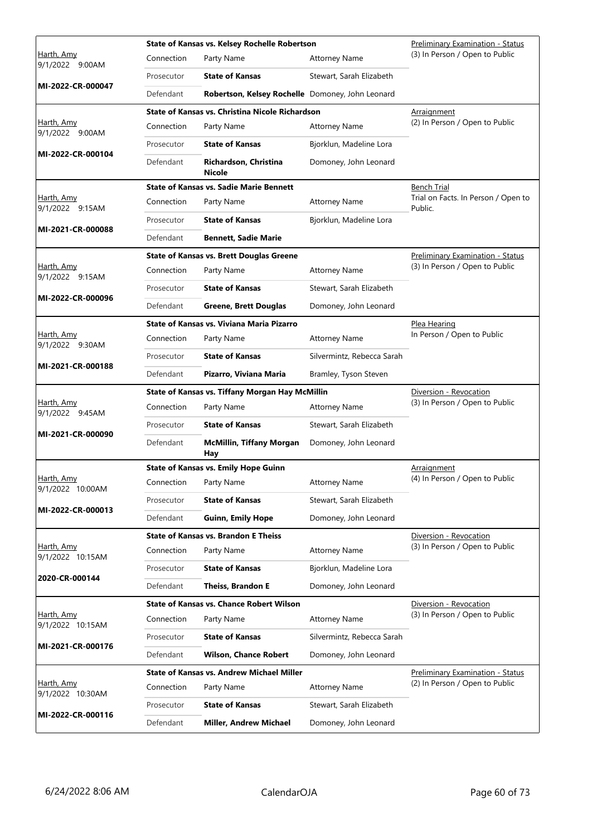|                                        |            | State of Kansas vs. Kelsey Rochelle Robertson    |                            | <b>Preliminary Examination - Status</b>        |
|----------------------------------------|------------|--------------------------------------------------|----------------------------|------------------------------------------------|
| Harth, Amy<br>9/1/2022 9:00AM          | Connection | Party Name                                       | <b>Attorney Name</b>       | (3) In Person / Open to Public                 |
|                                        | Prosecutor | <b>State of Kansas</b>                           | Stewart, Sarah Elizabeth   |                                                |
| MI-2022-CR-000047                      | Defendant  | Robertson, Kelsey Rochelle Domoney, John Leonard |                            |                                                |
|                                        |            | State of Kansas vs. Christina Nicole Richardson  |                            | Arraignment                                    |
| Harth, Amy<br>9/1/2022 9:00AM          | Connection | Party Name                                       | <b>Attorney Name</b>       | (2) In Person / Open to Public                 |
| MI-2022-CR-000104                      | Prosecutor | <b>State of Kansas</b>                           | Bjorklun, Madeline Lora    |                                                |
|                                        | Defendant  | Richardson, Christina<br>Nicole                  | Domoney, John Leonard      |                                                |
|                                        |            | <b>State of Kansas vs. Sadie Marie Bennett</b>   |                            | Bench Trial                                    |
| <u>Harth, Amy</u><br>9/1/2022 9:15AM   | Connection | Party Name                                       | <b>Attorney Name</b>       | Trial on Facts. In Person / Open to<br>Public. |
|                                        | Prosecutor | <b>State of Kansas</b>                           | Bjorklun, Madeline Lora    |                                                |
| MI-2021-CR-000088                      | Defendant  | <b>Bennett, Sadie Marie</b>                      |                            |                                                |
|                                        |            | <b>State of Kansas vs. Brett Douglas Greene</b>  |                            | Preliminary Examination - Status               |
| Harth, Amy<br>9/1/2022 9:15AM          | Connection | Party Name                                       | <b>Attorney Name</b>       | (3) In Person / Open to Public                 |
| MI-2022-CR-000096                      | Prosecutor | <b>State of Kansas</b>                           | Stewart, Sarah Elizabeth   |                                                |
|                                        | Defendant  | <b>Greene, Brett Douglas</b>                     | Domoney, John Leonard      |                                                |
|                                        |            | State of Kansas vs. Viviana Maria Pizarro        |                            | Plea Hearing                                   |
| Harth, Amy<br>9/1/2022 9:30AM          | Connection | Party Name                                       | <b>Attorney Name</b>       | In Person / Open to Public                     |
| MI-2021-CR-000188                      | Prosecutor | <b>State of Kansas</b>                           | Silvermintz, Rebecca Sarah |                                                |
|                                        | Defendant  | Pizarro, Viviana Maria                           | Bramley, Tyson Steven      |                                                |
|                                        |            |                                                  |                            |                                                |
|                                        |            | State of Kansas vs. Tiffany Morgan Hay McMillin  |                            | Diversion - Revocation                         |
| Harth, Amy<br>9/1/2022 9:45AM          | Connection | Party Name                                       | <b>Attorney Name</b>       | (3) In Person / Open to Public                 |
|                                        | Prosecutor | <b>State of Kansas</b>                           | Stewart, Sarah Elizabeth   |                                                |
| MI-2021-CR-000090                      | Defendant  | <b>McMillin, Tiffany Morgan</b><br>Hay           | Domoney, John Leonard      |                                                |
|                                        |            | <b>State of Kansas vs. Emily Hope Guinn</b>      |                            | Arraignment                                    |
| <u> Harth, Amy</u><br>9/1/2022 10:00AM |            | Connection Party Name                            | <b>Attorney Name</b>       | (4) In Person / Open to Public                 |
|                                        | Prosecutor | <b>State of Kansas</b>                           | Stewart, Sarah Elizabeth   |                                                |
| MI-2022-CR-000013                      | Defendant  | <b>Guinn, Emily Hope</b>                         | Domoney, John Leonard      |                                                |
|                                        |            | <b>State of Kansas vs. Brandon E Theiss</b>      |                            | Diversion - Revocation                         |
| Harth, Amy<br>9/1/2022 10:15AM         | Connection | Party Name                                       | <b>Attorney Name</b>       | (3) In Person / Open to Public                 |
|                                        | Prosecutor | <b>State of Kansas</b>                           | Bjorklun, Madeline Lora    |                                                |
| 2020-CR-000144                         | Defendant  | <b>Theiss, Brandon E</b>                         | Domoney, John Leonard      |                                                |
|                                        |            | <b>State of Kansas vs. Chance Robert Wilson</b>  |                            | Diversion - Revocation                         |
| Harth, Amy<br>9/1/2022 10:15AM         | Connection | Party Name                                       | <b>Attorney Name</b>       | (3) In Person / Open to Public                 |
|                                        | Prosecutor | <b>State of Kansas</b>                           | Silvermintz, Rebecca Sarah |                                                |
| MI-2021-CR-000176                      | Defendant  | <b>Wilson, Chance Robert</b>                     | Domoney, John Leonard      |                                                |
|                                        |            | <b>State of Kansas vs. Andrew Michael Miller</b> |                            | Preliminary Examination - Status               |
| Harth, Amy<br>9/1/2022 10:30AM         | Connection | Party Name                                       | <b>Attorney Name</b>       | (2) In Person / Open to Public                 |
| MI-2022-CR-000116                      | Prosecutor | <b>State of Kansas</b>                           | Stewart, Sarah Elizabeth   |                                                |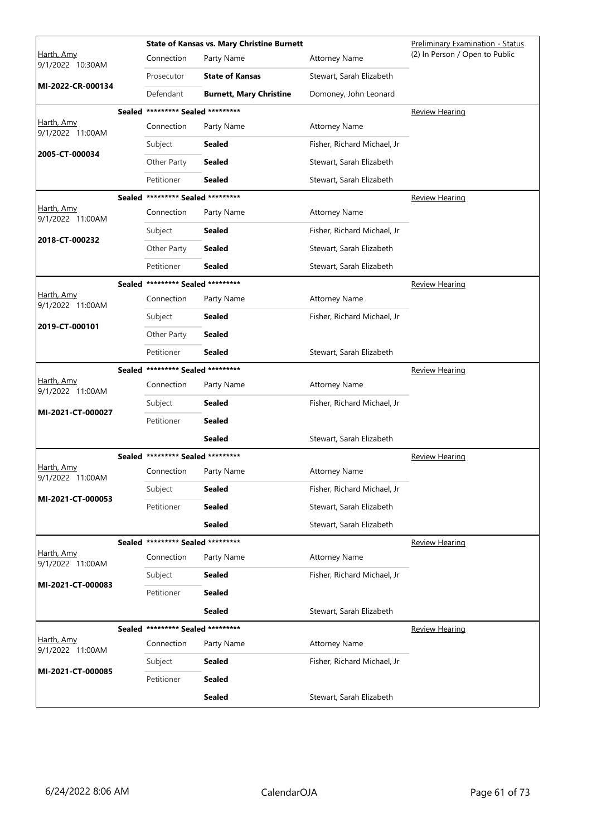|                                |        |                                   | <b>State of Kansas vs. Mary Christine Burnett</b> |                             | <b>Preliminary Examination - Status</b> |
|--------------------------------|--------|-----------------------------------|---------------------------------------------------|-----------------------------|-----------------------------------------|
| Harth, Amy<br>9/1/2022 10:30AM |        | Connection                        | Party Name                                        | <b>Attorney Name</b>        | (2) In Person / Open to Public          |
|                                |        | Prosecutor                        | <b>State of Kansas</b>                            | Stewart, Sarah Elizabeth    |                                         |
| MI-2022-CR-000134              |        | Defendant                         | <b>Burnett, Mary Christine</b>                    | Domoney, John Leonard       |                                         |
|                                |        | Sealed ********* Sealed ********* |                                                   |                             | <b>Review Hearing</b>                   |
| Harth, Amy<br>9/1/2022 11:00AM |        | Connection                        | Party Name                                        | <b>Attorney Name</b>        |                                         |
| 2005-CT-000034                 |        | Subject                           | <b>Sealed</b>                                     | Fisher, Richard Michael, Jr |                                         |
|                                |        | Other Party                       | Sealed                                            | Stewart, Sarah Elizabeth    |                                         |
|                                |        | Petitioner                        | <b>Sealed</b>                                     | Stewart, Sarah Elizabeth    |                                         |
|                                |        | Sealed ********* Sealed ********* |                                                   |                             | <b>Review Hearing</b>                   |
| Harth, Amy<br>9/1/2022 11:00AM |        | Connection                        | Party Name                                        | <b>Attorney Name</b>        |                                         |
| 2018-CT-000232                 |        | Subject                           | Sealed                                            | Fisher, Richard Michael, Jr |                                         |
|                                |        | Other Party                       | Sealed                                            | Stewart, Sarah Elizabeth    |                                         |
|                                |        | Petitioner                        | <b>Sealed</b>                                     | Stewart, Sarah Elizabeth    |                                         |
|                                | Sealed | ********* Sealed *********        |                                                   |                             | <u>Review Hearing</u>                   |
| Harth, Amy<br>9/1/2022 11:00AM |        | Connection                        | Party Name                                        | <b>Attorney Name</b>        |                                         |
| 2019-CT-000101                 |        | Subject                           | Sealed                                            | Fisher, Richard Michael, Jr |                                         |
|                                |        | Other Party                       | <b>Sealed</b>                                     |                             |                                         |
|                                |        | Petitioner                        | <b>Sealed</b>                                     | Stewart, Sarah Elizabeth    |                                         |
|                                |        | Sealed ********* Sealed ********* |                                                   |                             | <b>Review Hearing</b>                   |
| Harth, Amy<br>9/1/2022 11:00AM |        | Connection                        | Party Name                                        | <b>Attorney Name</b>        |                                         |
| MI-2021-CT-000027              |        | Subject                           | Sealed                                            | Fisher, Richard Michael, Jr |                                         |
|                                |        | Petitioner                        | <b>Sealed</b>                                     |                             |                                         |
|                                |        |                                   | Sealed                                            | Stewart, Sarah Elizabeth    |                                         |
|                                |        | Sealed ********* Sealed ********* |                                                   |                             | <b>Review Hearing</b>                   |
| Harth, Amy<br>9/1/2022 11:00AM |        | Connection                        | Party Name                                        | <b>Attorney Name</b>        |                                         |
| MI-2021-CT-000053              |        | Subject                           | <b>Sealed</b>                                     | Fisher, Richard Michael, Jr |                                         |
|                                |        | Petitioner                        | <b>Sealed</b>                                     | Stewart, Sarah Elizabeth    |                                         |
|                                |        |                                   | <b>Sealed</b>                                     | Stewart, Sarah Elizabeth    |                                         |
|                                |        | Sealed ********* Sealed ********* |                                                   |                             | <b>Review Hearing</b>                   |
| Harth, Amy<br>9/1/2022 11:00AM |        | Connection                        | Party Name                                        | <b>Attorney Name</b>        |                                         |
| MI-2021-CT-000083              |        | Subject                           | <b>Sealed</b>                                     | Fisher, Richard Michael, Jr |                                         |
|                                |        | Petitioner                        | <b>Sealed</b>                                     |                             |                                         |
|                                |        |                                   | <b>Sealed</b>                                     | Stewart, Sarah Elizabeth    |                                         |
|                                |        | Sealed ********* Sealed ********* |                                                   |                             | Review Hearing                          |
| Harth, Amy<br>9/1/2022 11:00AM |        | Connection                        | Party Name                                        | <b>Attorney Name</b>        |                                         |
| MI-2021-CT-000085              |        | Subject                           | <b>Sealed</b>                                     | Fisher, Richard Michael, Jr |                                         |
|                                |        | Petitioner                        | <b>Sealed</b>                                     |                             |                                         |
|                                |        |                                   | <b>Sealed</b>                                     | Stewart, Sarah Elizabeth    |                                         |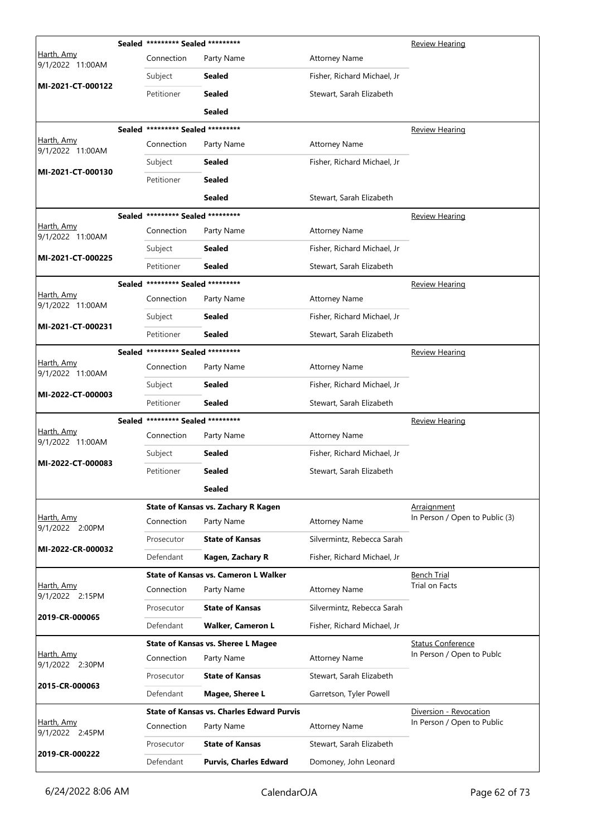|                                | Sealed ********* Sealed ********* |                                                  |                             | Review Hearing                 |
|--------------------------------|-----------------------------------|--------------------------------------------------|-----------------------------|--------------------------------|
| Harth, Amy<br>9/1/2022 11:00AM | Connection                        | Party Name                                       | <b>Attorney Name</b>        |                                |
|                                | Subject                           | Sealed                                           | Fisher, Richard Michael, Jr |                                |
| MI-2021-CT-000122              | Petitioner                        | <b>Sealed</b>                                    | Stewart, Sarah Elizabeth    |                                |
|                                |                                   | <b>Sealed</b>                                    |                             |                                |
|                                | Sealed ********* Sealed ********* |                                                  |                             | Review Hearing                 |
| Harth, Amy<br>9/1/2022 11:00AM | Connection                        | Party Name                                       | <b>Attorney Name</b>        |                                |
|                                | Subject                           | Sealed                                           | Fisher, Richard Michael, Jr |                                |
| MI-2021-CT-000130              | Petitioner                        | <b>Sealed</b>                                    |                             |                                |
|                                |                                   | <b>Sealed</b>                                    | Stewart, Sarah Elizabeth    |                                |
|                                | Sealed ********* Sealed ********* |                                                  |                             | <b>Review Hearing</b>          |
| Harth, Amy<br>9/1/2022 11:00AM | Connection                        | Party Name                                       | <b>Attorney Name</b>        |                                |
|                                | Subject                           | Sealed                                           | Fisher, Richard Michael, Jr |                                |
| MI-2021-CT-000225              | Petitioner                        | <b>Sealed</b>                                    | Stewart, Sarah Elizabeth    |                                |
|                                | Sealed ********* Sealed ********* |                                                  |                             | <b>Review Hearing</b>          |
| Harth, Amy<br>9/1/2022 11:00AM | Connection                        | Party Name                                       | <b>Attorney Name</b>        |                                |
|                                | Subject                           | <b>Sealed</b>                                    | Fisher, Richard Michael, Jr |                                |
| MI-2021-CT-000231              | Petitioner                        | <b>Sealed</b>                                    | Stewart, Sarah Elizabeth    |                                |
|                                | Sealed ********* Sealed ********* |                                                  |                             | <b>Review Hearing</b>          |
| Harth, Amy<br>9/1/2022 11:00AM | Connection                        | Party Name                                       | <b>Attorney Name</b>        |                                |
|                                | Subject                           | Sealed                                           | Fisher, Richard Michael, Jr |                                |
| MI-2022-CT-000003              | Petitioner                        | <b>Sealed</b>                                    | Stewart, Sarah Elizabeth    |                                |
|                                | Sealed ********* Sealed ********* |                                                  |                             | <b>Review Hearing</b>          |
| Harth, Amy<br>9/1/2022 11:00AM | Connection                        | Party Name                                       | <b>Attorney Name</b>        |                                |
| MI-2022-CT-000083              | Subject                           | <b>Sealed</b>                                    | Fisher, Richard Michael, Jr |                                |
|                                | Petitioner                        | <b>Sealed</b>                                    | Stewart, Sarah Elizabeth    |                                |
|                                |                                   | <b>Sealed</b>                                    |                             |                                |
|                                |                                   | State of Kansas vs. Zachary R Kagen              |                             | Arraignment                    |
| Harth, Amy<br>9/1/2022 2:00PM  | Connection                        | Party Name                                       | <b>Attorney Name</b>        | In Person / Open to Public (3) |
| MI-2022-CR-000032              | Prosecutor                        | <b>State of Kansas</b>                           | Silvermintz, Rebecca Sarah  |                                |
|                                | Defendant                         | Kagen, Zachary R                                 | Fisher, Richard Michael, Jr |                                |
|                                |                                   | <b>State of Kansas vs. Cameron L Walker</b>      |                             | Bench Trial                    |
| Harth, Amy<br>9/1/2022 2:15PM  | Connection                        | Party Name                                       | <b>Attorney Name</b>        | Trial on Facts                 |
| 2019-CR-000065                 | Prosecutor                        | <b>State of Kansas</b>                           | Silvermintz, Rebecca Sarah  |                                |
|                                | Defendant                         | <b>Walker, Cameron L</b>                         | Fisher, Richard Michael, Jr |                                |
|                                |                                   | <b>State of Kansas vs. Sheree L Magee</b>        |                             | <b>Status Conference</b>       |
| Harth, Amy<br>9/1/2022 2:30PM  | Connection                        | Party Name                                       | <b>Attorney Name</b>        | In Person / Open to Publc      |
| 2015-CR-000063                 | Prosecutor                        | <b>State of Kansas</b>                           | Stewart, Sarah Elizabeth    |                                |
|                                | Defendant                         | Magee, Sheree L                                  | Garretson, Tyler Powell     |                                |
|                                |                                   | <b>State of Kansas vs. Charles Edward Purvis</b> |                             | Diversion - Revocation         |
| Harth, Amy<br>9/1/2022 2:45PM  | Connection                        | Party Name                                       | <b>Attorney Name</b>        | In Person / Open to Public     |
|                                | Prosecutor                        | <b>State of Kansas</b>                           | Stewart, Sarah Elizabeth    |                                |
| 2019-CR-000222                 | Defendant                         | <b>Purvis, Charles Edward</b>                    | Domoney, John Leonard       |                                |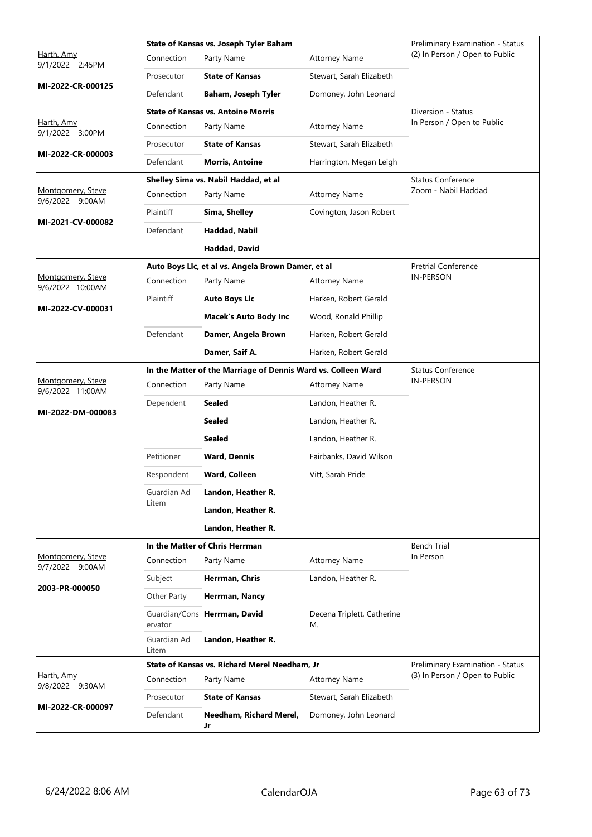|                                       |                      | State of Kansas vs. Joseph Tyler Baham                        | <b>Preliminary Examination - Status</b> |                                  |
|---------------------------------------|----------------------|---------------------------------------------------------------|-----------------------------------------|----------------------------------|
| <u>Harth, Amy</u><br>9/1/2022 2:45PM  | Connection           | Party Name                                                    | <b>Attorney Name</b>                    | (2) In Person / Open to Public   |
|                                       | Prosecutor           | <b>State of Kansas</b>                                        | Stewart, Sarah Elizabeth                |                                  |
| MI-2022-CR-000125                     | Defendant            | Baham, Joseph Tyler                                           | Domoney, John Leonard                   |                                  |
|                                       |                      | <b>State of Kansas vs. Antoine Morris</b>                     |                                         | Diversion - Status               |
| <u>Harth, Amy</u><br>9/1/2022 3:00PM  | Connection           | Party Name                                                    | <b>Attorney Name</b>                    | In Person / Open to Public       |
| MI-2022-CR-000003                     | Prosecutor           | <b>State of Kansas</b>                                        | Stewart, Sarah Elizabeth                |                                  |
|                                       | Defendant            | <b>Morris, Antoine</b>                                        | Harrington, Megan Leigh                 |                                  |
|                                       |                      | Shelley Sima vs. Nabil Haddad, et al                          |                                         | <b>Status Conference</b>         |
| Montgomery, Steve<br>9/6/2022 9:00AM  | Connection           | Party Name                                                    | <b>Attorney Name</b>                    | Zoom - Nabil Haddad              |
| MI-2021-CV-000082                     | Plaintiff            | Sima, Shelley                                                 | Covington, Jason Robert                 |                                  |
|                                       | Defendant            | Haddad, Nabil                                                 |                                         |                                  |
|                                       |                      | Haddad, David                                                 |                                         |                                  |
|                                       |                      | Auto Boys Llc, et al vs. Angela Brown Damer, et al            |                                         | <b>Pretrial Conference</b>       |
| Montgomery, Steve<br>9/6/2022 10:00AM | Connection           | Party Name                                                    | <b>Attorney Name</b>                    | <b>IN-PERSON</b>                 |
| MI-2022-CV-000031                     | Plaintiff            | <b>Auto Boys Llc</b>                                          | Harken, Robert Gerald                   |                                  |
|                                       |                      | <b>Macek's Auto Body Inc</b>                                  | Wood, Ronald Phillip                    |                                  |
|                                       | Defendant            | Damer, Angela Brown                                           | Harken, Robert Gerald                   |                                  |
|                                       |                      | Damer, Saif A.                                                | Harken, Robert Gerald                   |                                  |
|                                       |                      | In the Matter of the Marriage of Dennis Ward vs. Colleen Ward |                                         | <b>Status Conference</b>         |
| Montgomery, Steve<br>9/6/2022 11:00AM | Connection           | Party Name                                                    | <b>Attorney Name</b>                    | <b>IN-PERSON</b>                 |
| MI-2022-DM-000083                     | Dependent            | Sealed                                                        | Landon, Heather R.                      |                                  |
|                                       |                      | <b>Sealed</b>                                                 | Landon, Heather R.                      |                                  |
|                                       |                      | Sealed                                                        | Landon, Heather R.                      |                                  |
|                                       | Petitioner           | <b>Ward, Dennis</b>                                           | Fairbanks, David Wilson                 |                                  |
|                                       | Respondent           | Ward, Colleen                                                 | Vitt, Sarah Pride                       |                                  |
|                                       | Guardian Ad          | Landon, Heather R.                                            |                                         |                                  |
|                                       | Litem                | Landon, Heather R.                                            |                                         |                                  |
|                                       |                      | Landon, Heather R.                                            |                                         |                                  |
|                                       |                      | In the Matter of Chris Herrman                                |                                         | <b>Bench Trial</b>               |
| Montgomery, Steve<br>9/7/2022 9:00AM  | Connection           | Party Name                                                    | <b>Attorney Name</b>                    | In Person                        |
|                                       | Subject              | Herrman, Chris                                                | Landon, Heather R.                      |                                  |
| 2003-PR-000050                        | Other Party          | Herrman, Nancy                                                |                                         |                                  |
|                                       | ervator              | Guardian/Cons Herrman, David                                  | Decena Triplett, Catherine<br>M.        |                                  |
|                                       | Guardian Ad<br>Litem | Landon, Heather R.                                            |                                         |                                  |
|                                       |                      | State of Kansas vs. Richard Merel Needham, Jr                 |                                         | Preliminary Examination - Status |
| <u>Harth, Amy</u><br>9/8/2022 9:30AM  | Connection           | Party Name                                                    | <b>Attorney Name</b>                    | (3) In Person / Open to Public   |
|                                       | Prosecutor           | <b>State of Kansas</b>                                        | Stewart, Sarah Elizabeth                |                                  |
| MI-2022-CR-000097                     | Defendant            | Needham, Richard Merel,<br>Jr                                 | Domoney, John Leonard                   |                                  |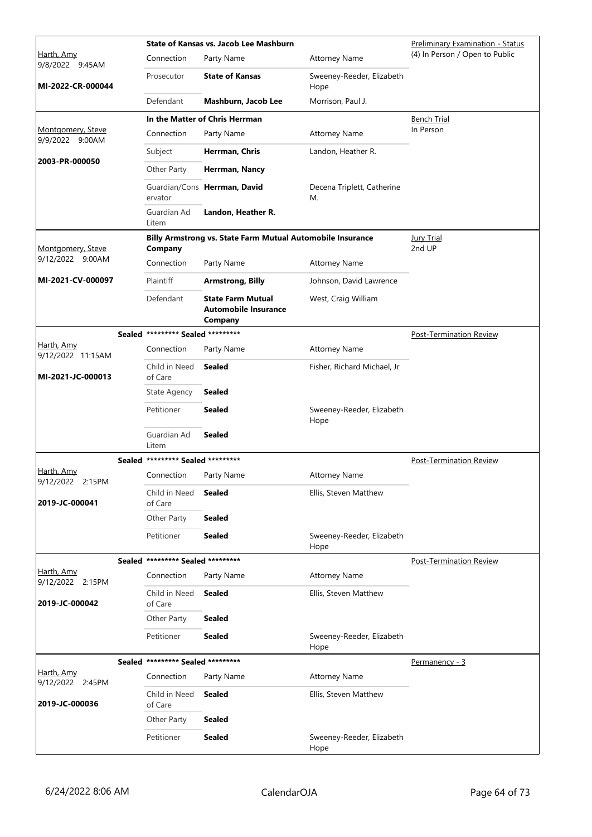|                                       |                                   | <b>State of Kansas vs. Jacob Lee Mashburn</b>                      |                                   | <b>Preliminary Examination - Status</b> |
|---------------------------------------|-----------------------------------|--------------------------------------------------------------------|-----------------------------------|-----------------------------------------|
| Harth, Amy<br>9/8/2022 9:45AM         | Connection                        | Party Name                                                         | <b>Attorney Name</b>              | (4) In Person / Open to Public          |
| MI-2022-CR-000044                     | Prosecutor                        | <b>State of Kansas</b>                                             | Sweeney-Reeder, Elizabeth<br>Hope |                                         |
|                                       | Defendant                         | Mashburn, Jacob Lee                                                | Morrison, Paul J.                 |                                         |
|                                       |                                   | In the Matter of Chris Herrman                                     |                                   | <b>Bench Trial</b>                      |
| Montgomery, Steve<br>9/9/2022 9:00AM  | Connection                        | Party Name                                                         | <b>Attorney Name</b>              | In Person                               |
|                                       | Subject                           | Herrman, Chris                                                     | Landon, Heather R.                |                                         |
| 2003-PR-000050                        | Other Party                       | Herrman, Nancy                                                     |                                   |                                         |
|                                       | ervator                           | Guardian/Cons Herrman, David                                       | Decena Triplett, Catherine<br>М.  |                                         |
|                                       | Guardian Ad<br>Litem              | Landon, Heather R.                                                 |                                   |                                         |
|                                       |                                   | Billy Armstrong vs. State Farm Mutual Automobile Insurance         |                                   | <b>Jury Trial</b>                       |
| Montgomery, Steve<br>9/12/2022 9:00AM | Company                           |                                                                    |                                   | 2nd UP                                  |
|                                       | Connection                        | Party Name                                                         | <b>Attorney Name</b>              |                                         |
| MI-2021-CV-000097                     | Plaintiff                         | <b>Armstrong, Billy</b>                                            | Johnson, David Lawrence           |                                         |
|                                       | Defendant                         | <b>State Farm Mutual</b><br><b>Automobile Insurance</b><br>Company | West, Craig William               |                                         |
|                                       | Sealed ********* Sealed ********* |                                                                    |                                   | Post-Termination Review                 |
| Harth, Amy<br>9/12/2022 11:15AM       | Connection                        | Party Name                                                         | <b>Attorney Name</b>              |                                         |
| MI-2021-JC-000013                     | Child in Need<br>of Care          | Sealed                                                             | Fisher, Richard Michael, Jr       |                                         |
|                                       | <b>State Agency</b>               | <b>Sealed</b>                                                      |                                   |                                         |
|                                       | Petitioner                        | Sealed                                                             | Sweeney-Reeder, Elizabeth<br>Hope |                                         |
|                                       | Guardian Ad<br>Litem              | <b>Sealed</b>                                                      |                                   |                                         |
|                                       | Sealed ********* Sealed ********* |                                                                    |                                   | <b>Post-Termination Review</b>          |
| Harth, Amy<br>9/12/2022 2:15PM        | Connection                        | Party Name                                                         | <b>Attorney Name</b>              |                                         |
| 2019-JC-000041                        | Child in Need<br>of Care          | Sealed                                                             | Ellis, Steven Matthew             |                                         |
|                                       | Other Party                       | <b>Sealed</b>                                                      |                                   |                                         |
|                                       | Petitioner                        | <b>Sealed</b>                                                      | Sweeney-Reeder, Elizabeth<br>Hope |                                         |
|                                       | Sealed ********* Sealed ********* |                                                                    |                                   | Post-Termination Review                 |
| Harth, Amy<br>9/12/2022 2:15PM        | Connection                        | Party Name                                                         | <b>Attorney Name</b>              |                                         |
| 2019-JC-000042                        | Child in Need<br>of Care          | Sealed                                                             | Ellis, Steven Matthew             |                                         |
|                                       | Other Party                       | <b>Sealed</b>                                                      |                                   |                                         |
|                                       | Petitioner                        | <b>Sealed</b>                                                      | Sweeney-Reeder, Elizabeth<br>Hope |                                         |
|                                       | Sealed ********* Sealed ********* |                                                                    |                                   | Permanency - 3                          |
| Harth, Amy<br>9/12/2022 2:45PM        | Connection                        | Party Name                                                         | <b>Attorney Name</b>              |                                         |
| 2019-JC-000036                        | Child in Need<br>of Care          | <b>Sealed</b>                                                      | Ellis, Steven Matthew             |                                         |
|                                       | Other Party                       | <b>Sealed</b>                                                      |                                   |                                         |
|                                       | Petitioner                        | Sealed                                                             | Sweeney-Reeder, Elizabeth<br>Hope |                                         |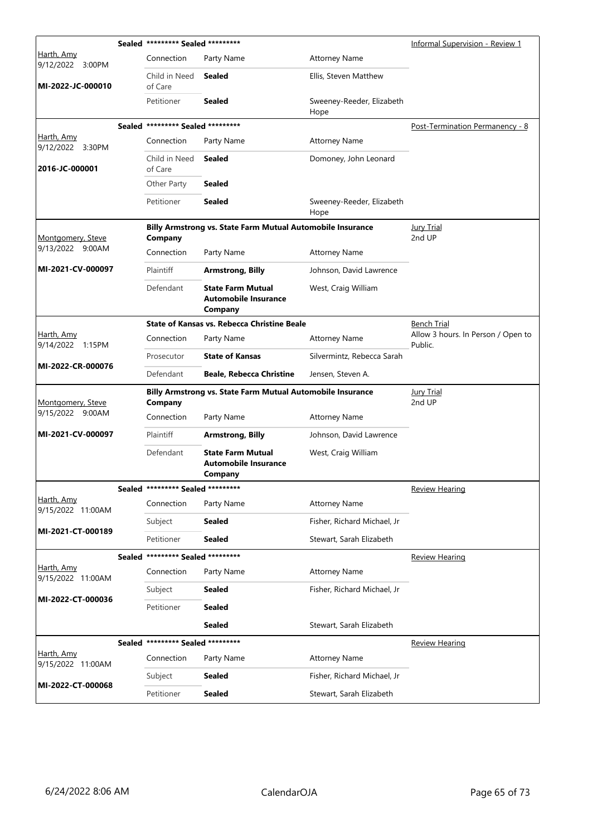|                                 |  | Sealed ********* Sealed ********* |                                                                    |                                   | Informal Supervision - Review 1               |
|---------------------------------|--|-----------------------------------|--------------------------------------------------------------------|-----------------------------------|-----------------------------------------------|
| Harth, Amy<br>9/12/2022 3:00PM  |  | Connection                        | Party Name                                                         | <b>Attorney Name</b>              |                                               |
| MI-2022-JC-000010               |  | Child in Need<br>of Care          | <b>Sealed</b>                                                      | Ellis, Steven Matthew             |                                               |
|                                 |  | Petitioner                        | <b>Sealed</b>                                                      | Sweeney-Reeder, Elizabeth<br>Hope |                                               |
|                                 |  | Sealed ********* Sealed ********* |                                                                    |                                   | Post-Termination Permanency - 8               |
| Harth, Amy<br>9/12/2022 3:30PM  |  | Connection                        | Party Name                                                         | <b>Attorney Name</b>              |                                               |
| 2016-JC-000001                  |  | Child in Need<br>of Care          | <b>Sealed</b>                                                      | Domoney, John Leonard             |                                               |
|                                 |  | Other Party                       | <b>Sealed</b>                                                      |                                   |                                               |
|                                 |  | Petitioner                        | <b>Sealed</b>                                                      | Sweeney-Reeder, Elizabeth<br>Hope |                                               |
| Montgomery, Steve               |  | Company                           | Billy Armstrong vs. State Farm Mutual Automobile Insurance         |                                   | <b>Jury Trial</b><br>2nd UP                   |
| 9/13/2022 9:00AM                |  | Connection                        | Party Name                                                         | <b>Attorney Name</b>              |                                               |
| MI-2021-CV-000097               |  | Plaintiff                         | <b>Armstrong, Billy</b>                                            | Johnson, David Lawrence           |                                               |
|                                 |  | Defendant                         | <b>State Farm Mutual</b><br><b>Automobile Insurance</b><br>Company | West, Craig William               |                                               |
|                                 |  |                                   | State of Kansas vs. Rebecca Christine Beale                        |                                   | <b>Bench Trial</b>                            |
| Harth, Amy<br>9/14/2022 1:15PM  |  | Connection                        | Party Name                                                         | <b>Attorney Name</b>              | Allow 3 hours. In Person / Open to<br>Public. |
|                                 |  | Prosecutor                        | <b>State of Kansas</b>                                             | Silvermintz, Rebecca Sarah        |                                               |
| MI-2022-CR-000076               |  | Defendant                         | <b>Beale, Rebecca Christine</b>                                    | Jensen, Steven A.                 |                                               |
| Montgomery, Steve               |  | Company                           | <b>Billy Armstrong vs. State Farm Mutual Automobile Insurance</b>  |                                   | <b>Jury Trial</b><br>2nd UP                   |
| 9/15/2022 9:00AM                |  | Connection                        | Party Name                                                         | <b>Attorney Name</b>              |                                               |
| MI-2021-CV-000097               |  | Plaintiff                         | <b>Armstrong, Billy</b>                                            | Johnson, David Lawrence           |                                               |
|                                 |  | Defendant                         | <b>State Farm Mutual</b><br><b>Automobile Insurance</b><br>Company | West, Craig William               |                                               |
|                                 |  | Sealed ********* Sealed ********* |                                                                    |                                   | <b>Review Hearing</b>                         |
| Harth, Amy<br>9/15/2022 11:00AM |  | Connection                        | Party Name                                                         | <b>Attorney Name</b>              |                                               |
| MI-2021-CT-000189               |  | Subject                           | <b>Sealed</b>                                                      | Fisher, Richard Michael, Jr       |                                               |
|                                 |  | Petitioner                        | Sealed                                                             | Stewart, Sarah Elizabeth          |                                               |
|                                 |  | Sealed ********* Sealed ********* |                                                                    |                                   | <b>Review Hearing</b>                         |
| Harth, Amy<br>9/15/2022 11:00AM |  | Connection                        | Party Name                                                         | <b>Attorney Name</b>              |                                               |
| MI-2022-CT-000036               |  | Subject                           | Sealed                                                             | Fisher, Richard Michael, Jr       |                                               |
|                                 |  | Petitioner                        | <b>Sealed</b>                                                      |                                   |                                               |
|                                 |  |                                   | Sealed                                                             | Stewart, Sarah Elizabeth          |                                               |
|                                 |  | Sealed ********* Sealed ********* |                                                                    |                                   | <b>Review Hearing</b>                         |
| Harth, Amy<br>9/15/2022 11:00AM |  | Connection                        | Party Name                                                         | <b>Attorney Name</b>              |                                               |
|                                 |  |                                   |                                                                    |                                   |                                               |
| MI-2022-CT-000068               |  | Subject                           | Sealed                                                             | Fisher, Richard Michael, Jr       |                                               |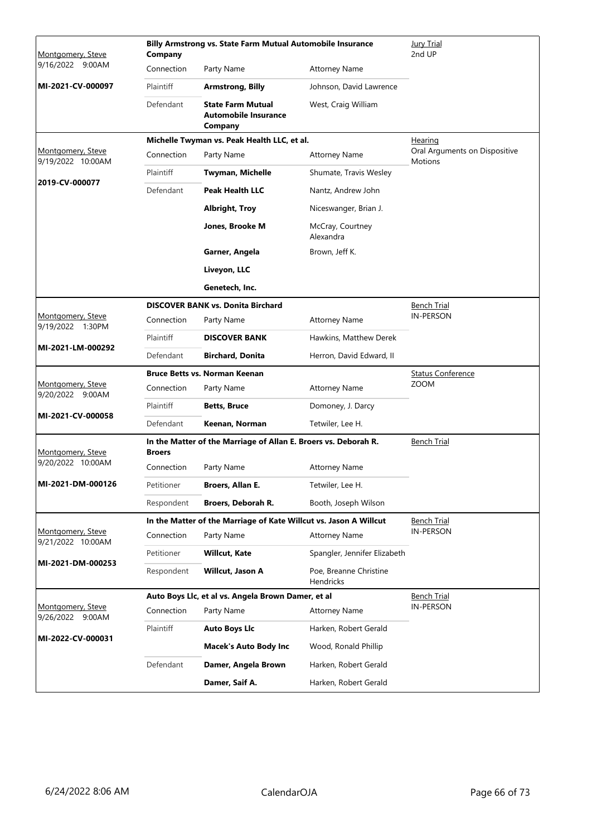| Montgomery, Steve                      | Company       | Billy Armstrong vs. State Farm Mutual Automobile Insurance         | Jury Trial<br>2nd UP                |                                                 |
|----------------------------------------|---------------|--------------------------------------------------------------------|-------------------------------------|-------------------------------------------------|
| 9/16/2022 9:00AM                       | Connection    | Party Name                                                         | <b>Attorney Name</b>                |                                                 |
| MI-2021-CV-000097                      | Plaintiff     | <b>Armstrong, Billy</b>                                            | Johnson, David Lawrence             |                                                 |
|                                        | Defendant     | <b>State Farm Mutual</b><br><b>Automobile Insurance</b><br>Company | West, Craig William                 |                                                 |
|                                        |               | Michelle Twyman vs. Peak Health LLC, et al.                        |                                     | <u>Hearing</u>                                  |
| Montgomery, Steve<br>9/19/2022 10:00AM | Connection    | Party Name                                                         | <b>Attorney Name</b>                | Oral Arguments on Dispositive<br><b>Motions</b> |
| 2019-CV-000077                         | Plaintiff     | Twyman, Michelle                                                   | Shumate, Travis Wesley              |                                                 |
|                                        | Defendant     | <b>Peak Health LLC</b>                                             | Nantz, Andrew John                  |                                                 |
|                                        |               | <b>Albright, Troy</b>                                              | Niceswanger, Brian J.               |                                                 |
|                                        |               | Jones, Brooke M                                                    | McCray, Courtney<br>Alexandra       |                                                 |
|                                        |               | Garner, Angela                                                     | Brown, Jeff K.                      |                                                 |
|                                        |               | Liveyon, LLC                                                       |                                     |                                                 |
|                                        |               | Genetech, Inc.                                                     |                                     |                                                 |
|                                        |               | <b>DISCOVER BANK vs. Donita Birchard</b>                           |                                     | <b>Bench Trial</b>                              |
| Montgomery, Steve<br>9/19/2022 1:30PM  | Connection    | Party Name                                                         | <b>Attorney Name</b>                | <b>IN-PERSON</b>                                |
| MI-2021-LM-000292                      | Plaintiff     | <b>DISCOVER BANK</b>                                               | Hawkins, Matthew Derek              |                                                 |
|                                        | Defendant     | <b>Birchard, Donita</b>                                            | Herron, David Edward, II            |                                                 |
| Montgomery, Steve                      |               | <b>Bruce Betts vs. Norman Keenan</b>                               |                                     | <b>Status Conference</b><br><b>ZOOM</b>         |
| 9/20/2022 9:00AM                       | Connection    | Party Name                                                         | <b>Attorney Name</b>                |                                                 |
| MI-2021-CV-000058                      | Plaintiff     | <b>Betts, Bruce</b>                                                | Domoney, J. Darcy                   |                                                 |
|                                        | Defendant     | Keenan, Norman                                                     | Tetwiler, Lee H.                    |                                                 |
| Montgomery, Steve                      | <b>Broers</b> | In the Matter of the Marriage of Allan E. Broers vs. Deborah R.    |                                     | <b>Bench Trial</b>                              |
| 9/20/2022 10:00AM                      | Connection    | Party Name                                                         | Attorney Name                       |                                                 |
| MI-2021-DM-000126                      | Petitioner    | Broers, Allan E.                                                   | Tetwiler, Lee H.                    |                                                 |
|                                        | Respondent    | Broers, Deborah R.                                                 | Booth, Joseph Wilson                |                                                 |
| <u>Montgomery, Steve</u>               |               | In the Matter of the Marriage of Kate Willcut vs. Jason A Willcut  |                                     | Bench Trial<br><b>IN-PERSON</b>                 |
| 9/21/2022 10:00AM                      | Connection    | Party Name                                                         | <b>Attorney Name</b>                |                                                 |
| MI-2021-DM-000253                      | Petitioner    | <b>Willcut, Kate</b>                                               | Spangler, Jennifer Elizabeth        |                                                 |
|                                        | Respondent    | Willcut, Jason A                                                   | Poe, Breanne Christine<br>Hendricks |                                                 |
| Montgomery, Steve                      |               | Auto Boys Llc, et al vs. Angela Brown Damer, et al                 |                                     | <b>Bench Trial</b><br><b>IN-PERSON</b>          |
| 9/26/2022 9:00AM                       | Connection    | Party Name                                                         | <b>Attorney Name</b>                |                                                 |
| MI-2022-CV-000031                      | Plaintiff     | <b>Auto Boys Llc</b>                                               | Harken, Robert Gerald               |                                                 |
|                                        |               | <b>Macek's Auto Body Inc</b>                                       | Wood, Ronald Phillip                |                                                 |
|                                        | Defendant     | Damer, Angela Brown                                                | Harken, Robert Gerald               |                                                 |
|                                        |               | Damer, Saif A.                                                     | Harken, Robert Gerald               |                                                 |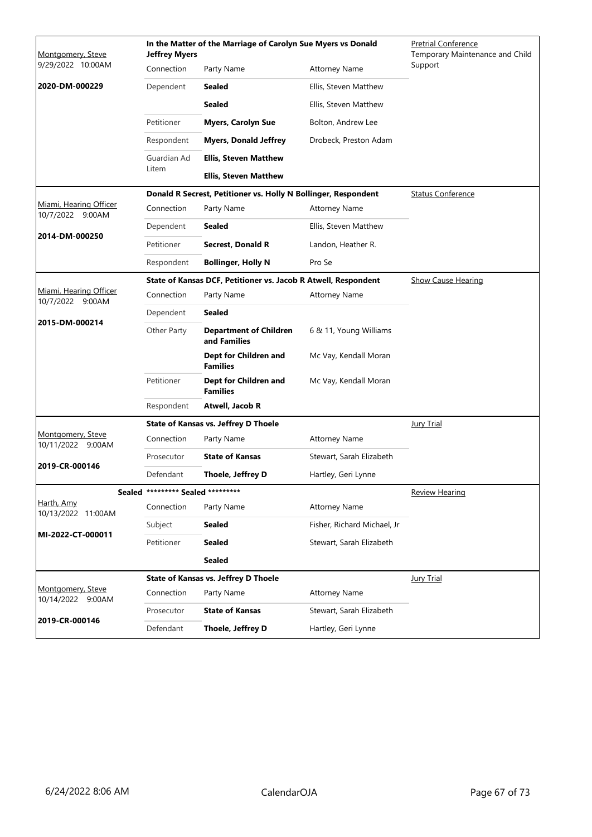| Montgomery, Steve                          | <b>Jeffrey Myers</b>              | In the Matter of the Marriage of Carolyn Sue Myers vs Donald   | <b>Pretrial Conference</b><br>Temporary Maintenance and Child |                           |
|--------------------------------------------|-----------------------------------|----------------------------------------------------------------|---------------------------------------------------------------|---------------------------|
| 9/29/2022 10:00AM                          | Connection                        | Party Name                                                     | <b>Attorney Name</b>                                          | Support                   |
| 2020-DM-000229                             | Dependent                         | <b>Sealed</b>                                                  | Ellis, Steven Matthew                                         |                           |
|                                            |                                   | <b>Sealed</b>                                                  | Ellis, Steven Matthew                                         |                           |
|                                            | Petitioner                        | <b>Myers, Carolyn Sue</b>                                      | Bolton, Andrew Lee                                            |                           |
|                                            | Respondent                        | <b>Myers, Donald Jeffrey</b>                                   | Drobeck, Preston Adam                                         |                           |
|                                            | Guardian Ad                       | <b>Ellis, Steven Matthew</b>                                   |                                                               |                           |
|                                            | Litem                             | <b>Ellis, Steven Matthew</b>                                   |                                                               |                           |
|                                            |                                   | Donald R Secrest, Petitioner vs. Holly N Bollinger, Respondent |                                                               | <b>Status Conference</b>  |
| Miami, Hearing Officer<br>10/7/2022 9:00AM | Connection                        | Party Name                                                     | <b>Attorney Name</b>                                          |                           |
|                                            | Dependent                         | <b>Sealed</b>                                                  | Ellis, Steven Matthew                                         |                           |
| 2014-DM-000250                             | Petitioner                        | <b>Secrest, Donald R</b>                                       | Landon, Heather R.                                            |                           |
|                                            | Respondent                        | <b>Bollinger, Holly N</b>                                      | Pro Se                                                        |                           |
|                                            |                                   | State of Kansas DCF, Petitioner vs. Jacob R Atwell, Respondent |                                                               | <b>Show Cause Hearing</b> |
| Miami, Hearing Officer<br>10/7/2022 9:00AM | Connection                        | Party Name                                                     | <b>Attorney Name</b>                                          |                           |
|                                            | Dependent                         | <b>Sealed</b>                                                  |                                                               |                           |
| 2015-DM-000214                             | Other Party                       | <b>Department of Children</b><br>and Families                  | 6 & 11, Young Williams                                        |                           |
|                                            |                                   | Dept for Children and<br><b>Families</b>                       | Mc Vay, Kendall Moran                                         |                           |
|                                            | Petitioner                        | Dept for Children and<br><b>Families</b>                       | Mc Vay, Kendall Moran                                         |                           |
|                                            | Respondent                        | Atwell, Jacob R                                                |                                                               |                           |
|                                            |                                   | <b>State of Kansas vs. Jeffrey D Thoele</b>                    |                                                               | <b>Jury Trial</b>         |
| Montgomery, Steve<br>10/11/2022 9:00AM     | Connection                        | Party Name                                                     | <b>Attorney Name</b>                                          |                           |
| 2019-CR-000146                             | Prosecutor                        | <b>State of Kansas</b>                                         | Stewart, Sarah Elizabeth                                      |                           |
|                                            | Defendant                         | Thoele, Jeffrey D                                              | Hartley, Geri Lynne                                           |                           |
|                                            | Sealed ********* Sealed ********* |                                                                |                                                               | <b>Review Hearing</b>     |
| Harth, Amy<br>10/13/2022 11:00AM           | Connection                        | Party Name                                                     | <b>Attorney Name</b>                                          |                           |
| MI-2022-CT-000011                          | Subject                           | <b>Sealed</b>                                                  | Fisher, Richard Michael, Jr                                   |                           |
|                                            | Petitioner                        | <b>Sealed</b>                                                  | Stewart, Sarah Elizabeth                                      |                           |
|                                            |                                   | <b>Sealed</b>                                                  |                                                               |                           |
|                                            |                                   | State of Kansas vs. Jeffrey D Thoele                           |                                                               | <b>Jury Trial</b>         |
| Montgomery, Steve<br>10/14/2022 9:00AM     | Connection                        | Party Name                                                     | <b>Attorney Name</b>                                          |                           |
| 2019-CR-000146                             | Prosecutor                        | <b>State of Kansas</b>                                         | Stewart, Sarah Elizabeth                                      |                           |
|                                            | Defendant                         | Thoele, Jeffrey D                                              | Hartley, Geri Lynne                                           |                           |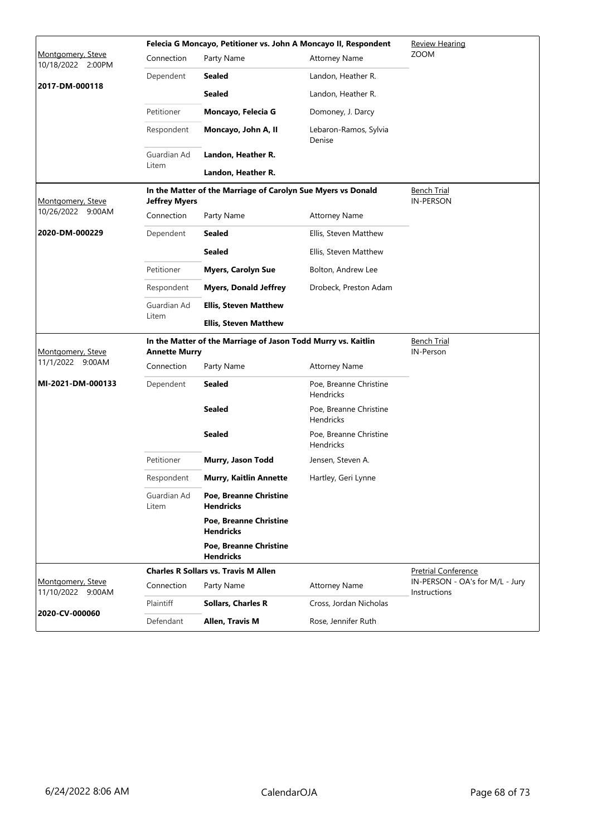|                                        |                      | Felecia G Moncayo, Petitioner vs. John A Moncayo II, Respondent | <b>Review Hearing</b>                      |                                                 |
|----------------------------------------|----------------------|-----------------------------------------------------------------|--------------------------------------------|-------------------------------------------------|
| Montgomery, Steve<br>10/18/2022 2:00PM | Connection           | Party Name                                                      | <b>Attorney Name</b>                       | <b>ZOOM</b>                                     |
|                                        | Dependent            | <b>Sealed</b>                                                   | Landon, Heather R.                         |                                                 |
| 2017-DM-000118                         |                      | <b>Sealed</b>                                                   | Landon, Heather R.                         |                                                 |
|                                        | Petitioner           | Moncayo, Felecia G                                              | Domoney, J. Darcy                          |                                                 |
|                                        | Respondent           | Moncayo, John A, II                                             | Lebaron-Ramos, Sylvia<br>Denise            |                                                 |
|                                        | Guardian Ad          | Landon, Heather R.                                              |                                            |                                                 |
|                                        | Litem                | Landon, Heather R.                                              |                                            |                                                 |
| Montgomery, Steve                      | <b>Jeffrey Myers</b> | In the Matter of the Marriage of Carolyn Sue Myers vs Donald    |                                            | Bench Trial<br><b>IN-PERSON</b>                 |
| 10/26/2022 9:00AM                      | Connection           | Party Name                                                      | <b>Attorney Name</b>                       |                                                 |
| 2020-DM-000229                         | Dependent            | <b>Sealed</b>                                                   | Ellis, Steven Matthew                      |                                                 |
|                                        |                      | <b>Sealed</b>                                                   | Ellis, Steven Matthew                      |                                                 |
|                                        | Petitioner           | <b>Myers, Carolyn Sue</b>                                       | Bolton, Andrew Lee                         |                                                 |
|                                        | Respondent           | <b>Myers, Donald Jeffrey</b>                                    | Drobeck, Preston Adam                      |                                                 |
|                                        | Guardian Ad          | <b>Ellis, Steven Matthew</b>                                    |                                            |                                                 |
|                                        | Litem                | <b>Ellis, Steven Matthew</b>                                    |                                            |                                                 |
|                                        |                      |                                                                 |                                            |                                                 |
| Montgomery, Steve                      | <b>Annette Murry</b> | In the Matter of the Marriage of Jason Todd Murry vs. Kaitlin   |                                            | <b>Bench Trial</b><br>IN-Person                 |
| 11/1/2022 9:00AM                       | Connection           | Party Name                                                      | <b>Attorney Name</b>                       |                                                 |
| MI-2021-DM-000133                      | Dependent            | Sealed                                                          | Poe, Breanne Christine<br>Hendricks        |                                                 |
|                                        |                      | <b>Sealed</b>                                                   | Poe, Breanne Christine<br><b>Hendricks</b> |                                                 |
|                                        |                      | <b>Sealed</b>                                                   | Poe, Breanne Christine<br><b>Hendricks</b> |                                                 |
|                                        | Petitioner           | Murry, Jason Todd                                               | Jensen, Steven A.                          |                                                 |
|                                        | Respondent           | <b>Murry, Kaitlin Annette</b>                                   | Hartley, Geri Lynne                        |                                                 |
|                                        | Guardian Ad<br>Litem | <b>Poe, Breanne Christine</b><br><b>Hendricks</b>               |                                            |                                                 |
|                                        |                      | Poe, Breanne Christine<br><b>Hendricks</b>                      |                                            |                                                 |
|                                        |                      | Poe, Breanne Christine<br><b>Hendricks</b>                      |                                            |                                                 |
|                                        |                      | <b>Charles R Sollars vs. Travis M Allen</b>                     |                                            | <b>Pretrial Conference</b>                      |
| Montgomery, Steve<br>11/10/2022 9:00AM | Connection           | Party Name                                                      | <b>Attorney Name</b>                       | IN-PERSON - OA's for M/L - Jury<br>Instructions |
| 2020-CV-000060                         | Plaintiff            | <b>Sollars, Charles R</b>                                       | Cross, Jordan Nicholas                     |                                                 |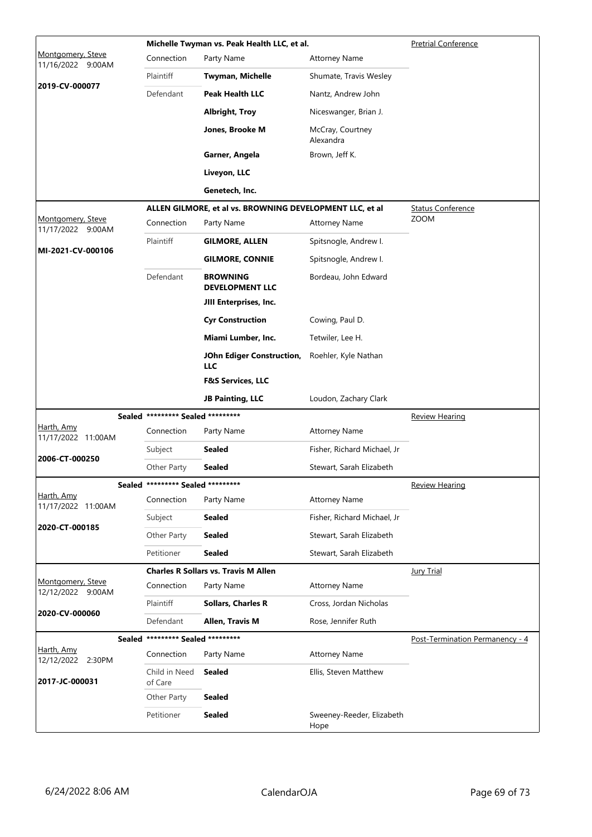|                                        |                                   | Michelle Twyman vs. Peak Health LLC, et al.              |                                   | <b>Pretrial Conference</b>      |
|----------------------------------------|-----------------------------------|----------------------------------------------------------|-----------------------------------|---------------------------------|
| Montgomery, Steve<br>11/16/2022 9:00AM | Connection                        | Party Name                                               | <b>Attorney Name</b>              |                                 |
|                                        | Plaintiff                         | Twyman, Michelle                                         | Shumate, Travis Wesley            |                                 |
| 2019-CV-000077                         | Defendant                         | <b>Peak Health LLC</b>                                   | Nantz, Andrew John                |                                 |
|                                        |                                   | <b>Albright, Troy</b>                                    | Niceswanger, Brian J.             |                                 |
|                                        |                                   | Jones, Brooke M                                          | McCray, Courtney<br>Alexandra     |                                 |
|                                        |                                   | Garner, Angela                                           | Brown, Jeff K.                    |                                 |
|                                        |                                   | Liveyon, LLC                                             |                                   |                                 |
|                                        |                                   | Genetech, Inc.                                           |                                   |                                 |
|                                        |                                   | ALLEN GILMORE, et al vs. BROWNING DEVELOPMENT LLC, et al |                                   | <b>Status Conference</b>        |
| Montgomery, Steve<br>11/17/2022 9:00AM | Connection                        | Party Name                                               | <b>Attorney Name</b>              | <b>ZOOM</b>                     |
|                                        | Plaintiff                         | GILMORE, ALLEN                                           | Spitsnogle, Andrew I.             |                                 |
| MI-2021-CV-000106                      |                                   | <b>GILMORE, CONNIE</b>                                   | Spitsnogle, Andrew I.             |                                 |
|                                        | Defendant                         | <b>BROWNING</b><br><b>DEVELOPMENT LLC</b>                | Bordeau, John Edward              |                                 |
|                                        |                                   | JIII Enterprises, Inc.                                   |                                   |                                 |
|                                        |                                   | <b>Cyr Construction</b>                                  | Cowing, Paul D.                   |                                 |
|                                        |                                   | Miami Lumber, Inc.                                       | Tetwiler, Lee H.                  |                                 |
|                                        |                                   | JOhn Ediger Construction,<br><b>LLC</b>                  | Roehler, Kyle Nathan              |                                 |
|                                        |                                   | <b>F&amp;S Services, LLC</b>                             |                                   |                                 |
|                                        |                                   | <b>JB Painting, LLC</b>                                  | Loudon, Zachary Clark             |                                 |
|                                        | Sealed ********* Sealed ********* |                                                          |                                   | <b>Review Hearing</b>           |
| Harth, Amy<br>11/17/2022 11:00AM       | Connection                        | Party Name                                               | <b>Attorney Name</b>              |                                 |
| 2006-CT-000250                         | Subject                           | Sealed                                                   | Fisher, Richard Michael, Jr       |                                 |
|                                        | Other Party                       | Sealed                                                   | Stewart, Sarah Elizabeth          |                                 |
|                                        | Sealed ********* Sealed ********* |                                                          |                                   | <b>Review Hearing</b>           |
| Harth, Amy<br>11/17/2022 11:00AM       | Connection                        | Party Name                                               | <b>Attorney Name</b>              |                                 |
| 2020-CT-000185                         | Subject                           | <b>Sealed</b>                                            | Fisher, Richard Michael, Jr       |                                 |
|                                        | Other Party                       | <b>Sealed</b>                                            | Stewart, Sarah Elizabeth          |                                 |
|                                        | Petitioner                        | <b>Sealed</b>                                            | Stewart, Sarah Elizabeth          |                                 |
|                                        |                                   | <b>Charles R Sollars vs. Travis M Allen</b>              |                                   | <b>Jury Trial</b>               |
| Montgomery, Steve<br>12/12/2022 9:00AM | Connection                        | Party Name                                               | <b>Attorney Name</b>              |                                 |
| 2020-CV-000060                         | Plaintiff                         | <b>Sollars, Charles R</b>                                | Cross, Jordan Nicholas            |                                 |
|                                        | Defendant                         | Allen, Travis M                                          | Rose, Jennifer Ruth               |                                 |
|                                        | Sealed ********* Sealed ********* |                                                          |                                   | Post-Termination Permanency - 4 |
| Harth, Amy<br>12/12/2022 2:30PM        | Connection                        | Party Name                                               | <b>Attorney Name</b>              |                                 |
| 2017-JC-000031                         | Child in Need<br>of Care          | <b>Sealed</b>                                            | Ellis, Steven Matthew             |                                 |
|                                        | Other Party                       | <b>Sealed</b>                                            |                                   |                                 |
|                                        | Petitioner                        | <b>Sealed</b>                                            | Sweeney-Reeder, Elizabeth<br>Hope |                                 |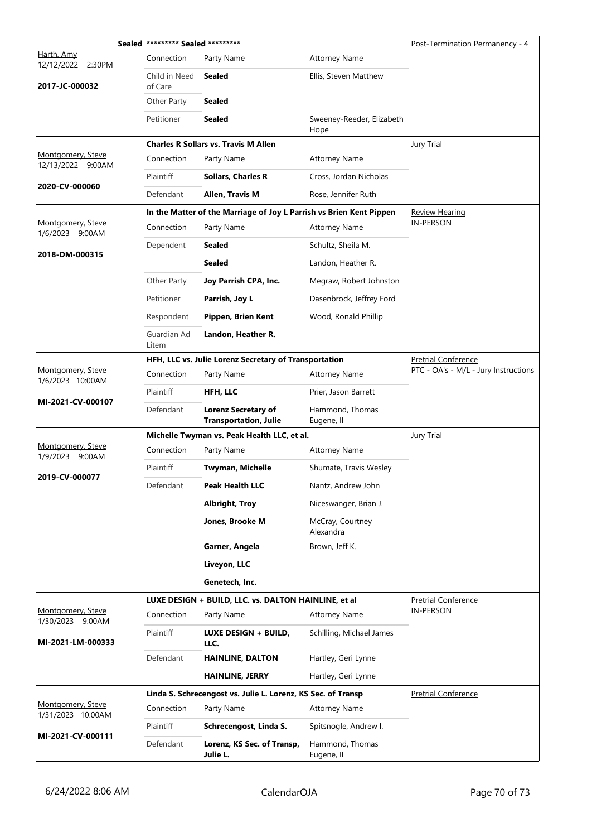|                                        | Sealed ********* Sealed ********* |                                                                     |                                   | Post-Termination Permanency - 4      |
|----------------------------------------|-----------------------------------|---------------------------------------------------------------------|-----------------------------------|--------------------------------------|
| Harth, Amy<br>12/12/2022 2:30PM        | Connection                        | Party Name                                                          | <b>Attorney Name</b>              |                                      |
| 2017-JC-000032                         | Child in Need<br>of Care          | <b>Sealed</b>                                                       | Ellis, Steven Matthew             |                                      |
|                                        | Other Party                       | <b>Sealed</b>                                                       |                                   |                                      |
|                                        | Petitioner                        | <b>Sealed</b>                                                       | Sweeney-Reeder, Elizabeth<br>Hope |                                      |
|                                        |                                   | <b>Charles R Sollars vs. Travis M Allen</b>                         |                                   | <b>Jury Trial</b>                    |
| Montgomery, Steve<br>12/13/2022 9:00AM | Connection                        | Party Name                                                          | <b>Attorney Name</b>              |                                      |
| 2020-CV-000060                         | Plaintiff                         | <b>Sollars, Charles R</b>                                           | Cross, Jordan Nicholas            |                                      |
|                                        | Defendant                         | Allen, Travis M                                                     | Rose, Jennifer Ruth               |                                      |
|                                        |                                   | In the Matter of the Marriage of Joy L Parrish vs Brien Kent Pippen |                                   | <b>Review Hearing</b>                |
| Montgomery, Steve<br>1/6/2023 9:00AM   | Connection                        | Party Name                                                          | <b>Attorney Name</b>              | <b>IN-PERSON</b>                     |
| 2018-DM-000315                         | Dependent                         | <b>Sealed</b>                                                       | Schultz, Sheila M.                |                                      |
|                                        |                                   | <b>Sealed</b>                                                       | Landon, Heather R.                |                                      |
|                                        | Other Party                       | Joy Parrish CPA, Inc.                                               | Megraw, Robert Johnston           |                                      |
|                                        | Petitioner                        | Parrish, Joy L                                                      | Dasenbrock, Jeffrey Ford          |                                      |
|                                        | Respondent                        | Pippen, Brien Kent                                                  | Wood, Ronald Phillip              |                                      |
|                                        | Guardian Ad<br>Litem              | Landon, Heather R.                                                  |                                   |                                      |
|                                        |                                   | HFH, LLC vs. Julie Lorenz Secretary of Transportation               |                                   | <b>Pretrial Conference</b>           |
| Montgomery, Steve<br>1/6/2023 10:00AM  | Connection                        | Party Name                                                          | <b>Attorney Name</b>              | PTC - OA's - M/L - Jury Instructions |
| MI-2021-CV-000107                      | Plaintiff                         | HFH, LLC                                                            | Prier, Jason Barrett              |                                      |
|                                        | Defendant                         | <b>Lorenz Secretary of</b><br><b>Transportation, Julie</b>          | Hammond, Thomas<br>Eugene, II     |                                      |
|                                        |                                   | Michelle Twyman vs. Peak Health LLC, et al.                         |                                   | <b>Jury Trial</b>                    |
| Montgomery, Steve<br>1/9/2023 9:00AM   | Connection                        | Party Name                                                          | <b>Attorney Name</b>              |                                      |
| 2019-CV-000077                         | Plaintiff                         | Twyman, Michelle                                                    | Shumate, Travis Wesley            |                                      |
|                                        | Defendant                         | <b>Peak Health LLC</b>                                              | Nantz, Andrew John                |                                      |
|                                        |                                   | <b>Albright, Troy</b>                                               | Niceswanger, Brian J.             |                                      |
|                                        |                                   | Jones, Brooke M                                                     | McCray, Courtney<br>Alexandra     |                                      |
|                                        |                                   | Garner, Angela                                                      | Brown, Jeff K.                    |                                      |
|                                        |                                   | Liveyon, LLC                                                        |                                   |                                      |
|                                        |                                   | Genetech, Inc.                                                      |                                   |                                      |
|                                        |                                   | LUXE DESIGN + BUILD, LLC. vs. DALTON HAINLINE, et al                |                                   | <b>Pretrial Conference</b>           |
| Montgomery, Steve<br>1/30/2023 9:00AM  | Connection                        | Party Name                                                          | <b>Attorney Name</b>              | <b>IN-PERSON</b>                     |
| MI-2021-LM-000333                      | Plaintiff                         | LUXE DESIGN + BUILD,<br>LLC.                                        | Schilling, Michael James          |                                      |
|                                        | Defendant                         | <b>HAINLINE, DALTON</b>                                             | Hartley, Geri Lynne               |                                      |
|                                        |                                   | <b>HAINLINE, JERRY</b>                                              | Hartley, Geri Lynne               |                                      |
|                                        |                                   | Linda S. Schrecengost vs. Julie L. Lorenz, KS Sec. of Transp        |                                   | <b>Pretrial Conference</b>           |
| Montgomery, Steve<br>1/31/2023 10:00AM | Connection                        | Party Name                                                          | Attorney Name                     |                                      |
| MI-2021-CV-000111                      | Plaintiff                         | Schrecengost, Linda S.                                              | Spitsnogle, Andrew I.             |                                      |
|                                        | Defendant                         | Lorenz, KS Sec. of Transp,<br>Julie L.                              | Hammond, Thomas<br>Eugene, II     |                                      |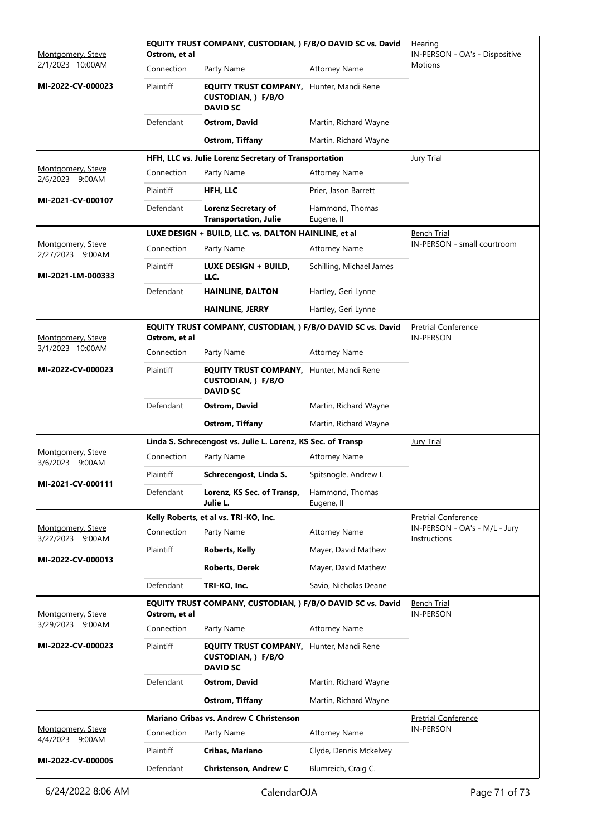| Montgomery, Steve                        | Ostrom, et al    | EQUITY TRUST COMPANY, CUSTODIAN, ) F/B/O DAVID SC vs. David                                     | <b>Hearing</b><br>IN-PERSON - OA's - Dispositive |                                                |
|------------------------------------------|------------------|-------------------------------------------------------------------------------------------------|--------------------------------------------------|------------------------------------------------|
| 2/1/2023 10:00AM                         | Connection       | Party Name                                                                                      | <b>Attorney Name</b>                             | Motions                                        |
| MI-2022-CV-000023                        | Plaintiff        | <b>EQUITY TRUST COMPANY, Hunter, Mandi Rene</b><br><b>CUSTODIAN, ) F/B/O</b><br><b>DAVID SC</b> |                                                  |                                                |
|                                          | Defendant        | <b>Ostrom, David</b>                                                                            | Martin, Richard Wayne                            |                                                |
|                                          |                  | <b>Ostrom, Tiffany</b>                                                                          | Martin, Richard Wayne                            |                                                |
|                                          |                  | HFH, LLC vs. Julie Lorenz Secretary of Transportation                                           |                                                  | <b>Jury Trial</b>                              |
| Montgomery, Steve<br>2/6/2023 9:00AM     | Connection       | Party Name                                                                                      | <b>Attorney Name</b>                             |                                                |
|                                          | Plaintiff        | HFH, LLC                                                                                        | Prier, Jason Barrett                             |                                                |
| MI-2021-CV-000107                        | Defendant        | <b>Lorenz Secretary of</b><br><b>Transportation, Julie</b>                                      | Hammond, Thomas<br>Eugene, II                    |                                                |
|                                          |                  | LUXE DESIGN + BUILD, LLC. vs. DALTON HAINLINE, et al                                            |                                                  | <u>Bench Trial</u>                             |
| Montgomery, Steve<br>2/27/2023 9:00AM    | Connection       | Party Name                                                                                      | <b>Attorney Name</b>                             | IN-PERSON - small courtroom                    |
| MI-2021-LM-000333                        | Plaintiff        | LUXE DESIGN + BUILD,<br>LLC.                                                                    | Schilling, Michael James                         |                                                |
|                                          | Defendant        | <b>HAINLINE, DALTON</b>                                                                         | Hartley, Geri Lynne                              |                                                |
|                                          |                  | <b>HAINLINE, JERRY</b>                                                                          | Hartley, Geri Lynne                              |                                                |
| Montgomery, Steve                        | Ostrom, et al    | EQUITY TRUST COMPANY, CUSTODIAN, ) F/B/O DAVID SC vs. David                                     |                                                  | <b>Pretrial Conference</b><br><b>IN-PERSON</b> |
| 3/1/2023 10:00AM                         | Connection       | Party Name                                                                                      | <b>Attorney Name</b>                             |                                                |
| MI-2022-CV-000023                        | Plaintiff        | <b>EQUITY TRUST COMPANY, Hunter, Mandi Rene</b><br>CUSTODIAN, ) F/B/O<br><b>DAVID SC</b>        |                                                  |                                                |
|                                          | Defendant        | <b>Ostrom, David</b>                                                                            | Martin, Richard Wayne                            |                                                |
|                                          |                  | <b>Ostrom, Tiffany</b>                                                                          | Martin, Richard Wayne                            |                                                |
|                                          |                  | Linda S. Schrecengost vs. Julie L. Lorenz, KS Sec. of Transp                                    |                                                  | <b>Jury Trial</b>                              |
| Montgomery, Steve<br>3/6/2023 9:00AM     | Connection       | Party Name                                                                                      | <b>Attorney Name</b>                             |                                                |
| MI-2021-CV-000111                        | Plaintiff        | Schrecengost, Linda S.                                                                          | Spitsnogle, Andrew I.                            |                                                |
|                                          | Defendant        | Lorenz, KS Sec. of Transp,<br>Julie L.                                                          | Hammond, Thomas<br>Eugene, II                    |                                                |
|                                          |                  | Kelly Roberts, et al vs. TRI-KO, Inc.                                                           |                                                  | <b>Pretrial Conference</b>                     |
| Montgomery, Steve<br>3/22/2023<br>9:00AM | Connection       | Party Name                                                                                      | <b>Attorney Name</b>                             | IN-PERSON - OA's - M/L - Jury<br>Instructions  |
| MI-2022-CV-000013                        | Plaintiff        | <b>Roberts, Kelly</b>                                                                           | Mayer, David Mathew                              |                                                |
|                                          |                  | <b>Roberts, Derek</b>                                                                           | Mayer, David Mathew                              |                                                |
|                                          | Defendant        | TRI-KO, Inc.                                                                                    | Savio, Nicholas Deane                            |                                                |
| Montgomery, Steve                        | Ostrom, et al    | EQUITY TRUST COMPANY, CUSTODIAN, ) F/B/O DAVID SC vs. David                                     |                                                  | <b>Bench Trial</b><br><b>IN-PERSON</b>         |
| 3/29/2023 9:00AM                         | Connection       | Party Name                                                                                      | <b>Attorney Name</b>                             |                                                |
| MI-2022-CV-000023                        | <b>Plaintiff</b> | <b>EQUITY TRUST COMPANY, Hunter, Mandi Rene</b><br><b>CUSTODIAN, ) F/B/O</b><br><b>DAVID SC</b> |                                                  |                                                |
|                                          | Defendant        | Ostrom, David                                                                                   | Martin, Richard Wayne                            |                                                |
|                                          |                  | Ostrom, Tiffany                                                                                 | Martin, Richard Wayne                            |                                                |
|                                          |                  | <b>Mariano Cribas vs. Andrew C Christenson</b>                                                  |                                                  | <b>Pretrial Conference</b>                     |
| Montgomery, Steve<br>4/4/2023 9:00AM     | Connection       | Party Name                                                                                      | <b>Attorney Name</b>                             | <b>IN-PERSON</b>                               |
|                                          | Plaintiff        | Cribas, Mariano                                                                                 | Clyde, Dennis Mckelvey                           |                                                |
| MI-2022-CV-000005                        | Defendant        | <b>Christenson, Andrew C</b>                                                                    | Blumreich, Craig C.                              |                                                |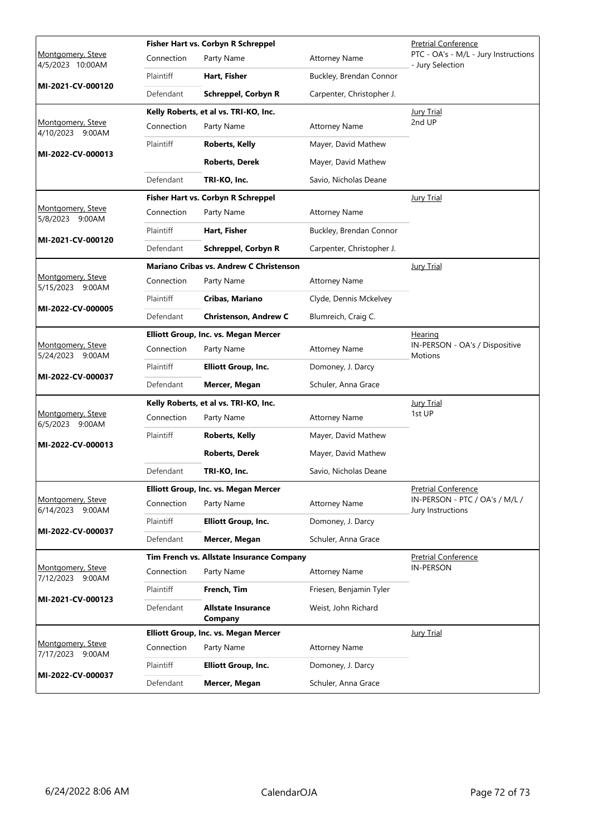|                                          |            | Fisher Hart vs. Corbyn R Schreppel             | <b>Pretrial Conference</b> |                                                          |
|------------------------------------------|------------|------------------------------------------------|----------------------------|----------------------------------------------------------|
| Montgomery, Steve<br>4/5/2023 10:00AM    | Connection | Party Name                                     | <b>Attorney Name</b>       | PTC - OA's - M/L - Jury Instructions<br>- Jury Selection |
| MI-2021-CV-000120                        | Plaintiff  | Hart, Fisher                                   | Buckley, Brendan Connor    |                                                          |
|                                          | Defendant  | <b>Schreppel, Corbyn R</b>                     | Carpenter, Christopher J.  |                                                          |
|                                          |            | Kelly Roberts, et al vs. TRI-KO, Inc.          |                            | Jury Trial                                               |
| Montgomery, Steve<br>4/10/2023 9:00AM    | Connection | Party Name                                     | <b>Attorney Name</b>       | 2nd UP                                                   |
|                                          | Plaintiff  | Roberts, Kelly                                 | Mayer, David Mathew        |                                                          |
| MI-2022-CV-000013                        |            | <b>Roberts, Derek</b>                          | Mayer, David Mathew        |                                                          |
|                                          | Defendant  | TRI-KO, Inc.                                   | Savio, Nicholas Deane      |                                                          |
|                                          |            | Fisher Hart vs. Corbyn R Schreppel             |                            | <b>Jury Trial</b>                                        |
| Montgomery, Steve<br>5/8/2023 9:00AM     | Connection | Party Name                                     | <b>Attorney Name</b>       |                                                          |
|                                          | Plaintiff  | Hart, Fisher                                   | Buckley, Brendan Connor    |                                                          |
| MI-2021-CV-000120                        | Defendant  | Schreppel, Corbyn R                            | Carpenter, Christopher J.  |                                                          |
|                                          |            | <b>Mariano Cribas vs. Andrew C Christenson</b> |                            | <b>Jury Trial</b>                                        |
| Montgomery, Steve<br>5/15/2023<br>9:00AM | Connection | Party Name                                     | <b>Attorney Name</b>       |                                                          |
|                                          | Plaintiff  | Cribas, Mariano                                | Clyde, Dennis Mckelvey     |                                                          |
| MI-2022-CV-000005                        | Defendant  | <b>Christenson, Andrew C</b>                   | Blumreich, Craig C.        |                                                          |
|                                          |            | Elliott Group, Inc. vs. Megan Mercer           |                            | <u>Hearing</u>                                           |
| Montgomery, Steve<br>5/24/2023 9:00AM    | Connection | Party Name                                     | <b>Attorney Name</b>       | IN-PERSON - OA's / Dispositive<br>Motions                |
| MI-2022-CV-000037                        | Plaintiff  | <b>Elliott Group, Inc.</b>                     | Domoney, J. Darcy          |                                                          |
|                                          | Defendant  | Mercer, Megan                                  | Schuler, Anna Grace        |                                                          |
|                                          |            | Kelly Roberts, et al vs. TRI-KO, Inc.          |                            | <b>Jury Trial</b>                                        |
| Montgomery, Steve<br>6/5/2023 9:00AM     | Connection | Party Name                                     | <b>Attorney Name</b>       | 1st UP                                                   |
| MI-2022-CV-000013                        | Plaintiff  | Roberts, Kelly                                 | Mayer, David Mathew        |                                                          |
|                                          |            | <b>Roberts, Derek</b>                          | Mayer, David Mathew        |                                                          |
|                                          | Defendant  | TRI-KO, Inc.                                   | Savio, Nicholas Deane      |                                                          |
|                                          |            | Elliott Group, Inc. vs. Megan Mercer           |                            | <b>Pretrial Conference</b>                               |
| Montgomery, Steve<br>6/14/2023 9:00AM    | Connection | Party Name                                     | <b>Attorney Name</b>       | IN-PERSON - PTC / OA's / M/L /<br>Jury Instructions      |
| MI-2022-CV-000037                        | Plaintiff  | <b>Elliott Group, Inc.</b>                     | Domoney, J. Darcy          |                                                          |
|                                          | Defendant  | Mercer, Megan                                  | Schuler, Anna Grace        |                                                          |
|                                          |            | Tim French vs. Allstate Insurance Company      |                            | <b>Pretrial Conference</b>                               |
| Montgomery, Steve<br>7/12/2023<br>9:00AM | Connection | Party Name                                     | <b>Attorney Name</b>       | <b>IN-PERSON</b>                                         |
| MI-2021-CV-000123                        | Plaintiff  | French, Tim                                    | Friesen, Benjamin Tyler    |                                                          |
|                                          | Defendant  | <b>Allstate Insurance</b><br>Company           | Weist, John Richard        |                                                          |
|                                          |            | Elliott Group, Inc. vs. Megan Mercer           |                            | <b>Jury Trial</b>                                        |
| Montgomery, Steve<br>9:00AM<br>7/17/2023 | Connection | Party Name                                     | <b>Attorney Name</b>       |                                                          |
| MI-2022-CV-000037                        | Plaintiff  | <b>Elliott Group, Inc.</b>                     | Domoney, J. Darcy          |                                                          |
|                                          | Defendant  | Mercer, Megan                                  | Schuler, Anna Grace        |                                                          |